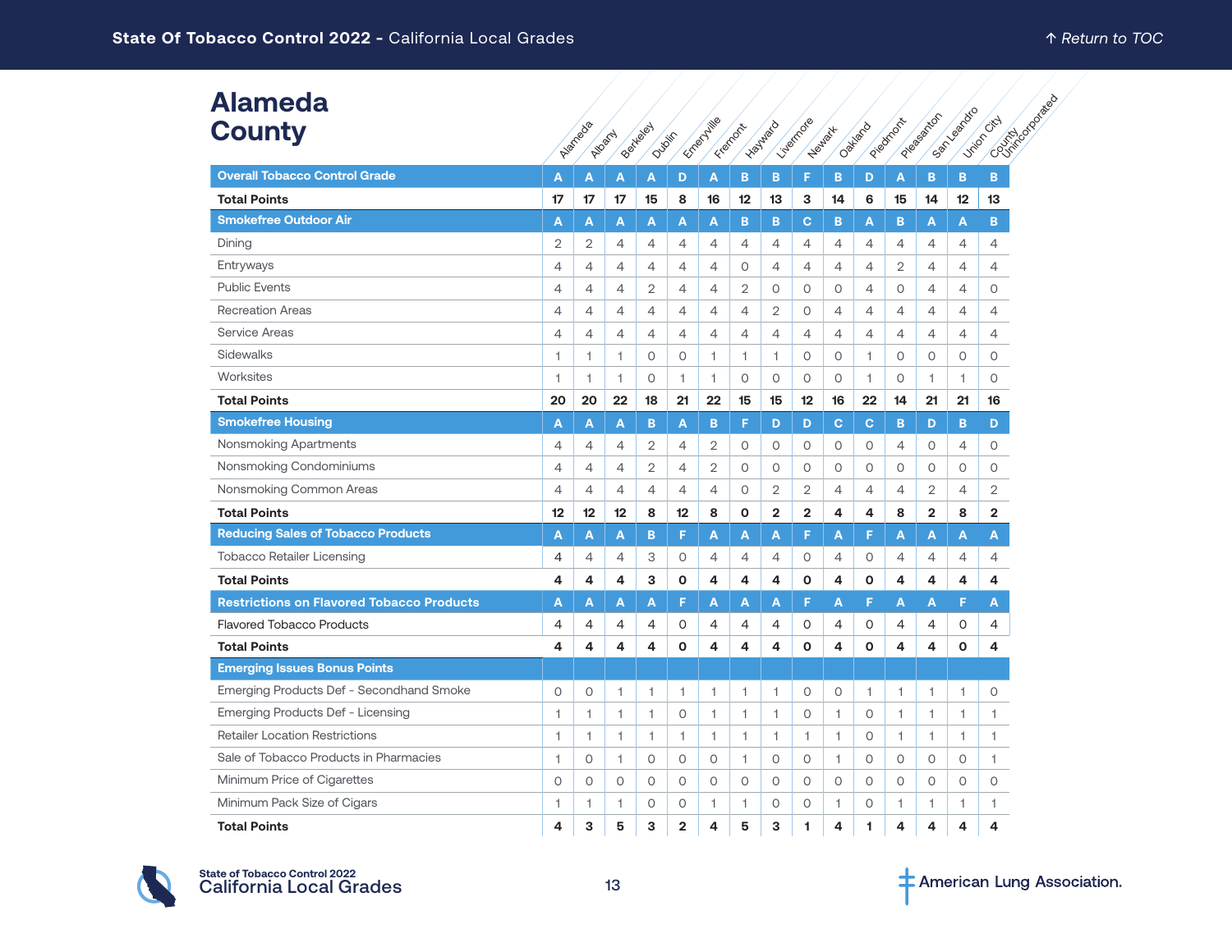| <b>Alameda</b><br><b>County</b>                  |                | Aigricode<br>Ailachy |                | Beitreley<br>Dublin |                | Emery Hill   | Francom        | - Haywaya      | Liverring@     | Heland H       | Oakland        | Piedricht      | Please strict  | Sept Leading   | Control Databash<br><b>Victor City</b> |
|--------------------------------------------------|----------------|----------------------|----------------|---------------------|----------------|--------------|----------------|----------------|----------------|----------------|----------------|----------------|----------------|----------------|----------------------------------------|
| <b>Overall Tobacco Control Grade</b>             | A              | A                    | A              | Α                   | D              | A            | B              | B              | F              | в              | D              | A              | B              | B              | B.                                     |
| <b>Total Points</b>                              | 17             | 17                   | 17             | 15                  | 8              | 16           | 12             | 13             | з              | 14             | 6              | 15             | 14             | 12             | 13                                     |
| <b>Smokefree Outdoor Air</b>                     | A              | A                    | A              | A                   | A              | A            | B              | B              | c              | B              | A              | B              | A              | A              | B                                      |
| Dining                                           | $\mathbf{2}$   | $\overline{2}$       | 4              | 4                   | 4              | 4            | $\overline{4}$ | $\overline{4}$ | 4              | 4              | 4              | 4              | $\overline{4}$ | 4              | 4                                      |
| Entryways                                        | $\overline{4}$ | $\overline{4}$       | $\overline{4}$ | 4                   | 4              | 4            | $\circ$        | $\overline{4}$ | 4              | $\overline{4}$ | 4              | 2              | $\overline{4}$ | $\overline{4}$ | 4                                      |
| <b>Public Events</b>                             | $\overline{4}$ | 4                    | $\overline{4}$ | 2                   | 4              | 4            | 2              | 0              | 0              | 0              | 4              | 0              | $\overline{4}$ | $\overline{4}$ | 0                                      |
| <b>Recreation Areas</b>                          | 4              | $\overline{4}$       | $\overline{4}$ | $\overline{4}$      | 4              | 4            | $\overline{4}$ | $\overline{2}$ | 0              | $\overline{4}$ | 4              | $\overline{4}$ | $\overline{4}$ | $\overline{4}$ | 4                                      |
| <b>Service Areas</b>                             | 4              | $\overline{4}$       | $\overline{4}$ | $\overline{4}$      | $\overline{4}$ | 4            | $\overline{4}$ | $\overline{4}$ | $\overline{4}$ | $\overline{4}$ | $\overline{4}$ | $\overline{4}$ | $\overline{4}$ | 4              | $\overline{4}$                         |
| Sidewalks                                        | $\mathbf{1}$   | 1                    | 1              | $\circ$             | 0              | 1            | $\mathbf{1}$   | $\mathbf{1}$   | 0              | 0              | 1              | $\circ$        | 0              | 0              | $\circ$                                |
| Worksites                                        | $\mathbf{1}$   | 1.                   | 1              | $\circ$             | $\mathbf{1}$   | 1            | $\circ$        | $\circ$        | $\circ$        | $\circ$        | 1              | $\circ$        | 1              | $\mathbf{1}$   | $\circ$                                |
| <b>Total Points</b>                              | 20             | 20                   | 22             | 18                  | 21             | 22           | 15             | 15             | 12             | 16             | 22             | 14             | 21             | 21             | 16                                     |
| <b>Smokefree Housing</b>                         | A              | A                    | A              | B                   | A              | B.           | F              | D              | D              | C              | $\mathbf{C}$   | B              | D              | B              | D                                      |
| Nonsmoking Apartments                            | 4              | $\overline{4}$       | $\overline{4}$ | 2                   | 4              | 2            | $\circ$        | 0              | 0              | 0              | 0              | $\overline{4}$ | 0              | $\overline{4}$ | 0                                      |
| Nonsmoking Condominiums                          | 4              | $\overline{4}$       | $\overline{4}$ | $\overline{2}$      | 4              | 2            | $\circ$        | $\circ$        | 0              | 0              | 0              | 0              | $\circ$        | 0              | 0                                      |
| Nonsmoking Common Areas                          | $\overline{4}$ | $\overline{4}$       | $\overline{4}$ | $\overline{4}$      | 4              | 4            | $\circ$        | $\overline{2}$ | 2              | $\overline{4}$ | 4              | 4              | $\overline{2}$ | 4              | 2                                      |
| <b>Total Points</b>                              | 12             | 12 <sup>°</sup>      | 12             | 8                   | 12             | 8            | $\mathbf{o}$   | $\overline{2}$ | $\overline{2}$ | 4              | 4              | 8              | $\overline{2}$ | 8              | $\overline{2}$                         |
| <b>Reducing Sales of Tobacco Products</b>        | A              | A                    | A              | B                   | F              | A            | A              | A              | F              | A              | F              | A              | A              | A              | A                                      |
| <b>Tobacco Retailer Licensing</b>                | 4              | $\overline{4}$       | 4              | 3                   | 0              | 4            | $\overline{4}$ | 4              | 0              | 4              | 0              | 4              | 4              | $\overline{4}$ | 4                                      |
| <b>Total Points</b>                              | 4              | 4                    | 4              | 3                   | 0              | 4            | 4              | 4              | O              | 4              | 0              | 4              | 4              | 4              | 4                                      |
| <b>Restrictions on Flavored Tobacco Products</b> | A              | A                    | A              | A                   | F              | A            | A              | A              | F              | A              | F              | A              | A              | F              | A                                      |
| <b>Flavored Tobacco Products</b>                 | 4              | 4                    | 4              | 4                   | 0              | 4            | 4              | 4              | 0              | 4              | 0              | 4              | 4              | 0              | 4                                      |
| <b>Total Points</b>                              | 4              | 4                    | 4              | 4                   | $\mathbf 0$    | 4            | 4              | 4              | O              | 4              | O              | 4              | 4              | $\mathbf{o}$   | 4                                      |
| <b>Emerging Issues Bonus Points</b>              |                |                      |                |                     |                |              |                |                |                |                |                |                |                |                |                                        |
| <b>Emerging Products Def - Secondhand Smoke</b>  | $\circ$        | $\circ$              | 1              | 1                   | 1              | 1            | 1              | 1              | $\circ$        | 0              | 1              | 1              | 1              | $\mathbf{1}$   | 0                                      |
| Emerging Products Def - Licensing                | 1              | 1.                   | 1              | $\mathbf{1}$        | 0              | $\mathbf{1}$ | 1              | $\mathbf{1}$   | 0              | 1              | $\circ$        | 1.             | 1              | $\mathbf{1}$   | $\mathbf{1}$                           |
| <b>Retailer Location Restrictions</b>            | 1              | 1                    | $\mathbf{1}$   | $\mathbf{1}$        | $\mathbf{1}$   | $\mathbf{1}$ | $\mathbf{1}$   | $\mathbf{1}$   | $\mathbf{1}$   | $\mathbf{1}$   | 0              | $\mathbf{1}$   | $\mathbf{1}$   | $\mathbf{1}$   | 1                                      |
| Sale of Tobacco Products in Pharmacies           | 1              | $\circ$              | $\overline{1}$ | $\circ$             | 0              | 0            | $\overline{1}$ | $\circ$        | 0              | $\mathbf{1}$   | $\circ$        | $\circ$        | 0              | $\circ$        | 1                                      |
| Minimum Price of Cigarettes                      | 0              | $\circ$              | $\circ$        | 0                   | 0              | 0            | $\circ$        | 0              | 0              | 0              | 0              | 0              | 0              | 0              | $\circ$                                |
| Minimum Pack Size of Cigars                      | 1              | 1.                   | 1              | $\circ$             | 0              | 1            | 1              | $\circ$        | $\circ$        | 1              | $\circ$        | 1              | 1              | 1              | 1                                      |
| <b>Total Points</b>                              | 4              | 3                    | 5              | 3                   | $\overline{2}$ | 4            | 5              | 3              | 1              | 4              | 1              | 4              | 4              | 4              | 4                                      |



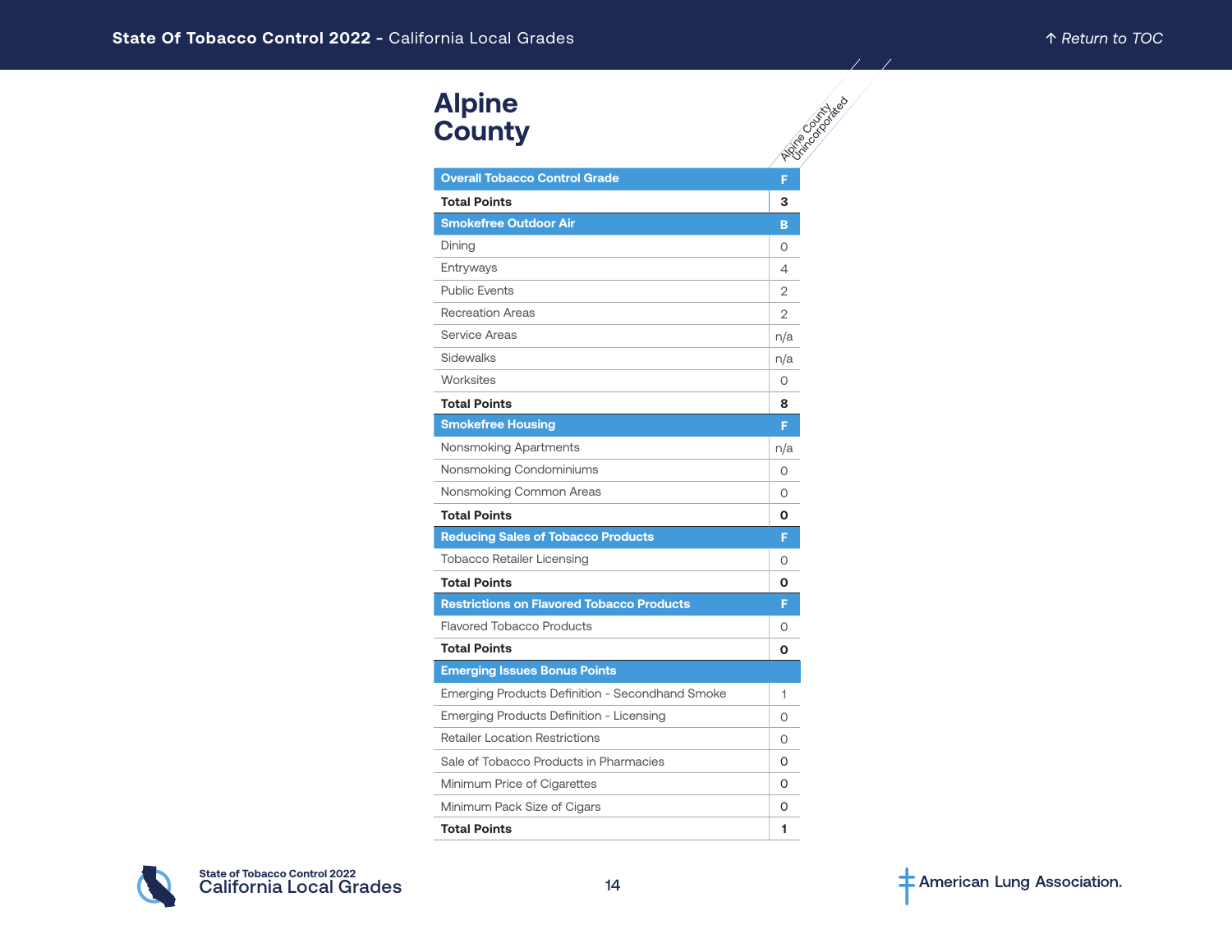| <b>Alpine</b><br><b>County</b>                   | <b>PSITE</b> CONTACTOR |
|--------------------------------------------------|------------------------|
| <b>Overall Tobacco Control Grade</b>             | F                      |
| <b>Total Points</b>                              | 3                      |
| <b>Smokefree Outdoor Air</b>                     | B                      |
| Dining                                           | 0                      |
| Entryways                                        | 4                      |
| <b>Public Events</b>                             | 2                      |
| <b>Recreation Areas</b>                          | 2                      |
| Service Areas                                    | n/a                    |
| Sidewalks                                        | n/a                    |
| Worksites                                        | $\Omega$               |
| <b>Total Points</b>                              | 8                      |
| <b>Smokefree Housing</b>                         | F                      |
| Nonsmoking Apartments                            | n/a                    |
| Nonsmoking Condominiums                          | 0                      |
| Nonsmoking Common Areas                          | O                      |
| <b>Total Points</b>                              | O                      |
| <b>Reducing Sales of Tobacco Products</b>        | F                      |
| <b>Tobacco Retailer Licensing</b>                | 0                      |
| <b>Total Points</b>                              | 0                      |
| <b>Restrictions on Flavored Tobacco Products</b> | F                      |
| <b>Flavored Tobacco Products</b>                 | $\Omega$               |
| <b>Total Points</b>                              | О                      |
| <b>Emerging Issues Bonus Points</b>              |                        |
| Emerging Products Definition - Secondhand Smoke  | 1                      |
| Emerging Products Definition - Licensing         | $\Omega$               |
| <b>Retailer Location Restrictions</b>            | 0                      |
| Sale of Tobacco Products in Pharmacies           | 0                      |
| Minimum Price of Cigarettes                      | O                      |
| Minimum Pack Size of Cigars                      | 0                      |
| <b>Total Points</b>                              | 1                      |

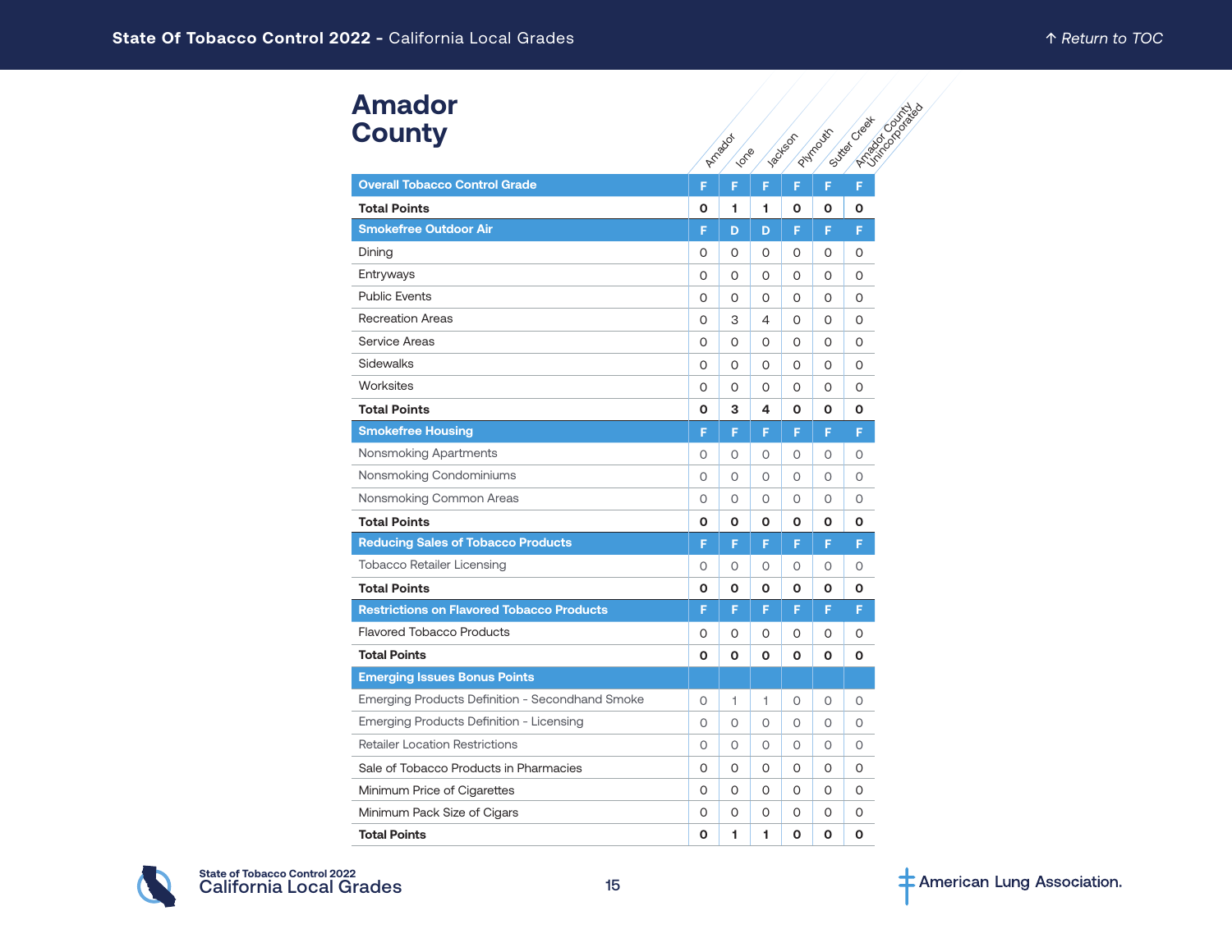| <b>Amador</b> |  |
|---------------|--|
| <b>County</b> |  |

| Amagor<br><b>County</b>                          |          | Arnadox<br>100% |   | <b>Jackson</b> | PHYMODES | <b>Project of Digital</b><br>Suite's Creek |
|--------------------------------------------------|----------|-----------------|---|----------------|----------|--------------------------------------------|
| <b>Overall Tobacco Control Grade</b>             | F        | F               | F | F              | F        | F                                          |
| <b>Total Points</b>                              | O        | 1               | 1 | 0              | 0        | 0                                          |
| <b>Smokefree Outdoor Air</b>                     | F        | D               | D | F              | F        | F                                          |
| Dining                                           | 0        | 0               | 0 | 0              | 0        | 0                                          |
| Entryways                                        | 0        | 0               | 0 | 0              | 0        | 0                                          |
| <b>Public Events</b>                             | 0        | 0               | 0 | 0              | 0        | 0                                          |
| <b>Recreation Areas</b>                          | 0        | 3               | 4 | 0              | 0        | 0                                          |
| <b>Service Areas</b>                             | 0        | 0               | 0 | 0              | 0        | 0                                          |
| <b>Sidewalks</b>                                 | 0        | 0               | 0 | 0              | 0        | 0                                          |
| Worksites                                        | 0        | 0               | 0 | 0              | 0        | 0                                          |
| <b>Total Points</b>                              | O        | 3               | 4 | O              | O        | O                                          |
| <b>Smokefree Housing</b>                         | F        | F               | F | F              | F        | F                                          |
| <b>Nonsmoking Apartments</b>                     | 0        | 0               | 0 | 0              | Ο        | 0                                          |
| Nonsmoking Condominiums                          | 0        | 0               | 0 | O              | 0        | 0                                          |
| Nonsmoking Common Areas                          | 0        | 0               | 0 | O              | 0        | 0                                          |
| <b>Total Points</b>                              | 0        | O               | O | Ο              | Ο        | О                                          |
| <b>Reducing Sales of Tobacco Products</b>        | F        | F               | F | F              | F        | F                                          |
| Tobacco Retailer Licensing                       | 0        | 0               | 0 | 0              | 0        | 0                                          |
| <b>Total Points</b>                              | О        | 0               | 0 | О              | Ο        | Ο                                          |
| <b>Restrictions on Flavored Tobacco Products</b> | F        | F               | F | F              | F        | F                                          |
| <b>Flavored Tobacco Products</b>                 | 0        | 0               | 0 | 0              | 0        | 0                                          |
| <b>Total Points</b>                              | O        | O               | O | 0              | О        | О                                          |
| <b>Emerging Issues Bonus Points</b>              |          |                 |   |                |          |                                            |
| Emerging Products Definition - Secondhand Smoke  | $\circ$  | 1               | 1 | 0              | 0        | 0                                          |
| Emerging Products Definition - Licensing         | $\circ$  | $\circ$         | 0 | 0              | 0        | 0                                          |
| <b>Retailer Location Restrictions</b>            | $\circ$  | 0               | 0 | 0              | 0        | 0                                          |
| Sale of Tobacco Products in Pharmacies           | 0        | O               | 0 | 0              | 0        | 0                                          |
| Minimum Price of Cigarettes                      | $\Omega$ | 0               | 0 | 0              | 0        | 0                                          |
| Minimum Pack Size of Cigars                      | 0        | 0               | 0 | 0              | 0        | 0                                          |
| <b>Total Points</b>                              | O        | 1               | 1 | O              | O        | 0                                          |

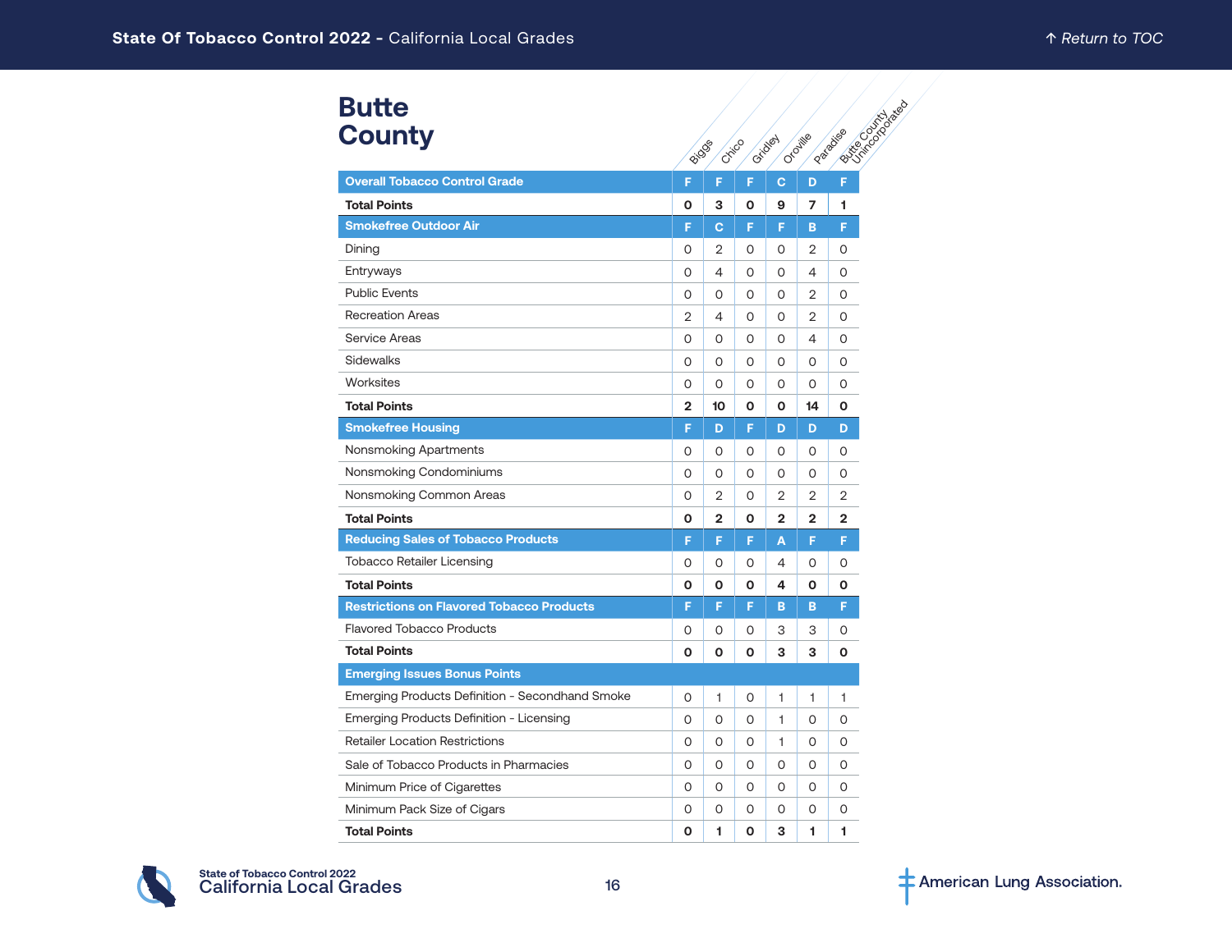| <b>Butte</b>  |
|---------------|
| <b>County</b> |

| <b>Butte</b>                                     |                |                         |   |                |                |          |
|--------------------------------------------------|----------------|-------------------------|---|----------------|----------------|----------|
| <b>County</b>                                    |                | Critico<br><b>Biogs</b> |   | Gridoen        | Oroille        | Pataikse |
| <b>Overall Tobacco Control Grade</b>             |                |                         |   |                |                |          |
|                                                  | F              | F                       | F | C              | D              | F        |
| <b>Total Points</b>                              | O              | 3                       | 0 | 9              | 7              | 1        |
| <b>Smokefree Outdoor Air</b>                     | F              | Ċ                       | F | F              | B              | F        |
| Dining                                           | 0              | $\overline{2}$          | 0 | 0              | $\overline{2}$ | 0        |
| Entryways                                        | O              | 4                       | 0 | 0              | 4              | 0        |
| <b>Public Events</b>                             | 0              | 0                       | O | O              | $\overline{2}$ | $\Omega$ |
| <b>Recreation Areas</b>                          | $\overline{2}$ | 4                       | 0 | 0              | 2              | 0        |
| <b>Service Areas</b>                             | O              | 0                       | 0 | 0              | 4              | 0        |
| Sidewalks                                        | 0              | 0                       | 0 | 0              | 0              | 0        |
| Worksites                                        | 0              | 0                       | 0 | 0              | 0              | 0        |
| <b>Total Points</b>                              | $\overline{2}$ | 10                      | 0 | О              | 14             | O        |
| <b>Smokefree Housing</b>                         | F              | D                       | F | D              | D              | D        |
| Nonsmoking Apartments                            | 0              | 0                       | 0 | 0              | 0              | 0        |
| Nonsmoking Condominiums                          | $\Omega$       | $\Omega$                | 0 | 0              | 0              | 0        |
| Nonsmoking Common Areas                          | O              | 2                       | O | 2              | 2              | 2        |
| <b>Total Points</b>                              | O              | 2                       | 0 | $\overline{2}$ | $\overline{2}$ | 2        |
| <b>Reducing Sales of Tobacco Products</b>        | F              | F                       | F | Ā              | F              | F        |
| <b>Tobacco Retailer Licensing</b>                | 0              | O                       | 0 | 4              | 0              | 0        |
| <b>Total Points</b>                              | O              | O                       | O | 4              | O              | O        |
| <b>Restrictions on Flavored Tobacco Products</b> | F              | F                       | F | B              | B              | F        |
| <b>Flavored Tobacco Products</b>                 | 0              | O                       | 0 | 3              | 3              | 0        |
| <b>Total Points</b>                              | O              | O                       | O | 3              | 3              | O        |
| <b>Emerging Issues Bonus Points</b>              |                |                         |   |                |                |          |
| Emerging Products Definition - Secondhand Smoke  | 0              | 1                       | 0 | 1              | 1              | 1        |
| Emerging Products Definition - Licensing         | 0              | 0                       | 0 | 1              | 0              | 0        |
| <b>Retailer Location Restrictions</b>            | O              | 0                       | 0 | 1              | 0              | 0        |
| Sale of Tobacco Products in Pharmacies           | 0              | O                       | 0 | 0              | 0              | 0        |
| Minimum Price of Cigarettes                      | 0              | 0                       | 0 | 0              | 0              | 0        |
| Minimum Pack Size of Cigars                      | 0              | 0                       | 0 | 0              | 0              | 0        |
| <b>Total Points</b>                              | O              | 1                       | O | 3              | 1              | 1        |

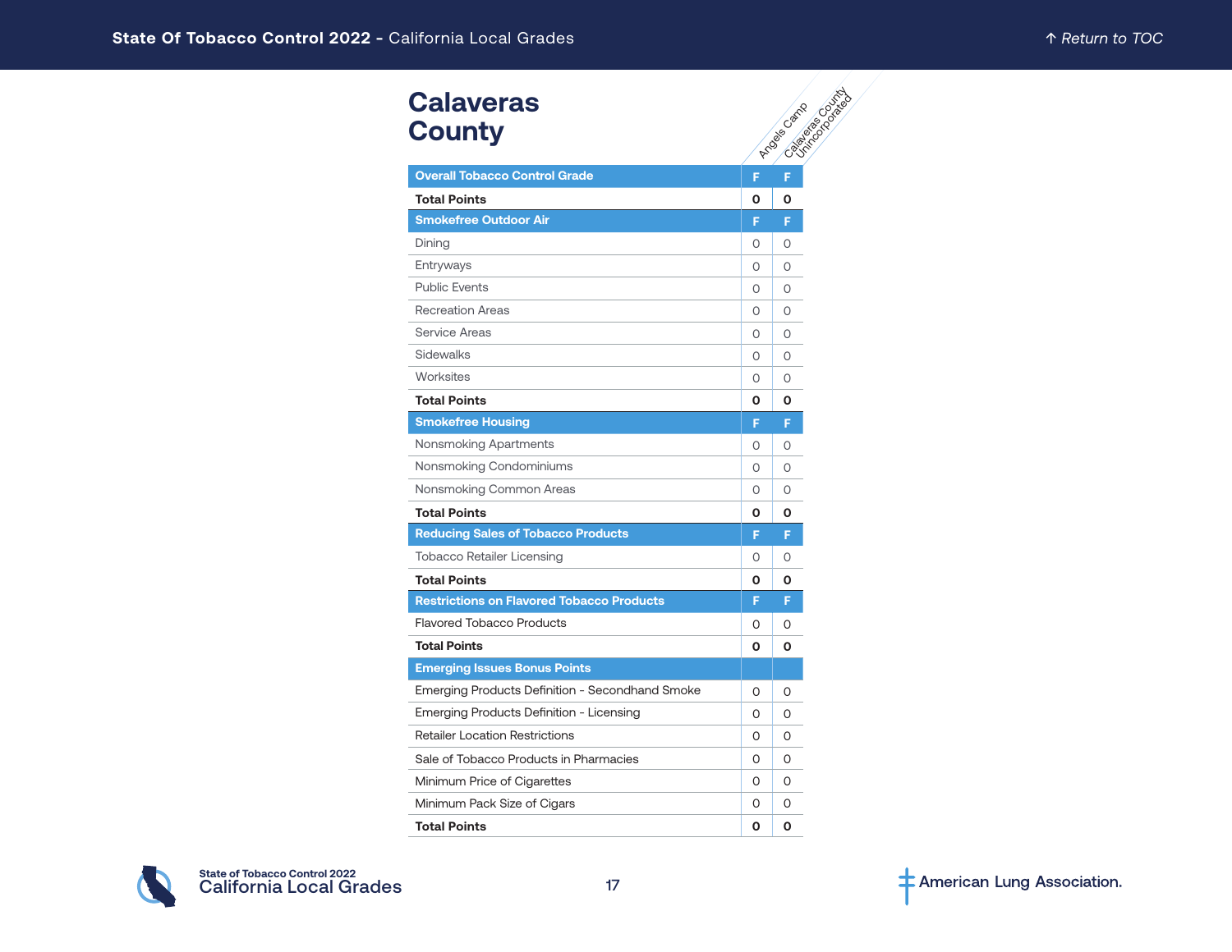| <b>Calaveras</b><br><b>County</b>                |          | <b>PARTICULAR DESCRIPTION</b><br>Arge Camp |
|--------------------------------------------------|----------|--------------------------------------------|
| <b>Overall Tobacco Control Grade</b>             | F        | F                                          |
| <b>Total Points</b>                              | 0        | 0                                          |
| <b>Smokefree Outdoor Air</b>                     | F        | F                                          |
| Dining                                           | 0        | $\circ$                                    |
| Entryways                                        | 0        | 0                                          |
| <b>Public Events</b>                             | 0        | O                                          |
| <b>Recreation Areas</b>                          | 0        | O                                          |
| <b>Service Areas</b>                             | 0        | O                                          |
| Sidewalks                                        | 0        | 0                                          |
| Worksites                                        | $\Omega$ | $\circ$                                    |
| <b>Total Points</b>                              | O        | O                                          |
| <b>Smokefree Housing</b>                         | F        | F                                          |
| Nonsmoking Apartments                            | $\Omega$ | 0                                          |
| Nonsmoking Condominiums                          | 0        | 0                                          |
| Nonsmoking Common Areas                          | 0        | O                                          |
| <b>Total Points</b>                              | Ο        | Ο                                          |
| <b>Reducing Sales of Tobacco Products</b>        | F        | F                                          |
| <b>Tobacco Retailer Licensing</b>                | Ω        | 0                                          |
| <b>Total Points</b>                              | O        | Ο                                          |
| <b>Restrictions on Flavored Tobacco Products</b> | F        | F                                          |
| <b>Flavored Tobacco Products</b>                 | 0        | 0                                          |
| <b>Total Points</b>                              | 0        | Ο                                          |
| <b>Emerging Issues Bonus Points</b>              |          |                                            |
| Emerging Products Definition - Secondhand Smoke  | 0        | O                                          |
| Emerging Products Definition - Licensing         | $\Omega$ | $\Omega$                                   |
| <b>Retailer Location Restrictions</b>            | $\Omega$ | $\Omega$                                   |
| Sale of Tobacco Products in Pharmacies           | O        | 0                                          |
| Minimum Price of Cigarettes                      | 0        | O                                          |
| Minimum Pack Size of Cigars                      | 0        | 0                                          |
| <b>Total Points</b>                              | 0        | 0                                          |

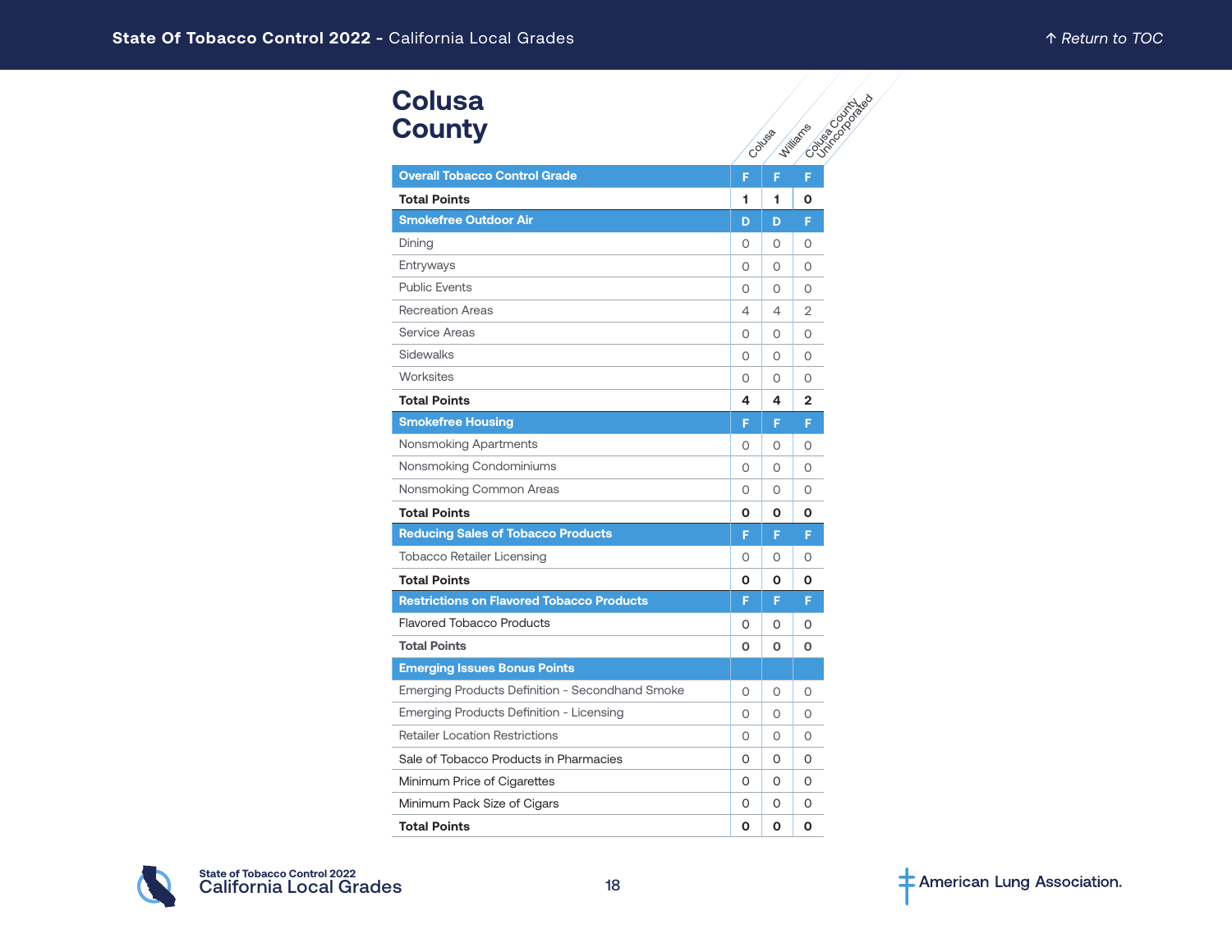| <b>Colusa</b><br><b>County</b>                   |          | Collysia | <b>CONTRACTOR</b><br><b>Williams</b> |
|--------------------------------------------------|----------|----------|--------------------------------------|
| <b>Overall Tobacco Control Grade</b>             | F        | F        | F                                    |
| <b>Total Points</b>                              | 1        | 1.       | O                                    |
| <b>Smokefree Outdoor Air</b>                     | D        | D        | F                                    |
| Dining                                           | O        | $\circ$  | 0                                    |
| Entryways                                        | $\Omega$ | $\circ$  | $\Omega$                             |
| <b>Public Events</b>                             | O        | 0        | 0                                    |
| <b>Recreation Areas</b>                          | 4        | 4        | 2                                    |
| Service Areas                                    | $\Omega$ | 0        | $\Omega$                             |
| <b>Sidewalks</b>                                 | 0        | $\circ$  | $\circ$                              |
| Worksites                                        | $\Omega$ | $\Omega$ | $\Omega$                             |
| <b>Total Points</b>                              | 4        | 4        | $\mathbf{2}$                         |
| <b>Smokefree Housing</b>                         | F        | F.       | F.                                   |
| Nonsmoking Apartments                            | $\Omega$ | $\Omega$ | $\Omega$                             |
| Nonsmoking Condominiums                          | O        | 0        | $\circ$                              |
| Nonsmoking Common Areas                          | 0        | $\circ$  | $\circ$                              |
| <b>Total Points</b>                              | 0        | О        | O                                    |
| <b>Reducing Sales of Tobacco Products</b>        | F        | F.       | F                                    |
| <b>Tobacco Retailer Licensing</b>                | $\Omega$ | 0        | $\Omega$                             |
| <b>Total Points</b>                              | Ο        | O        | О                                    |
| <b>Restrictions on Flavored Tobacco Products</b> | F        | F.       | F.                                   |
| <b>Flavored Tobacco Products</b>                 | 0        | 0        | 0                                    |
| <b>Total Points</b>                              | O        | 0        | O                                    |
| <b>Emerging Issues Bonus Points</b>              |          |          |                                      |
| Emerging Products Definition - Secondhand Smoke  | 0        | 0        | 0                                    |
| Emerging Products Definition - Licensing         | 0        | $\circ$  | $\Omega$                             |
| <b>Retailer Location Restrictions</b>            | 0        | 0        | $\Omega$                             |
| Sale of Tobacco Products in Pharmacies           | O        | 0        | 0                                    |
| Minimum Price of Cigarettes                      | 0        | 0        | $\Omega$                             |
| Minimum Pack Size of Cigars                      | 0        | 0        | 0                                    |
| <b>Total Points</b>                              | 0        | O        | O                                    |

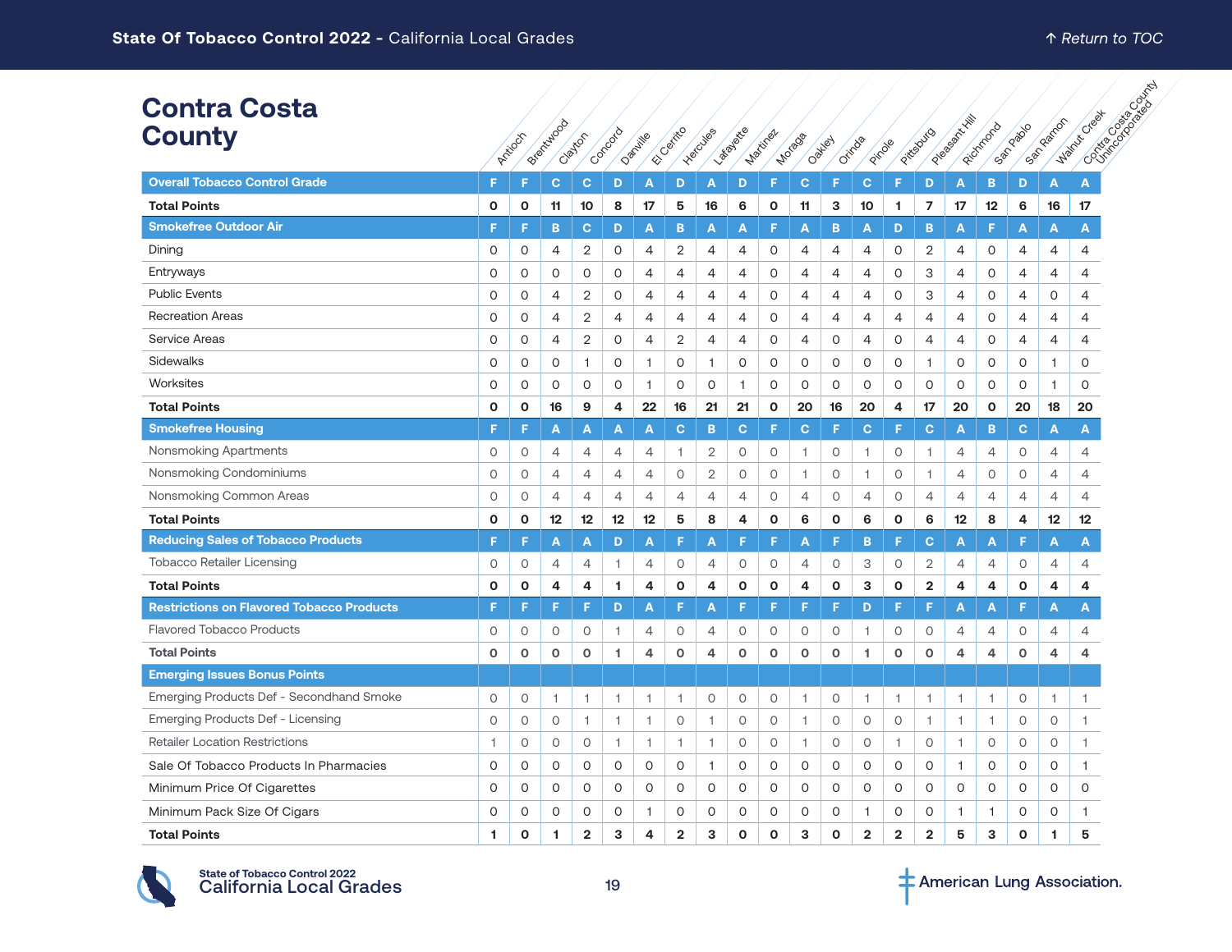#### **Contra Costa County**

| <b>Contra Costa</b><br><b>County</b>             |          | Articcin     | Breitenbock    | Clayton        | Contagua | Dachille       | El Carrico              | Hercules       | Ladiate        | Martinez     | Motago                   | Oakley       | Orinas<br>Pirole |                         | Pittesburg     | Programs Hill  | Richmond       | Sandado        | San Rearror    | Contractor Books<br><b>Walnut Creek</b> |  |
|--------------------------------------------------|----------|--------------|----------------|----------------|----------|----------------|-------------------------|----------------|----------------|--------------|--------------------------|--------------|------------------|-------------------------|----------------|----------------|----------------|----------------|----------------|-----------------------------------------|--|
| <b>Overall Tobacco Control Grade</b>             | F        | F            | $\mathbf{C}$   | $\mathbf{C}$   | D        | A              | D                       | A              | D              | F            | $\mathbf{C}$             | F            | C.               | F                       | D              | A              | B              | D              | $\overline{A}$ | A                                       |  |
| <b>Total Points</b>                              | О        | 0            | 11             | 10             | 8        | 17             | 5                       | 16             | 6              | $\mathbf{o}$ | 11                       | 3            | 10               | 1                       | $\overline{ }$ | 17             | 12             | 6              | 16             | 17                                      |  |
| <b>Smokefree Outdoor Air</b>                     | F.       | F            | B              | C              | D        | A              | B                       | A              | A              | F            | A                        | в            | A                | D                       | B              | A              | F              | A              | A              | A                                       |  |
| Dining                                           | 0        | 0            | 4              | 2              | 0        | 4              | 2                       | 4              | 4              | 0            | 4                        | 4            | 4                | 0                       | 2              | 4              | 0              | 4              | 4              | 4                                       |  |
| Entryways                                        | $\Omega$ | $\circ$      | $\Omega$       | $\circ$        | $\Omega$ | 4              | 4                       | 4              | 4              | $\Omega$     | 4                        | 4            | 4                | 0                       | 3              | $\overline{4}$ | $\Omega$       | 4              | 4              | 4                                       |  |
| <b>Public Events</b>                             | 0        | 0            | 4              | 2              | 0        | 4              | 4                       | 4              | 4              | $\mathsf O$  | 4                        | 4            | 4                | 0                       | З              | $\overline{4}$ | 0              | 4              | 0              | $\overline{4}$                          |  |
| Recreation Areas                                 | 0        | 0            | 4              | 2              | 4        | 4              | 4                       | 4              | 4              | 0            | 4                        | 4            | 4                | 4                       | 4              | 4              | 0              | 4              | 4              | 4                                       |  |
| <b>Service Areas</b>                             | 0        | 0            | $\overline{4}$ | 2              | 0        | 4              | 2                       | 4              | 4              | 0            | 4                        | 0            | 4                | 0                       | 4              | $\overline{4}$ | 0              | 4              | 4              | 4                                       |  |
| Sidewalks                                        | 0        | 0            | $\circ$        | $\mathbf{1}$   | 0        | $\mathbf{1}$   | 0                       | 1              | O              | $\mathsf O$  | 0                        | 0            | O                | 0                       | $\mathbf{1}$   | $\circ$        | 0              | 0              | $\mathbf{1}$   | $\circ$                                 |  |
| Worksites                                        | 0        | $\circ$      | $\circ$        | $\circ$        | $\circ$  | $\mathbf{1}$   | $\circ$                 | $\circ$        | $\mathbf{1}$   | $\circ$      | $\circ$                  | 0            | $\circ$          | O                       | 0              | $\circ$        | $\circ$        | $\circ$        | 1              | $\circ$                                 |  |
| <b>Total Points</b>                              | 0        | 0            | 16             | 9              | 4        | 22             | 16                      | 21             | 21             | $\mathbf 0$  | 20                       | 16           | 20               | 4                       | 17             | 20             | O              | 20             | 18             | 20                                      |  |
| <b>Smokefree Housing</b>                         | F        | F            | A              | A              | A        | A              | $\mathbf C$             | B              | $\mathbf{C}$   | F            | $\mathbf{C}$             | F            | C.               | F                       | C              | A              | B              | $\mathbf{C}$   | A              | A                                       |  |
| Nonsmoking Apartments                            | 0        | 0            | $\overline{4}$ | 4              | 4        | 4              | 1                       | $\overline{2}$ | 0              | $\circ$      | 1                        | О            | 1                | $\circ$                 | 1              | $\overline{4}$ | 4              | 0              | 4              | 4                                       |  |
| Nonsmoking Condominiums                          | 0        | 0            | 4              | 4              | 4        | 4              | $\circ$                 | $\overline{2}$ | 0              | $\circ$      | 1                        | 0            | 1                | 0                       | 1              | 4              | $\circ$        | 0              | 4              | 4                                       |  |
| Nonsmoking Common Areas                          | $\circ$  | $\circ$      | $\overline{4}$ | 4              | 4        | $\overline{4}$ | $\overline{4}$          | $\overline{4}$ | $\overline{4}$ | $\circ$      | $\overline{4}$           | 0            | $\overline{4}$   | $\circ$                 | $\overline{4}$ | $\overline{4}$ | 4              | $\overline{4}$ | 4              | $\overline{4}$                          |  |
| <b>Total Points</b>                              | 0        | 0            | 12             | 12             | 12       | 12             | 5                       | 8              | 4              | $\mathbf{o}$ | 6                        | $\mathbf o$  | 6                | O                       | 6              | 12             | 8              | 4              | 12             | 12                                      |  |
| <b>Reducing Sales of Tobacco Products</b>        | F        | F            | A              | A              | D        | A              | F                       | A              | F              | F            | A                        | F            | в                | F                       | c              | A              | A              | F              | A              | A                                       |  |
| <b>Tobacco Retailer Licensing</b>                | 0        | $\circ$      | $\overline{4}$ | 4              | 1        | 4              | $\circ$                 | 4              | 0              | $\circ$      | 4                        | 0            | 3                | $\circ$                 | $\mathbf{2}$   | $\overline{4}$ | $\overline{4}$ | 0              | 4              | 4                                       |  |
| <b>Total Points</b>                              | 0        | $\mathbf{o}$ | 4              | 4              | 1.       | 4              | 0                       | 4              | $\mathbf{o}$   | $\mathbf{o}$ | 4                        | $\mathbf{o}$ | 3                | O                       | $\overline{2}$ | 4              | 4              | 0              | 4              | 4                                       |  |
| <b>Restrictions on Flavored Tobacco Products</b> | F        | F            | F              | F              | D        | Α              | F                       | A              | F              | F            | F                        | F            | D                | F                       | F              | A              | A              | F              | A              | A                                       |  |
| <b>Flavored Tobacco Products</b>                 | 0        | 0            | 0              | 0              | 1.       | 4              | 0                       | 4              | 0              | 0            | 0                        | 0            | 1                | 0                       | 0              | 4              | 4              | 0              | 4              | 4                                       |  |
| <b>Total Points</b>                              | $\circ$  | $\mathbf 0$  | $\circ$        | $\circ$        | 1        | 4              | $\circ$                 | 4              | $\mathbf 0$    | $\circ$      | $\mathbf 0$              | $\mathbf{o}$ | 1                | $\circ$                 | 0              | $\overline{4}$ | 4              | $\mathbf o$    | 4              | 4                                       |  |
| <b>Emerging Issues Bonus Points</b>              |          |              |                |                |          |                |                         |                |                |              |                          |              |                  |                         |                |                |                |                |                |                                         |  |
| Emerging Products Def - Secondhand Smoke         | $\circ$  | $\circ$      | $\overline{1}$ | $\overline{1}$ | 1        | 1              | $\overline{1}$          | 0              | $\circ$        | $\circ$      | $\overline{\phantom{a}}$ | 0            | $\mathbf{1}$     | 1                       | 1              | 1              | $\overline{1}$ | $\circ$        | 1.             | $\overline{1}$                          |  |
| Emerging Products Def - Licensing                | $\circ$  | $\circ$      | $\circ$        | $\overline{1}$ | 1.       | 1              | $\circ$                 | 1              | 0              | $\circ$      | $\mathbf{1}$             | 0            | 0                | 0                       | $\mathbf{1}$   | $\mathbf{1}$   | $\overline{1}$ | 0              | $\circ$        | 1                                       |  |
| <b>Retailer Location Restrictions</b>            | 1        | $\circ$      | $\circ$        | $\circ$        | 1.       | $\mathbf{1}$   | $\overline{1}$          | 1              | $\circ$        | $\circ$      | $\mathbf{1}$             | 0            | $\circ$          | -1.                     | $\circ$        | $\overline{1}$ | $\circ$        | $\circ$        | 0              | $\mathbf{1}$                            |  |
| Sale Of Tobacco Products In Pharmacies           | 0        | 0            | 0              | $\circ$        | 0        | 0              | 0                       | 1              | 0              | 0            | $\mathsf O$              | 0            | O                | 0                       | 0              | $\mathbf{1}$   | 0              | 0              | 0              | $\mathbf{1}$                            |  |
| Minimum Price Of Cigarettes                      | 0        | $\circ$      | $\circ$        | $\circ$        | 0        | $\circ$        | $\circ$                 | 0              | $\circ$        | $\circ$      | $\mathsf O$              | $\circ$      | $\circ$          | $\circ$                 | O              | $\circ$        | $\circ$        | $\circ$        | 0              | $\circ$                                 |  |
| Minimum Pack Size Of Cigars                      | 0        | 0            | 0              | $\circ$        | 0        | $\mathbf{1}$   | 0                       | 0              | 0              | $\circ$      | $\circ$                  | 0            | $\mathbf{1}$     | 0                       | 0              | $\mathbf{1}$   | $\mathbf{1}$   | 0              | 0              | $\mathbf{1}$                            |  |
| <b>Total Points</b>                              | 1        | $\mathbf{o}$ | 1              | $\overline{2}$ | 3        | 4              | $\overline{\mathbf{2}}$ | 3              | $\mathbf{o}$   | $\mathbf{o}$ | 3                        | O            | $\overline{2}$   | $\overline{\mathbf{2}}$ | $\mathbf 2$    | 5              | 3              | O              | 1              | 5                                       |  |

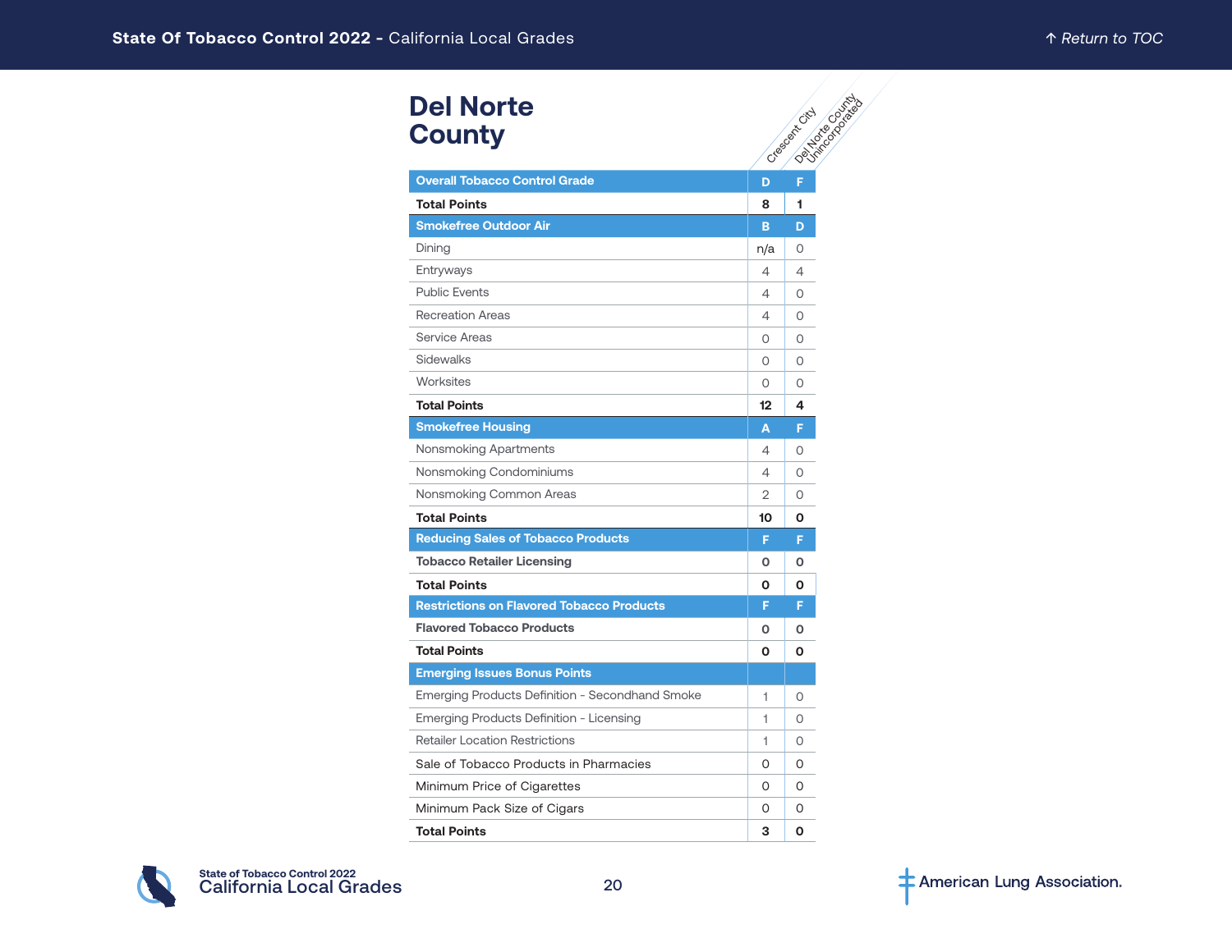# **Del Norte County**

| <b>Del Norte</b><br><b>County</b>                |                | Delivered Dates<br>Creeged Hitch |
|--------------------------------------------------|----------------|----------------------------------|
| <b>Overall Tobacco Control Grade</b>             | D              | F                                |
| <b>Total Points</b>                              | 8              | 1                                |
| <b>Smokefree Outdoor Air</b>                     | B              | D                                |
| Dining                                           | n/a            | 0                                |
| Entryways                                        | 4              | $\overline{4}$                   |
| <b>Public Events</b>                             | 4              | 0                                |
| <b>Recreation Areas</b>                          | 4              | O                                |
| Service Areas                                    | 0              | 0                                |
| Sidewalks                                        | $\circ$        | O                                |
| Worksites                                        | $\Omega$       | $\Omega$                         |
| <b>Total Points</b>                              | 12             | 4                                |
| <b>Smokefree Housing</b>                         | A              | Ē                                |
| Nonsmoking Apartments                            | 4              | O                                |
| Nonsmoking Condominiums                          | 4              | 0                                |
| Nonsmoking Common Areas                          | $\overline{2}$ | 0                                |
| <b>Total Points</b>                              | 10             | 0                                |
| <b>Reducing Sales of Tobacco Products</b>        | F              | F                                |
| <b>Tobacco Retailer Licensing</b>                | O              | 0                                |
| <b>Total Points</b>                              | 0              | O                                |
| <b>Restrictions on Flavored Tobacco Products</b> | F              | F                                |
| <b>Flavored Tobacco Products</b>                 | O              | 0                                |
| <b>Total Points</b>                              | 0              | O                                |
| <b>Emerging Issues Bonus Points</b>              |                |                                  |
| Emerging Products Definition - Secondhand Smoke  | 1              | 0                                |
| Emerging Products Definition - Licensing         | 1              | 0                                |
| <b>Retailer Location Restrictions</b>            | 1              | $\Omega$                         |
| Sale of Tobacco Products in Pharmacies           | 0              | 0                                |
| Minimum Price of Cigarettes                      | $\Omega$       | $\Omega$                         |
| Minimum Pack Size of Cigars                      | 0              | 0                                |
| <b>Total Points</b>                              | 3              | O                                |

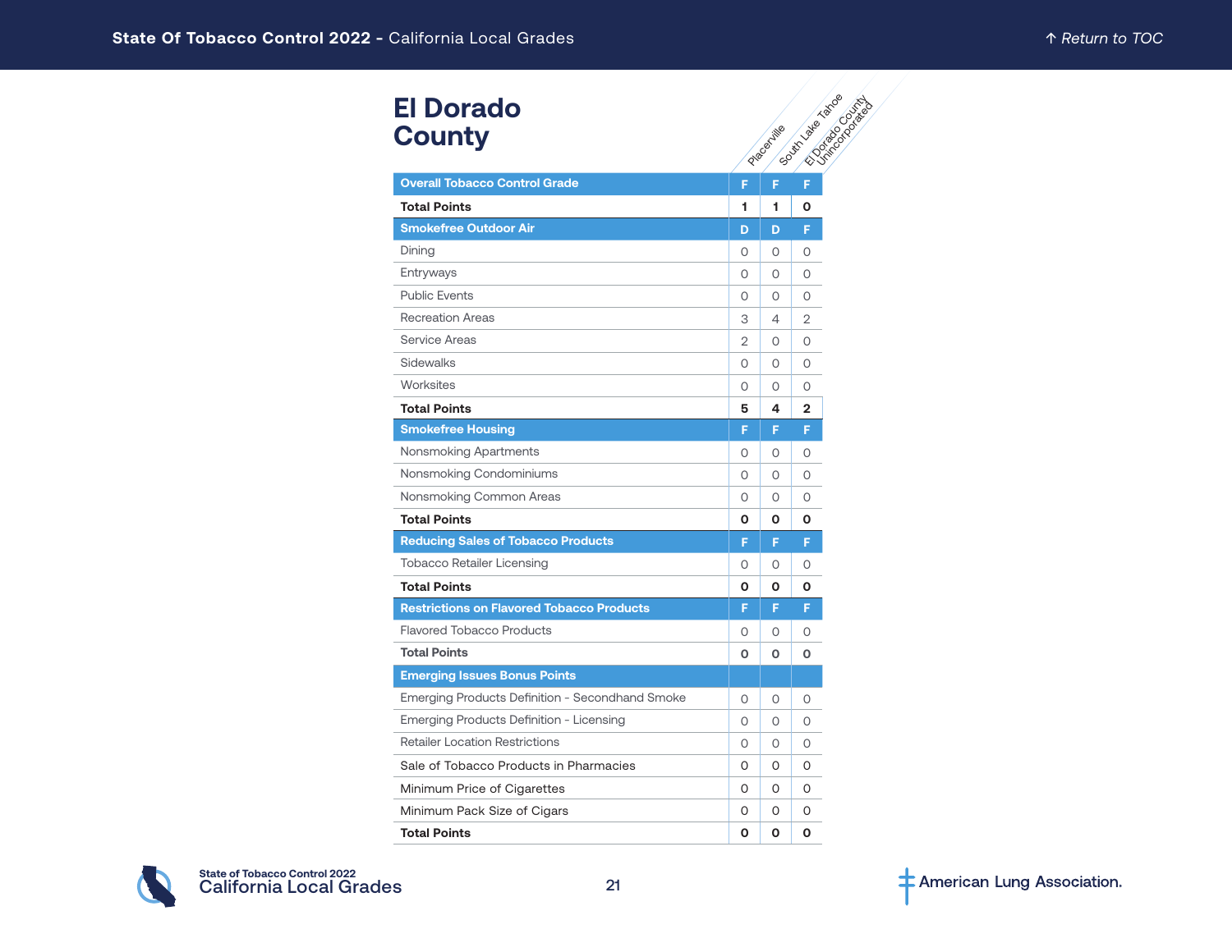# **El Dorado County**

| <b>El Dorado</b><br><b>County</b>                |                |            | Gate of British River |
|--------------------------------------------------|----------------|------------|-----------------------|
|                                                  |                | Placemille |                       |
| <b>Overall Tobacco Control Grade</b>             | F              |            |                       |
| <b>Total Points</b>                              | 1              | 1          | О                     |
| <b>Smokefree Outdoor Air</b>                     | D              | D          | F                     |
| Dining                                           | O              | 0          | O                     |
| Entryways                                        | 0              | 0          | 0                     |
| <b>Public Events</b>                             | 0              | O          | 0                     |
| <b>Recreation Areas</b>                          | 3              | 4          | $\overline{2}$        |
| <b>Service Areas</b>                             | $\overline{2}$ | 0          | 0                     |
| <b>Sidewalks</b>                                 | $\Omega$       | O          | O                     |
| Worksites                                        | 0              | 0          | 0                     |
| <b>Total Points</b>                              | 5              | 4          | $\mathbf{2}$          |
| <b>Smokefree Housing</b>                         | F              | F          | F                     |
| Nonsmoking Apartments                            | 0              | 0          | 0                     |
| Nonsmoking Condominiums                          | $\circ$        | O          | 0                     |
| Nonsmoking Common Areas                          | 0              | 0          | 0                     |
| <b>Total Points</b>                              | O              | O          | O                     |
| <b>Reducing Sales of Tobacco Products</b>        | F              | F          | F                     |
| <b>Tobacco Retailer Licensing</b>                | 0              | 0          | O                     |
| <b>Total Points</b>                              | O              | Ο          | О                     |
| <b>Restrictions on Flavored Tobacco Products</b> | F              | F          | F                     |
| <b>Flavored Tobacco Products</b>                 | 0              | O          | O                     |
| <b>Total Points</b>                              | O              | O          | О                     |
| <b>Emerging Issues Bonus Points</b>              |                |            |                       |
| Emerging Products Definition - Secondhand Smoke  | 0              | 0          | 0                     |
| Emerging Products Definition - Licensing         | $\circ$        | O          | 0                     |
| <b>Retailer Location Restrictions</b>            | 0              | 0          | 0                     |
| Sale of Tobacco Products in Pharmacies           | 0              | 0          | 0                     |
| Minimum Price of Cigarettes                      | 0              | O          | 0                     |
| Minimum Pack Size of Cigars                      | 0              | 0          | 0                     |
| <b>Total Points</b>                              | O              | 0          | O                     |

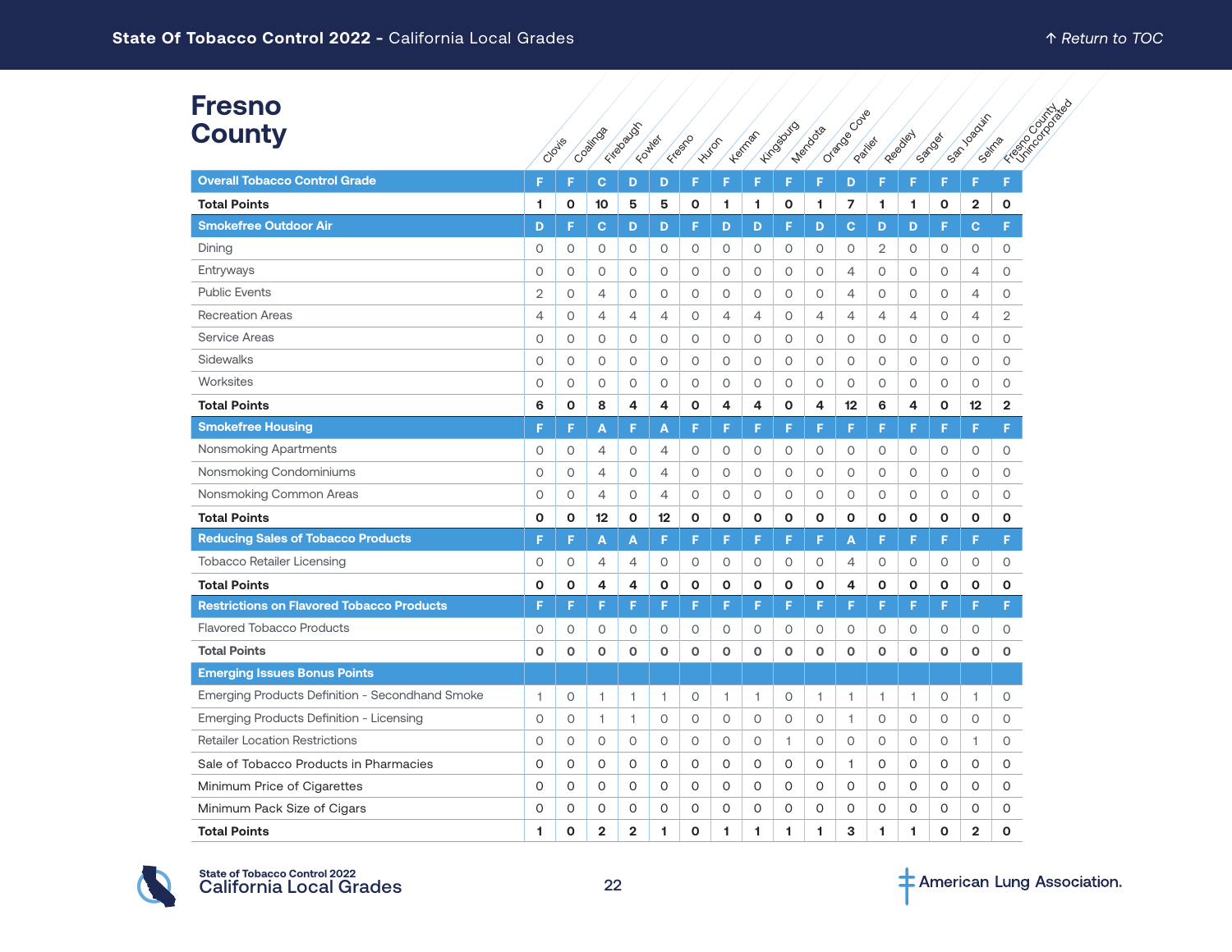#### **Fresno County**

| Fresno                                           | Oracoecode<br>Kirosouro                                                             |         |                |                |                |              |                |                |                |                |                |                | FEBRUARY 03/03/24/28                       |         |                |                |
|--------------------------------------------------|-------------------------------------------------------------------------------------|---------|----------------|----------------|----------------|--------------|----------------|----------------|----------------|----------------|----------------|----------------|--------------------------------------------|---------|----------------|----------------|
| County                                           | Fitabauss<br>Coalings<br>Heringst<br>Freefo<br>Foundation<br><b>Huton</b><br>Cloyie |         |                |                |                |              |                |                |                | Mendozia       |                | Patilet        | San Joaquin<br>Reeablet<br>Sanda<br>Sairra |         |                |                |
| <b>Overall Tobacco Control Grade</b>             | F                                                                                   | F       | $\mathbf{C}$   | D              | D              | F            | F              | F              | F              | F              | D              | F              | F                                          | F       | F              | F              |
| <b>Total Points</b>                              | 1                                                                                   | О       | 10             | 5              | 5              | O            | 1              | 1              | О              | 1.             | 7              | 1              | 1                                          | О       | 2              | 0              |
| <b>Smokefree Outdoor Air</b>                     | D                                                                                   | F       | $\mathbf{C}$   | D              | D              | F            | D              | D              | F              | D              | C              | D              | D                                          | F       | $\mathbf C$    | F              |
| Dining                                           | 0                                                                                   | 0       | $\circ$        | 0              | 0              | $\circ$      | 0              | $\circ$        | $\circ$        | 0              | $\circ$        | $\overline{2}$ | $\circ$                                    | 0       | 0              | 0              |
| Entryways                                        | 0                                                                                   | 0       | $\circ$        | 0              | 0              | $\circ$      | 0              | $\circ$        | $\circ$        | 0              | $\overline{4}$ | 0              | $\circ$                                    | 0       | 4              | 0              |
| <b>Public Events</b>                             | $\overline{2}$                                                                      | 0       | $\overline{4}$ | $\circ$        | 0              | $\circ$      | 0              | $\circ$        | $\circ$        | 0              | $\overline{4}$ | 0              | $\circ$                                    | 0       | 4              | 0              |
| <b>Recreation Areas</b>                          | $\overline{4}$                                                                      | O       | $\overline{4}$ | 4              | 4              | $\circ$      | $\overline{4}$ | $\overline{4}$ | $\circ$        | $\overline{4}$ | $\overline{4}$ | $\overline{4}$ | $\overline{4}$                             | 0       | $\overline{4}$ | 2              |
| <b>Service Areas</b>                             | 0                                                                                   | 0       | $\circ$        | $\circ$        | $\circ$        | $\circ$      | 0              | $\circ$        | $\circ$        | $\circ$        | $\circ$        | $\circ$        | $\circ$                                    | 0       | 0              | $\circ$        |
| Sidewalks                                        | $\circ$                                                                             | 0       | $\circ$        | $\circ$        | 0              | $\circ$      | 0              | $\circ$        | $\circ$        | 0              | $\circ$        | 0              | $\circ$                                    | 0       | 0              | 0              |
| Worksites                                        | $\circ$                                                                             | 0       | $\circ$        | $\circ$        | 0              | $\circ$      | 0              | $\circ$        | $\circ$        | 0              | 0              | 0              | $\circ$                                    | 0       | 0              | 0              |
| <b>Total Points</b>                              | 6                                                                                   | O       | 8              | $\overline{4}$ | 4              | $\mathbf{o}$ | 4              | 4              | $\mathbf{o}$   | 4              | 12             | 6              | 4                                          | O       | 12             | $\overline{2}$ |
| <b>Smokefree Housing</b>                         | F                                                                                   | F       | A              | F              | A              | F            | F              | F              | F              | F              | F              | F              | F                                          | F       | F              | F.             |
| Nonsmoking Apartments                            | $\circ$                                                                             | 0       | 4              | $\circ$        | 4              | $\circ$      | $\circ$        | $\circ$        | 0              | 0              | $\circ$        | 0              | $\circ$                                    | $\circ$ | $\circ$        | 0              |
| Nonsmoking Condominiums                          | $\circ$                                                                             | 0       | $\overline{4}$ | $\circ$        | 4              | $\circ$      | $\circ$        | 0              | $\circ$        | $\circ$        | 0              | 0              | $\circ$                                    | 0       | 0              | $\circ$        |
| Nonsmoking Common Areas                          | $\circ$                                                                             | $\circ$ | 4              | $\circ$        | $\overline{4}$ | $\circ$      | $\circ$        | $\circ$        | $\circ$        | $\circ$        | $\circ$        | $\circ$        | $\circ$                                    | $\circ$ | $\circ$        | $\circ$        |
| <b>Total Points</b>                              | 0                                                                                   | 0       | 12             | 0              | 12             | O            | O              | $\mathbf{o}$   | O              | O              | 0              | O              | $\mathbf{o}$                               | O       | $\mathbf 0$    | O              |
| <b>Reducing Sales of Tobacco Products</b>        | F                                                                                   | F       | A              | A              | F              | F            | F              | F              | F              | F              | A              | F              | F                                          | F       | F              | F.             |
| <b>Tobacco Retailer Licensing</b>                | 0                                                                                   | 0       | 4              | 4              | 0              | $\circ$      | 0              | $\circ$        | 0              | 0              | $\overline{4}$ | 0              | $\circ$                                    | 0       | 0              | 0              |
| <b>Total Points</b>                              | O                                                                                   | O       | 4              | 4              | $\mathbf{o}$   | $\mathbf{o}$ | O              | $\mathbf{o}$   | $\mathbf{o}$   | O              | 4              | O              | $\mathbf{o}$                               | O       | $\mathbf{o}$   | $\mathbf{o}$   |
| <b>Restrictions on Flavored Tobacco Products</b> | F                                                                                   | F       | F              | F              | F              | F            | F              | F              | F              | F              | F              | F              | F                                          | F       | F              | F              |
| <b>Flavored Tobacco Products</b>                 | $\circ$                                                                             | 0       | $\circ$        | $\circ$        | 0              | $\circ$      | $\circ$        | $\circ$        | 0              | $\circ$        | $\circ$        | 0              | $\circ$                                    | 0       | $\circ$        | 0              |
| <b>Total Points</b>                              | $\mathbf o$                                                                         | O       | $\mathbf 0$    | $\mathbf 0$    | $\mathbf{O}$   | $\mathbf 0$  | $\mathbf{o}$   | $\Omega$       | $\mathbf{o}$   | $\mathbf 0$    | $\mathbf o$    | $\mathbf 0$    | $\mathbf 0$                                | O       | $\mathbf o$    | $\Omega$       |
| <b>Emerging Issues Bonus Points</b>              |                                                                                     |         |                |                |                |              |                |                |                |                |                |                |                                            |         |                |                |
| Emerging Products Definition - Secondhand Smoke  | 1                                                                                   | 0       | 1              | 1              | 1              | $\circ$      | 1              | 1              | 0              | 1              | $\overline{1}$ | 1              | 1                                          | 0       | 1              | $\circ$        |
| Emerging Products Definition - Licensing         | $\circ$                                                                             | 0       | 1              | 1              | 0              | $\circ$      | $\circ$        | $\circ$        | $\circ$        | 0              | $\mathbf{1}$   | 0              | $\circ$                                    | 0       | $\circ$        | 0              |
| <b>Retailer Location Restrictions</b>            | 0                                                                                   | О       | $\circ$        | 0              | $\circ$        | 0            | 0              | 0              | $\overline{1}$ | 0              | 0              | 0              | 0                                          | 0       | 1              | 0              |
| Sale of Tobacco Products in Pharmacies           | O                                                                                   | 0       | 0              | 0              | $\circ$        | 0            | 0              | 0              | 0              | 0              | 1              | 0              | 0                                          | 0       | 0              | 0              |
| Minimum Price of Cigarettes                      | O                                                                                   | 0       | 0              | 0              | 0              | 0            | 0              | 0              | 0              | 0              | 0              | 0              | 0                                          | 0       | 0              | 0              |
| Minimum Pack Size of Cigars                      | 0                                                                                   | 0       | 0              | 0              | 0              | 0            | 0              | 0              | 0              | 0              | 0              | 0              | 0                                          | 0       | 0              | 0              |
| <b>Total Points</b>                              | 1                                                                                   | 0       | $\overline{2}$ | $\overline{2}$ | 1              | O            | 1              | 1              | 1              | 1              | 3              | 1              | 1                                          | O       | $\overline{2}$ | $\mathbf{o}$   |

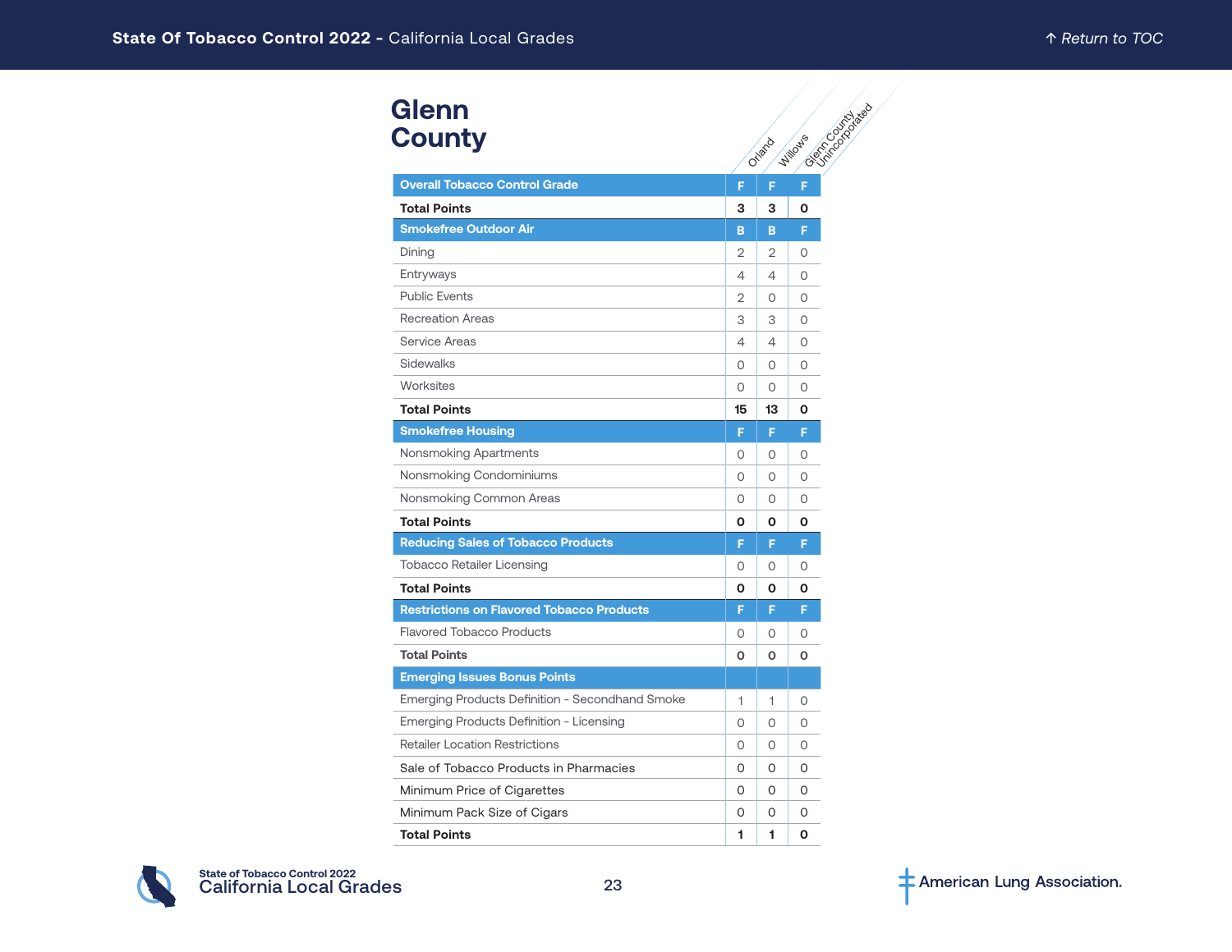# **Glenn County**

| <b>Glenn</b>                                     |         |          |                                           |
|--------------------------------------------------|---------|----------|-------------------------------------------|
| <b>County</b>                                    |         | Orland   | Contractors de Carriage<br><b>Willows</b> |
|                                                  |         |          |                                           |
| <b>Overall Tobacco Control Grade</b>             | F       | F        | F                                         |
| <b>Total Points</b>                              | 3       | 3        | Ο                                         |
| <b>Smokefree Outdoor Air</b>                     | в       | B        | F                                         |
| Dining                                           | 2       | 2        | O                                         |
| Entryways                                        | 4       | 4        | 0                                         |
| <b>Public Events</b>                             | 2       | O        | $\circ$                                   |
| <b>Recreation Areas</b>                          | 3       | 3        | 0                                         |
| Service Areas                                    | 4       | 4        | 0                                         |
| Sidewalks                                        | 0       | O        | $\circ$                                   |
| Worksites                                        | $\circ$ | O        | 0                                         |
| <b>Total Points</b>                              | 15      | 13       | Ο                                         |
| <b>Smokefree Housing</b>                         | F       | F        | F                                         |
| Nonsmoking Apartments                            | 0       | $\Omega$ | $\Omega$                                  |
| Nonsmoking Condominiums                          | 0       | $\Omega$ | $\Omega$                                  |
| Nonsmoking Common Areas                          | 0       | Ω        | $\Omega$                                  |
| <b>Total Points</b>                              | 0       | 0        | Ο                                         |
| <b>Reducing Sales of Tobacco Products</b>        | F       | F        | F                                         |
| <b>Tobacco Retailer Licensing</b>                | 0       | 0        | 0                                         |
| <b>Total Points</b>                              | О       | О        | О                                         |
| <b>Restrictions on Flavored Tobacco Products</b> | F       | F        | F                                         |
| <b>Flavored Tobacco Products</b>                 | 0       | 0        | O                                         |
| <b>Total Points</b>                              | O       | O        | O                                         |
| <b>Emerging Issues Bonus Points</b>              |         |          |                                           |
| Emerging Products Definition - Secondhand Smoke  | 1       | 1        | 0                                         |
| Emerging Products Definition - Licensing         | $\circ$ | O        | $\circ$                                   |
| <b>Retailer Location Restrictions</b>            | 0       | O        | O                                         |
| Sale of Tobacco Products in Pharmacies           | 0       | 0        | 0                                         |
| Minimum Price of Cigarettes                      | 0       | O        | 0                                         |
| Minimum Pack Size of Cigars                      | 0       | O        | 0                                         |
| <b>Total Points</b>                              | 1       | 1        | O                                         |

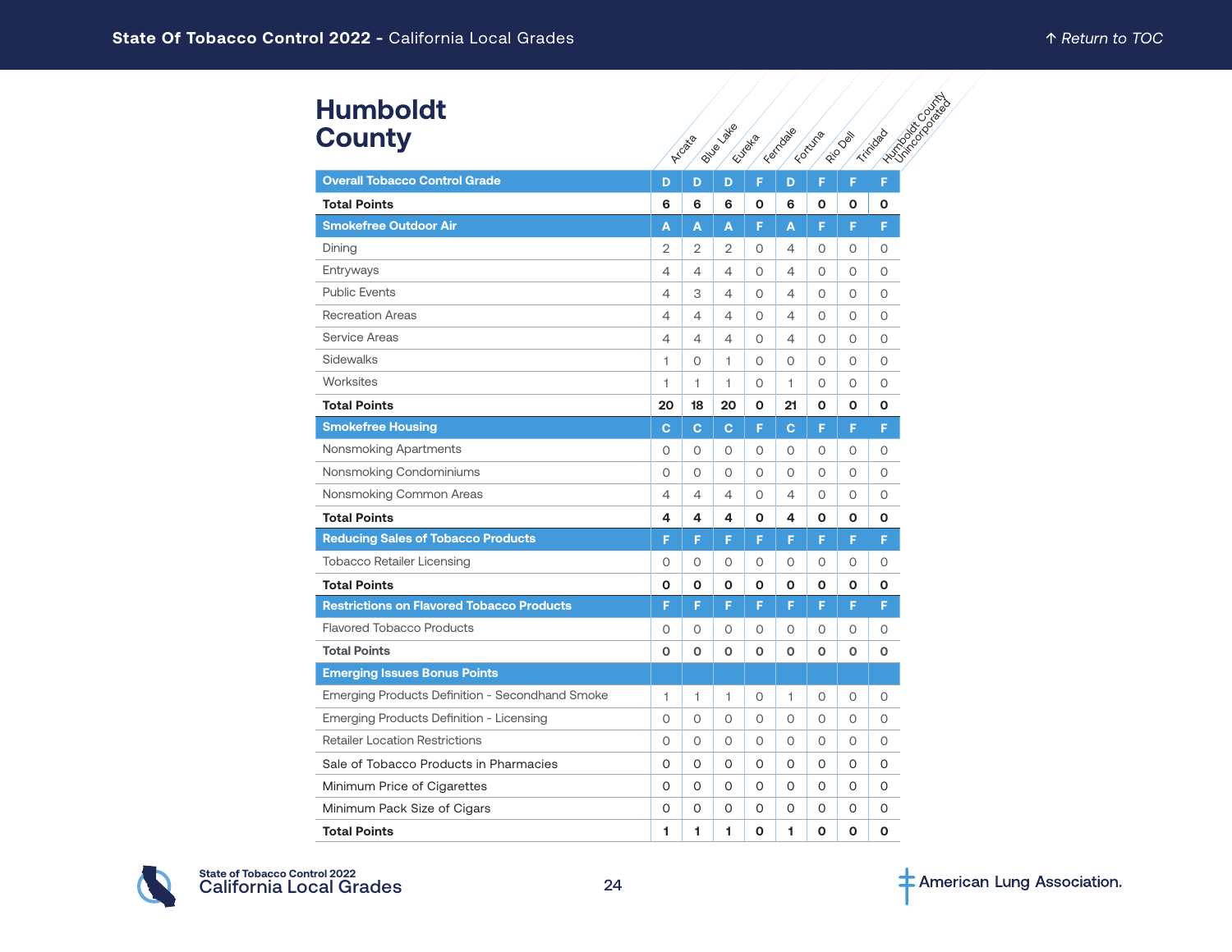#### **Humboldt County**

| <b>Humboldt</b><br><b>County</b>                 |                |                | <b>PILLIBLUARE</b> |          | Ferrodae       | Foruma  | Riverside   | <b>Historical College</b><br>Trinidad |
|--------------------------------------------------|----------------|----------------|--------------------|----------|----------------|---------|-------------|---------------------------------------|
|                                                  |                | Arcata         |                    | Eutrelia |                |         |             |                                       |
| <b>Overall Tobacco Control Grade</b>             | D              | D              | D                  | F        | D              | F       | F           | F                                     |
| <b>Total Points</b>                              | 6              | 6              | 6                  | O        | 6              | O       | O           | О                                     |
| <b>Smokefree Outdoor Air</b>                     | Α              | A              | A                  | F        | A              | F       | F           | F.                                    |
| Dining                                           | $\overline{2}$ | $\overline{2}$ | 2                  | O        | 4              | 0       | 0           | 0                                     |
| Entryways                                        | 4              | 4              | 4                  | $\circ$  | 4              | 0       | $\circ$     | $\circ$                               |
| <b>Public Events</b>                             | 4              | 3              | 4                  | $\Omega$ | 4              | 0       | $\Omega$    | $\Omega$                              |
| <b>Recreation Areas</b>                          | 4              | 4              | 4                  | 0        | 4              | 0       | $\circ$     | O                                     |
| <b>Service Areas</b>                             | 4              | 4              | 4                  | 0        | 4              | 0       | 0           | 0                                     |
| Sidewalks                                        | 1              | 0              | 1                  | $\circ$  | $\overline{O}$ | $\circ$ | $\circ$     | $\circ$                               |
| <b>Worksites</b>                                 | 1              | 1              | 1                  | $\circ$  | 1              | 0       | 0           | 0                                     |
| <b>Total Points</b>                              | 20             | 18             | 20                 | O        | 21             | O       | O           | O                                     |
| <b>Smokefree Housing</b>                         | C              | $\mathbf{C}$   | C                  | F        | Ċ.             | F       | F           | F.                                    |
| Nonsmoking Apartments                            | 0              | 0              | 0                  | $\circ$  | 0              | $\circ$ | $\circ$     | 0                                     |
| Nonsmoking Condominiums                          | O              | 0              | O                  | $\circ$  | $\circ$        | O       | $\circ$     | $\circ$                               |
| Nonsmoking Common Areas                          | 4              | 4              | 4                  | 0        | 4              | 0       | $\circ$     | 0                                     |
| <b>Total Points</b>                              | 4              | 4              | 4                  | O        | 4              | O       | O           | O                                     |
| <b>Reducing Sales of Tobacco Products</b>        | F              | F              | F                  | F        | F              | F       | F           | F                                     |
| Tobacco Retailer Licensing                       | 0              | 0              | 0                  | 0        | 0              | 0       | 0           | 0                                     |
| <b>Total Points</b>                              | O              | O              | 0                  | O        | O              | O       | O           | O                                     |
| <b>Restrictions on Flavored Tobacco Products</b> | F              | F              | F                  | F        | F              | F       | F           | F                                     |
| <b>Flavored Tobacco Products</b>                 | 0              | $\circ$        | 0                  | 0        | $\circ$        | $\circ$ | $\circ$     | $\circ$                               |
| <b>Total Points</b>                              | O              | O              | O                  | O        | O              | O       | $\mathbf 0$ | O                                     |
| <b>Emerging Issues Bonus Points</b>              |                |                |                    |          |                |         |             |                                       |
| Emerging Products Definition - Secondhand Smoke  | $\overline{1}$ | 1              | 1                  | $\circ$  | 1              | $\circ$ | $\circ$     | 0                                     |
| Emerging Products Definition - Licensing         | 0              | 0              | 0                  | 0        | 0              | 0       | 0           | 0                                     |
| <b>Retailer Location Restrictions</b>            | O              | 0              | 0                  | 0        | $\Omega$       | $\circ$ | $\Omega$    | $\circ$                               |
| Sale of Tobacco Products in Pharmacies           | O              | 0              | 0                  | 0        | O              | 0       | 0           | O                                     |
| Minimum Price of Cigarettes                      | O              | 0              | 0                  | 0        | 0              | 0       | O           | 0                                     |
| Minimum Pack Size of Cigars                      | 0              | 0              | O                  | 0        | O              | 0       | 0           | O                                     |
| <b>Total Points</b>                              | 1              | 1              | 1                  | O        | 1.             | O       | O           | O                                     |

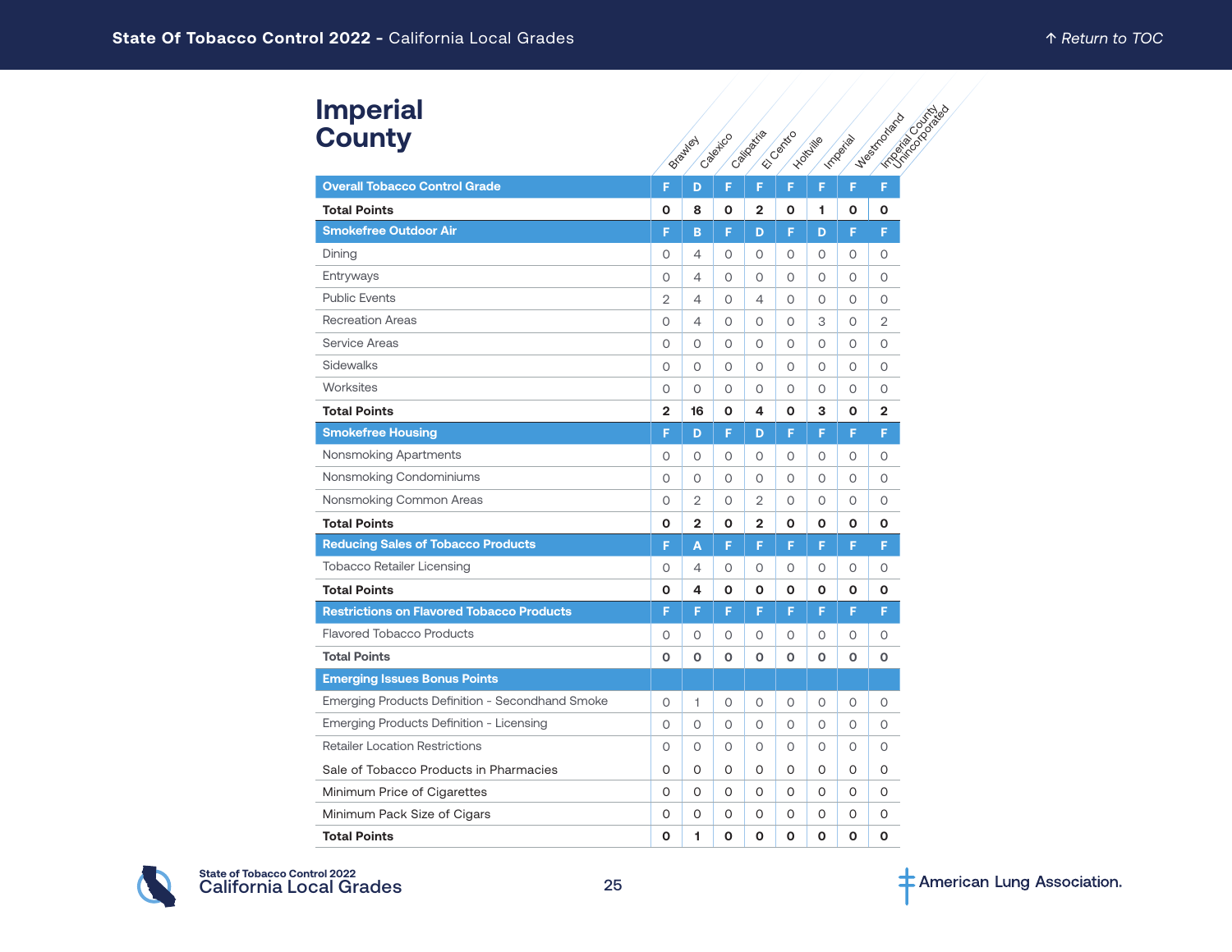# **Imperial County**

| <b>Imperial</b><br><b>County</b>                       |                | Brawley        | Capairco     | Caillageria    | Elisabetic | Hotchile     | Important    | <b>CRISTIAN CONTRACTOR</b><br>· Westfactions |
|--------------------------------------------------------|----------------|----------------|--------------|----------------|------------|--------------|--------------|----------------------------------------------|
| <b>Overall Tobacco Control Grade</b>                   | F              | D              | F            | F              | F          | F            | F            | F                                            |
| <b>Total Points</b>                                    | O              | 8              | 0            | $\mathbf{2}$   | O          | 1            | O            | O                                            |
| <b>Smokefree Outdoor Air</b>                           | F              | B              | F            | D              | F          | D            | F            | F                                            |
| Dining                                                 | 0              | 4              | 0            | O              | 0          | 0            | 0            | 0                                            |
| Entryways                                              | 0              | 4              | $\circ$      | 0              | 0          | $\circ$      | $\circ$      | $\circ$                                      |
| <b>Public Events</b>                                   | $\overline{2}$ | 4              | $\circ$      | 4              | $\circ$    | $\circ$      | $\circ$      | $\circ$                                      |
| <b>Recreation Areas</b>                                | 0              | 4              | $\circ$      | 0              | 0          | 3            | $\circ$      | $\overline{2}$                               |
| <b>Service Areas</b>                                   | 0              | O              | $\circ$      | 0              | 0          | $\circ$      | 0            | $\circ$                                      |
| Sidewalks                                              | 0              | O              | $\circ$      | 0              | 0          | $\circ$      | $\circ$      | $\circ$                                      |
| Worksites                                              | 0              | O              | $\circ$      | 0              | 0          | $\circ$      | $\circ$      | $\circ$                                      |
| <b>Total Points</b>                                    | $\overline{2}$ | 16             | 0            | 4              | 0          | 3            | O            | $\overline{2}$                               |
| <b>Smokefree Housing</b>                               | F              | D              | F            | D              | F          | F            | F            | F                                            |
| Nonsmoking Apartments                                  | 0              | 0              | $\circ$      | O              | 0          | 0            | 0            | $\circ$                                      |
| Nonsmoking Condominiums                                | 0              | 0              | $\circ$      | 0              | 0          | $\circ$      | $\circ$      | $\circ$                                      |
| Nonsmoking Common Areas                                | 0              | $\overline{2}$ | 0            | $\overline{2}$ | 0          | 0            | 0            | 0                                            |
| <b>Total Points</b>                                    | Ο              | $\mathbf{2}$   | 0            | $\mathbf{2}$   | O          | 0            | 0            | 0                                            |
| <b>Reducing Sales of Tobacco Products</b>              | F              | A              | F            | F              | F          | F            | F            | F.                                           |
| <b>Tobacco Retailer Licensing</b>                      | 0              | 4              | $\circ$      | 0              | 0          | $\circ$      | 0            | $\circ$                                      |
| <b>Total Points</b>                                    | 0              | 4              | 0            | O              | O          | O            | O            | O                                            |
| <b>Restrictions on Flavored Tobacco Products</b>       | F              | F              | F            | F              | F          | F            | F            | F                                            |
| <b>Flavored Tobacco Products</b>                       | 0              | 0              | 0            | 0              | 0          | $\circ$      | 0            | 0                                            |
| <b>Total Points</b>                                    | O              | O              | $\mathbf 0$  | O              | O          | $\mathbf{o}$ | $\mathbf{o}$ | $\mathbf 0$                                  |
| <b>Emerging Issues Bonus Points</b>                    |                |                |              |                |            |              |              |                                              |
| <b>Emerging Products Definition - Secondhand Smoke</b> | 0              | 1              | 0            | 0              | 0          | 0            | 0            | 0                                            |
| Emerging Products Definition - Licensing               | 0              | 0              | 0            | 0              | 0          | 0            | 0            | 0                                            |
| <b>Retailer Location Restrictions</b>                  | 0              | 0              | 0            | $\circ$        | $\circ$    | 0            | 0            | $\circ$                                      |
| Sale of Tobacco Products in Pharmacies                 | O              | O              | 0            | O              | O          | $\circ$      | 0            | $\Omega$                                     |
| Minimum Price of Cigarettes                            | O              | 0              | 0            | O              | 0          | 0            | 0            | 0                                            |
| Minimum Pack Size of Cigars                            | 0              | 0              | 0            | 0              | 0          | 0            | 0            | O                                            |
| <b>Total Points</b>                                    | O              | 1              | $\mathbf{o}$ | $\mathbf 0$    | O          | O            | O            | O                                            |

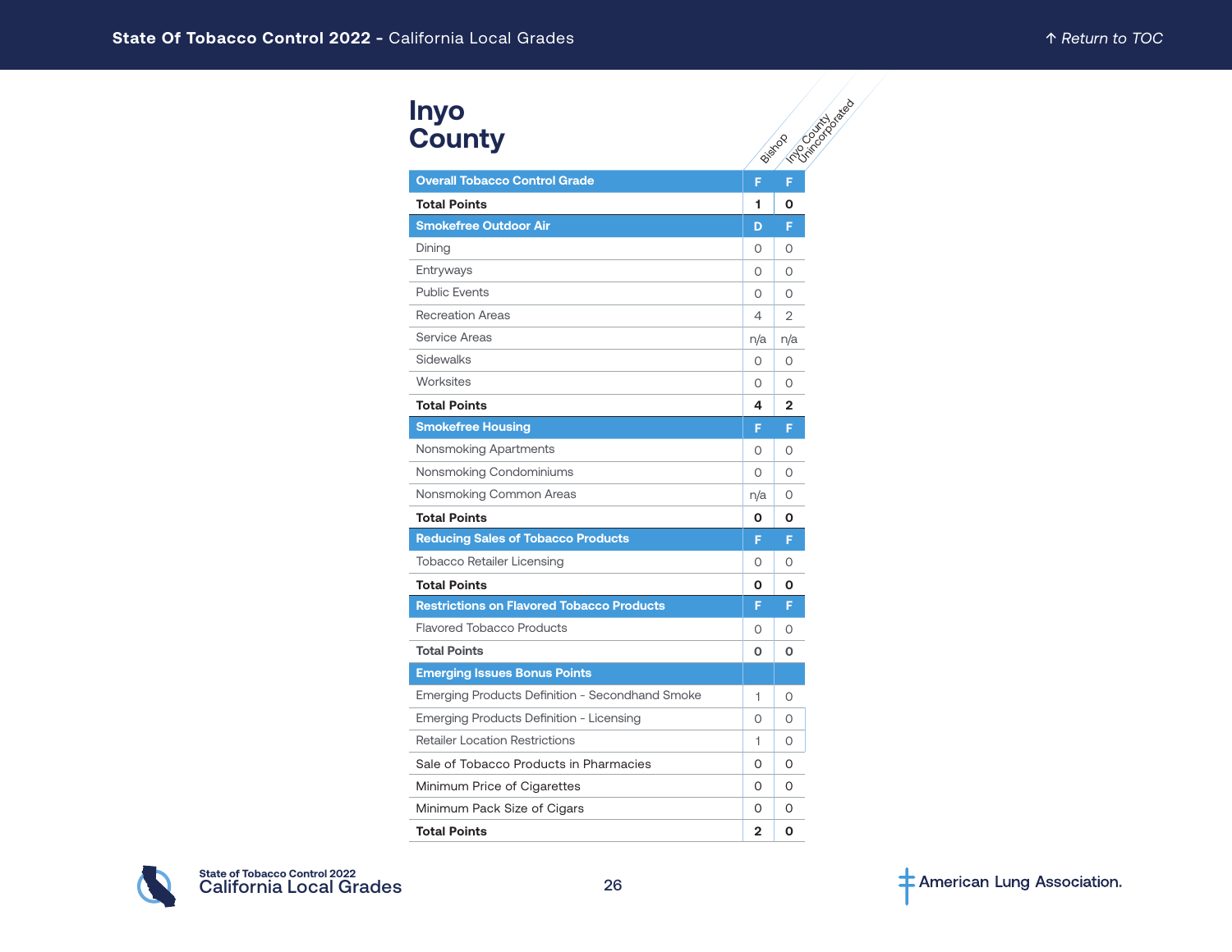#### **Inyo County**

| <b>Inyo</b><br><b>County</b>                     |              | Formoon Magazie |
|--------------------------------------------------|--------------|-----------------|
|                                                  |              | Bistrop         |
| <b>Overall Tobacco Control Grade</b>             | F            | F               |
| <b>Total Points</b>                              | 1            | 0               |
| <b>Smokefree Outdoor Air</b>                     | D            | F               |
| Dining                                           | 0            | 0               |
| Entryways                                        | 0            | 0               |
| <b>Public Events</b>                             | 0            | $\Omega$        |
| <b>Recreation Areas</b>                          | 4            | $\overline{2}$  |
| <b>Service Areas</b>                             | n/a          | n/a             |
| Sidewalks                                        | 0            | $\circ$         |
| Worksites                                        | $\circ$      | 0               |
| <b>Total Points</b>                              | 4            | $\mathbf{2}$    |
| <b>Smokefree Housing</b>                         | F            | F               |
| Nonsmoking Apartments                            | 0            | 0               |
| Nonsmoking Condominiums                          | 0            | $\Omega$        |
| Nonsmoking Common Areas                          | n/a          | 0               |
| <b>Total Points</b>                              | Ο            | Ο               |
| <b>Reducing Sales of Tobacco Products</b>        | F            | F               |
| <b>Tobacco Retailer Licensing</b>                | 0            | 0               |
| <b>Total Points</b>                              | Ο            | ი               |
| <b>Restrictions on Flavored Tobacco Products</b> | F            | F               |
| <b>Flavored Tobacco Products</b>                 | 0            | 0               |
| <b>Total Points</b>                              | O            | O               |
| <b>Emerging Issues Bonus Points</b>              |              |                 |
| Emerging Products Definition - Secondhand Smoke  | 1            | 0               |
| Emerging Products Definition - Licensing         | 0            | O               |
| <b>Retailer Location Restrictions</b>            | 1            | 0               |
| Sale of Tobacco Products in Pharmacies           | 0            | 0               |
| Minimum Price of Cigarettes                      | 0            | 0               |
| Minimum Pack Size of Cigars                      | 0            | 0               |
| <b>Total Points</b>                              | $\mathbf{2}$ | O               |

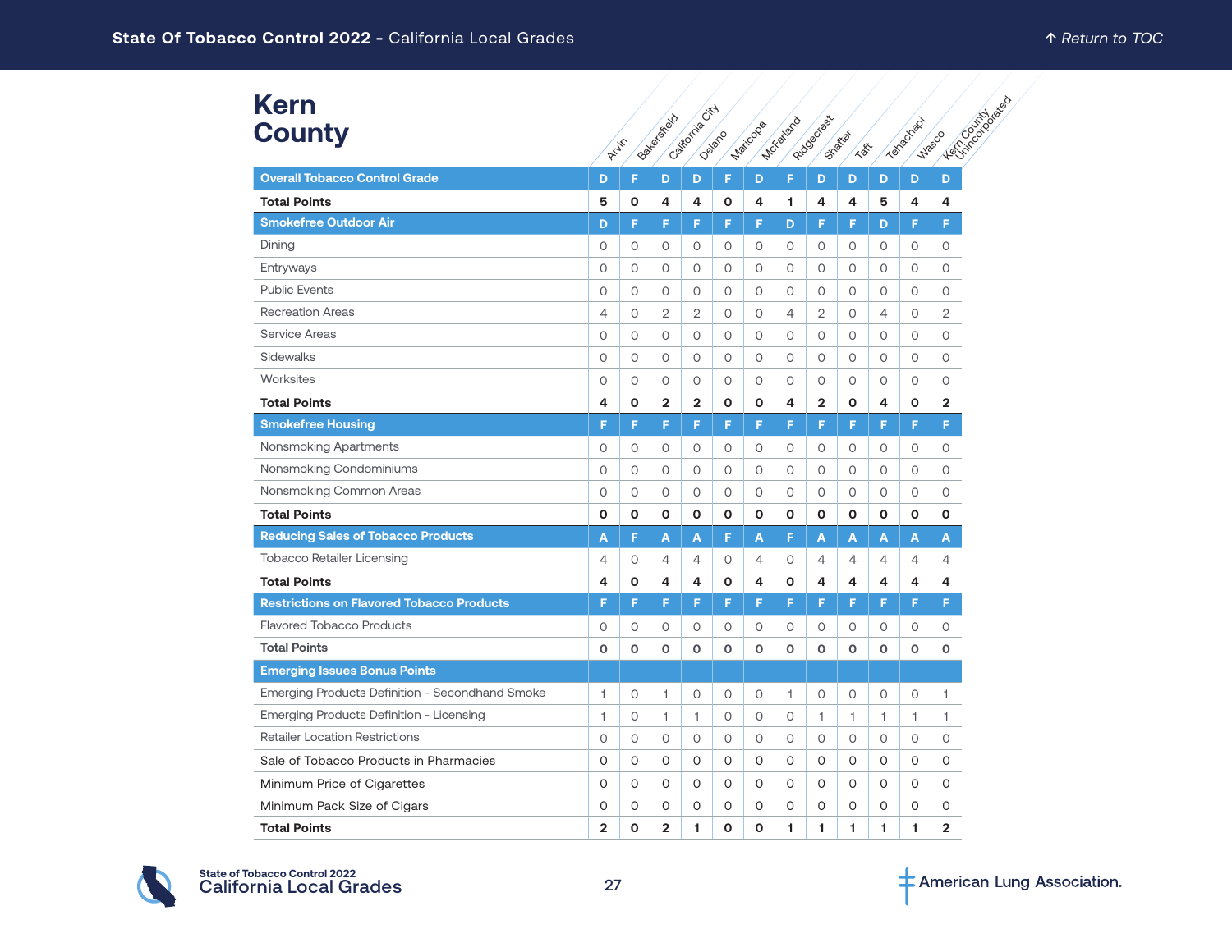# **Kern County**

| <b>Kern</b><br><b>County</b>                     |                | Arin         | Batement of    | California City | Deland  | Maricoda | <b>MCYSTOCO</b> | Fitdoectes     | States<br><b>TON</b> |                | Textechnol     | Leningscondition<br><b>Waso</b> |  |
|--------------------------------------------------|----------------|--------------|----------------|-----------------|---------|----------|-----------------|----------------|----------------------|----------------|----------------|---------------------------------|--|
| <b>Overall Tobacco Control Grade</b>             | D              | F            | D              | D               | F       | D        | F               | D              | D                    | D              | D              | D                               |  |
| <b>Total Points</b>                              | 5              | 0            | 4              | 4               | O       | 4        | 1.              | 4              | 4                    | 5              | 4              | 4                               |  |
| <b>Smokefree Outdoor Air</b>                     | D              | F            | F              | F               | F       | F        | D               | F              | F                    | D              | F              | F                               |  |
| Dining                                           | $\circ$        | $\circ$      | 0              | $\circ$         | 0       | 0        | 0               | 0              | 0                    | 0              | 0              | 0                               |  |
| Entryways                                        | 0              | $\circ$      | 0              | $\circ$         | 0       | 0        | 0               | 0              | 0                    | $\circ$        | 0              | 0                               |  |
| <b>Public Events</b>                             | 0              | $\circ$      | 0              | $\circ$         | $\circ$ | 0        | $\circ$         | 0              | 0                    | 0              | 0              | 0                               |  |
| <b>Recreation Areas</b>                          | 4              | $\circ$      | $\overline{2}$ | $\overline{2}$  | $\circ$ | O        | 4               | $\overline{2}$ | $\circ$              | $\overline{4}$ | $\circ$        | $\overline{2}$                  |  |
| Service Areas                                    | 0              | $\circ$      | 0              | $\circ$         | 0       | 0        | $\circ$         | 0              | 0                    | $\circ$        | 0              | 0                               |  |
| Sidewalks                                        | $\Omega$       | $\circ$      | $\circ$        | $\circ$         | $\circ$ | 0        | $\circ$         | O              | $\circ$              | $\circ$        | 0              | 0                               |  |
| Worksites                                        | 0              | $\circ$      | 0              | $\circ$         | 0       | 0        | 0               | 0              | 0                    | 0              | 0              | 0                               |  |
| <b>Total Points</b>                              | 4              | $\mathbf{o}$ | $\overline{2}$ | $\overline{2}$  | 0       | O        | 4               | $\overline{2}$ | O                    | 4              | O              | $\overline{\mathbf{2}}$         |  |
| <b>Smokefree Housing</b>                         | F              | F            | F              | F               | F       | F        | F               | F              | F                    | F.             | F              | F                               |  |
| Nonsmoking Apartments                            | 0              | $\circ$      | $\circ$        | $\circ$         | 0       | 0        | 0               | 0              | 0                    | 0              | 0              | 0                               |  |
| Nonsmoking Condominiums                          | $\Omega$       | $\circ$      | $\circ$        | $\circ$         | $\circ$ | 0        | $\circ$         | 0              | $\circ$              | 0              | 0              | 0                               |  |
| Nonsmoking Common Areas                          | 0              | $\circ$      | 0              | $\circ$         | 0       | 0        | 0               | 0              | 0                    | $\circ$        | 0              | $\circ$                         |  |
| <b>Total Points</b>                              | O              | $\mathbf{o}$ | O              | $\mathbf{o}$    | O       | О        | 0               | O              | O                    | 0              | O              | $\mathbf{o}$                    |  |
| <b>Reducing Sales of Tobacco Products</b>        | A              | F            | A              | A               | F       | A        | F               | A              | A                    | A              | A              | A                               |  |
| <b>Tobacco Retailer Licensing</b>                | 4              | 0            | $\overline{4}$ | 4               | 0       | 4        | 0               | 4              | 4                    | 4              | $\overline{4}$ | 4                               |  |
| <b>Total Points</b>                              | 4              | $\mathbf{o}$ | 4              | 4               | O       | 4        | $\mathbf{o}$    | 4              | 4                    | 4              | 4              | 4                               |  |
| <b>Restrictions on Flavored Tobacco Products</b> | F              | F            | F              | F.              | F       | F        | F.              | F              | F                    | F              | F              | F                               |  |
| <b>Flavored Tobacco Products</b>                 | 0              | $\circ$      | $\circ$        | $\circ$         | 0       | 0        | $\circ$         | 0              | 0                    | 0              | $\circ$        | 0                               |  |
| <b>Total Points</b>                              | O              | O            | O              | $\mathbf{o}$    | O       | O        | $\mathbf 0$     | 0              | O                    | $\mathbf{o}$   | $\mathbf 0$    | $\mathbf 0$                     |  |
| <b>Emerging Issues Bonus Points</b>              |                |              |                |                 |         |          |                 |                |                      |                |                |                                 |  |
| Emerging Products Definition - Secondhand Smoke  | $\overline{1}$ | $\circ$      | 1              | $\circ$         | 0       | 0        | 1               | 0              | 0                    | $\circ$        | 0              | 1                               |  |
| Emerging Products Definition - Licensing         | 1              | $\circ$      | 1              | 1               | 0       | 0        | 0               | 1              | 1                    | $\mathbf{1}$   | 1.             | 1                               |  |
| <b>Retailer Location Restrictions</b>            | 0              | $\circ$      | 0              | $\circ$         | 0       | 0        | 0               | 0              | 0                    | 0              | 0              | 0                               |  |
| Sale of Tobacco Products in Pharmacies           | O              | $\circ$      | $\circ$        | $\circ$         | $\circ$ | 0        | $\circ$         | $\circ$        | $\circ$              | O              | 0              | 0                               |  |
| Minimum Price of Cigarettes                      | O              | 0            | 0              | O               | 0       | 0        | 0               | 0              | 0                    | 0              | 0              | O                               |  |
| Minimum Pack Size of Cigars                      | 0              | O            | 0              | 0               | 0       | 0        | O               | 0              | O                    | 0              | 0              | 0                               |  |
| <b>Total Points</b>                              | 2              | O            | $\mathbf{2}$   | 1.              | O       | О        | 1.              | 1.             | 1                    | 1              | 1              | 2                               |  |

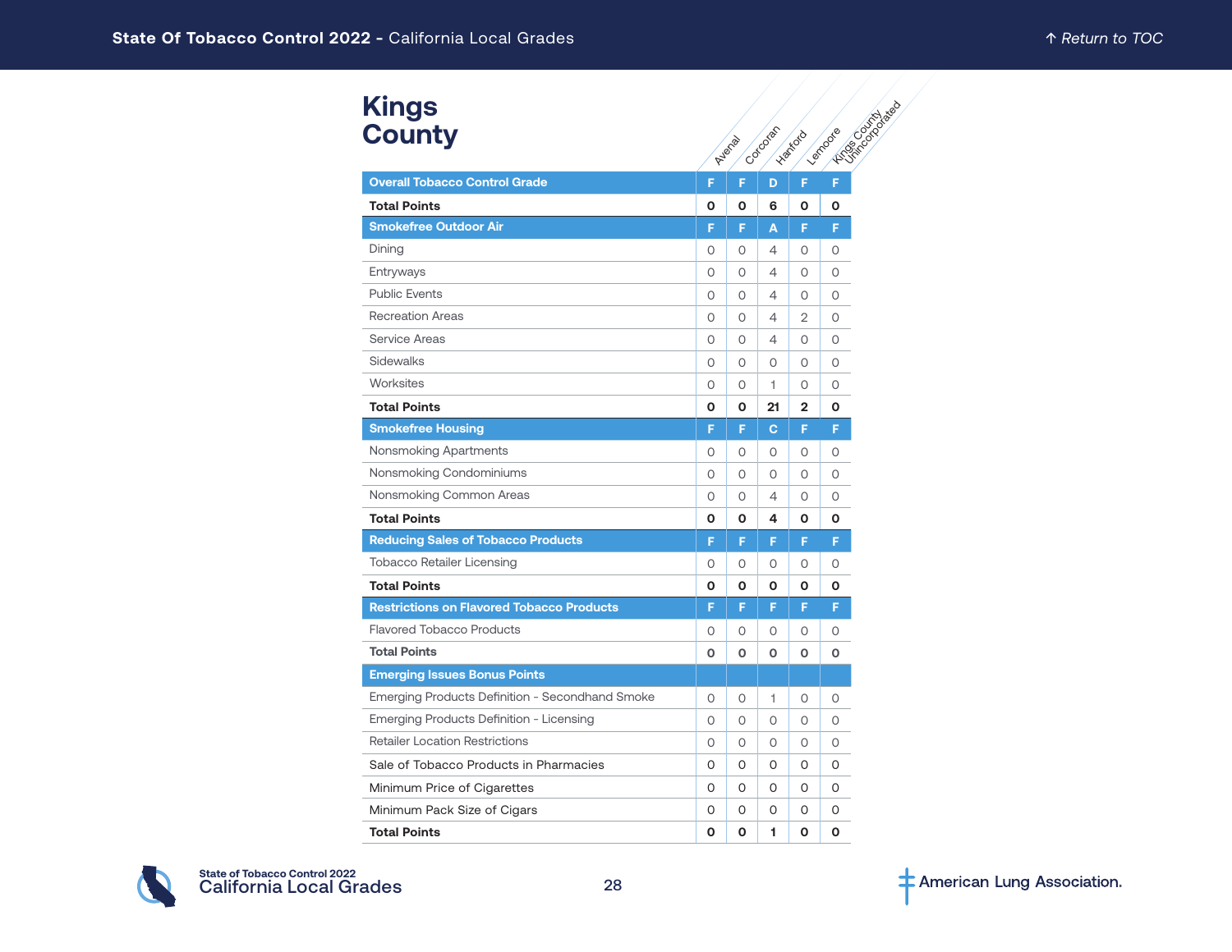#### **Kings County**

| <b>Kings</b>                                     |          |          |          |                |                                   |
|--------------------------------------------------|----------|----------|----------|----------------|-----------------------------------|
| <b>County</b>                                    |          | Avenue   | Corcorat | <b>Hankord</b> | <b>HOSE CONTRACTOR</b><br>Lembode |
| <b>Overall Tobacco Control Grade</b>             | F        | F        | D        | F              | F                                 |
| <b>Total Points</b>                              | O        | O        | 6        | O              | O                                 |
| <b>Smokefree Outdoor Air</b>                     | F        | F        | A        | F              | F                                 |
| Dining                                           | 0        | 0        | 4        | 0              | 0                                 |
| Entryways                                        | $\circ$  | O        | 4        | $\Omega$       | $\Omega$                          |
| <b>Public Events</b>                             | 0        | 0        | 4        | $\Omega$       | $\Omega$                          |
| <b>Recreation Areas</b>                          | 0        | $\Omega$ | 4        | 2              | $\Omega$                          |
| Service Areas                                    | 0        | 0        | 4        | 0              | O                                 |
| Sidewalks                                        | 0        | 0        | 0        | 0              | 0                                 |
| Worksites                                        | 0        | $\circ$  | 1        | 0              | $\circ$                           |
| <b>Total Points</b>                              | O        | O        | 21       | $\mathbf{2}$   | 0                                 |
| <b>Smokefree Housing</b>                         | F        | F        | C        | F              | F                                 |
| Nonsmoking Apartments                            | 0        | 0        | $\circ$  | $\circ$        | 0                                 |
| Nonsmoking Condominiums                          | $\circ$  | $\circ$  | $\circ$  | $\circ$        | 0                                 |
| Nonsmoking Common Areas                          | 0        | 0        | 4        | 0              | O                                 |
| <b>Total Points</b>                              | О        | О        | 4        | 0              | 0                                 |
| <b>Reducing Sales of Tobacco Products</b>        | F        | F        | F        | F              | F                                 |
| <b>Tobacco Retailer Licensing</b>                | 0        | 0        | O        | $\circ$        | 0                                 |
| <b>Total Points</b>                              | 0        | O        | Ο        | O              | O                                 |
| <b>Restrictions on Flavored Tobacco Products</b> | F        | F        | F        | F              | F                                 |
| <b>Flavored Tobacco Products</b>                 | 0        | 0        | 0        | $\circ$        | 0                                 |
| <b>Total Points</b>                              | $\Omega$ | $\Omega$ | $\Omega$ | $\Omega$       | O                                 |
| <b>Emerging Issues Bonus Points</b>              |          |          |          |                |                                   |
| Emerging Products Definition - Secondhand Smoke  | 0        | 0        | 1        | 0              | 0                                 |
| Emerging Products Definition - Licensing         | 0        | 0        | 0        | 0              | $\circ$                           |
| <b>Retailer Location Restrictions</b>            | 0        | 0        | $\circ$  | $\circ$        | $\circ$                           |
| Sale of Tobacco Products in Pharmacies           | 0        | 0        | O        | 0              | 0                                 |
| Minimum Price of Cigarettes                      | 0        | 0        | 0        | 0              | O                                 |
| Minimum Pack Size of Cigars                      | 0        | 0        | O        | 0              | 0                                 |
| <b>Total Points</b>                              | O        | O        | 1        | O              | $\mathbf 0$                       |

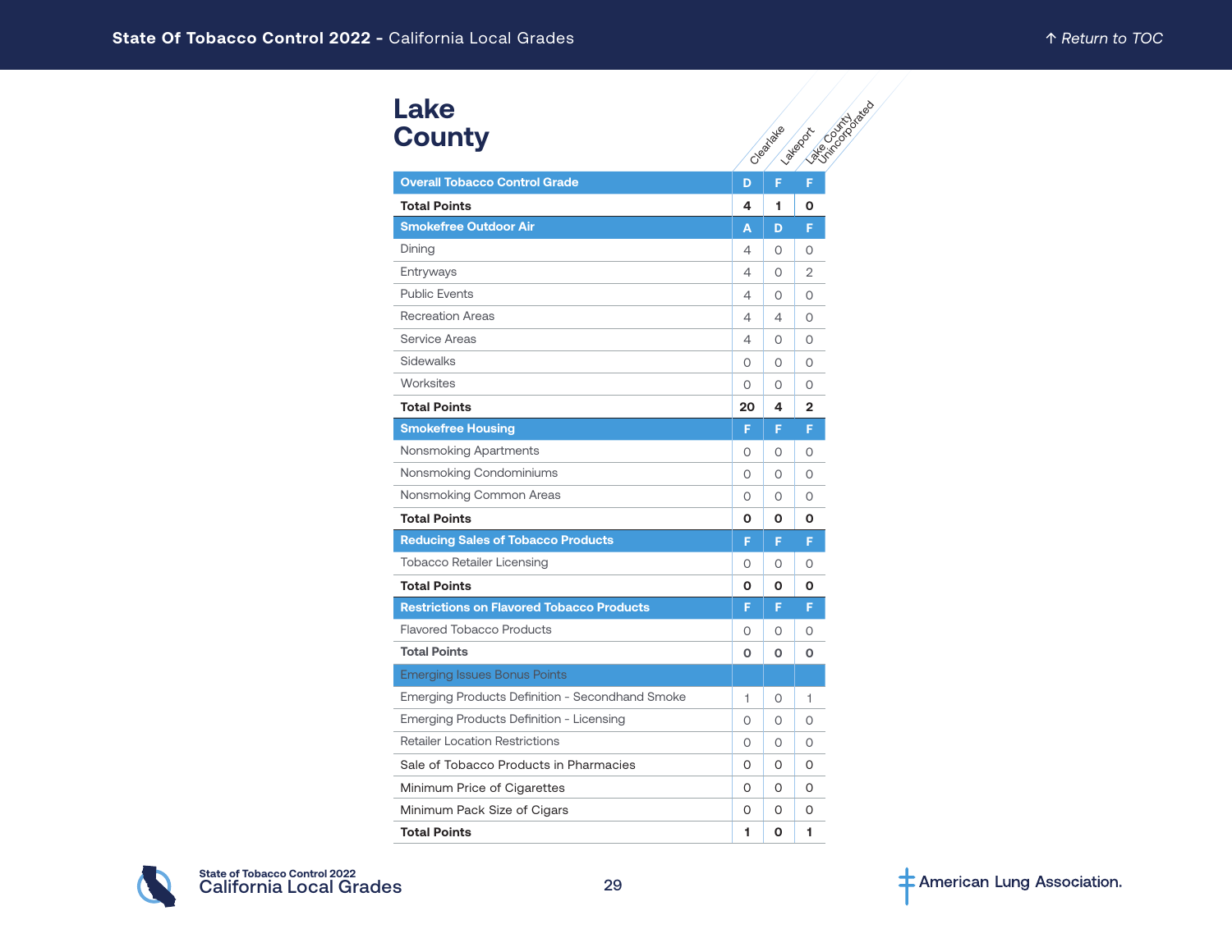# **Lake County**

| Lake                                             |          |          |                                        |
|--------------------------------------------------|----------|----------|----------------------------------------|
| <b>County</b>                                    |          | Cleatake | <b>PASSED MANUS</b><br><b>Lategook</b> |
| <b>Overall Tobacco Control Grade</b>             | D        | F        | F                                      |
| <b>Total Points</b>                              | 4        | 1        | Ο                                      |
| <b>Smokefree Outdoor Air</b>                     | А        | D        | F                                      |
| Dining                                           | 4        | 0        | 0                                      |
| Entryways                                        | 4        | 0        | 2                                      |
| <b>Public Events</b>                             | 4        | 0        | 0                                      |
| <b>Recreation Areas</b>                          | 4        | 4        | 0                                      |
| Service Areas                                    | 4        | 0        | 0                                      |
| Sidewalks                                        | 0        | 0        | 0                                      |
| Worksites                                        | 0        | 0        | 0                                      |
| <b>Total Points</b>                              | 20       | 4        | $\mathbf{2}$                           |
| <b>Smokefree Housing</b>                         | F        | F        | F                                      |
| Nonsmoking Apartments                            | 0        | 0        | 0                                      |
| Nonsmoking Condominiums                          | $\Omega$ | 0        | 0                                      |
| Nonsmoking Common Areas                          | $\Omega$ | Ω        | 0                                      |
| <b>Total Points</b>                              | O        | Ο        | Ο                                      |
| <b>Reducing Sales of Tobacco Products</b>        | F        | F        | F                                      |
| <b>Tobacco Retailer Licensing</b>                | 0        | 0        | 0                                      |
| <b>Total Points</b>                              | O        | Ο        | Ο                                      |
| <b>Restrictions on Flavored Tobacco Products</b> | F        | F        | F                                      |
| <b>Flavored Tobacco Products</b>                 | 0        | 0        | 0                                      |
| <b>Total Points</b>                              | O        | O        | O                                      |
| <b>Emerging Issues Bonus Points</b>              |          |          |                                        |
| Emerging Products Definition - Secondhand Smoke  | 1        | O        | 1                                      |
| Emerging Products Definition - Licensing         | 0        | O        | 0                                      |
| <b>Retailer Location Restrictions</b>            | 0        | 0        | 0                                      |
| Sale of Tobacco Products in Pharmacies           | 0        | O        | O                                      |
| Minimum Price of Cigarettes                      | O        | O        | O                                      |
| Minimum Pack Size of Cigars                      | 0        | O        | 0                                      |
| <b>Total Points</b>                              | 1        | O        | 1                                      |

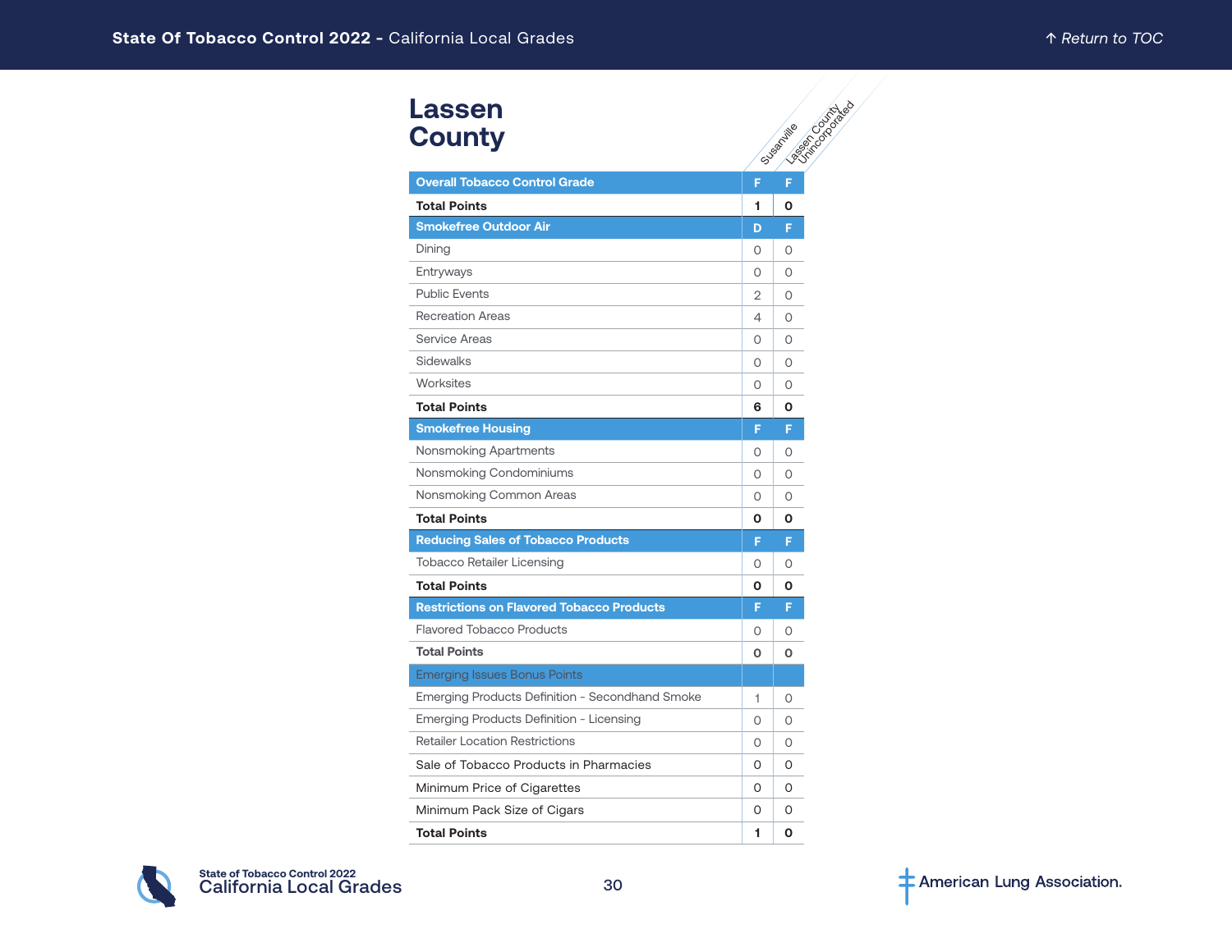| Lassen<br><b>County</b>                          |          | Elisabeth Rated<br>Susantille |
|--------------------------------------------------|----------|-------------------------------|
| <b>Overall Tobacco Control Grade</b>             | F        | F                             |
| <b>Total Points</b>                              | 1        | O                             |
| <b>Smokefree Outdoor Air</b>                     | D        | F                             |
| Dining                                           | 0        | 0                             |
| Entryways                                        | 0        | $\circ$                       |
| <b>Public Events</b>                             | 2        | 0                             |
| <b>Recreation Areas</b>                          | 4        | $\Omega$                      |
| Service Areas                                    | 0        | $\circ$                       |
| Sidewalks                                        | 0        | $\Omega$                      |
| Worksites                                        | 0        | $\Omega$                      |
| <b>Total Points</b>                              | 6        | O                             |
| <b>Smokefree Housing</b>                         | F.       | F                             |
| Nonsmoking Apartments                            | 0        | $\circ$                       |
| Nonsmoking Condominiums                          | $\Omega$ | $\Omega$                      |
| Nonsmoking Common Areas                          | 0        | $\circ$                       |
| <b>Total Points</b>                              | O        | O                             |
| <b>Reducing Sales of Tobacco Products</b>        | F.       | F                             |
| <b>Tobacco Retailer Licensing</b>                | 0        | $\Omega$                      |
| <b>Total Points</b>                              | O        | $\mathbf{o}$                  |
| <b>Restrictions on Flavored Tobacco Products</b> | F.       | F                             |
| <b>Flavored Tobacco Products</b>                 | $\circ$  | 0                             |
| <b>Total Points</b>                              | O        | O                             |
| <b>Emerging Issues Bonus Points</b>              |          |                               |
| Emerging Products Definition - Secondhand Smoke  | 1        | $\circ$                       |
| Emerging Products Definition - Licensing         | $\circ$  | $\Omega$                      |
| <b>Retailer Location Restrictions</b>            | 0        | $\circ$                       |
| Sale of Tobacco Products in Pharmacies           | 0        | O                             |
| Minimum Price of Cigarettes                      | 0        | $\Omega$                      |
| Minimum Pack Size of Cigars                      | 0        | O                             |
| <b>Total Points</b>                              | 1        | O                             |

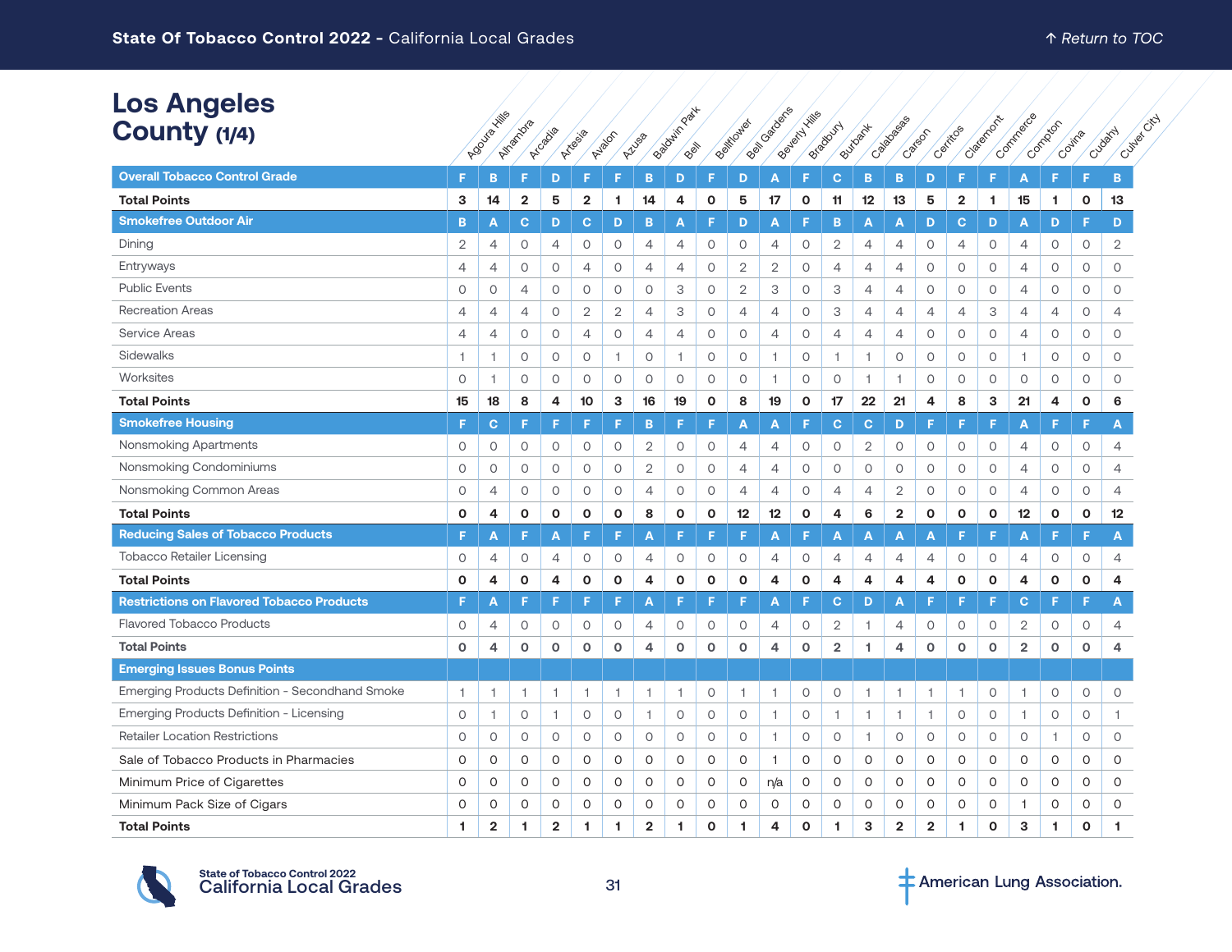| <b>Los Angeles</b>                                     |                |                |                |                |                |                |                | Part           |              |                     |                |              |                |                |                |                |                         |                     |                         |         |              |                 |
|--------------------------------------------------------|----------------|----------------|----------------|----------------|----------------|----------------|----------------|----------------|--------------|---------------------|----------------|--------------|----------------|----------------|----------------|----------------|-------------------------|---------------------|-------------------------|---------|--------------|-----------------|
| County (1/4)                                           |                | Agoulaxillis   | Alramona       | Arcabia        |                |                |                | Babyouin Y     |              | Belfioxies          | Beitragueres   | Beyond Hills | Breadoun       | Butloat        | Calabasea      | Catson         | Certificas              | Claighton           | Commerce                | Compton |              | City<br>Cudativ |
|                                                        |                |                |                |                | Artesia        | Ayalon         | Azusa          | PRIM           |              |                     |                |              |                |                |                |                |                         |                     |                         |         | Covina       | Cultier         |
| <b>Overall Tobacco Control Grade</b>                   | F              | B              | F              | D              | F              | Е              | B              | D              | F            | D                   | Α              | F            | c              | B              | B              | D              | F                       | F                   | A                       | F.      | F            | B               |
| <b>Total Points</b>                                    | 3              | 14             | $\mathbf{2}$   | 5              | $\overline{2}$ | 1              | 14             | 4              | $\mathbf 0$  | 5                   | 17             | $\mathbf 0$  | 11             | 12             | 13             | 5              | $\overline{\mathbf{2}}$ | 1.                  | 15                      | 1.      | $\mathbf{o}$ | 13              |
| <b>Smokefree Outdoor Air</b>                           | B              | A              | $\mathbf{C}$   | D              | $\mathbf{C}$   | D              | B              | A              | F            | D                   | A              | F            | B              | A              | A              | D              | $\mathbf{C}$            | D                   | $\overline{\mathsf{A}}$ | D       | F            | D               |
| Dining                                                 | $\overline{2}$ | $\overline{4}$ | $\circ$        | 4              | 0              | $\circ$        | 4              | 4              | $\circ$      | $\circ$             | 4              | $\circ$      | $\overline{2}$ | 4              | 4              | 0              | 4                       | $\circ$             | 4                       | 0       | 0            | 2               |
| Entryways                                              | $\overline{4}$ | $\overline{4}$ | 0              | $\circ$        | $\overline{4}$ | 0              | $\overline{4}$ | $\overline{4}$ | 0            | $\mathbf{2}$        | $\mathbf{2}$   | $\circ$      | $\overline{4}$ | 4              | 4              | $\circ$        | $\circ$                 | $\circ$             | 4                       | 0       | $\circ$      | $\circ$         |
| <b>Public Events</b>                                   | $\circ$        | $\circ$        | 4              | $\circ$        | $\circ$        | $\circ$        | 0              | 3              | $\circ$      | $\mathbf{2}$        | 3              | $\circ$      | 3              | 4              | 4              | $\circ$        | $\circ$                 | $\circ$             | $\overline{4}$          | 0       | 0            | $\circ$         |
| <b>Recreation Areas</b>                                | $\overline{4}$ | $\overline{4}$ | $\overline{4}$ | $\circ$        | $\mathbf{2}$   | $\overline{2}$ | 4              | 3              | $\circ$      | $\overline{4}$      | 4              | $\circ$      | 3              | $\overline{4}$ | $\overline{4}$ | $\overline{4}$ | $\overline{4}$          | 3                   | $\overline{4}$          | 4       | $\circ$      | 4               |
| Service Areas                                          | $\overline{4}$ | $\overline{4}$ | $\circ$        | $\circ$        | $\overline{4}$ | $\circ$        | $\overline{4}$ | 4              | 0            | $\circ$             | 4              | $\circ$      | 4              | $\overline{4}$ | 4              | $\circ$        | $\circ$                 | $\circ$             | $\overline{4}$          | $\circ$ | $\circ$      | $\circ$         |
| Sidewalks                                              | $\overline{1}$ | $\overline{1}$ | $\circ$        | $\circ$        | $\circ$        | $\overline{1}$ | $\circ$        | $\overline{1}$ | $\circ$      | $\circ$             | $\mathbf{1}$   | $\circ$      | $\overline{1}$ | 1              | $\circ$        | $\circ$        | $\circ$                 | $\circ$             | $\overline{1}$          | 0       | 0            | $\circ$         |
| Worksites                                              | $\circ$        | 1              | $\circ$        | $\circ$        | $\circ$        | $\circ$        | $\circ$        | $\circ$        | $\circ$      | $\circ$             | $\mathbf{1}$   | $\circ$      | $\circ$        | $\overline{1}$ | 1              | $\circ$        | $\circ$                 | $\circ$             | $\circ$                 | 0       | 0            | $\circ$         |
| <b>Total Points</b>                                    | 15             | 18             | 8              | 4              | 10             | 3              | 16             | 19             | $\mathbf 0$  | 8                   | 19             | $\mathbf 0$  | 17             | 22             | 21             | $\overline{4}$ | 8                       | 3                   | 21                      | 4       | $\mathbf{o}$ | 6               |
| <b>Smokefree Housing</b>                               | F              | $\mathbf{C}$   | F              | F              | F              | F              | B              | F              | F            | A                   | A              | F            | $\mathbf{C}$   | C.             | D              | F              | F                       | F                   | A                       | F       | F            | A               |
| Nonsmoking Apartments                                  | 0              | $\circ$        | 0              | $\circ$        | 0              | $\circ$        | $\mathbf{2}$   | 0              | 0            | 4                   | 4              | $\circ$      | 0              | $\mathbf{2}$   | 0              | 0              | $\circ$                 | $\circ$             | 4                       | 0       | 0            | 4               |
| Nonsmoking Condominiums                                | $\circ$        | $\circ$        | $\circ$        | $\circ$        | $\circ$        | $\circ$        | $\sqrt{2}$     | $\circ$        | $\circ$      | 4                   | 4              | $\circ$      | $\circ$        | $\circ$        | $\circ$        | $\circ$        | $\circ$                 | $\circ$             | $\overline{4}$          | O       | O            | $\overline{4}$  |
| Nonsmoking Common Areas                                | $\circ$        | $\overline{4}$ | $\circ$        | 0              | $\circ$        | $\circ$        | 4              | $\circ$        | 0            | $\overline{4}$      | $\overline{4}$ | $\circ$      | 4              | $\overline{4}$ | 2              | $\circ$        | $\circ$                 | 0                   | 4                       | 0       | 0            | 4               |
| <b>Total Points</b>                                    | $\Omega$       | 4              | 0              | O              | $\mathbf{o}$   | $\mathbf{o}$   | 8              | $\mathbf 0$    | 0            | 12                  | 12             | $\mathbf{o}$ | 4              | 6              | $\overline{2}$ | $\mathbf{o}$   | $\mathbf{o}$            | $\mathbf{o}$        | 12                      | 0       | $\mathbf{o}$ | 12              |
| <b>Reducing Sales of Tobacco Products</b>              | F              | A              | F              | A              | F              | E              | Α              | F              | F            | F                   | A              | F            | A              | A              | A              | A              |                         | F                   | A                       | F       | F            | A               |
| <b>Tobacco Retailer Licensing</b>                      | $\circ$        | $\overline{4}$ | $\circ$        | 4              | $\circ$        | 0              | 4              | $\circ$        | 0            | $\circ$             | 4              | $\circ$      | 4              | 4              | 4              | 4              | $\circ$                 | $\circ$             | 4                       | 0       | $\mathsf O$  | $\overline{4}$  |
| <b>Total Points</b>                                    | $\mathbf 0$    | 4              | $\mathbf{o}$   | 4              | $\mathbf{o}$   | $\mathbf{o}$   | 4              | $\mathbf{o}$   | $\mathbf{o}$ | $\mathbf{o}$        | 4              | $\mathbf 0$  | 4              | 4              | 4              | 4              | $\mathbf{o}$            | $\mathbf{o}$        | 4                       | O       | $\mathbf{o}$ | 4               |
| <b>Restrictions on Flavored Tobacco Products</b>       | F              | Α              | F              | F              | F              | F              | A              |                |              | F                   | Α              | F            | $\mathbf{C}$   | D              | Α              | F              | Е                       | F                   | C                       | F       | F            | A               |
| <b>Flavored Tobacco Products</b>                       | $\circ$        | $\overline{4}$ | $\circ$        | $\circ$        | $\circ$        | 0              | $\overline{4}$ | $\circ$        | $\circ$      | 0                   | 4              | $\circ$      | $\overline{2}$ | -1.            | 4              | 0              | $\circ$                 | 0                   | $\overline{2}$          | 0       | 0            | 4               |
| <b>Total Points</b>                                    | $\mathbf 0$    | 4              | 0              | $\mathbf 0$    | $\mathsf{o}$   | $\circ$        | 4              | 0              | 0            | $\mathsf{o}\xspace$ | 4              | $\mathbf 0$  | $\overline{2}$ | 1              | 4              | $\mathsf{o}$   | $\circ$                 | o                   | $\overline{2}$          | 0       | $\mathbf 0$  | 4               |
| <b>Emerging Issues Bonus Points</b>                    |                |                |                |                |                |                |                |                |              |                     |                |              |                |                |                |                |                         |                     |                         |         |              |                 |
| <b>Emerging Products Definition - Secondhand Smoke</b> | $\overline{1}$ | 1              | 1              | 1.             | $\overline{1}$ | $\overline{1}$ | 1              | $\overline{1}$ | 0            | 1                   | 1              | $\circ$      | 0              | $\overline{1}$ | 1.             | 1              | $\overline{1}$          | 0                   | $\overline{1}$          | 0       | 0            | $\circ$         |
| Emerging Products Definition - Licensing               | $\circ$        | $\overline{1}$ | $\circ$        | $\mathbf{1}$   | $\circ$        | $\circ$        | $\mathbf{1}$   | $\circ$        | $\circ$      | $\circ$             | $\mathbf{1}$   | $\circ$      | $\overline{1}$ | $\overline{1}$ | $\mathbf{1}$   | $\mathbf{1}$   | $\circ$                 | $\circ$             | $\overline{1}$          | $\circ$ | 0            | $\mathbf{1}$    |
| <b>Retailer Location Restrictions</b>                  | $\circ$        | $\circ$        | $\circ$        | 0              | $\circ$        | $\circ$        | $\circ$        | $\circ$        | 0            | $\circ$             | $\mathbf{1}$   | $\circ$      | 0              | $\overline{1}$ | 0              | $\circ$        | $\circ$                 | 0                   | $\circ$                 | -1.     | 0            | $\circ$         |
| Sale of Tobacco Products in Pharmacies                 | $\circ$        | $\circ$        | 0              | 0              | $\mathsf O$    | $\circ$        | $\mathsf O$    | $\mathsf O$    | $\mathsf O$  | 0                   | $\mathbf{1}$   | $\circ$      | 0              | 0              | 0              | $\mathsf O$    | $\circ$                 | $\mathsf{O}\xspace$ | O                       | O       | 0            | $\circ$         |
| Minimum Price of Cigarettes                            | $\circ$        | $\circ$        | $\circ$        | $\circ$        | 0              | $\circ$        | 0              | $\circ$        | O            | 0                   | n/a            | $\circ$      | O              | O              | O              | $\mathsf O$    | $\circ$                 | $\circ$             | $\circ$                 | O       | $\circ$      | $\circ$         |
| Minimum Pack Size of Cigars                            | 0              | 0              | 0              | 0              | 0              | 0              | 0              | 0              | 0            | 0                   | 0              | $\circ$      | 0              | 0              | 0              | 0              | 0                       | 0                   | -1                      | 0       | 0            | 0               |
| <b>Total Points</b>                                    | 1              | $\overline{2}$ | 1              | $\overline{2}$ | -1             | 1              | $\mathbf{2}$   | 1              | $\Omega$     | 1.                  | 4              | $\mathbf{o}$ | 1              | 3              | $\overline{2}$ | $\overline{2}$ | -1                      | $\Omega$            | 3                       | 1       | O            | 1               |



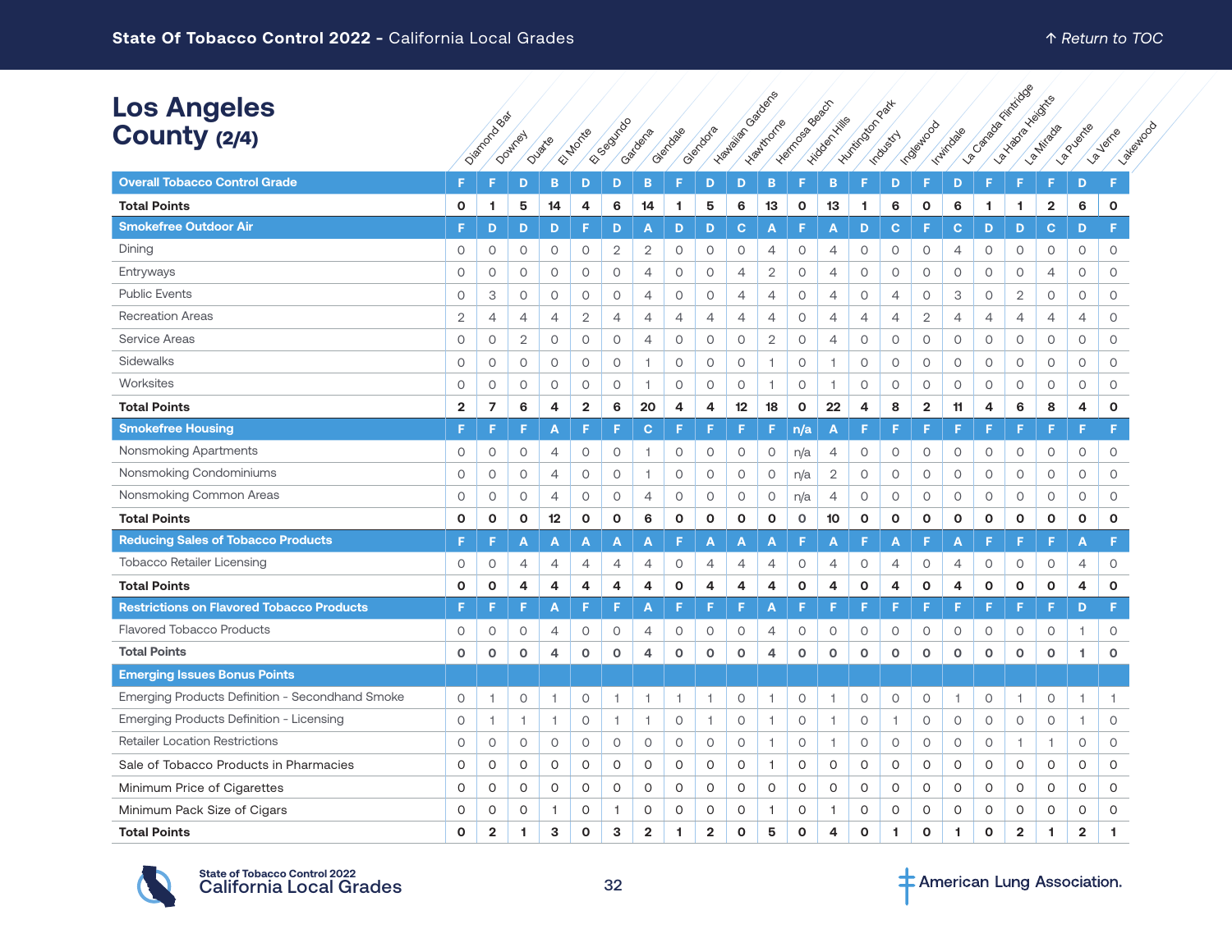| <b>Los Angeles</b><br>County (2/4)               |                | Oiemprobase    | Downley             | Duate   | El Morte       | ESSOUTIDO      | Gardena        | Glendale       | Glendora       | I-vanislation cabocs | - Healthcarre  | - Harrena Baseau | - vidden Kills | <b>Humitingon Part</b> | <b>Industry</b> | Indeep Nood    | Indiadage      | La Campagnancia Cicco | I and according | La Nitrada   | <b>La Vierke</b> | <b>Patienton</b><br><b>Jeine</b> |
|--------------------------------------------------|----------------|----------------|---------------------|---------|----------------|----------------|----------------|----------------|----------------|----------------------|----------------|------------------|----------------|------------------------|-----------------|----------------|----------------|-----------------------|-----------------|--------------|------------------|----------------------------------|
| <b>Overall Tobacco Control Grade</b>             | F              | F              | D                   | в       | D              | D              | B              | F              | D              | D                    | B              | F                | B              | F                      | D               | F              | D              | F                     | F               | F            | $\sqrt{2}$<br>D  | F                                |
| <b>Total Points</b>                              | 0              | 1              | 5                   | 14      | 4              | 6              | 14             | 1              | 5              | 6                    | 13             | $\mathbf{o}$     | 13             | -1                     | 6               | 0              | 6              | 1                     | 1.              | 2            | 6                | $\mathbf 0$                      |
| <b>Smokefree Outdoor Air</b>                     | F              | D              | D                   | D       | F              | D              | A              | D              | D              | $\mathbf{C}$         | A              | F                | $\mathbf{A}$   | D                      | $\mathbf{C}$    | F              | $\mathbf c$    | D                     | D               | $\mathbf{C}$ | D                | F.                               |
| Dining                                           | 0              | $\circ$        | $\circ$             | 0       | $\circ$        | $\overline{2}$ | $\mathbf{2}$   | $\circ$        | $\circ$        | $\circ$              | 4              | $\circ$          | $\overline{4}$ | $\circ$                | $\circ$         | $\circ$        | 4              | 0                     | 0               | 0            | $\circ$          | 0                                |
| Entryways                                        | 0              | $\circ$        | $\circ$             | $\circ$ | $\circ$        | $\circ$        | $\overline{4}$ | $\circ$        | $\circ$        | $\overline{4}$       | $\overline{2}$ | $\circ$          | $\overline{4}$ | $\circ$                | $\circ$         | $\circ$        | 0              | 0                     | 0               | 4            | $\circ$          | $\circ$                          |
| <b>Public Events</b>                             | 0              | 3              | $\circ$             | 0       | 0              | $\circ$        | $\overline{4}$ | $\circ$        | $\circ$        | 4                    | 4              | $\circ$          | $\overline{4}$ | 0                      | $\overline{4}$  | $\circ$        | 3              | 0                     | $\mathbf{2}$    | 0            | $\circ$          | $\circ$                          |
| <b>Recreation Areas</b>                          | $\mathbf{2}$   | 4              | 4                   | 4       | 2              | 4              | 4              | 4              | 4              | 4                    | 4              | $\circ$          | 4              | 4                      | 4               | 2              | 4              | 4                     | 4               | 4            | 4                | 0                                |
| <b>Service Areas</b>                             | 0              | $\circ$        | $\overline{2}$      | $\circ$ | $\circ$        | $\circ$        | $\overline{4}$ | $\circ$        | 0              | $\circ$              | $\overline{2}$ | $\circ$          | 4              | $\circ$                | $\circ$         | $\circ$        | $\circ$        | $\circ$               | O               | $\circ$      | $\circ$          | $\circ$                          |
| Sidewalks                                        | 0              | $\circ$        | 0                   | 0       | 0              | $\circ$        | $\overline{1}$ | $\circ$        | 0              | 0                    | $\overline{1}$ | $\circ$          | 1              | 0                      | 0               | 0              | $\circ$        | 0                     | 0               | 0            | $\circ$          | 0                                |
| Worksites                                        | $\circ$        | $\circ$        | $\circ$             | 0       | $\circ$        | $\circ$        | $\overline{1}$ | $\circ$        | $\circ$        | $\circ$              | 1              | $\circ$          | -1             | $\circ$                | $\circ$         | $\circ$        | $\circ$        | 0                     | $\circ$         | 0            | $\circ$          | $\circ$                          |
| <b>Total Points</b>                              | $\overline{2}$ | $\overline{7}$ | 6                   | 4       | $\overline{2}$ | 6              | 20             | 4              | 4              | 12                   | 18             | $\mathbf 0$      | 22             | 4                      | 8               | $\overline{2}$ | 11             | 4                     | 6               | 8            | 4                | $\mathbf{o}$                     |
| <b>Smokefree Housing</b>                         | F              | F              | F                   | Α       | F              | F              | $\mathbf{C}$   | œ              |                | F                    | F              | n/a              | A              |                        | F               | F              | F              |                       | F               | F            | F                | F.                               |
| Nonsmoking Apartments                            | 0              | $\circ$        | $\circ$             | 4       | $\circ$        | $\circ$        | $\overline{1}$ | $\circ$        | 0              | 0                    | 0              | n/a              | 4              | 0                      | 0               | $\circ$        | $\circ$        | 0                     | 0               | 0            | $\circ$          | 0                                |
| Nonsmoking Condominiums                          | 0              | $\circ$        | $\circ$             | 4       | $\circ$        | $\circ$        | $\overline{1}$ | $\circ$        | $\circ$        | $\circ$              | $\mathsf O$    | n/a              | $\sqrt{2}$     | $\circ$                | $\circ$         | $\circ$        | $\mathsf O$    | 0                     | 0               | $\circ$      | $\circ$          | O                                |
| Nonsmoking Common Areas                          | $\circ$        | $\circ$        | $\circ$             | 4       | $\circ$        | $\circ$        | $\overline{4}$ | $\circ$        | $\circ$        | $\circ$              | $\circ$        | n/a              | 4              | $\circ$                | $\circ$         | $\circ$        | $\circ$        | $\circ$               | 0               | 0            | $\circ$          | $\circ$                          |
| <b>Total Points</b>                              | $\mathbf{o}$   | $\mathbf{o}$   | $\mathbf{o}$        | 12      | $\mathbf 0$    | $\mathbf 0$    | 6              | $\mathbf{o}$   | $\mathbf{o}$   | $\mathbf{o}$         | $\mathbf{o}$   | $\Omega$         | 10             | $\mathbf 0$            | $\mathbf{o}$    | $\mathbf{o}$   | $\mathbf{o}$   | O                     | $\mathbf{o}$    | $\mathbf{o}$ | $\mathbf 0$      | $\mathbf{o}$                     |
| <b>Reducing Sales of Tobacco Products</b>        | F.             | F              | Α                   | A       | Α              | A              | Α              |                | A              | Α                    | A              | F                | A              | E                      | A               | F              | Α              | Е                     | F               | F            | А                | F.                               |
| <b>Tobacco Retailer Licensing</b>                | 0              | $\circ$        | 4                   | 4       | 4              | 4              | $\overline{4}$ | $\circ$        | $\overline{4}$ | $\overline{4}$       | 4              | $\circ$          | 4              | $\circ$                | $\overline{4}$  | $\circ$        | $\overline{4}$ | 0                     | 0               | 0            | 4                | $\circ$                          |
| <b>Total Points</b>                              | 0              | O              | 4                   | 4       | 4              | 4              | 4              | O              | 4              | 4                    | 4              | $\mathbf 0$      | 4              | 0                      | 4               | 0              | 4              | O                     | $\mathbf 0$     | O            | 4                | $\mathbf 0$                      |
| <b>Restrictions on Flavored Tobacco Products</b> | F              | F              | F                   | Α       | F              | F              | A              | F              | F.             | F                    | Α              | F                | E              | E                      | F.              | F              | F              | F                     | F               | F            | D                | F                                |
| <b>Flavored Tobacco Products</b>                 | 0              | $\circ$        | 0                   | 4       | 0              | 0              | $\overline{4}$ | $\circ$        | 0              | 0                    | 4              | $\circ$          | $\circ$        | 0                      | 0               | $\circ$        | $\circ$        | 0                     | 0               | 0            | f.               | $\circ$                          |
| <b>Total Points</b>                              | $\mathbf{O}$   | $\mathbf 0$    | $\mathbf{o}$        | 4       | $\mathbf 0$    | $\mathsf{o}\,$ | $\overline{4}$ | $\mathsf{o}\,$ | $\mathbf 0$    | $\mathbf 0$          | 4              | $\Omega$         | $\mathbf 0$    | o                      | $\mathsf{o}\,$  | $\mathsf{o}\,$ | $\Omega$       | 0                     | $\mathbf 0$     | $\mathbf 0$  | 1                | $\mathbf 0$                      |
| <b>Emerging Issues Bonus Points</b>              |                |                |                     |         |                |                |                |                |                |                      |                |                  |                |                        |                 |                |                |                       |                 |              |                  |                                  |
| Emerging Products Definition - Secondhand Smoke  | 0              | 1              | $\circ$             | 1       | 0              | 1              | $\overline{1}$ | $\mathbf{1}$   | 1              | $\circ$              | f,             | $\circ$          | 1              | $\circ$                | 0               | $\circ$        | 1              | 0                     | 1               | 0            | -1               | $\overline{1}$                   |
| Emerging Products Definition - Licensing         | 0              | $\overline{1}$ | $\mathbf{1}$        | 1       | 0              | $\mathbf{1}$   | $\overline{1}$ | $\circ$        | $\overline{1}$ | 0                    | $\mathbf{1}$   | $\circ$          | $\overline{1}$ | 0                      | $\overline{1}$  | $\circ$        | 0              | 0                     | 0               | $\circ$      | $\overline{1}$   | $\circ$                          |
| <b>Retailer Location Restrictions</b>            | 0              | $\circ$        | $\circ$             | 0       | 0              | $\circ$        | $\circ$        | $\circ$        | 0              | $\circ$              | $\overline{1}$ | $\circ$          | 1              | $\circ$                | $\circ$         | $\circ$        | $\circ$        | 0                     | 1.              | $\mathbf{1}$ | $\circ$          | $\circ$                          |
| Sale of Tobacco Products in Pharmacies           | 0              | 0              | O                   | 0       | 0              | 0              | 0              | 0              | 0              | 0                    | 1              | $\circ$          | 0              | 0                      | 0               | 0              | 0              | 0                     | 0               | 0            | 0                | 0                                |
| Minimum Price of Cigarettes                      | 0              | $\circ$        | $\mathsf{O}\xspace$ | 0       | 0              | O              | 0              | 0              | 0              | O                    | 0              | $\circ$          | $\circ$        | 0                      | O               | 0              | 0              | 0                     | 0               | $\circ$      | 0                | $\circ$                          |
| Minimum Pack Size of Cigars                      | 0              | O              | $\circ$             | 1       | 0              | $\overline{1}$ | $\circ$        | $\circ$        | $\circ$        | $\circ$              | 1              | $\circ$          | 1              | 0                      | O               | 0              | O              | 0                     | 0               | 0            | 0                | $\Omega$                         |
| <b>Total Points</b>                              | $\Omega$       | $\overline{2}$ | 1                   | 3       | $\Omega$       | 3              | $\overline{2}$ | 1              | $\overline{2}$ | $\Omega$             | 5              | $\Omega$         | 4              | $\Omega$               | 1               | $\Omega$       | 1.             | $\Omega$              | $\overline{2}$  | 1            | $\overline{2}$   | 1                                |



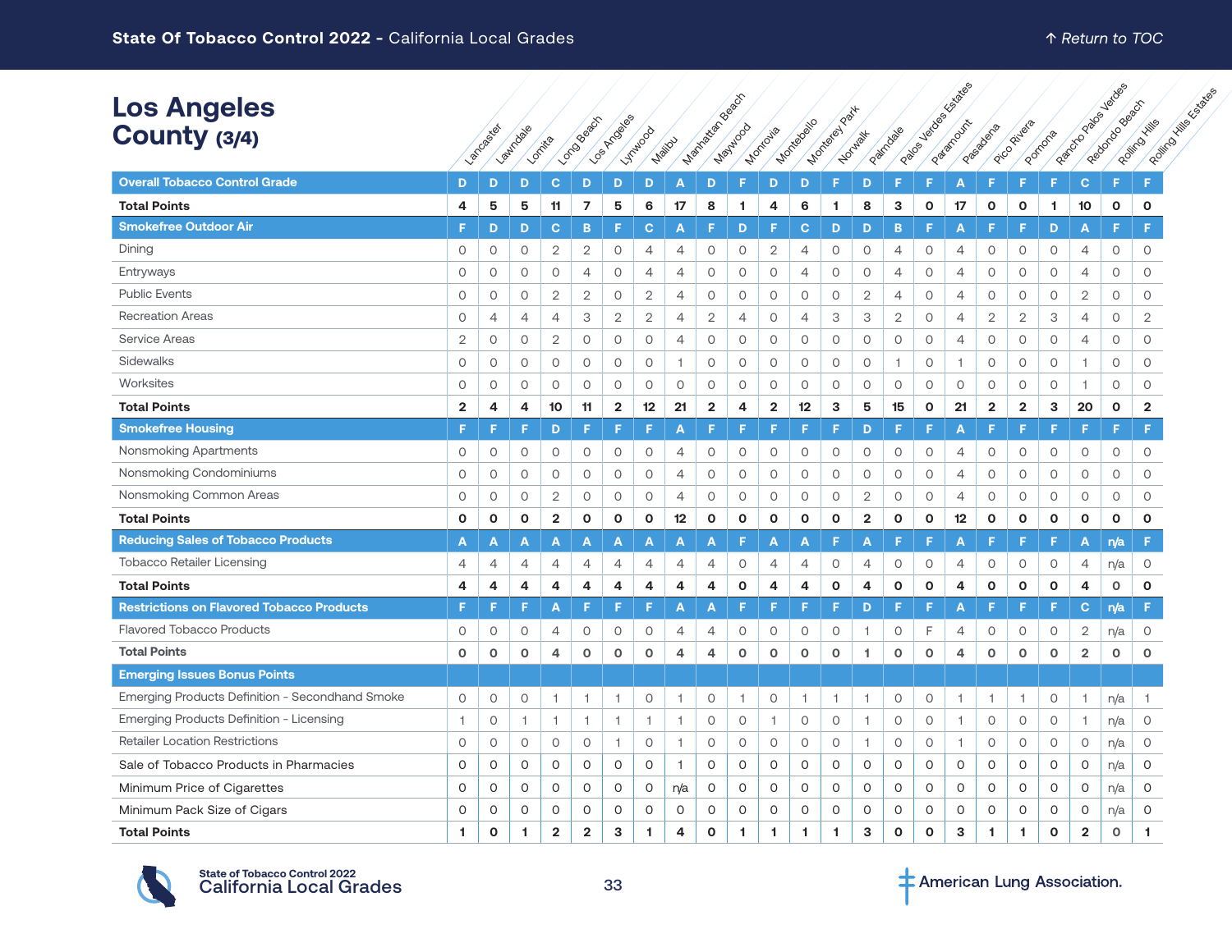|                                                  |                |                |                |                |                |              |                |                |                         |                      |                |                |               |                |                |              | Eustates       |                         |                         |              |                | <b>Verdes</b>      |                                        |
|--------------------------------------------------|----------------|----------------|----------------|----------------|----------------|--------------|----------------|----------------|-------------------------|----------------------|----------------|----------------|---------------|----------------|----------------|--------------|----------------|-------------------------|-------------------------|--------------|----------------|--------------------|----------------------------------------|
| <b>Los Angeles</b><br>County (3/4)               |                | Lancoster      | Lawtoale       | Londita        | Londowed St    | LOS AFTOSIOS | <b>Windows</b> |                | Manufaction BaserS      | Maytico <sub>d</sub> | Montovia       | Montagailo     | Mortelay Part | Norwalt        | Patriciale     | 1/erdes      | Pastmouth      | Passagement             | Pico Pitala             | Pomons       | Reformando     | Residence of Basic | Roofing Mille Castlee<br>Rolling Hills |
|                                                  |                |                |                |                |                |              |                | Mailou         |                         |                      |                |                |               |                | Palos          |              |                |                         |                         |              |                |                    |                                        |
| <b>Overall Tobacco Control Grade</b>             | D              | D              | D              | C.             | D              | D            | D              | A              | D                       | F                    | D              | D              | F.            | D              |                | F            | Α              | F                       | F                       | F.           | $\mathbf{C}$   | F                  | F                                      |
| <b>Total Points</b>                              | 4              | 5              | 5              | 11             | $\overline{7}$ | 5            | 6              | 17             | 8                       | 1                    | 4              | 6              | -1            | 8              | 3              | O            | 17             | $\mathbf{o}$            | $\mathbf{o}$            | 1            | 10             | $\mathbf{o}$       | $\mathbf{o}$                           |
| <b>Smokefree Outdoor Air</b>                     | F              | D              | D              | C.             | B              | F            | C              | А              | F                       | D                    | Е              | С              | D             | D              | B              | F            | Α              | F                       | E                       | D            | Α              | F                  | F.                                     |
| Dining                                           | 0              | $\circ$        | 0              | $\overline{2}$ | 2              | 0            | $\overline{4}$ | 4              | $\circ$                 | 0                    | $\overline{2}$ | 4              | 0             | 0              | 4              | 0            | 4              | $\circ$                 | $\circ$                 | $\circ$      | 4              | $\circ$            | 0                                      |
| Entryways                                        | $\circ$        | $\circ$        | 0              | $\circ$        | $\overline{4}$ | $\circ$      | $\overline{4}$ | $\overline{4}$ | $\circ$                 | $\circ$              | $\circ$        | $\overline{4}$ | $\circ$       | 0              | $\overline{4}$ | $\circ$      | $\overline{4}$ | $\circ$                 | $\circ$                 | $\circ$      | 4              | $\circ$            | $\circ$                                |
| <b>Public Events</b>                             | 0              | $\circ$        | 0              | $\overline{2}$ | $\overline{2}$ | $\circ$      | 2              | $\overline{4}$ | $\circ$                 | $\circ$              | 0              | 0              | 0             | $\overline{2}$ | $\overline{4}$ | $\circ$      | $\overline{4}$ | $\circ$                 | $\circ$                 | $\circ$      | $\overline{2}$ | $\circ$            | $\circ$                                |
| <b>Recreation Areas</b>                          | 0              | $\overline{4}$ | 4              | $\overline{4}$ | З              | $\mathbf{2}$ | $\mathbf{2}$   | $\overline{4}$ | $\overline{2}$          | $\overline{4}$       | $\circ$        | $\overline{4}$ | З             | 3              | $\overline{2}$ | $\circ$      | 4              | $\mathbf{2}$            | $\overline{2}$          | 3            | 4              | $\circ$            | $\overline{2}$                         |
| Service Areas                                    | $\overline{2}$ | $\circ$        | 0              | $\overline{2}$ | 0              | $\circ$      | 0              | $\overline{4}$ | $\circ$                 | $\circ$              | $\circ$        | 0              | 0             | 0              | 0              | 0            | 4              | $\circ$                 | $\circ$                 | $\circ$      | 4              | 0                  | 0                                      |
| Sidewalks                                        | $\mathsf O$    | $\circ$        | 0              | $\circ$        | 0              | $\circ$      | $\circ$        | $\overline{1}$ | $\circ$                 | $\circ$              | $\circ$        | 0              | $\circ$       | 0              | $\overline{1}$ | $\circ$      | 1              | $\circ$                 | $\circ$                 | $\circ$      | 1              | $\circ$            | O                                      |
| Worksites                                        | $\circ$        | $\circ$        | $\circ$        | $\circ$        | $\circ$        | $\circ$      | $\circ$        | $\circ$        | $\circ$                 | $\circ$              | $\circ$        | $\circ$        | $\circ$       | $\circ$        | $\circ$        | 0            | $\circ$        | $\circ$                 | $\circ$                 | $\circ$      |                | $\circ$            | $\circ$                                |
| <b>Total Points</b>                              | $\overline{2}$ | 4              | 4              | 10             | 11             | $\mathbf{2}$ | 12             | 21             | $\overline{\mathbf{2}}$ | 4                    | $\overline{2}$ | 12             | 3             | 5              | 15             | $\mathbf o$  | 21             | $\overline{\mathbf{2}}$ | $\overline{\mathbf{2}}$ | 3            | 20             | 0                  | $\overline{2}$                         |
| <b>Smokefree Housing</b>                         | F              |                | F              | D              | F              | Е            | Е              | Α              | F                       | E                    |                |                |               | D              | F              | F            | А              | F                       |                         | E            | E              | F.                 | F                                      |
| Nonsmoking Apartments                            | $\circ$        | $\circ$        | 0              | 0              | 0              | 0            | $\circ$        | 4              | $\circ$                 | $\mathsf O$          | $\circ$        | $\circ$        | $\circ$       | 0              | 0              | 0            | $\overline{4}$ | $\circ$                 | $\circ$                 | $\circ$      | 0              | $\circ$            | 0                                      |
| Nonsmoking Condominiums                          | $\circ$        | $\circ$        | $\circ$        | $\circ$        | 0              | $\circ$      | $\circ$        | 4              | $\circ$                 | $\circ$              | $\circ$        | $\circ$        | $\circ$       | 0              | $\circ$        | $\circ$      | 4              | $\circ$                 | $\circ$                 | $\circ$      | $\circ$        | $\circ$            | 0                                      |
| Nonsmoking Common Areas                          | $\circ$        | $\circ$        | 0              | $\overline{2}$ | 0              | $\circ$      | $\circ$        | $\overline{4}$ | $\circ$                 | $\circ$              | $\circ$        | $\circ$        | $\circ$       | $\mathbf{2}$   | $\circ$        | $\circ$      | $\overline{4}$ | $\circ$                 | $\circ$                 | $\circ$      | $\circ$        | $\circ$            | $\circ$                                |
| <b>Total Points</b>                              | O              | O              | O              | $\overline{2}$ | $\mathbf{o}$   | $\mathbf{o}$ | $\mathbf{o}$   | 12             | $\mathbf{o}$            | O                    | $\mathbf{o}$   | O              | $\mathbf{o}$  | $\mathbf{2}$   | $\mathbf{o}$   | $\mathbf{o}$ | 12             | $\mathbf{o}$            | $\mathbf{o}$            | $\mathbf{o}$ | O              | 0                  | $\mathbf{o}$                           |
| <b>Reducing Sales of Tobacco Products</b>        | A              | A              | A              | A              | A              | A            | A              | Α              | A                       | F                    | A              | A              |               | A              | Е              | F            | Α              | F                       | Е                       | F            | Α              | n/a                | F                                      |
| <b>Tobacco Retailer Licensing</b>                | 4              | 4              | 4              | 4              | 4              | 4            | 4              | 4              | 4                       | 0                    | 4              | 4              | 0             | 4              | 0              | $\circ$      | 4              | $\circ$                 | $\circ$                 | $\circ$      | 4              | n/a                | 0                                      |
| <b>Total Points</b>                              | 4              | 4              | 4              | 4              | 4              | 4            | 4              | 4              | 4                       | $\mathbf{o}$         | 4              | 4              | 0             | 4              | $\mathbf{o}$   | $\mathbf 0$  | 4              | $\mathbf 0$             | $\mathbf 0$             | $\mathbf 0$  | 4              | $\circ$            | $\mathbf{o}$                           |
| <b>Restrictions on Flavored Tobacco Products</b> | F              |                | F              | A              | F              | F            | F.             | Α              | A                       | F                    | F              | F              | F.            | D              | E              | F.           | Α              | F                       | F                       | F.           | C.             | n/a                | F                                      |
| <b>Flavored Tobacco Products</b>                 | 0              | 0              | 0              | $\overline{4}$ | 0              | $\circ$      | $\circ$        | $\overline{4}$ | $\overline{4}$          | $\circ$              | $\circ$        | 0              | $\circ$       | 1              | 0              | F            | $\overline{4}$ | $\circ$                 | $\circ$                 | $\circ$      | $\overline{2}$ | n/a                | 0                                      |
| <b>Total Points</b>                              | $\mathbf 0$    | $\circ$        | o              | 4              | $\circ$        | $\circ$      | $\mathbf 0$    | $\overline{4}$ | 4                       | $\circ$              | $\circ$        | $\circ$        | $\mathbf 0$   | 1.             | $\mathbf 0$    | $\mathbf 0$  | 4              | $\mathbf 0$             | $\circ$                 | $\mathbf 0$  | $\overline{2}$ | 0                  | $\circ$                                |
| <b>Emerging Issues Bonus Points</b>              |                |                |                |                |                |              |                |                |                         |                      |                |                |               |                |                |              |                |                         |                         |              |                |                    |                                        |
| Emerging Products Definition - Secondhand Smoke  | $\circ$        | $\circ$        | 0              | -1             | -1             | 1            | $\circ$        | 1              | $\circ$                 | -1                   | $\circ$        | 1              | -1            | 1              | $\circ$        | $\circ$      | -1             | -1                      | 1                       | $\circ$      | -1             | n/a                | 1.                                     |
| Emerging Products Definition - Licensing         | 1              | $\circ$        | $\overline{1}$ | $\mathbf{1}$   | $\mathbf{1}$   | 1            | $\overline{1}$ | $\overline{1}$ | $\circ$                 | 0                    | $\overline{1}$ | $\circ$        | $\circ$       | 1              | $\circ$        | $\circ$      | 1              | $\circ$                 | $\circ$                 | $\circ$      | $\mathbf{1}$   | n/a                | 0                                      |
| <b>Retailer Location Restrictions</b>            | $\circ$        | $\circ$        | $\circ$        | $\circ$        | $\circ$        | 1.           | $\circ$        | $\overline{1}$ | $\circ$                 | $\circ$              | $\circ$        | $\circ$        | 0             | 1.             | $\circ$        | $\circ$      | $\overline{1}$ | $\circ$                 | $\circ$                 | $\circ$      | $\circ$        | n/a                | $\circ$                                |
| Sale of Tobacco Products in Pharmacies           | $\Omega$       | 0              | 0              | 0              | 0              | 0            | $\mathsf{O}$   | $\mathbf{1}$   | $\mathsf{O}$            | 0                    | 0              | 0              | 0             | 0              | 0              | 0            | $\mathsf O$    | 0                       | 0                       | 0            | 0              | n/a                | 0                                      |
| Minimum Price of Cigarettes                      | $\circ$        | $\circ$        | $\circ$        | $\circ$        | $\circ$        | 0            | $\circ$        | n/a            | $\circ$                 | $\circ$              | 0              | $\circ$        | $\circ$       | $\circ$        | $\circ$        | $\circ$      | $\circ$        | $\circ$                 | $\circ$                 | $\circ$      | 0              | n/a                | 0                                      |
| Minimum Pack Size of Cigars                      | $\circ$        | 0              | 0              | 0              | 0              | 0            | $\circ$        | $\circ$        | $\circ$                 | 0                    | 0              | 0              | $\circ$       | $\circ$        | $\circ$        | $\circ$      | $\circ$        | $\circ$                 | 0                       | 0            | 0              | n/a                | 0                                      |
| <b>Total Points</b>                              | 1.             | $\mathbf{o}$   | 1              | $\overline{2}$ | $\overline{2}$ | 3            | 1              | 4              | $\mathbf{o}$            | 1.                   | -1             | 1              | -1            | 3              | $\Omega$       | $\Omega$     | 3              | 1                       | 1.                      | $\Omega$     | $\overline{2}$ | $\Omega$           | 1                                      |



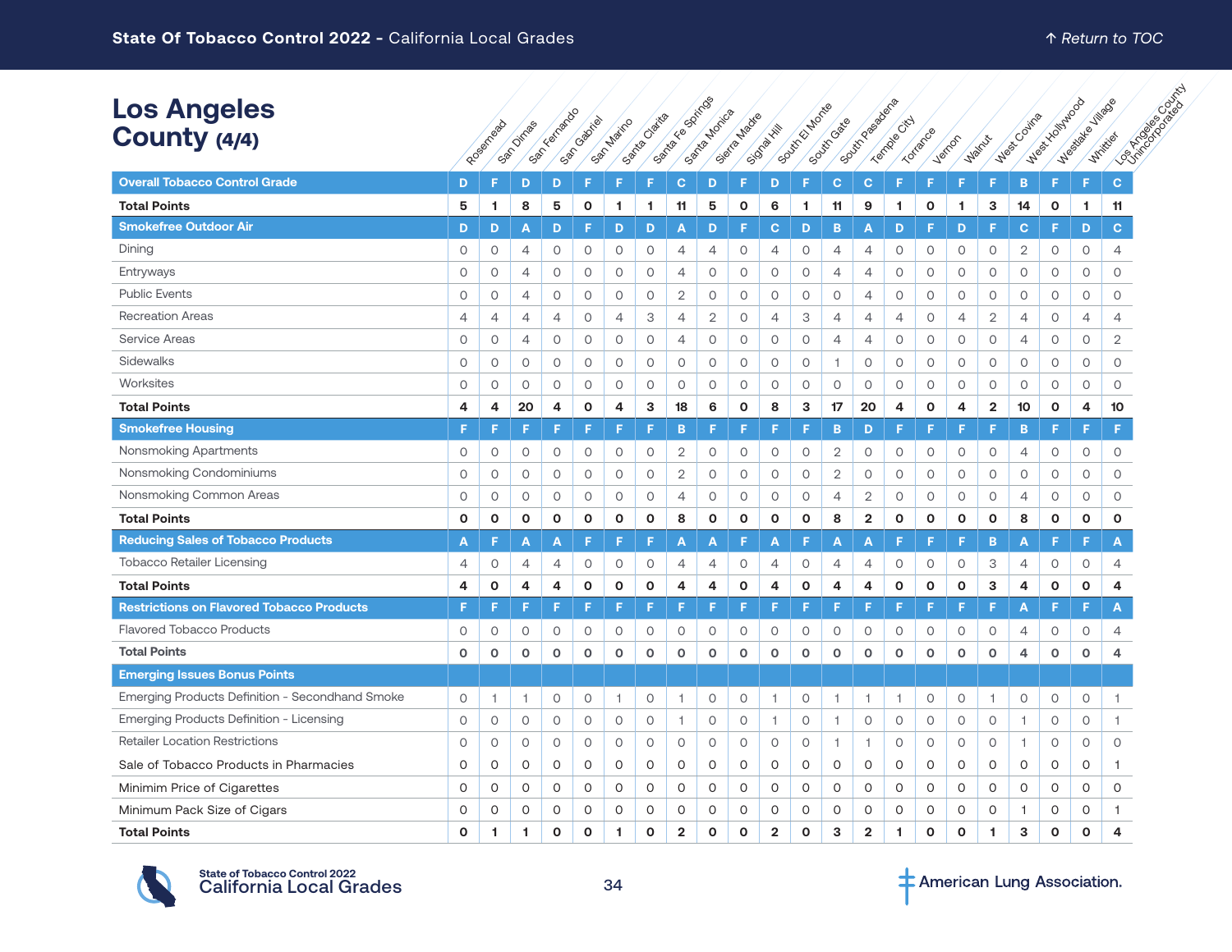| <b>Los Angeles</b><br>County (4/4)               |              | Rosantea     | San Dirras     | Santanado    | San Cabriel  | San Marino     | Santa Claita | Santa Espiritos | Santa Motica   | Sierta Medie | Signal Hill    | South El Monte | South Gase     | South Passage of        | Templar City | Torrance    | Verrion      | Walnux                  | Wasc Count     | Mexicolation | Mestable Village | Los Kingdom Construction |  |
|--------------------------------------------------|--------------|--------------|----------------|--------------|--------------|----------------|--------------|-----------------|----------------|--------------|----------------|----------------|----------------|-------------------------|--------------|-------------|--------------|-------------------------|----------------|--------------|------------------|--------------------------|--|
| <b>Overall Tobacco Control Grade</b>             | D            | Е            | D              | D            | F            |                |              | $\mathbf{C}$    | D              |              | D              | F              | C              | $\mathbf{C}$            | F            |             | F            |                         | B              | F            | F                | $\mathbf{C}$             |  |
| <b>Total Points</b>                              | 5            | 1            | 8              | 5            | $\mathbf 0$  | 1              | 1            | 11              | 5              | O            | 6              | 1.             | 11             | 9                       | 1            | O           | 1            | 3                       | 14             | $\mathbf{o}$ | 1                | 11                       |  |
| <b>Smokefree Outdoor Air</b>                     | D            | D            | Α              | D            | F            | D              | D            | A               | D              | F            | $\mathbf{C}$   | D              | B              | A                       | D            | F           | D            | F                       | $\mathbf{C}$   | F            | D                | $\mathbf{C}$             |  |
| Dining                                           | 0            | $\circ$      | 4              | 0            | 0            | 0              | $\circ$      | $\overline{4}$  | $\overline{4}$ | $\circ$      | 4              | 0              | 4              | 4                       | $\circ$      | $\circ$     | 0            | 0                       | $\overline{2}$ | 0            | $\circ$          | 4                        |  |
| Entryways                                        | 0            | $\circ$      | 4              | $\circ$      | 0            | 0              | $\circ$      | $\overline{4}$  | $\circ$        | 0            | $\circ$        | $\circ$        | $\overline{4}$ | 4                       | $\circ$      | 0           | 0            | $\circ$                 | 0              | 0            | $\circ$          | 0                        |  |
| <b>Public Events</b>                             | 0            | $\circ$      | 4              | $\circ$      | 0            | 0              | 0            | $\overline{2}$  | $\circ$        | $\circ$      | 0              | $\circ$        | $\circ$        | 4                       | $\circ$      | $\circ$     | 0            | 0                       | $\circ$        | 0            | $\circ$          | 0                        |  |
| <b>Recreation Areas</b>                          | 4            | 4            | 4              | 4            | $\circ$      | 4              | 3            | 4               | $\overline{2}$ | $\circ$      | 4              | 3              | $\overline{4}$ | 4                       | 4            | 0           | 4            | $\mathbf{2}$            | 4              | 0            | 4                | 4                        |  |
| Service Areas                                    | 0            | $\circ$      | 4              | 0            | $\circ$      | $\circ$        | 0            | $\overline{4}$  | $\circ$        | $\circ$      | $\circ$        | $\circ$        | $\overline{4}$ | $\overline{4}$          | $\circ$      | $\circ$     | 0            | $\circ$                 | 4              | 0            | $\circ$          | $\mathbf{2}$             |  |
| Sidewalks                                        | 0            | $\circ$      | $\circ$        | 0            | $\circ$      | $\circ$        | 0            | $\circ$         | $\circ$        | $\circ$      | 0              | $\circ$        | $\overline{1}$ | $\circ$                 | $\circ$      | 0           | 0            | $\circ$                 | 0              | 0            | $\circ$          | 0                        |  |
| Worksites                                        | 0            | $\circ$      | 0              | $\circ$      | $\circ$      | $\circ$        | $\circ$      | $\circ$         | $\circ$        | $\circ$      | 0              | 0              | $\circ$        | $\circ$                 | $\circ$      | 0           | 0            | $\circ$                 | $\circ$        | 0            | $\circ$          | 0                        |  |
| <b>Total Points</b>                              | 4            | 4            | 20             | 4            | $\mathbf 0$  | 4              | 3            | 18              | 6              | 0            | 8              | 3              | 17             | 20                      | 4            | 0           | 4            | $\overline{\mathbf{2}}$ | 10             | $\mathbf 0$  | 4                | 10                       |  |
| <b>Smokefree Housing</b>                         | F            | F            | F              | F            | F            | F              | F            | B               | F              | F            | F              | F              | B              | D                       | F            | F           | F            | F                       | B              | F            | F                | F.                       |  |
| Nonsmoking Apartments                            | 0            | $\circ$      | $\circ$        | $\circ$      | 0            | $\circ$        | $\circ$      | $\overline{2}$  | $\circ$        | $\circ$      | 0              | $\circ$        | 2              | $\circ$                 | $\circ$      | $\circ$     | 0            | $\circ$                 | $\overline{4}$ | 0            | $\circ$          | 0                        |  |
| Nonsmoking Condominiums                          | 0            | $\circ$      | $\circ$        | 0            | 0            | 0              | 0            | 2               | $\circ$        | $\circ$      | $\circ$        | 0              | 2              | $\circ$                 | 0            | 0           | 0            | $\circ$                 | 0              | 0            | $\circ$          | 0                        |  |
| Nonsmoking Common Areas                          | 0            | $\circ$      | $\circ$        | $\circ$      | $\circ$      | $\circ$        | $\circ$      | $\overline{4}$  | $\circ$        | 0            | $\circ$        | $\circ$        | 4              | $\mathbf{2}$            | $\circ$      | 0           | 0            | $\circ$                 | 4              | $\circ$      | $\circ$          | 0                        |  |
| <b>Total Points</b>                              | $\mathbf{o}$ | $\mathbf{o}$ | $\mathbf o$    | $\mathbf{o}$ | $\mathbf 0$  | $\mathbf{o}$   | $\mathbf{o}$ | 8               | $\mathbf{o}$   | $\mathbf{o}$ | $\mathbf{o}$   | $\mathbf{o}$   | 8              | $\overline{\mathbf{2}}$ | $\mathbf{o}$ | $\mathbf o$ | $\mathbf{o}$ | $\mathbf o$             | 8              | $\mathbf{o}$ | $\mathbf 0$      | O                        |  |
| <b>Reducing Sales of Tobacco Products</b>        | A            | F            | Α              | Α            | F            | F              | F            | Α               | Α              | Е            | A              | F              | Α              | Α                       |              | F           | F            | B                       | Α              | F            | F                | A                        |  |
| <b>Tobacco Retailer Licensing</b>                | 4            | $\circ$      | 4              | 4            | 0            | 0              | 0            | 4               | $\overline{4}$ | 0            | 4              | 0              | 4              | 4                       | 0            | 0           | 0            | 3                       | 4              | 0            | 0                | 4                        |  |
| <b>Total Points</b>                              | 4            | $\mathbf{o}$ | 4              | 4            | $\mathbf{o}$ | $\mathbf{o}$   | $\mathbf{o}$ | 4               | 4              | O            | 4              | $\mathbf{o}$   | $\overline{4}$ | 4                       | $\mathbf o$  | O           | O            | 3                       | 4              | $\mathbf{o}$ | $\mathbf{o}$     | 4                        |  |
| <b>Restrictions on Flavored Tobacco Products</b> | F.           | F            | F              | F            | F            | F              | F            | F               | F              | F            | F              | F              | F              | F                       | F            | F           | F            | F                       | Α              | F            | F                | A                        |  |
| <b>Flavored Tobacco Products</b>                 | 0            | $\circ$      | 0              | 0            | $\circ$      | 0              | 0            | $\circ$         | $\circ$        | $\circ$      | $\circ$        | 0              | $\circ$        | $\circ$                 | 0            | $\circ$     | 0            | 0                       | 4              | 0            | 0                | 4                        |  |
| <b>Total Points</b>                              | $\circ$      | $\mathbf 0$  | $\circ$        | $\mathbf o$  | $\mathbf 0$  | $\mathbf 0$    | $\mathbf{o}$ | $\circ$         | $\circ$        | $\circ$      | $\circ$        | $\circ$        | $\mathbf 0$    | $\circ$                 | $\circ$      | $\circ$     | $\mathbf o$  | $\mathbf 0$             | 4              | $\circ$      | $\mathbf 0$      | 4                        |  |
| <b>Emerging Issues Bonus Points</b>              |              |              |                |              |              |                |              |                 |                |              |                |                |                |                         |              |             |              |                         |                |              |                  |                          |  |
| Emerging Products Definition - Secondhand Smoke  | 0            | 1            | $\overline{1}$ | 0            | $\circ$      | $\overline{1}$ | 0            | 1               | $\circ$        | $\circ$      | $\overline{1}$ | 0              | 1              | -1                      | 1            | $\circ$     | 0            | 1                       | $\circ$        | 0            | 0                | 1.                       |  |
| Emerging Products Definition - Licensing         | $\circ$      | $\circ$      | $\circ$        | $\circ$      | $\circ$      | O              | $\circ$      | $\overline{1}$  | $\circ$        | $\circ$      | $\overline{1}$ | $\circ$        | $\mathbf{1}$   | $\circ$                 | $\circ$      | $\circ$     | 0            | $\circ$                 | 1              | $\circ$      | 0                | 1                        |  |
| <b>Retailer Location Restrictions</b>            | 0            | $\circ$      | $\circ$        | 0            | $\circ$      | $\circ$        | 0            | $\circ$         | $\circ$        | $\circ$      | $\circ$        | $\circ$        | $\overline{1}$ | 1                       | $\circ$      | $\circ$     | 0            | $\circ$                 | 1              | 0            | $\circ$          | $\circ$                  |  |
| Sale of Tobacco Products in Pharmacies           | 0            | 0            | 0              | 0            | 0            | 0              | 0            | 0               | 0              | 0            | 0              | 0              | 0              | 0                       | 0            | 0           | 0            | 0                       | 0              | 0            | 0                | -1                       |  |
| Minimim Price of Cigarettes                      | 0            | 0            | 0              | 0            | 0            | O              | 0            | 0               | 0              | 0            | 0              | 0              | O              | 0                       | 0            | 0           | 0            | 0                       | 0              | 0            | 0                | 0                        |  |
| Minimum Pack Size of Cigars                      | $\circ$      | $\circ$      | $\mathbf 0$    | $\circ$      | $\circ$      | $\mathsf{O}$   | $\Omega$     | $\circ$         | $\circ$        | 0            | $\circ$        | $\circ$        | $\circ$        | $\circ$                 | $\circ$      | O           | 0            | $\circ$                 | -1             | 0            | $\circ$          |                          |  |





**Total Points 0 1 1 0 0 1 0 2 0 0 2 0 3 2 1 0 0 1 3 0 0 4**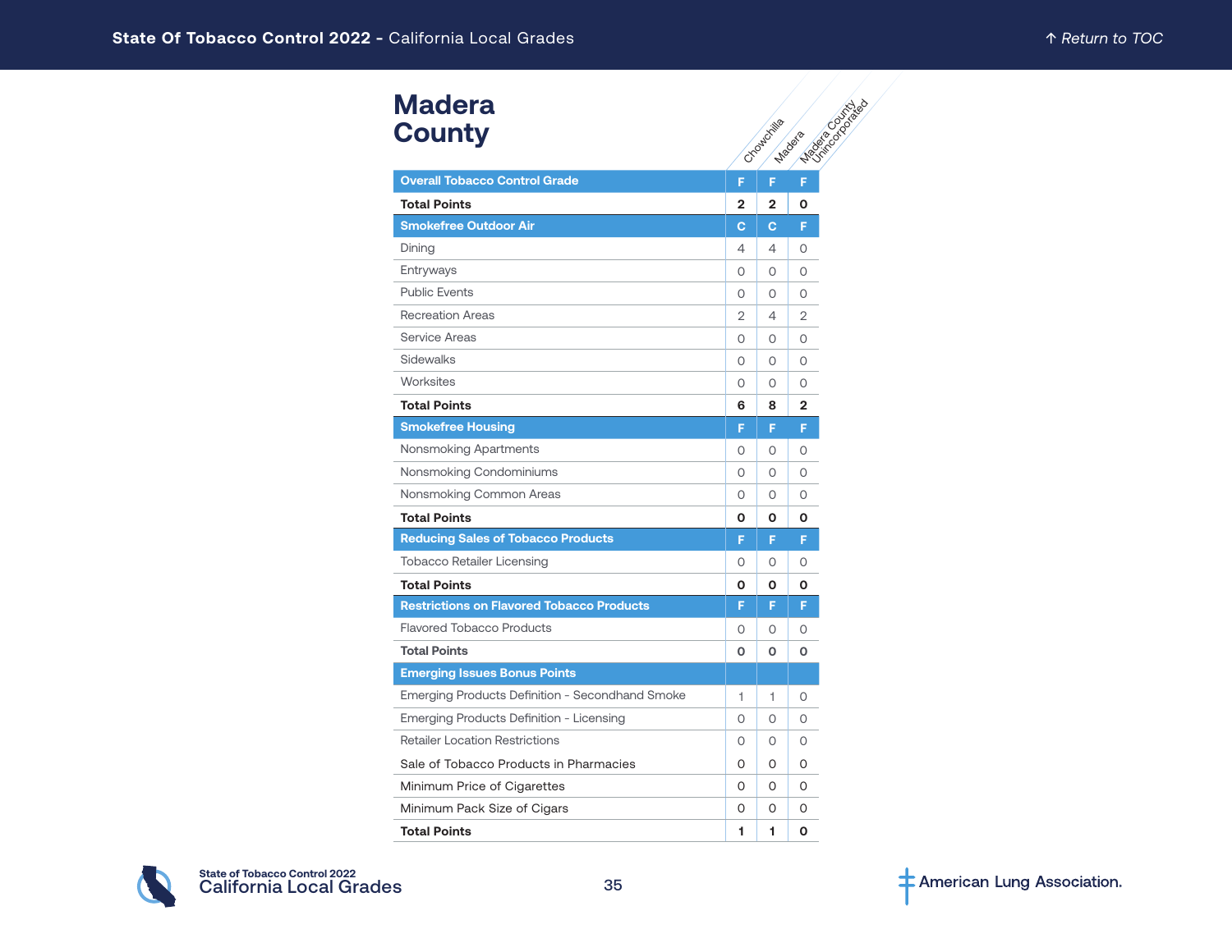# **Madera County**

| Madera                                                 |              |              |                                  |
|--------------------------------------------------------|--------------|--------------|----------------------------------|
| <b>County</b>                                          |              | Cyclowddiae  | <b>Magazine</b><br><b>Madeia</b> |
|                                                        |              |              |                                  |
| <b>Overall Tobacco Control Grade</b>                   | F            | F.           | F                                |
| <b>Total Points</b>                                    | $\mathbf{2}$ | 2            | 0                                |
| <b>Smokefree Outdoor Air</b>                           | $\mathbf{C}$ | $\mathbf{C}$ | F                                |
| Dining                                                 | 4            | 4            | O                                |
| Entryways                                              | $\circ$      | O            | 0                                |
| <b>Public Events</b>                                   | $\circ$      | 0            | O                                |
| <b>Recreation Areas</b>                                | 2            | 4            | 2                                |
| <b>Service Areas</b>                                   | $\Omega$     | O            | $\Omega$                         |
| Sidewalks                                              | $\circ$      | 0            | O                                |
| Worksites                                              | $\Omega$     | 0            | O                                |
| <b>Total Points</b>                                    | 6            | 8            | 2                                |
| <b>Smokefree Housing</b>                               | F            | F            | F                                |
| Nonsmoking Apartments                                  | $\circ$      | 0            | O                                |
| Nonsmoking Condominiums                                | $\circ$      | O            | 0                                |
| Nonsmoking Common Areas                                | $\circ$      | 0            | O                                |
| <b>Total Points</b>                                    | O            | O            | Ο                                |
| <b>Reducing Sales of Tobacco Products</b>              | F            | F            | F                                |
| <b>Tobacco Retailer Licensing</b>                      | 0            | O            | O                                |
| <b>Total Points</b>                                    | 0            | O            | 0                                |
| <b>Restrictions on Flavored Tobacco Products</b>       | F            | F            | F                                |
| <b>Flavored Tobacco Products</b>                       | 0            | 0            | 0                                |
| <b>Total Points</b>                                    | $\Omega$     | 0            | O                                |
| <b>Emerging Issues Bonus Points</b>                    |              |              |                                  |
| <b>Emerging Products Definition - Secondhand Smoke</b> | 1            | 1            | 0                                |
| Emerging Products Definition - Licensing               | $\circ$      | 0            | 0                                |
| <b>Retailer Location Restrictions</b>                  | 0            | 0            | 0                                |
| Sale of Tobacco Products in Pharmacies                 | 0            | 0            | 0                                |
| Minimum Price of Cigarettes                            | 0            | 0            | O                                |
| Minimum Pack Size of Cigars                            | O            | O            | 0                                |
| <b>Total Points</b>                                    | 1            | 1            | O                                |

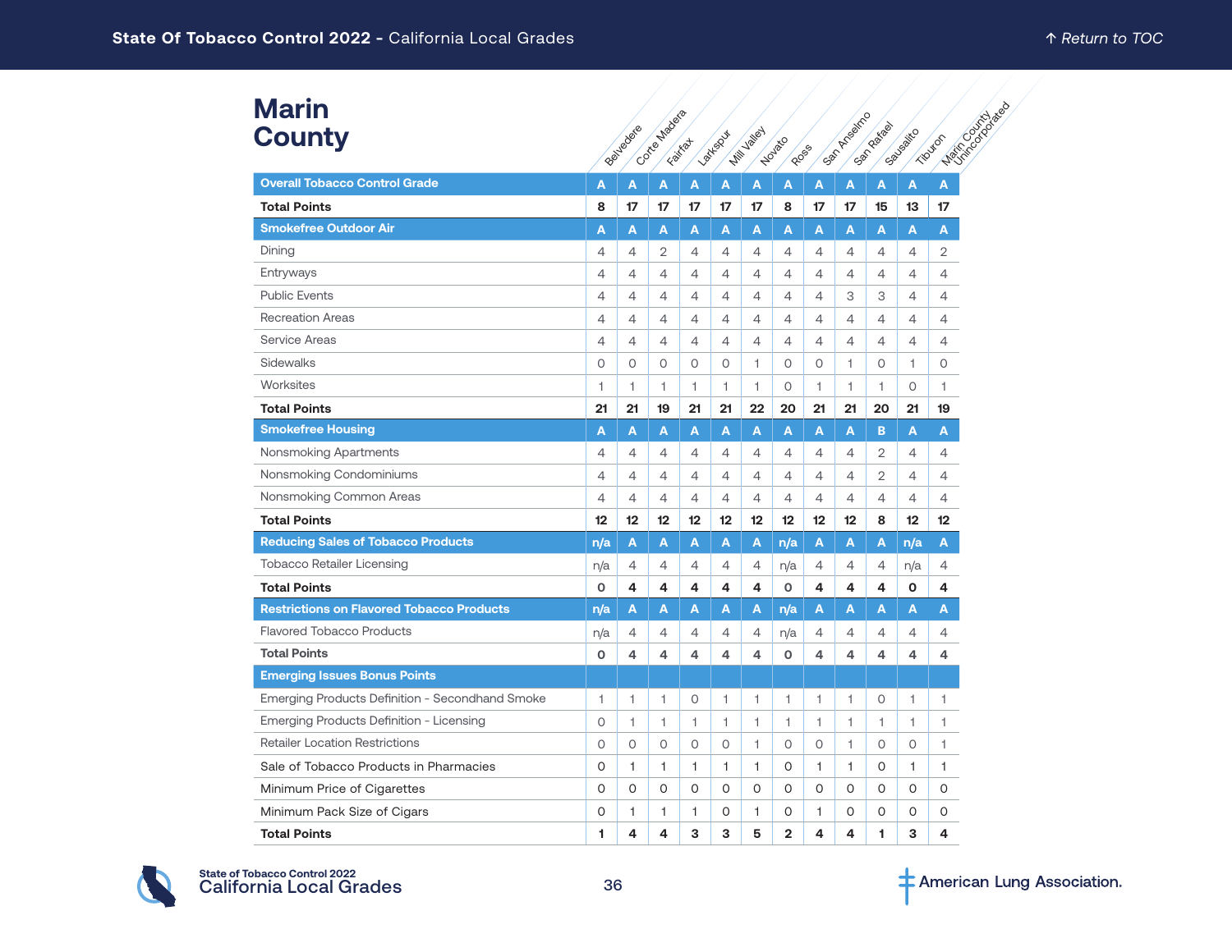### **Marin County**

| <b>Marin</b><br><b>County</b>                    |                | Beltredere     | Contea Madeia  | Faited                   | <b>Parksput</b> | <b>Mill Valley</b> | Novaçõ<br>RDGS |                | <b>San Artisoinco</b> | San Raiga | Sausakto     | Maritime Back<br>Tiputon |  |
|--------------------------------------------------|----------------|----------------|----------------|--------------------------|-----------------|--------------------|----------------|----------------|-----------------------|-----------|--------------|--------------------------|--|
| <b>Overall Tobacco Control Grade</b>             | Α              | A              | A              | A                        | A               | A                  | Α              | A              | A                     | A         | A            | A                        |  |
| <b>Total Points</b>                              | 8              | 17             | 17             | 17                       | 17              | 17                 | 8              | 17             | 17                    | 15        | 13           | 17                       |  |
| <b>Smokefree Outdoor Air</b>                     | A              | A              | A              | A                        | A               | A                  | A              | A              | A                     | A         | A            | A                        |  |
| Dining                                           | 4              | 4              | $\overline{2}$ | 4                        | 4               | 4                  | 4              | 4              | 4                     | 4         | 4            | 2                        |  |
| Entryways                                        | 4              | 4              | 4              | 4                        | 4               | 4                  | 4              | 4              | 4                     | 4         | 4            | 4                        |  |
| <b>Public Events</b>                             | 4              | 4              | 4              | 4                        | 4               | 4                  | 4              | 4              | 3                     | 3         | 4            | 4                        |  |
| <b>Recreation Areas</b>                          | $\overline{4}$ | $\overline{4}$ | 4              | $\overline{4}$           | $\overline{4}$  | 4                  | 4              | $\overline{4}$ | 4                     | 4         | 4            | 4                        |  |
| <b>Service Areas</b>                             | $\overline{4}$ | 4              | 4              | $\overline{4}$           | $\overline{4}$  | 4                  | 4              | 4              | 4                     | 4         | 4            | $\overline{4}$           |  |
| Sidewalks                                        | $\circ$        | $\circ$        | 0              | $\Omega$                 | $\circ$         | 1                  | 0              | $\circ$        | 1                     | $\circ$   | 1            | $\circ$                  |  |
| Worksites                                        | 1              | 1              | 1              | 1                        | 1               | 1                  | 0              | 1.             | 1.                    | 1.        | 0            | 1.                       |  |
| <b>Total Points</b>                              | 21             | 21             | 19             | 21                       | 21              | 22                 | 20             | 21             | 21                    | 20        | 21           | 19                       |  |
| <b>Smokefree Housing</b>                         | A              | A              | A              | A                        | A               | A                  | A              | A              | A                     | B         | A            | A                        |  |
| Nonsmoking Apartments                            | 4              | 4              | 4              | 4                        | 4               | 4                  | 4              | 4              | 4                     | 2         | 4            | 4                        |  |
| Nonsmoking Condominiums                          | $\overline{4}$ | 4              | 4              | 4                        | $\overline{4}$  | 4                  | 4              | 4              | 4                     | 2         | 4            | 4                        |  |
| Nonsmoking Common Areas                          | $\overline{4}$ | $\overline{4}$ | 4              | 4                        | $\overline{4}$  | 4                  | 4              | $\overline{4}$ | 4                     | 4         | 4            | $\overline{4}$           |  |
| <b>Total Points</b>                              | 12             | 12             | 12             | 12                       | 12              | 12                 | 12             | 12             | 12                    | 8         | 12           | 12                       |  |
| <b>Reducing Sales of Tobacco Products</b>        | n/a            | A              | А              | A                        | A               | A                  | n/a            | A              | A                     | A         | n/a          | A                        |  |
| <b>Tobacco Retailer Licensing</b>                | n/a            | 4              | 4              | 4                        | $\overline{4}$  | 4                  | n/a            | 4              | 4                     | 4         | n/a          | 4                        |  |
| <b>Total Points</b>                              | $\Omega$       | 4              | 4              | 4                        | 4               | 4                  | O              | 4              | 4                     | 4         | O            | 4                        |  |
| <b>Restrictions on Flavored Tobacco Products</b> | n/a            | A              | А              | A                        | A               | A                  | n/a            | A              | A                     | A         | A            | A                        |  |
| <b>Flavored Tobacco Products</b>                 | n/a            | 4              | 4              | 4                        | 4               | 4                  | n/a            | 4              | $\overline{4}$        | 4         | 4            | 4                        |  |
| <b>Total Points</b>                              | $\mathbf 0$    | 4              | 4              | 4                        | 4               | 4                  | O              | 4              | 4                     | 4         | 4            | 4                        |  |
| <b>Emerging Issues Bonus Points</b>              |                |                |                |                          |                 |                    |                |                |                       |           |              |                          |  |
| Emerging Products Definition - Secondhand Smoke  | 1              | 1              | 1              | 0                        | 1               | 1                  | 1              | 1              | 1                     | 0         | 1            | 1                        |  |
| Emerging Products Definition - Licensing         | $\circ$        | 1              | 1              | $\overline{\phantom{a}}$ | 1               | 1                  | $\mathbf{1}$   | 1              | 1                     | 1         | 1.           | 1                        |  |
| <b>Retailer Location Restrictions</b>            | $\circ$        | $\circ$        | $\circ$        | 0                        | $\circ$         | 1                  | O              | $\circ$        | $\mathbf{1}$          | $\circ$   | $\circ$      | 1                        |  |
| Sale of Tobacco Products in Pharmacies           | O              | 1              | 1              | $\mathbf{1}$             | 1               | 1                  | 0              | 1              | $\mathbf{1}$          | 0         | $\mathbf{1}$ | 1                        |  |
| Minimum Price of Cigarettes                      | $\Omega$       | 0              | O              | 0                        | $\Omega$        | O                  | O              | $\Omega$       | 0                     | 0         | 0            | 0                        |  |
| Minimum Pack Size of Cigars                      | 0              | 1              | 1              | $\mathbf{1}$             | 0               | 1.                 | 0              | 1.             | 0                     | 0         | 0            | 0                        |  |
| <b>Total Points</b>                              | 1              | 4              | 4              | 3                        | 3               | 5                  | $\overline{2}$ | 4              | 4                     | 1         | 3            | 4                        |  |

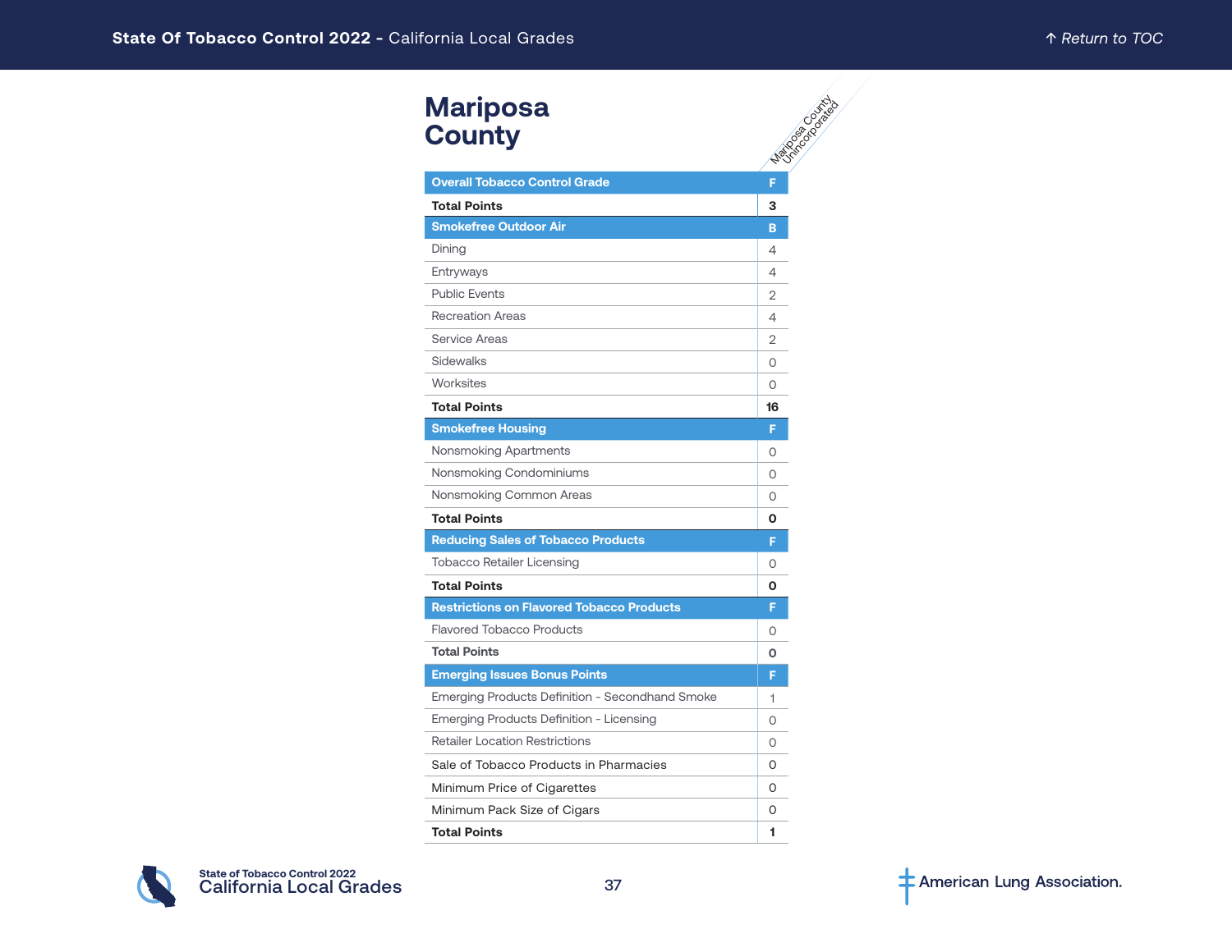| <b>Mariposa</b><br><b>County</b>                 | Mariage Council |
|--------------------------------------------------|-----------------|
| <b>Overall Tobacco Control Grade</b>             | F               |
| <b>Total Points</b>                              | 3               |
| <b>Smokefree Outdoor Air</b>                     | B               |
| Dining                                           | 4               |
| Entryways                                        | 4               |
| <b>Public Events</b>                             | $\overline{2}$  |
| <b>Recreation Areas</b>                          | 4               |
| Service Areas                                    | 2               |
| Sidewalks                                        | O               |
| Worksites                                        | O               |
| <b>Total Points</b>                              | 16              |
| <b>Smokefree Housing</b>                         | F               |
| Nonsmoking Apartments                            | 0               |
| Nonsmoking Condominiums                          | $\Omega$        |
| Nonsmoking Common Areas                          | 0               |
| <b>Total Points</b>                              | 0               |
| <b>Reducing Sales of Tobacco Products</b>        | F               |
| <b>Tobacco Retailer Licensing</b>                | 0               |
| <b>Total Points</b>                              | 0               |
| <b>Restrictions on Flavored Tobacco Products</b> | F               |
| <b>Flavored Tobacco Products</b>                 | $\Omega$        |
| <b>Total Points</b>                              | O               |
| <b>Emerging Issues Bonus Points</b>              | F               |
| Emerging Products Definition - Secondhand Smoke  | 1               |
| Emerging Products Definition - Licensing         | O               |
| <b>Retailer Location Restrictions</b>            | $\Omega$        |
| Sale of Tobacco Products in Pharmacies           | 0               |
| Minimum Price of Cigarettes                      | 0               |
| Minimum Pack Size of Cigars                      | O               |
| <b>Total Points</b>                              | 1               |

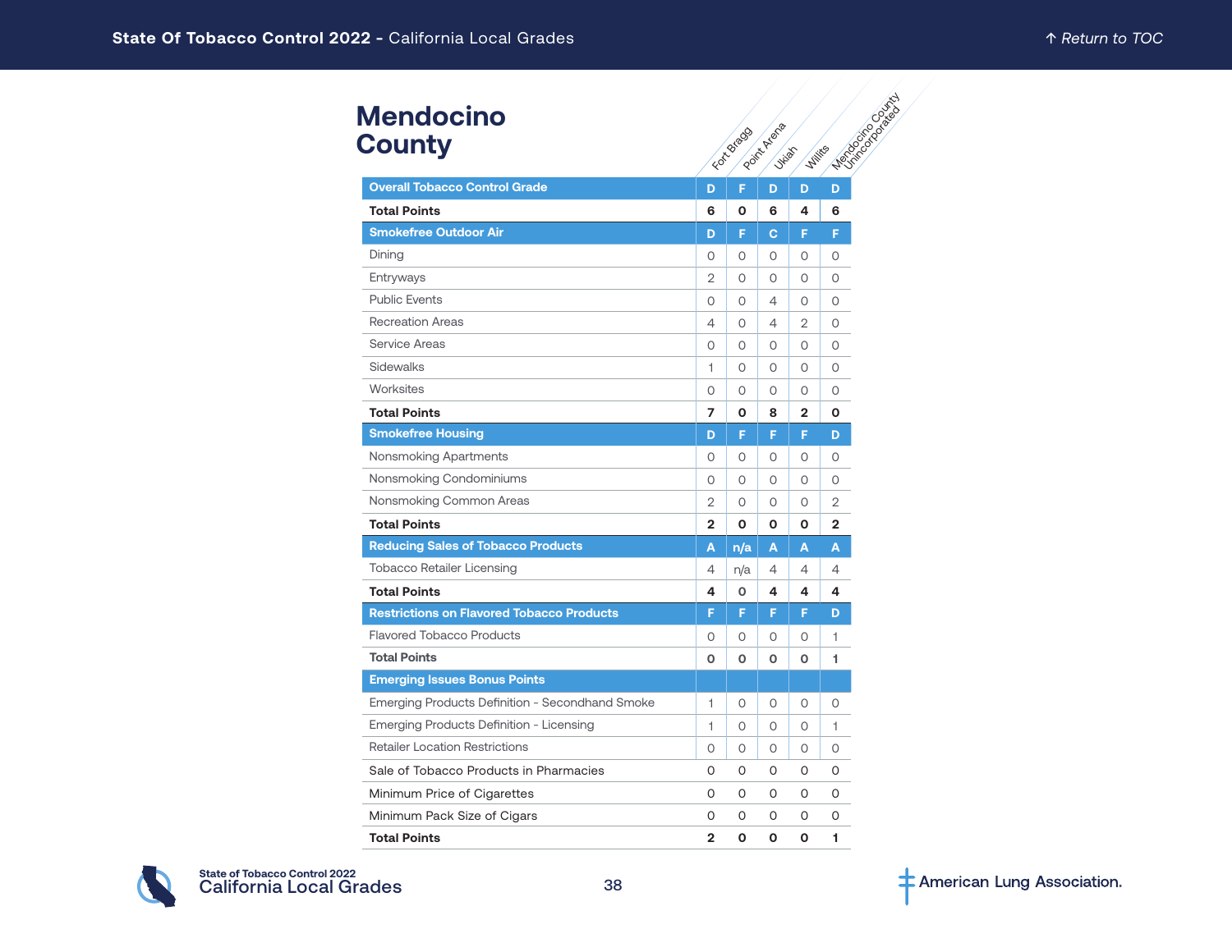# **Mendocino County**

| <b>Mendocino</b><br><b>County</b>                |                | FIDE Bracco | Point Avenue<br><b>Julian</b> | <b>Willie</b> s | Mentioned Crash |
|--------------------------------------------------|----------------|-------------|-------------------------------|-----------------|-----------------|
| <b>Overall Tobacco Control Grade</b>             | D              | F           | D                             | D               | D               |
| <b>Total Points</b>                              | 6              | О           | 6                             | 4               | 6               |
| <b>Smokefree Outdoor Air</b>                     | D              | F           | c                             | F               | F               |
| Dining                                           | 0              | 0           | 0                             | 0               | O               |
| Entryways                                        | 2              | O           | O                             | 0               | 0               |
| <b>Public Events</b>                             | 0              | 0           | 4                             | 0               | 0               |
| <b>Recreation Areas</b>                          | 4              | $\Omega$    | 4                             | $\overline{2}$  | $\Omega$        |
| Service Areas                                    | 0              | 0           | 0                             | 0               | $\circ$         |
| Sidewalks                                        | 1              | 0           | 0                             | 0               | 0               |
| Worksites                                        | 0              | 0           | 0                             | 0               | 0               |
| <b>Total Points</b>                              | 7              | O           | 8                             | $\overline{2}$  | O               |
| <b>Smokefree Housing</b>                         | D              | F           | F                             | F               | D               |
| Nonsmoking Apartments                            | 0              | O           | 0                             | 0               | 0               |
| Nonsmoking Condominiums                          | 0              | 0           | 0                             | 0               | O               |
| Nonsmoking Common Areas                          | $\overline{2}$ | $\Omega$    | $\Omega$                      | $\Omega$        | 2               |
| <b>Total Points</b>                              | $\overline{2}$ | O           | O                             | O               | $\overline{2}$  |
| <b>Reducing Sales of Tobacco Products</b>        | A              | n/a         | A                             | A               | A               |
| <b>Tobacco Retailer Licensing</b>                | 4              | n/a         | 4                             | 4               | 4               |
| <b>Total Points</b>                              | 4              | О           | 4                             | 4               | 4               |
| <b>Restrictions on Flavored Tobacco Products</b> | F              | F           | F                             | F               | D               |
| <b>Flavored Tobacco Products</b>                 | 0              | 0           | 0                             | 0               | 1               |
| <b>Total Points</b>                              | 0              | O           | $\mathbf 0$                   | 0               | 1               |
| <b>Emerging Issues Bonus Points</b>              |                |             |                               |                 |                 |
| Emerging Products Definition - Secondhand Smoke  | 1              | 0           | $\Omega$                      | 0               | $\Omega$        |
| Emerging Products Definition - Licensing         | 1              | $\Omega$    | $\Omega$                      | $\circ$         | 1               |
| <b>Retailer Location Restrictions</b>            | 0              | O           | 0                             | 0               | O               |
| Sale of Tobacco Products in Pharmacies           | 0              | 0           | 0                             | 0               | O               |
| Minimum Price of Cigarettes                      | 0              | 0           | 0                             | $\Omega$        | O               |
| Minimum Pack Size of Cigars                      | 0              | O           | O                             | 0               | 0               |
| <b>Total Points</b>                              | $\mathbf{2}$   | 0           | O                             | O               | 1               |

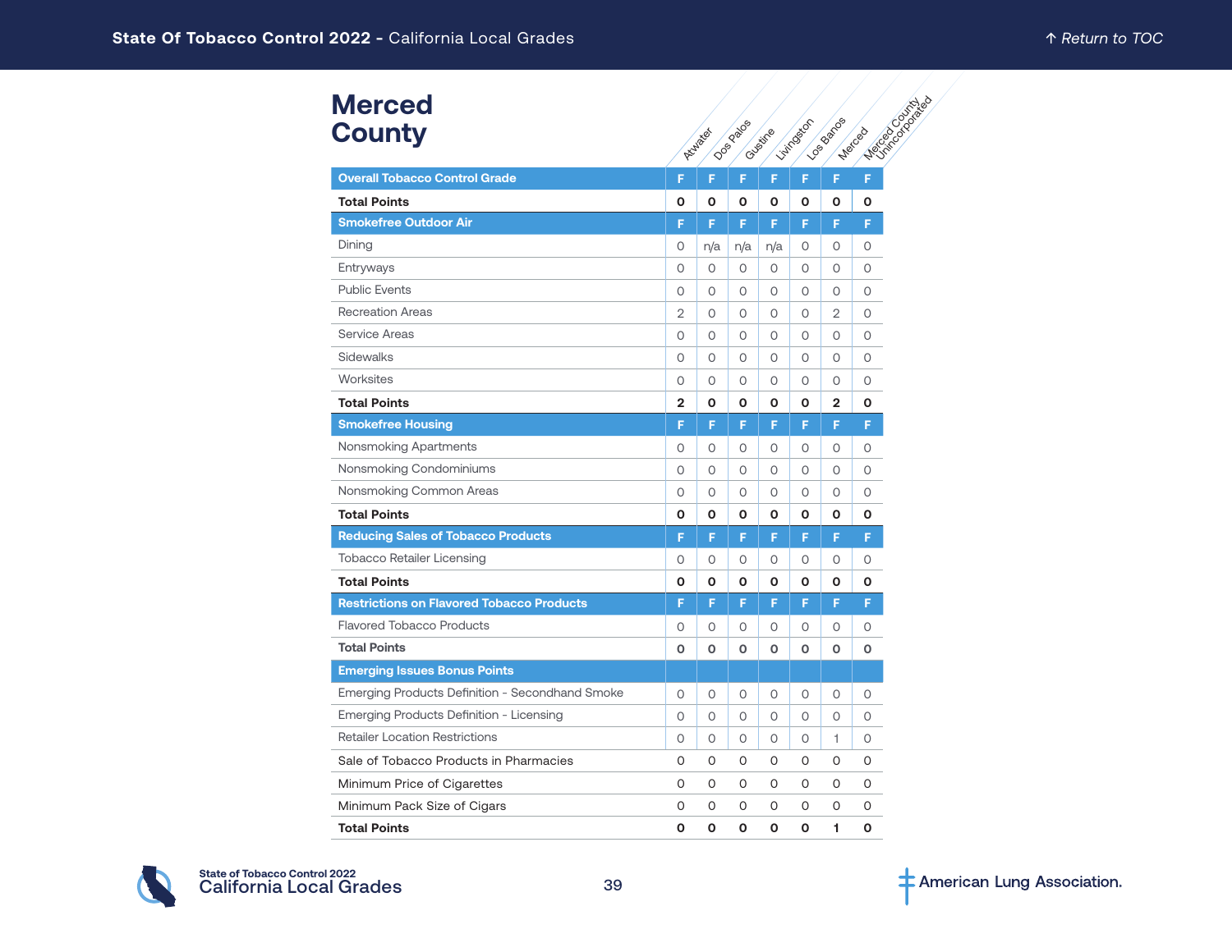| <b>Merced</b><br><b>County</b>                   |                | Atlantic | <b>Dos</b> Pagos | Cuystine | Livingston | <b>LOSBRADS</b> | <b>Music Colorado</b><br><b>Merced</b> |
|--------------------------------------------------|----------------|----------|------------------|----------|------------|-----------------|----------------------------------------|
| <b>Overall Tobacco Control Grade</b>             | F              | F        | F                | F        | F          | F               | F                                      |
| <b>Total Points</b>                              | 0              | O        | O                | O        | O          | O               | 0                                      |
| <b>Smokefree Outdoor Air</b>                     | F              | F        | F                | F        | F          | F               | F                                      |
| Dining                                           | 0              | n/a      | n/a              | n/a      | 0          | 0               | 0                                      |
| Entryways                                        | 0              | $\circ$  | $\circ$          | $\circ$  | $\circ$    | $\circ$         | $\circ$                                |
| <b>Public Events</b>                             | 0              | $\circ$  | 0                | 0        | $\circ$    | 0               | 0                                      |
| <b>Recreation Areas</b>                          | $\overline{2}$ | $\circ$  | $\circ$          | $\circ$  | $\Omega$   | $\overline{2}$  | $\circ$                                |
| <b>Service Areas</b>                             | 0              | $\circ$  | $\circ$          | $\circ$  | $\circ$    | $\circ$         | $\circ$                                |
| Sidewalks                                        | 0              | 0        | O                | $\Omega$ | 0          | 0               | 0                                      |
| Worksites                                        | 0              | $\Omega$ | $\circ$          | $\circ$  | $\circ$    | $\circ$         | $\circ$                                |
| <b>Total Points</b>                              | $\mathbf{2}$   | O        | O                | O        | 0          | $\mathbf{2}$    | O                                      |
| <b>Smokefree Housing</b>                         | F              | F        | F                | F        | F          | F               | F                                      |
| Nonsmoking Apartments                            | 0              | 0        | 0                | 0        | O          | 0               | 0                                      |
| Nonsmoking Condominiums                          | 0              | 0        | O                | 0        | 0          | 0               | 0                                      |
| Nonsmoking Common Areas                          | 0              | $\circ$  | $\circ$          | $\circ$  | $\circ$    | $\circ$         | $\circ$                                |
| <b>Total Points</b>                              | O              | O        | O                | O        | O          | O               | O                                      |
| <b>Reducing Sales of Tobacco Products</b>        | F              | F        | F                | F        | F          | F.              | F                                      |
| <b>Tobacco Retailer Licensing</b>                | 0              | 0        | 0                | 0        | O          | 0               | 0                                      |
| <b>Total Points</b>                              | 0              | O        | О                | O        | 0          | О               | O                                      |
| <b>Restrictions on Flavored Tobacco Products</b> | F              | F        | F                | F        | F          | F               | F                                      |
| <b>Flavored Tobacco Products</b>                 | 0              | 0        | 0                | 0        | 0          | 0               | 0                                      |
| <b>Total Points</b>                              | 0              | O        | O                | O        | O          | O               | 0                                      |
| <b>Emerging Issues Bonus Points</b>              |                |          |                  |          |            |                 |                                        |
| Emerging Products Definition - Secondhand Smoke  | 0              | 0        | 0                | 0        | 0          | 0               | 0                                      |
| Emerging Products Definition - Licensing         | 0              | $\circ$  | $\circ$          | $\circ$  | $\circ$    | $\circ$         | $\circ$                                |
| <b>Retailer Location Restrictions</b>            | 0              | 0        | 0                | 0        | 0          | 1               | 0                                      |
| Sale of Tobacco Products in Pharmacies           | 0              | 0        | 0                | 0        | 0          | 0               | 0                                      |
| Minimum Price of Cigarettes                      | 0              | 0        | O                | 0        | O          | 0               | 0                                      |
| Minimum Pack Size of Cigars                      | 0              | 0        | 0                | 0        | 0          | 0               | 0                                      |
| <b>Total Points</b>                              | 0              | O        | O                | O        | O          | 1.              | O                                      |

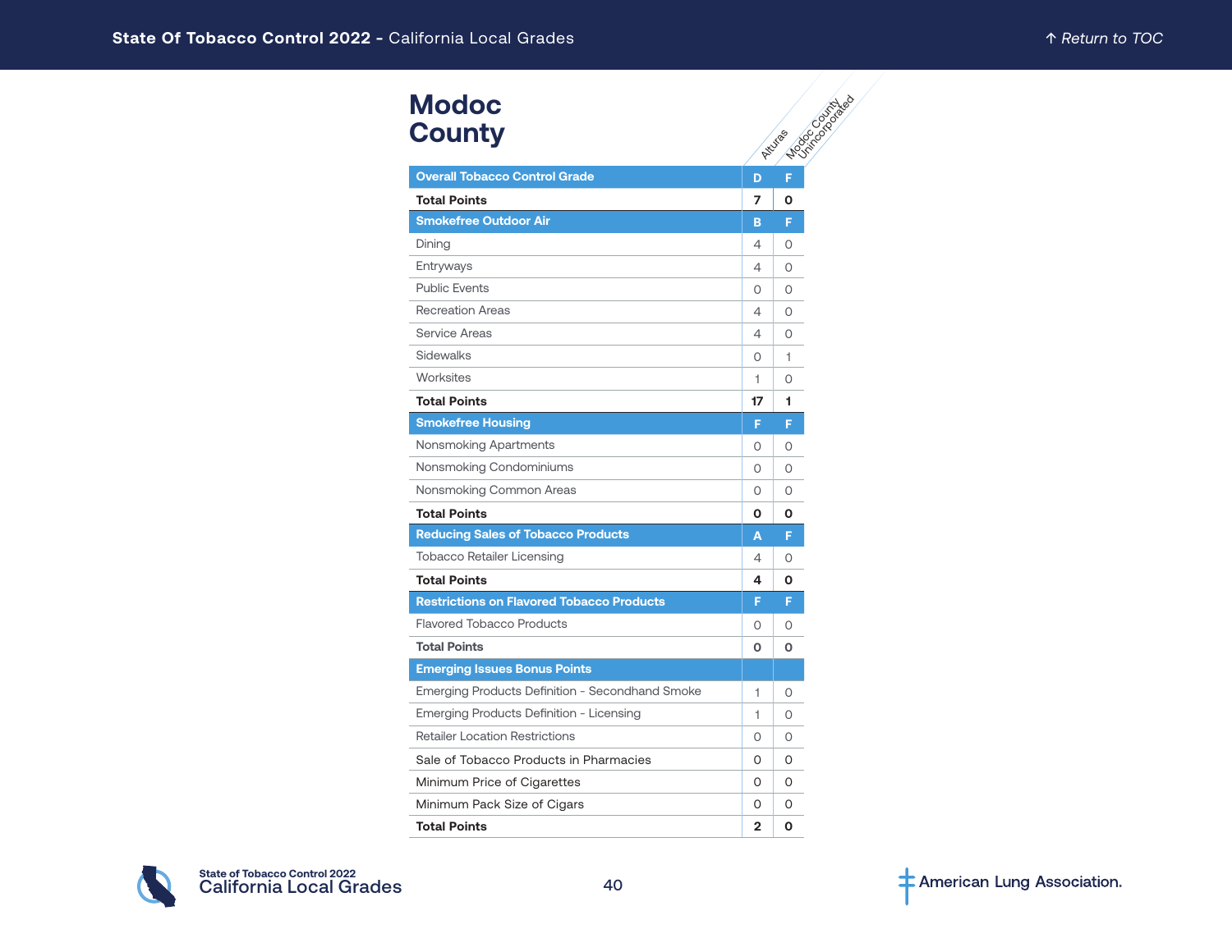| <b>Modoc</b><br><b>County</b>                    |                | Elderdo Dispitado<br>Atturas |
|--------------------------------------------------|----------------|------------------------------|
| <b>Overall Tobacco Control Grade</b>             | D              | F                            |
| <b>Total Points</b>                              | 7              | O                            |
| <b>Smokefree Outdoor Air</b>                     | в              | F                            |
| Dining                                           | 4              | $\Omega$                     |
| Entryways                                        | 4              | 0                            |
| <b>Public Events</b>                             | 0              | 0                            |
| <b>Recreation Areas</b>                          | 4              | $\Omega$                     |
| Service Areas                                    | 4              | 0                            |
| Sidewalks                                        | 0              | 1                            |
| Worksites                                        | 1              | 0                            |
| <b>Total Points</b>                              | 17             | 1                            |
| <b>Smokefree Housing</b>                         | F              | F                            |
| Nonsmoking Apartments                            | $\Omega$       | 0                            |
| Nonsmoking Condominiums                          | 0              | 0                            |
| Nonsmoking Common Areas                          | $\Omega$       | $\Omega$                     |
| <b>Total Points</b>                              | 0              | O                            |
| <b>Reducing Sales of Tobacco Products</b>        | Α              | F                            |
| <b>Tobacco Retailer Licensing</b>                | 4              | $\Omega$                     |
| <b>Total Points</b>                              | 4              | O                            |
| <b>Restrictions on Flavored Tobacco Products</b> | F              | F                            |
| <b>Flavored Tobacco Products</b>                 | O              | $\Omega$                     |
| <b>Total Points</b>                              | 0              | O                            |
| <b>Emerging Issues Bonus Points</b>              |                |                              |
| Emerging Products Definition - Secondhand Smoke  | 1              | $\Omega$                     |
| Emerging Products Definition - Licensing         | 1              | 0                            |
| <b>Retailer Location Restrictions</b>            | 0              | 0                            |
| Sale of Tobacco Products in Pharmacies           | 0              | 0                            |
| Minimum Price of Cigarettes                      | 0              | 0                            |
| Minimum Pack Size of Cigars                      | 0              | 0                            |
| <b>Total Points</b>                              | $\overline{2}$ | 0                            |

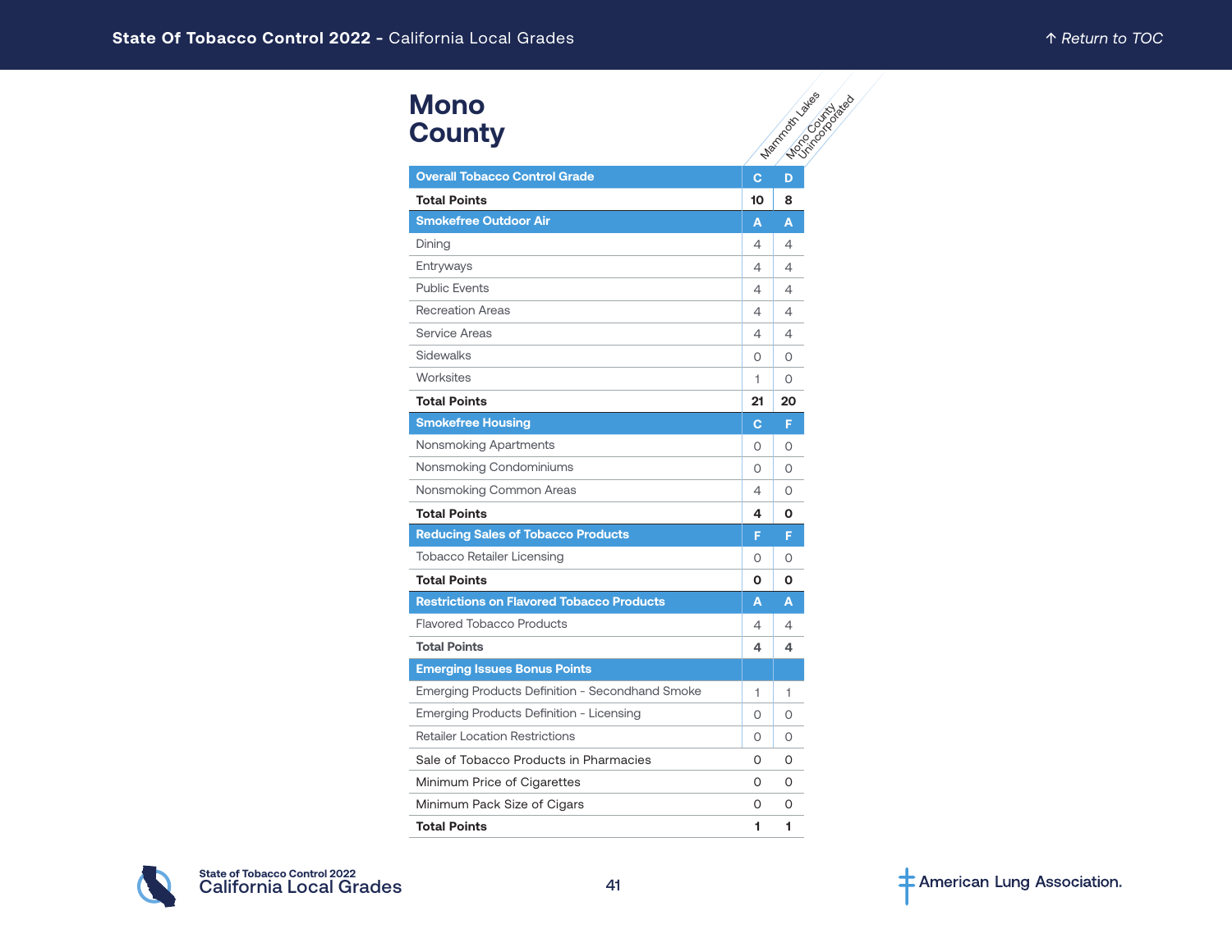| <b>Mono</b><br><b>County</b>                     |          | <b>Maritime River Calgary</b> |
|--------------------------------------------------|----------|-------------------------------|
| <b>Overall Tobacco Control Grade</b>             | Ċ        |                               |
| <b>Total Points</b>                              | 10       | 8                             |
| <b>Smokefree Outdoor Air</b>                     | A        | A                             |
| Dining                                           | 4        | 4                             |
| Entryways                                        | 4        | 4                             |
| <b>Public Events</b>                             | 4        | 4                             |
| <b>Recreation Areas</b>                          | 4        | 4                             |
| Service Areas                                    | 4        | 4                             |
| <b>Sidewalks</b>                                 | 0        | 0                             |
| Worksites                                        | 1        | 0                             |
| <b>Total Points</b>                              | 21       | 20                            |
| <b>Smokefree Housing</b>                         | C        | F                             |
| Nonsmoking Apartments                            | $\Omega$ | $\Omega$                      |
| Nonsmoking Condominiums                          | 0        | 0                             |
| Nonsmoking Common Areas                          | 4        | $\Omega$                      |
| <b>Total Points</b>                              | 4        | Ο                             |
| <b>Reducing Sales of Tobacco Products</b>        | F        | F                             |
| <b>Tobacco Retailer Licensing</b>                | 0        | 0                             |
| <b>Total Points</b>                              | O        | Ο                             |
| <b>Restrictions on Flavored Tobacco Products</b> | A        | A                             |
| <b>Flavored Tobacco Products</b>                 | 4        | 4                             |
| <b>Total Points</b>                              | 4        | 4                             |
| <b>Emerging Issues Bonus Points</b>              |          |                               |
| Emerging Products Definition - Secondhand Smoke  | 1        | 1                             |
| Emerging Products Definition - Licensing         | $\circ$  | 0                             |
| <b>Retailer Location Restrictions</b>            | 0        | 0                             |
| Sale of Tobacco Products in Pharmacies           | O        | O                             |
| Minimum Price of Cigarettes                      | O        | O                             |
| Minimum Pack Size of Cigars                      | O        | 0                             |
| <b>Total Points</b>                              | 1        | 1                             |

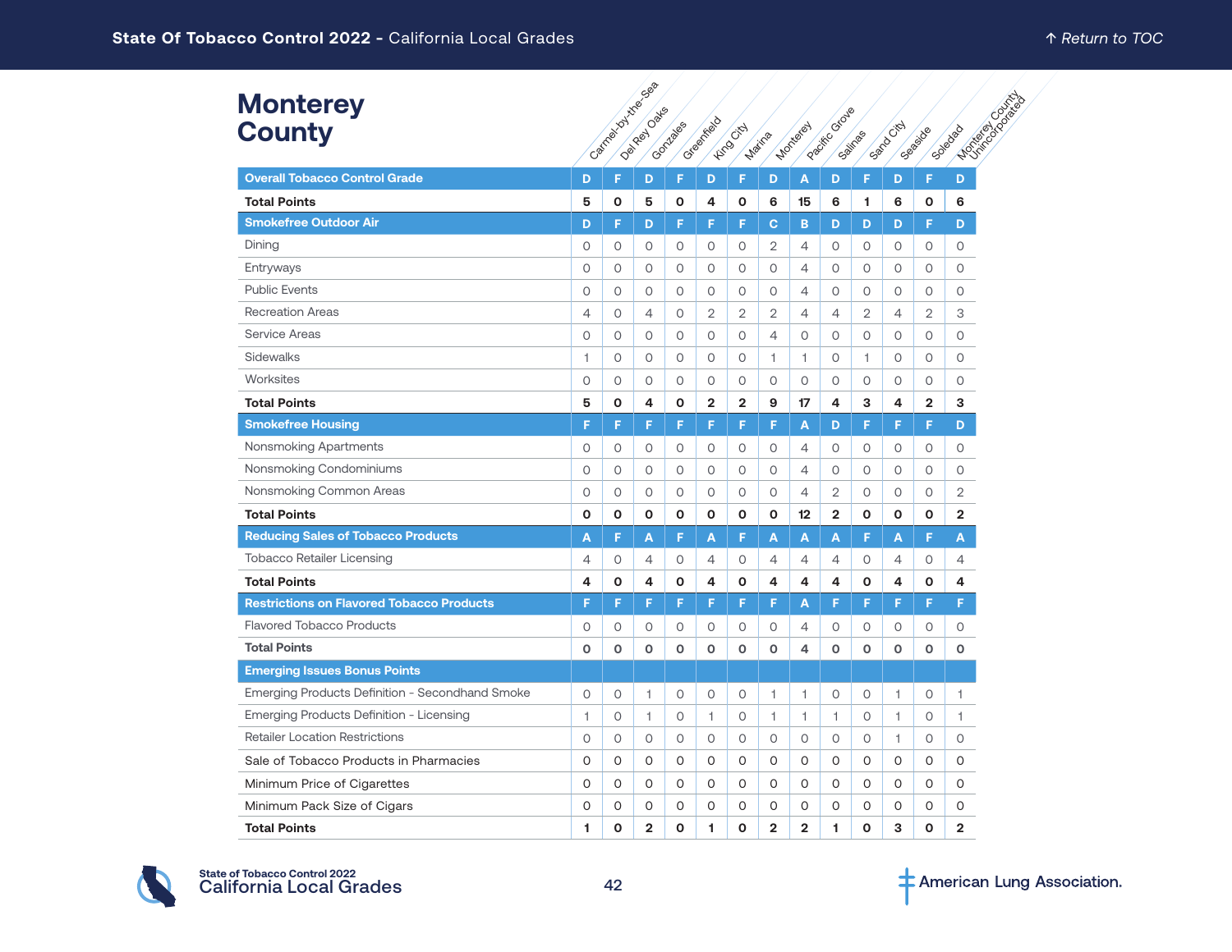| <b>Monterey</b><br><b>County</b>                 |                |              | Cantagonal Hitles Can<br>Delivery Date | Contages     | Creenfield     | <b>Hime</b> City | Marina         | <b>Montered</b>   | Pacific Orous  | Sailnas        | Sandocky       | Gelabide       | <b>NOTIFICATION</b><br>Soledad |
|--------------------------------------------------|----------------|--------------|----------------------------------------|--------------|----------------|------------------|----------------|-------------------|----------------|----------------|----------------|----------------|--------------------------------|
| <b>Overall Tobacco Control Grade</b>             | D              | F            | D                                      | F            | D              | F                | D              | A                 | D              | F              | D              | F              | D                              |
| <b>Total Points</b>                              | 5              | O            | 5                                      | O            | 4              | 0                | 6              | 15                | 6              | 1              | 6              | O              | 6                              |
| <b>Smokefree Outdoor Air</b>                     | D              | F            | D                                      | F            | F              | F                | C.             | в                 | D              | D              | D              | F              | D                              |
| Dining                                           | $\circ$        | $\circ$      | 0                                      | 0            | 0              | 0                | $\overline{2}$ | 4                 | 0              | $\circ$        | $\circ$        | $\circ$        | $\circ$                        |
| Entryways                                        | $\circ$        | $\circ$      | 0                                      | 0            | 0              | 0                | 0              | 4                 | 0              | $\circ$        | 0              | $\circ$        | 0                              |
| <b>Public Events</b>                             | $\circ$        | $\circ$      | $\circ$                                | $\circ$      | O              | $\circ$          | $\circ$        | 4                 | $\circ$        | $\circ$        | $\mathsf O$    | $\circ$        | 0                              |
| <b>Recreation Areas</b>                          | $\overline{4}$ | $\circ$      | 4                                      | $\circ$      | $\overline{2}$ | $\overline{2}$   | $\overline{2}$ | 4                 | $\overline{4}$ | $\overline{2}$ | $\overline{4}$ | $\overline{2}$ | 3                              |
| <b>Service Areas</b>                             | $\circ$        | $\circ$      | $\circ$                                | $\circ$      | O              | $\circ$          | 4              | O                 | $\circ$        | $\circ$        | $\circ$        | $\circ$        | $\circ$                        |
| <b>Sidewalks</b>                                 | 1              | $\circ$      | O                                      | $\circ$      | O              | $\circ$          | 1              | 1                 | $\circ$        | 1              | $\circ$        | $\circ$        | $\circ$                        |
| Worksites                                        | $\circ$        | $\circ$      | 0                                      | 0            | 0              | $\circ$          | $\circ$        | O                 | $\circ$        | $\circ$        | $\circ$        | $\circ$        | 0                              |
| <b>Total Points</b>                              | 5              | O            | 4                                      | O            | $\mathbf{2}$   | $\overline{2}$   | 9              | 17                | 4              | 3              | 4              | $\overline{2}$ | 3                              |
| <b>Smokefree Housing</b>                         | F              | F            | F                                      | F            | F              | F                | F              | A                 | D              | F              | F              | F              | D                              |
| Nonsmoking Apartments                            | 0              | 0            | 0                                      | 0            | 0              | 0                | 0              | 4                 | 0              | 0              | 0              | 0              | 0                              |
| Nonsmoking Condominiums                          | $\circ$        | $\circ$      | $\circ$                                | 0            | O              | $\circ$          | $\circ$        | 4                 | $\circ$        | $\circ$        | $\circ$        | $\circ$        | $\circ$                        |
| Nonsmoking Common Areas                          | $\circ$        | $\circ$      | 0                                      | 0            | 0              | 0                | $\circ$        | 4                 | 2              | 0              | 0              | $\circ$        | 2                              |
| <b>Total Points</b>                              | O              | $\mathbf 0$  | О                                      | O            | O              | 0                | O              | $12 \overline{ }$ | $\overline{2}$ | O              | O              | $\mathbf 0$    | $\overline{\mathbf{2}}$        |
| <b>Reducing Sales of Tobacco Products</b>        | A              | F            | A                                      | F            | A              | F                | A              | A                 | A              | F              | A              | F              | A                              |
| <b>Tobacco Retailer Licensing</b>                | $\overline{4}$ | $\circ$      | 4                                      | 0            | 4              | 0                | $\overline{4}$ | 4                 | $\overline{4}$ | 0              | $\overline{4}$ | $\circ$        | 4                              |
| <b>Total Points</b>                              | 4              | $\mathbf{o}$ | 4                                      | O            | 4              | 0                | 4              | 4                 | 4              | O              | 4              | O              | 4                              |
| <b>Restrictions on Flavored Tobacco Products</b> | F              | F            | F                                      | F            | F              | F                | F              | A                 | F              | F              | F              | F              | F                              |
| <b>Flavored Tobacco Products</b>                 | 0              | $\circ$      | $\circ$                                | 0            | O              | 0                | $\circ$        | 4                 | $\circ$        | 0              | $\circ$        | $\circ$        | 0                              |
| <b>Total Points</b>                              | O              | $\mathbf 0$  | O                                      | $\mathbf{o}$ | O              | $\mathbf 0$      | $\mathbf{o}$   | 4                 | $\mathbf{o}$   | $\mathbf 0$    | $\mathbf{o}$   | O              | $\mathbf o$                    |
| <b>Emerging Issues Bonus Points</b>              |                |              |                                        |              |                |                  |                |                   |                |                |                |                |                                |
| Emerging Products Definition - Secondhand Smoke  | $\circ$        | $\circ$      | 1                                      | 0            | O              | 0                | 1              | 1                 | $\circ$        | $\circ$        | 1              | $\circ$        | 1                              |
| Emerging Products Definition - Licensing         | 1              | $\circ$      | 1                                      | 0            | 1              | $\circ$          | 1              | 1                 | 1              | 0              | 1              | $\circ$        | 1                              |
| <b>Retailer Location Restrictions</b>            | $\circ$        | $\circ$      | 0                                      | 0            | O              | $\circ$          | 0              | 0                 | 0              | 0              | 1              | $\circ$        | 0                              |
| Sale of Tobacco Products in Pharmacies           | 0              | O            | 0                                      | 0            | 0              | 0                | 0              | 0                 | 0              | 0              | O              | 0              | 0                              |
| Minimum Price of Cigarettes                      | 0              | 0            | 0                                      | 0            | 0              | 0                | 0              | 0                 | 0              | 0              | 0              | 0              | 0                              |
| Minimum Pack Size of Cigars                      | 0              | 0            | 0                                      | 0            | 0              | 0                | 0              | 0                 | 0              | 0              | 0              | 0              | 0                              |
| <b>Total Points</b>                              | 1              | $\mathbf 0$  | $\overline{2}$                         | $\mathbf 0$  | 1              | O                | $\overline{2}$ | $\overline{2}$    | 1              | O              | 3              | O              | $\overline{2}$                 |

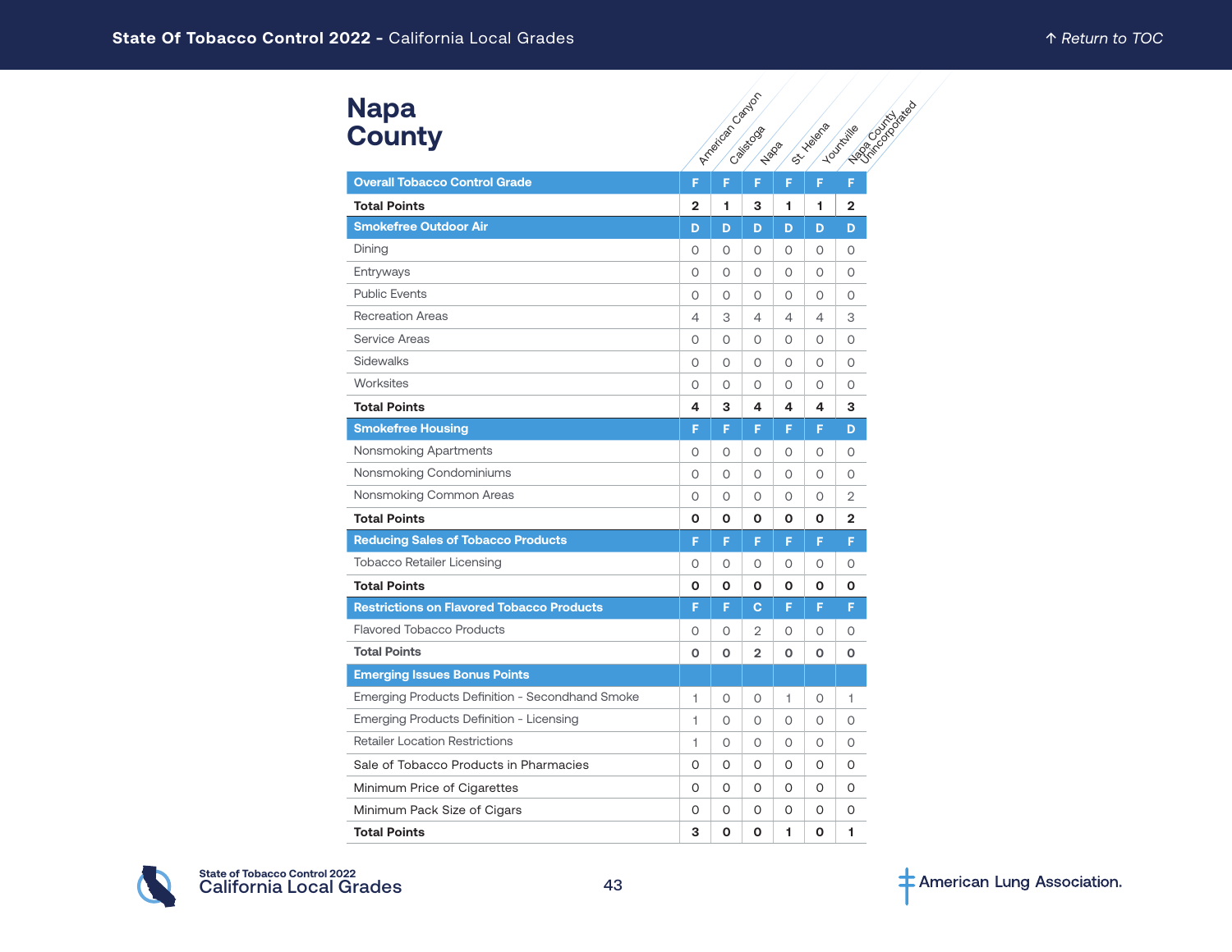| <b>Napa</b>   |  |
|---------------|--|
| <b>County</b> |  |

| <b>Napa</b>                                            | American Candor<br>- Lagrindade |          |                             |                  |    |                |  |  |  |  |  |  |
|--------------------------------------------------------|---------------------------------|----------|-----------------------------|------------------|----|----------------|--|--|--|--|--|--|
| <b>County</b>                                          |                                 |          | <b>ISLYLINGTON</b>          | <b>Lournille</b> |    |                |  |  |  |  |  |  |
|                                                        |                                 |          | California Co<br><b>Hap</b> |                  |    |                |  |  |  |  |  |  |
| <b>Overall Tobacco Control Grade</b>                   | F                               | F        | F.                          | F                | F. | F              |  |  |  |  |  |  |
| <b>Total Points</b>                                    | $\overline{2}$                  | 1        | 3                           | 1.               | 1  | $\overline{2}$ |  |  |  |  |  |  |
| <b>Smokefree Outdoor Air</b>                           | D                               | D        | D                           | D                | D  | D              |  |  |  |  |  |  |
| Dining                                                 | 0                               | 0        | $\circ$                     | $\circ$          | 0  | $\circ$        |  |  |  |  |  |  |
| Entryways                                              | 0                               | 0        | $\circ$                     | $\circ$          | 0  | $\circ$        |  |  |  |  |  |  |
| <b>Public Events</b>                                   | $\Omega$                        | 0        | $\Omega$                    | $\circ$          | 0  | 0              |  |  |  |  |  |  |
| <b>Recreation Areas</b>                                | 4                               | 3        | 4                           | $\overline{4}$   | 4  | 3              |  |  |  |  |  |  |
| <b>Service Areas</b>                                   | 0                               | O        | $\circ$                     | $\circ$          | 0  | $\circ$        |  |  |  |  |  |  |
| <b>Sidewalks</b>                                       | $\Omega$                        | $\Omega$ | $\Omega$                    | $\Omega$         | 0  | $\circ$        |  |  |  |  |  |  |
| Worksites                                              | 0                               | 0        | $\circ$                     | $\circ$          | 0  | 0              |  |  |  |  |  |  |
| <b>Total Points</b>                                    | 4                               | 3        | 4                           | 4                | 4  | 3              |  |  |  |  |  |  |
| <b>Smokefree Housing</b>                               | F                               | F        | F                           | F                | F  | D              |  |  |  |  |  |  |
| Nonsmoking Apartments                                  | $\Omega$                        | 0        | $\Omega$                    | $\circ$          | 0  | $\circ$        |  |  |  |  |  |  |
| Nonsmoking Condominiums                                | 0                               | O        | O                           | 0                | 0  | 0              |  |  |  |  |  |  |
| Nonsmoking Common Areas                                | 0                               | O        | $\circ$                     | $\circ$          | 0  | 2              |  |  |  |  |  |  |
| <b>Total Points</b>                                    | 0                               | О        | 0                           | O                | 0  | 2              |  |  |  |  |  |  |
| <b>Reducing Sales of Tobacco Products</b>              | F                               | F        | F                           | F                | F  | F              |  |  |  |  |  |  |
| <b>Tobacco Retailer Licensing</b>                      | 0                               | O        | O                           | 0                | 0  | 0              |  |  |  |  |  |  |
| <b>Total Points</b>                                    | O                               | 0        | O                           | O                | O  | O              |  |  |  |  |  |  |
| <b>Restrictions on Flavored Tobacco Products</b>       | F                               | F        | $\mathbf C$                 | F                | F  | F              |  |  |  |  |  |  |
| <b>Flavored Tobacco Products</b>                       | 0                               | 0        | 2                           | $\circ$          | 0  | 0              |  |  |  |  |  |  |
| <b>Total Points</b>                                    | O                               | О        | $\overline{2}$              | o                | 0  | О              |  |  |  |  |  |  |
| <b>Emerging Issues Bonus Points</b>                    |                                 |          |                             |                  |    |                |  |  |  |  |  |  |
| <b>Emerging Products Definition - Secondhand Smoke</b> | 1.                              | 0        | $\circ$                     | 1                | 0  | 1              |  |  |  |  |  |  |
| Emerging Products Definition - Licensing               | $\mathbf{1}$                    | O        | $\circ$                     | O                | 0  | $\circ$        |  |  |  |  |  |  |
| <b>Retailer Location Restrictions</b>                  | 1                               | $\Omega$ | $\circ$                     | O                | 0  | $\circ$        |  |  |  |  |  |  |
| Sale of Tobacco Products in Pharmacies                 | 0                               | 0        | 0                           | 0                | 0  | 0              |  |  |  |  |  |  |
| Minimum Price of Cigarettes                            | 0                               | O        | O                           | 0                | 0  | 0              |  |  |  |  |  |  |
| Minimum Pack Size of Cigars                            | 0                               | O        | O                           | 0                | 0  | 0              |  |  |  |  |  |  |
| <b>Total Points</b>                                    | 3                               | O        | $\Omega$                    | 1                | O  | 1              |  |  |  |  |  |  |

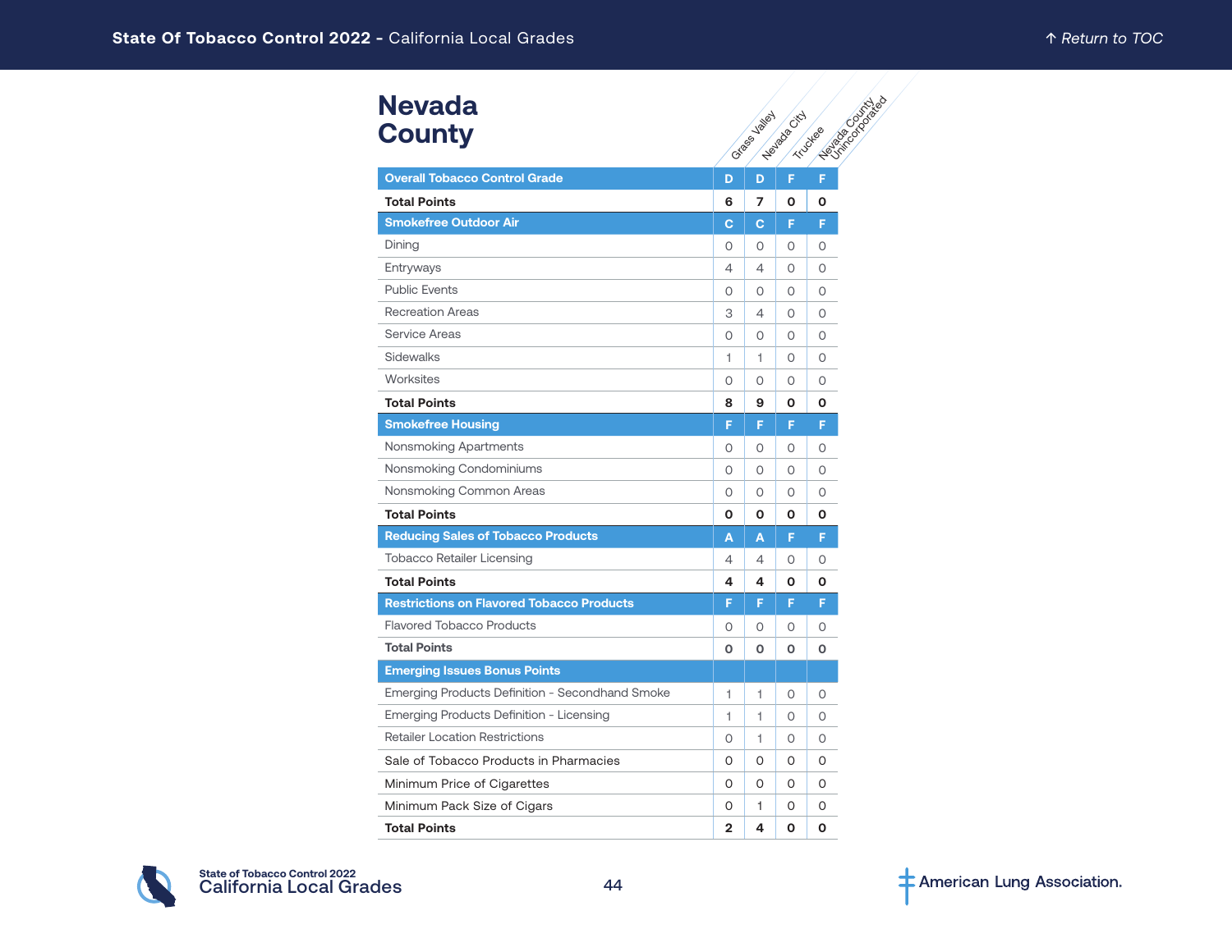#### **Nevada County**

| <b>Nevada</b>                                          |                |                |               |                             |
|--------------------------------------------------------|----------------|----------------|---------------|-----------------------------|
| <b>County</b>                                          |                | ortages valley | Weylada Citch | Heilinger States<br>Truckee |
|                                                        |                |                |               |                             |
| <b>Overall Tobacco Control Grade</b>                   | D              | D              | F             | F                           |
| <b>Total Points</b>                                    | 6              | 7              | 0             | Ο                           |
| <b>Smokefree Outdoor Air</b>                           | c              | c              | F             | F                           |
| Dining                                                 | 0              | 0              | 0             | 0                           |
| Entryways                                              | 4              | 4              | $\circ$       | $\circ$                     |
| <b>Public Events</b>                                   | $\circ$        | $\circ$        | $\circ$       | $\Omega$                    |
| <b>Recreation Areas</b>                                | 3              | 4              | 0             | $\Omega$                    |
| <b>Service Areas</b>                                   | 0              | 0              | 0             | O                           |
| Sidewalks                                              | 1              | 1              | $\circ$       | $\circ$                     |
| Worksites                                              | $\circ$        | 0              | $\circ$       | $\Omega$                    |
| <b>Total Points</b>                                    | 8              | 9              | 0             | O                           |
| <b>Smokefree Housing</b>                               | F              | F              | F             | F                           |
| Nonsmoking Apartments                                  | 0              | 0              | 0             | 0                           |
| Nonsmoking Condominiums                                | $\circ$        | 0              | $\circ$       | $\Omega$                    |
| Nonsmoking Common Areas                                | 0              | 0              | $\Omega$      | $\Omega$                    |
| <b>Total Points</b>                                    | Ο              | 0              | 0             | Ο                           |
| <b>Reducing Sales of Tobacco Products</b>              | A              | A              | F             | F                           |
| <b>Tobacco Retailer Licensing</b>                      | 4              | $\overline{4}$ | $\circ$       | $\Omega$                    |
| <b>Total Points</b>                                    | 4              | 4              | O             | O                           |
| <b>Restrictions on Flavored Tobacco Products</b>       | F              | F              | F             | F                           |
| <b>Flavored Tobacco Products</b>                       | 0              | 0              | 0             | 0                           |
| <b>Total Points</b>                                    | O              | O              | 0             | O                           |
| <b>Emerging Issues Bonus Points</b>                    |                |                |               |                             |
| <b>Emerging Products Definition - Secondhand Smoke</b> | 1              | 1              | 0             | 0                           |
| Emerging Products Definition - Licensing               | 1              | 1              | 0             | $\circ$                     |
| <b>Retailer Location Restrictions</b>                  | O              | 1              | $\circ$       | $\Omega$                    |
| Sale of Tobacco Products in Pharmacies                 | 0              | 0              | 0             | O                           |
| Minimum Price of Cigarettes                            | 0              | 0              | 0             | 0                           |
| Minimum Pack Size of Cigars                            | 0              | 1.             | 0             | 0                           |
| <b>Total Points</b>                                    | $\overline{2}$ | 4              | O             | O                           |

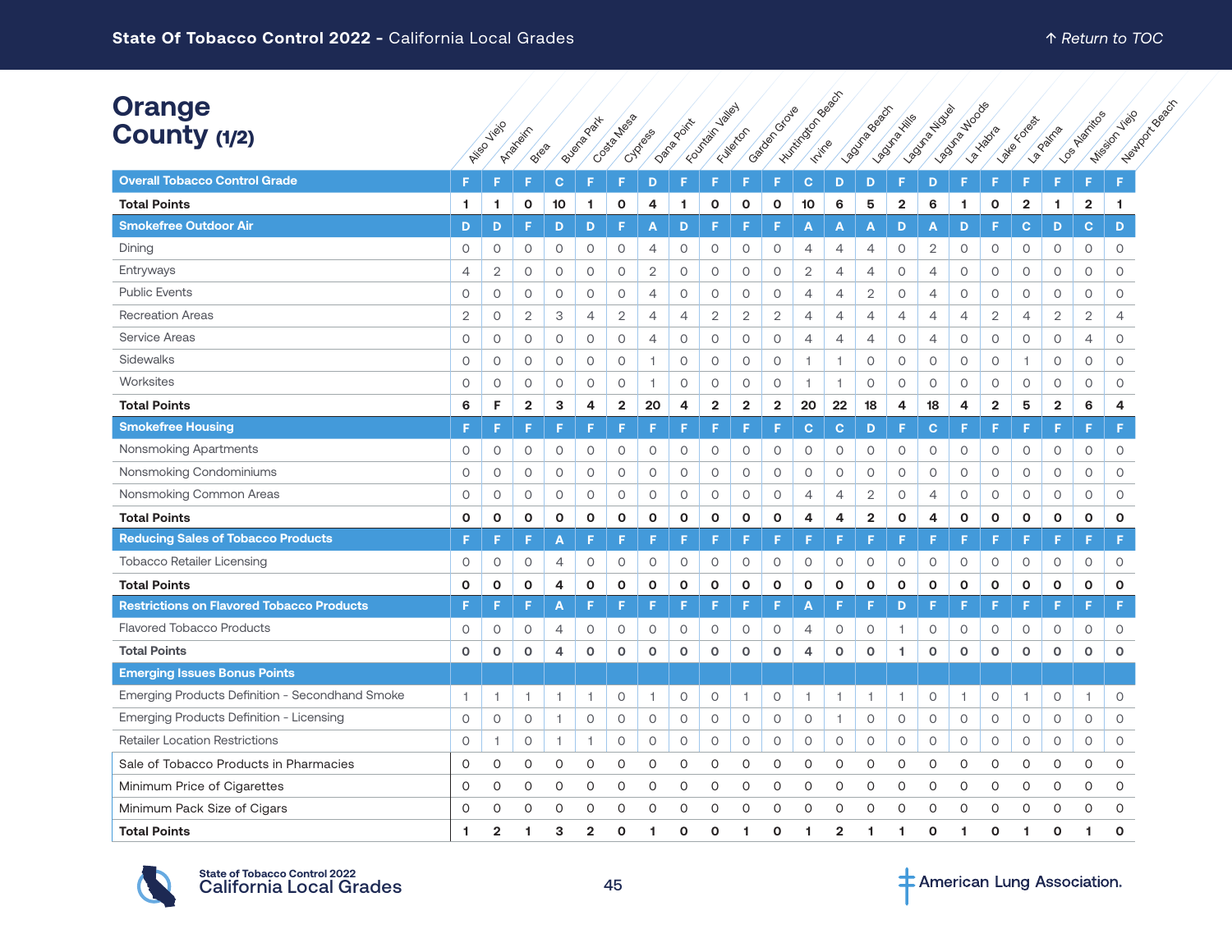| <b>Orange</b><br>County (1/2)                    | <b>Ailed</b>   | Jielo          | Arabisirr<br>Brea |                | Buena Park     | Costa Messa  | Cypress        | Danagoinx    | Foundation values       | Fulleton                | Gatagonia Grave | I Human Book Report |                | Lagune Beach   | Lagonica Killis | <b>POUTA ATION</b> | <b>POSTRATIONS</b> | <b>Paido</b> ta | late cotas     | <b>La Patria</b> | LOG PASTRICOS<br><b>Mission,</b> | Heathor creeged<br><b>View</b> |
|--------------------------------------------------|----------------|----------------|-------------------|----------------|----------------|--------------|----------------|--------------|-------------------------|-------------------------|-----------------|---------------------|----------------|----------------|-----------------|--------------------|--------------------|-----------------|----------------|------------------|----------------------------------|--------------------------------|
| <b>Overall Tobacco Control Grade</b>             | F.             | F              | E                 | C              | F              | F            | D              | F            | F                       | F                       | F               | $\mathbf{C}$        | D              | D              | F               | D                  | F                  | F               | F.             | F                | F                                | F                              |
| <b>Total Points</b>                              | 1.             | 1              | $\mathbf{o}$      | 10             | 1.             | O            | 4              | 1            | $\mathbf{o}$            | O                       | $\mathbf 0$     | 10                  | 6              | 5              | $\mathbf{2}$    | 6                  | 1                  | O               | $\overline{2}$ | 1                | $\overline{\mathbf{2}}$          | 1                              |
| <b>Smokefree Outdoor Air</b>                     | D              | D              | F                 | D              | D              | F            | A              | D            | F                       | F                       | F               | A                   | Α              | A              | D               | Α                  | D                  | F               | $\mathbf{C}$   | D                | C                                | D                              |
| Dining                                           | $\circ$        | 0              | $\circ$           | $\circ$        | $\circ$        | 0            | 4              | 0            | $\circ$                 | $\mathsf O$             | $\circ$         | $\overline{4}$      | $\overline{4}$ | 4              | $\circ$         | $\overline{2}$     | $\circ$            | 0               | $\circ$        | $\circ$          | $\mathsf O$                      | $\circ$                        |
| Entryways                                        | $\overline{4}$ | 2              | $\circ$           | $\circ$        | $\circ$        | 0            | $\mathbf{2}$   | $\circ$      | $\circ$                 | $\circ$                 | $\circ$         | $\overline{2}$      | $\overline{4}$ | $\overline{4}$ | $\circ$         | $\overline{4}$     | 0                  | 0               | $\circ$        | $\circ$          | $\circ$                          | $\circ$                        |
| <b>Public Events</b>                             | $\circ$        | $\circ$        | $\circ$           | $\circ$        | $\circ$        | 0            | $\overline{4}$ | $\circ$      | $\circ$                 | 0                       | $\circ$         | $\overline{4}$      | $\overline{4}$ | $\overline{2}$ | $\circ$         | $\overline{4}$     | 0                  | 0               | $\circ$        | $\circ$          | 0                                | $\circ$                        |
| <b>Recreation Areas</b>                          | $\mathbf{2}$   | $\circ$        | $\mathbf{2}$      | 3              | $\overline{4}$ | $\mathbf{2}$ | $\overline{4}$ | 4            | $\overline{2}$          | $\overline{2}$          | $\mathbf{2}$    | $\overline{4}$      | 4              | $\overline{4}$ | $\overline{4}$  | $\overline{4}$     | 4                  | $\overline{2}$  | $\overline{4}$ | $\mathbf{2}$     | $\overline{2}$                   | $\overline{4}$                 |
| Service Areas                                    | 0              | 0              | $\circ$           | 0              | 0              | 0            | 4              | 0            | 0                       | 0                       | 0               | 4                   | 4              | 4              | $\circ$         | $\overline{4}$     | 0                  | 0               | $\circ$        | 0                | 4                                | 0                              |
| Sidewalks                                        | $\circ$        | $\circ$        | $\circ$           | $\circ$        | $\circ$        | $\circ$      | $\perp$        | $\circ$      | $\circ$                 | $\circ$                 | $\circ$         | $\overline{1}$      | 1              | 0              | $\circ$         | $\circ$            | $\circ$            | $\circ$         | $\mathbf{1}$   | $\circ$          | $\circ$                          | 0                              |
| Worksites                                        | $\circ$        | $\circ$        | $\circ$           | $\circ$        | $\circ$        | $\circ$      | 1              | $\circ$      | $\circ$                 | $\circ$                 | $\circ$         | $\overline{1}$      | 1              | $\circ$        | $\circ$         | $\circ$            | 0                  | $\circ$         | $\circ$        | $\circ$          | $\circ$                          | $\circ$                        |
| <b>Total Points</b>                              | 6              | F              | $\overline{2}$    | 3              | 4              | $\mathbf{2}$ | 20             | 4            | $\overline{\mathbf{2}}$ | $\overline{\mathbf{2}}$ | $\mathbf{2}$    | 20                  | 22             | 18             | 4               | 18                 | 4                  | $\overline{2}$  | 5              | $\mathbf{2}$     | 6                                | 4                              |
| <b>Smokefree Housing</b>                         | F.             | F              | F                 | F              | F              | F            | F              | F            | F                       | F                       | F               | $\mathbf{C}$        | $\mathbf{C}$   | D              | F               | C                  | F                  | F               | F.             | F                | F                                | F                              |
| <b>Nonsmoking Apartments</b>                     | 0              | $\circ$        | $\circ$           | $\circ$        | $\circ$        | $\circ$      | 0              | $\circ$      | $\circ$                 | 0                       | $\circ$         | $\circ$             | $\circ$        | 0              | $\circ$         | $\circ$            | $\circ$            | 0               | $\circ$        | 0                | $\circ$                          | 0                              |
| Nonsmoking Condominiums                          | 0              | 0              | $\circ$           | $\circ$        | $\circ$        | 0            | $\circ$        | 0            | 0                       | 0                       | $\circ$         | 0                   | $\circ$        | 0              | $\circ$         | 0                  | 0                  | 0               | 0              | 0                | $\circ$                          | 0                              |
| Nonsmoking Common Areas                          | $\circ$        | $\circ$        | $\circ$           | $\circ$        | $\circ$        | $\circ$      | $\circ$        | $\circ$      | $\circ$                 | 0                       | $\circ$         | $\overline{4}$      | $\overline{4}$ | $\overline{2}$ | $\circ$         | $\overline{4}$     | $\circ$            | 0               | $\circ$        | $\circ$          | $\circ$                          | $\circ$                        |
| <b>Total Points</b>                              | 0              | $\mathbf{o}$   | $\mathbf{o}$      | $\mathbf{o}$   | $\mathbf o$    | $\mathbf{o}$ | $\mathbf{o}$   | $\mathbf{o}$ | $\mathbf{o}$            | $\mathbf{o}$            | 0               | 4                   | 4              | $\overline{2}$ | $\mathbf{o}$    | 4                  | O                  | $\mathbf{o}$    | $\mathbf{o}$   | 0                | O                                | 0                              |
| <b>Reducing Sales of Tobacco Products</b>        |                | F              | F                 | A              |                | F            | F              | F            | F                       | F                       | F.              |                     | F              | F              | F               |                    | F                  | F               | F.             | F                | F                                | F                              |
| <b>Tobacco Retailer Licensing</b>                | 0              | 0              | $\circ$           | 4              | $\circ$        | $\circ$      | $\circ$        | $\circ$      | 0                       | 0                       | 0               | $\circ$             | $\circ$        | 0              | $\circ$         | $\circ$            | 0                  | $\circ$         | $\circ$        | 0                | $\mathsf O$                      | 0                              |
| <b>Total Points</b>                              | O              | $\mathbf{o}$   | $\mathbf{o}$      | 4              | $\mathbf{o}$   | $\mathbf{o}$ | $\mathbf{o}$   | $\mathbf{o}$ | $\mathbf{o}$            | $\mathbf{o}$            | $\mathbf 0$     | $\mathbf{o}$        | O              | $\mathbf{o}$   | $\mathbf{o}$    | $\mathbf{o}$       | O                  | $\mathbf{o}$    | $\mathbf{o}$   | $\mathbf{o}$     | $\mathbf{o}$                     | $\mathbf{o}$                   |
| <b>Restrictions on Flavored Tobacco Products</b> |                | F              | F                 | A              |                | F            | F              | F            | E                       | F                       | F               | A                   | F              | F              | D               | æ                  | F                  | F               | F              | E                | F                                |                                |
| <b>Flavored Tobacco Products</b>                 | 0              | 0              | 0                 | $\overline{4}$ | 0              | 0            | $\circ$        | $\circ$      | 0                       | 0                       | 0               | 4                   | 0              | 0              | 1               | $\circ$            | 0                  | 0               | 0              | 0                | 0                                | $\circ$                        |
| <b>Total Points</b>                              | 0              | $\circ$        | $\circ$           | 4              | $\circ$        | o            | $\circ$        | $\mathbf 0$  | $\circ$                 | o                       | $\circ$         | 4                   | $\circ$        | $\circ$        | 1               | $\circ$            | O                  | $\circ$         | $\circ$        | $\circ$          | o                                | $\mathbf 0$                    |
| <b>Emerging Issues Bonus Points</b>              |                |                |                   |                |                |              |                |              |                         |                         |                 |                     |                |                |                 |                    |                    |                 |                |                  |                                  |                                |
| Emerging Products Definition - Secondhand Smoke  | $\mathbf{1}$   |                | $\mathbf{1}$      | 1              | 1              | 0            | 1              | $\circ$      | $\circ$                 | 1                       | $\circ$         | 1                   | 1.             | $\mathbf{1}$   | $\overline{1}$  | $\circ$            | 1                  | $\circ$         | 1.             | 0                | $\overline{1}$                   | $\circ$                        |
| Emerging Products Definition - Licensing         | $\circ$        | $\circ$        | $\circ$           | $\overline{1}$ | $\circ$        | 0            | $\circ$        | $\circ$      | $\circ$                 | 0                       | $\circ$         | $\circ$             | $\mathbf{1}$   | 0              | $\circ$         | $\circ$            | $\circ$            | $\circ$         | $\circ$        | $\circ$          | 0                                | $\circ$                        |
| <b>Retailer Location Restrictions</b>            | 0              | 1.             | $\circ$           | 1              | 1              | 0            | $\circ$        | 0            | 0                       | 0                       | $\circ$         | 0                   | 0              | 0              | $\circ$         | $\circ$            | $\circ$            | 0               | $\circ$        | 0                | 0                                | $\circ$                        |
| Sale of Tobacco Products in Pharmacies           | 0              | 0              | 0                 | 0              | 0              | 0            | 0              | 0            | 0                       | 0                       | 0               | 0                   | 0              | 0              | 0               | 0                  | 0                  | 0               | 0              | 0                | 0                                | 0                              |
| Minimum Price of Cigarettes                      | 0              | 0              | 0                 | 0              | O              | 0            | 0              | 0            | 0                       | 0                       | 0               | 0                   | 0              | 0              | 0               | 0                  | 0                  | 0               | 0              | O                | 0                                | $\circ$                        |
| Minimum Pack Size of Cigars                      | $\Omega$       | $\Omega$       | $\Omega$          | $\Omega$       | O              | O            | 0              | $\Omega$     | O                       | $\Omega$                | $\Omega$        | $\Omega$            | O              | $\Omega$       | $\Omega$        | $\Omega$           | O                  | O               | $\Omega$       | $\Omega$         | $\Omega$                         | 0                              |
| <b>Total Points</b>                              | 1.             | $\overline{2}$ | 1                 | 3              | $\overline{2}$ | O            | 1              | $\mathbf{o}$ | O                       | 1                       | $\Omega$        | 1                   | $\overline{2}$ | 1              | 1               | $\Omega$           | 1                  | O               | 1              | $\Omega$         | 1                                | O                              |

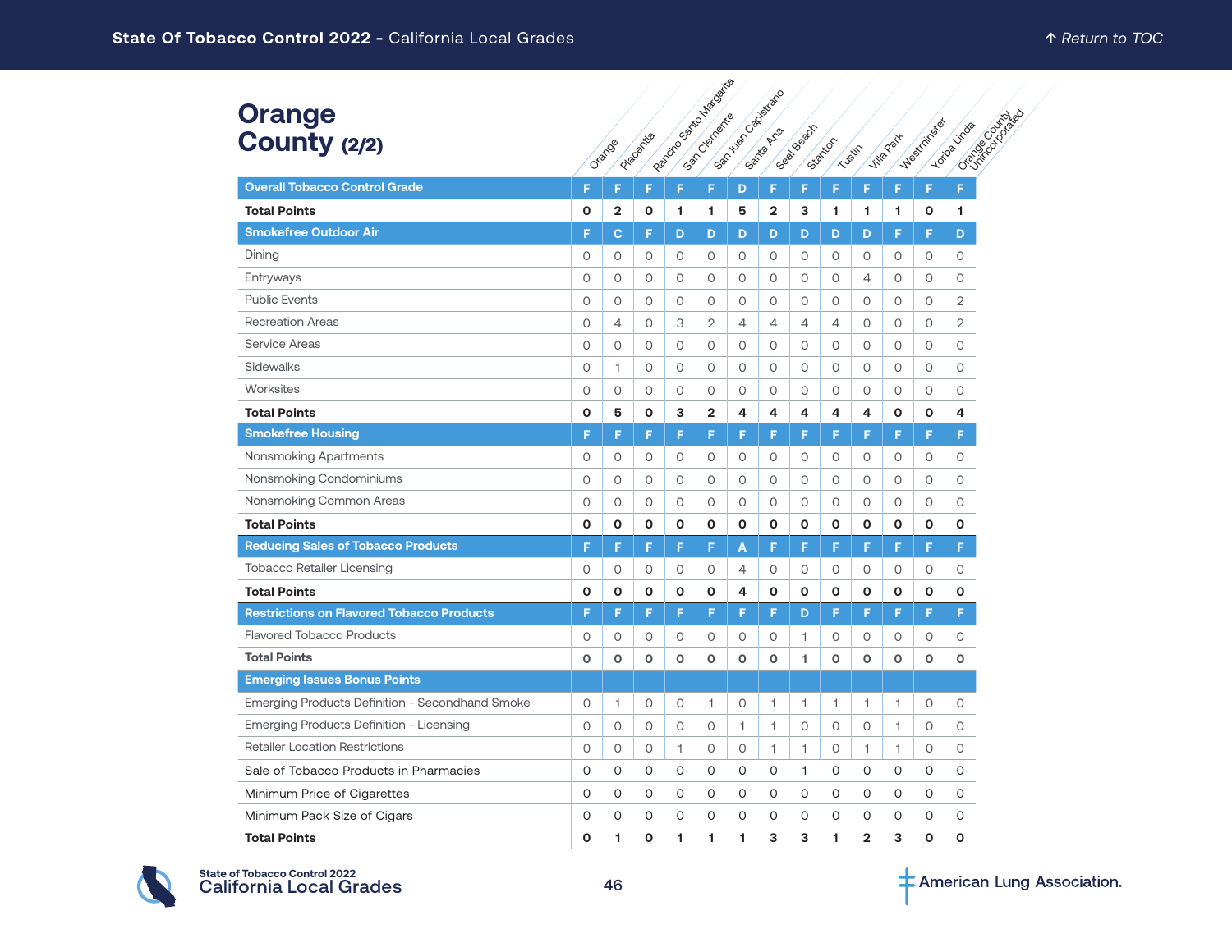#### **Orange County** (2/2)

|                                                  | Pacocook of Mariagents<br>Samula Capistado |                |           |              |                         |                |                |            |                |                |              |              |                                        |
|--------------------------------------------------|--------------------------------------------|----------------|-----------|--------------|-------------------------|----------------|----------------|------------|----------------|----------------|--------------|--------------|----------------------------------------|
| <b>Orange</b><br>County (2/2)                    |                                            | Orango         | Placement |              |                         |                |                | Seal Beach | Statton        | TUSSICS        | Jille Park   | Westminston  | Cancel Contracto<br><b>Loto</b> sitios |
| <b>Overall Tobacco Control Grade</b>             | F                                          | F              | F         | F            | F                       | D              | F              | F          | F              | F              | F            | F            | F                                      |
| <b>Total Points</b>                              | O                                          | $\overline{2}$ | 0         | 1            | 1.                      | 5              | $\overline{2}$ | 3          | 1              | 1              | 1            | $\mathbf{o}$ | 1                                      |
| <b>Smokefree Outdoor Air</b>                     | F                                          | C              | F         | D            | D                       | D              | D              | D          | D              | D              | F            | F            | D                                      |
| Dining                                           | 0                                          | 0              | 0         | 0            | $\circ$                 | 0              | 0              | 0          | 0              | 0              | 0            | $\circ$      | $\circ$                                |
| Entryways                                        | 0                                          | $\circ$        | 0         | $\circ$      | $\circ$                 | $\circ$        | 0              | 0          | 0              | $\overline{4}$ | $\circ$      | $\circ$      | $\circ$                                |
| <b>Public Events</b>                             | 0                                          | 0              | 0         | 0            | 0                       | 0              | 0              | 0          | 0              | 0              | 0            | $\circ$      | $\overline{2}$                         |
| <b>Recreation Areas</b>                          | 0                                          | 4              | 0         | 3            | 2                       | $\overline{4}$ | $\overline{4}$ | 4          | $\overline{4}$ | 0              | 0            | $\circ$      | $\mathbf{2}$                           |
| <b>Service Areas</b>                             | $\circ$                                    | 0              | $\circ$   | $\circ$      | $\circ$                 | $\circ$        | $\circ$        | $\circ$    | $\circ$        | $\circ$        | $\circ$      | $\circ$      | $\circ$                                |
| Sidewalks                                        | $\circ$                                    | $\mathbf{1}$   | $\circ$   | $\circ$      | $\circ$                 | $\circ$        | $\circ$        | $\circ$    | $\circ$        | $\circ$        | $\circ$      | $\circ$      | 0                                      |
| Worksites                                        | 0                                          | 0              | 0         | 0            | 0                       | 0              | 0              | 0          | 0              | 0              | 0            | $\circ$      | 0                                      |
| <b>Total Points</b>                              | 0                                          | 5              | O         | 3            | $\overline{\mathbf{2}}$ | 4              | 4              | 4          | 4              | 4              | $\mathbf{o}$ | $\mathbf{o}$ | 4                                      |
| <b>Smokefree Housing</b>                         | F                                          | F              | F         | F            | F                       | F              | F              | F          | F              | F              | F            | F            | F                                      |
| Nonsmoking Apartments                            | 0                                          | 0              | 0         | 0            | 0                       | 0              | 0              | 0          | 0              | 0              | 0            | $\circ$      | 0                                      |
| Nonsmoking Condominiums                          | $\circ$                                    | $\circ$        | $\circ$   | $\circ$      | $\circ$                 | $\circ$        | $\circ$        | 0          | 0              | $\circ$        | $\circ$      | $\circ$      | $\circ$                                |
| Nonsmoking Common Areas                          | $\circ$                                    | $\circ$        | $\circ$   | $\circ$      | $\circ$                 | $\circ$        | $\circ$        | $\circ$    | $\circ$        | $\circ$        | $\circ$      | $\circ$      | 0                                      |
| <b>Total Points</b>                              | O                                          | O              | O         | O            | O                       | O              | 0              | 0          | O              | О              | O            | O            | О                                      |
| <b>Reducing Sales of Tobacco Products</b>        | F                                          | F              | F         | F            | F                       | A              | F              | F          | F              | F              | F            | F            | F                                      |
| <b>Tobacco Retailer Licensing</b>                | 0                                          | 0              | 0         | 0            | 0                       | 4              | 0              | 0          | 0              | 0              | 0            | 0            | 0                                      |
| <b>Total Points</b>                              | O                                          | O              | O         | $\mathbf{o}$ | $\mathbf{o}$            | 4              | O              | O          | $\mathbf{o}$   | $\mathbf{o}$   | $\mathbf{o}$ | $\mathbf{o}$ | $\mathbf{o}$                           |
| <b>Restrictions on Flavored Tobacco Products</b> | F                                          | F              | F         | F            | F                       | F              | F              | D          | F              | F              | F            | F            | F                                      |
| <b>Flavored Tobacco Products</b>                 | 0                                          | 0              | 0         | 0            | 0                       | 0              | 0              | 1          | 0              | 0              | 0            | $\circ$      | 0                                      |
| <b>Total Points</b>                              | $\mathbf 0$                                | $\mathbf 0$    | O         | $\circ$      | $\mathbf 0$             | o              | o              | 1.         | o              | 0              | o            | $\mathbf 0$  | o                                      |
| <b>Emerging Issues Bonus Points</b>              |                                            |                |           |              |                         |                |                |            |                |                |              |              |                                        |
| Emerging Products Definition - Secondhand Smoke  | 0                                          | 1              | 0         | 0            | 1                       | 0              | $\mathbf{1}$   | 1          | 1              | 1              | 1            | 0            | 0                                      |
| Emerging Products Definition - Licensing         | $\circ$                                    | $\circ$        | 0         | $\circ$      | 0                       | 1.             | $\perp$        | $\circ$    | 0              | $\circ$        | $\mathbf{1}$ | $\circ$      | $\circ$                                |
| <b>Retailer Location Restrictions</b>            | 0                                          | 0              | 0         | 1            | 0                       | 0              | 1              | 1          | 0              | 1              | 1            | 0            | 0                                      |
| Sale of Tobacco Products in Pharmacies           | O                                          | 0              | 0         | 0            | 0                       | O              | 0              | 1          | 0              | 0              | $\Omega$     | 0            | 0                                      |
| Minimum Price of Cigarettes                      | 0                                          | 0              | 0         | 0            | 0                       | O              | 0              | O          | 0              | 0              | 0            | 0            | 0                                      |
| Minimum Pack Size of Cigars                      | 0                                          | 0              | 0         | 0            | 0                       | 0              | 0              | 0          | 0              | 0              | 0            | 0            | 0                                      |
| <b>Total Points</b>                              | O                                          | 1              | O         | 1            | 1                       | 1              | 3              | 3          | 1              | $\overline{2}$ | 3            | O            | $\mathbf 0$                            |

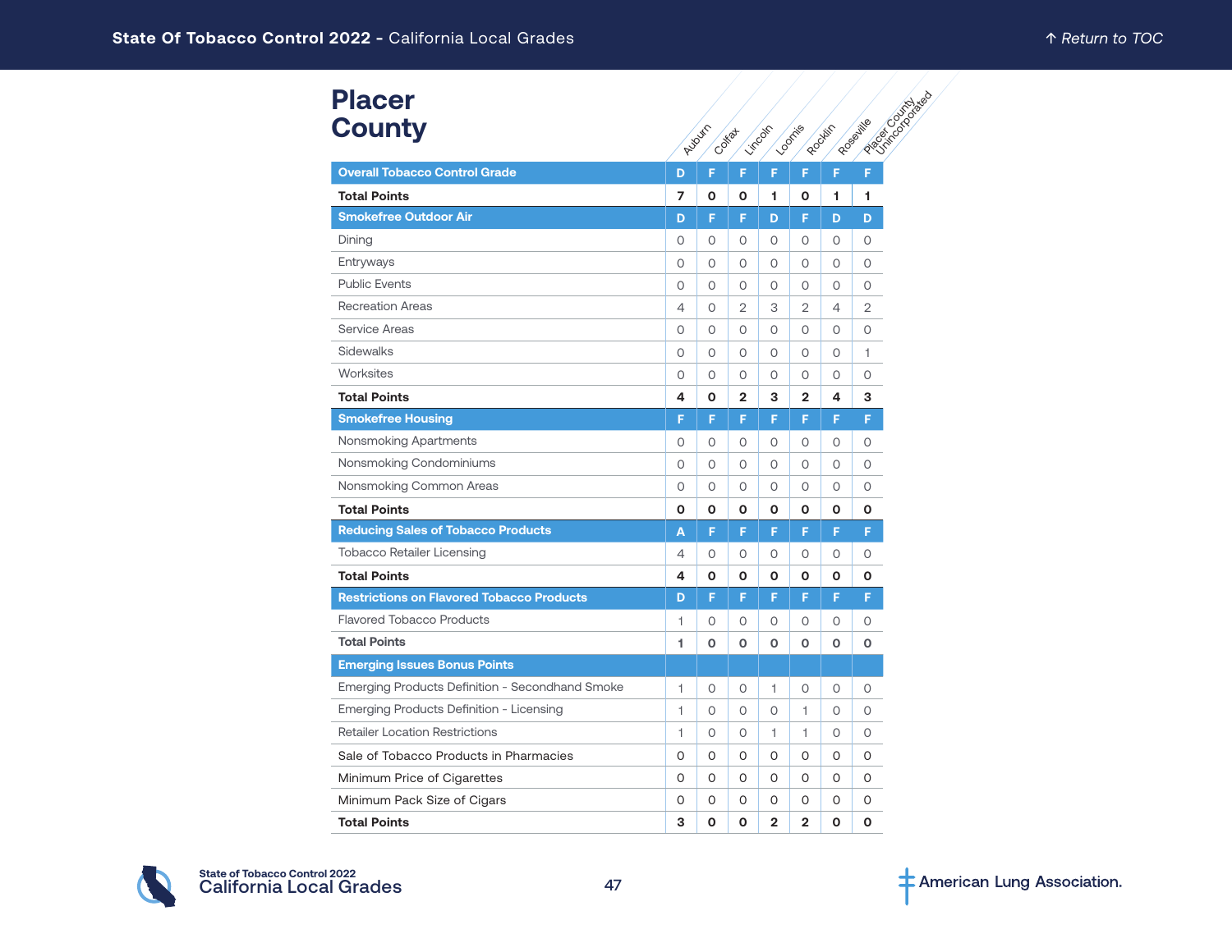| <b>Placer</b>                                    |              |             | <b>Particular Property Rd</b> |                |                |         |                |
|--------------------------------------------------|--------------|-------------|-------------------------------|----------------|----------------|---------|----------------|
| <b>County</b>                                    |              | Auburn      | Cottat                        | <b>Limbon</b>  | <b>Looning</b> | Rooter  | Rosaulte       |
| <b>Overall Tobacco Control Grade</b>             | D            | F           | F                             | F              | F              | F       | F              |
| <b>Total Points</b>                              | 7            | О           | О                             | 1              | Ο              | 1       | 1              |
| <b>Smokefree Outdoor Air</b>                     | D            | F           | F                             | D              | F              | D       | D              |
| Dining                                           | 0            | 0           | 0                             | 0              | O              | 0       | 0              |
| Entryways                                        | $\circ$      | $\circ$     | $\Omega$                      | $\circ$        | $\circ$        | O       | $\circ$        |
| <b>Public Events</b>                             | 0            | $\circ$     | 0                             | $\circ$        | 0              | 0       | 0              |
| <b>Recreation Areas</b>                          | 4            | $\circ$     | $\overline{2}$                | 3              | $\overline{2}$ | 4       | $\overline{2}$ |
| Service Areas                                    | $\circ$      | $\circ$     | 0                             | $\circ$        | 0              | 0       | $\circ$        |
| Sidewalks                                        | $\circ$      | $\circ$     | 0                             | $\circ$        | $\circ$        | O       | 1              |
| Worksites                                        | 0            | 0           | 0                             | 0              | 0              | 0       | 0              |
| <b>Total Points</b>                              | 4            | O           | $\mathbf{2}$                  | 3              | $\mathbf{2}$   | 4       | з              |
| <b>Smokefree Housing</b>                         | F            | F           | F                             | F              | F              | F       | F              |
| Nonsmoking Apartments                            | 0            | $\circ$     | 0                             | $\circ$        | $\circ$        | 0       | 0              |
| Nonsmoking Condominiums                          | $\circ$      | $\circ$     | 0                             | $\circ$        | 0              | 0       | 0              |
| Nonsmoking Common Areas                          | 0            | $\circ$     | 0                             | $\circ$        | $\circ$        | 0       | $\circ$        |
| <b>Total Points</b>                              | O            | O           | O                             | $\mathbf 0$    | O              | O       | O              |
| <b>Reducing Sales of Tobacco Products</b>        | A            | F           | F                             | F              | F              | F       | F              |
| <b>Tobacco Retailer Licensing</b>                | 4            | $\circ$     | $\Omega$                      | $\circ$        | $\circ$        | 0       | $\circ$        |
| <b>Total Points</b>                              | 4            | O           | 0                             | O              | 0              | O       | O              |
| <b>Restrictions on Flavored Tobacco Products</b> | D            | F           | F                             | F              | F              | F       | F              |
| <b>Flavored Tobacco Products</b>                 | 1            | $\circ$     | 0                             | $\circ$        | 0              | 0       | 0              |
| <b>Total Points</b>                              | 1.           | $\Omega$    | O                             | $\mathbf 0$    | O              | O       | O              |
| <b>Emerging Issues Bonus Points</b>              |              |             |                               |                |                |         |                |
| Emerging Products Definition - Secondhand Smoke  | $\mathbf{1}$ | $\circ$     | $\circ$                       | 1              | $\circ$        | $\circ$ | $\circ$        |
| Emerging Products Definition - Licensing         | $\mathbf{1}$ | 0           | 0                             | $\circ$        | 1              | 0       | $\circ$        |
| <b>Retailer Location Restrictions</b>            | $\mathbf{1}$ | $\circ$     | $\circ$                       | 1.             | 1              | O       | $\circ$        |
| Sale of Tobacco Products in Pharmacies           | 0            | 0           | 0                             | 0              | 0              | 0       | 0              |
| Minimum Price of Cigarettes                      | 0            | 0           | 0                             | 0              | O              | 0       | 0              |
| Minimum Pack Size of Cigars                      | 0            | 0           | 0                             | 0              | 0              | 0       | 0              |
| <b>Total Points</b>                              | 3            | $\mathbf 0$ | O                             | $\overline{2}$ | $\overline{2}$ | O       | O              |

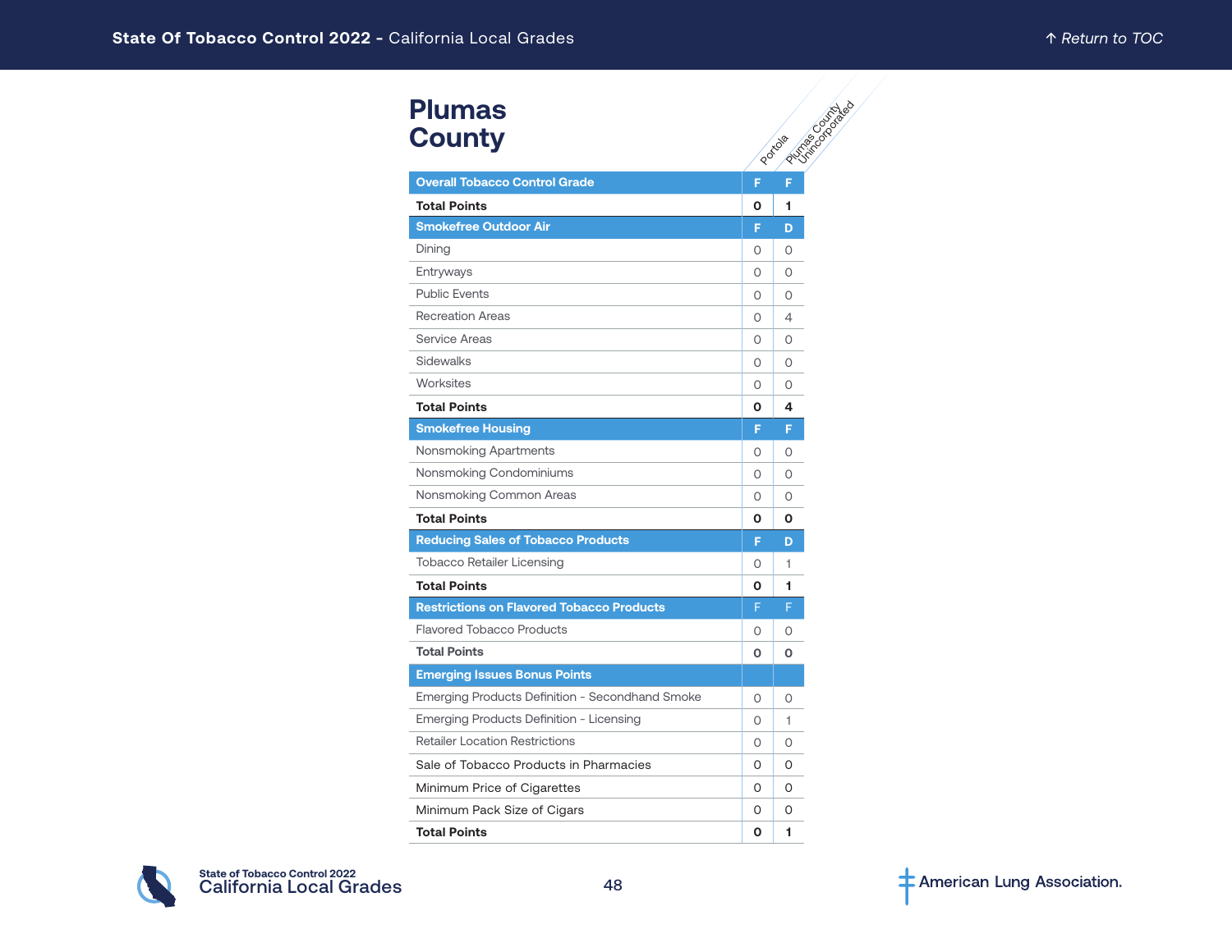# **Plumas County**

| <b>Plumas</b><br><b>County</b>                   |   | <b>PASSING BOOM TABLE</b><br>Portole |  |  |  |  |  |  |
|--------------------------------------------------|---|--------------------------------------|--|--|--|--|--|--|
| <b>Overall Tobacco Control Grade</b>             | F | F                                    |  |  |  |  |  |  |
| <b>Total Points</b>                              | 0 | 1                                    |  |  |  |  |  |  |
| <b>Smokefree Outdoor Air</b>                     | F | D                                    |  |  |  |  |  |  |
| Dining                                           | 0 | 0                                    |  |  |  |  |  |  |
| Entryways                                        | 0 | 0                                    |  |  |  |  |  |  |
| <b>Public Events</b>                             | 0 | $\Omega$                             |  |  |  |  |  |  |
| <b>Recreation Areas</b>                          | 0 | $\overline{4}$                       |  |  |  |  |  |  |
| Service Areas                                    | 0 | O                                    |  |  |  |  |  |  |
| Sidewalks                                        | 0 | 0                                    |  |  |  |  |  |  |
| Worksites                                        | 0 | $\circ$                              |  |  |  |  |  |  |
| <b>Total Points</b>                              | 0 | 4                                    |  |  |  |  |  |  |
| <b>Smokefree Housing</b>                         | F | F                                    |  |  |  |  |  |  |
| Nonsmoking Apartments                            | 0 | 0                                    |  |  |  |  |  |  |
| Nonsmoking Condominiums                          | 0 | 0                                    |  |  |  |  |  |  |
| Nonsmoking Common Areas                          | 0 | $\Omega$                             |  |  |  |  |  |  |
| <b>Total Points</b>                              | 0 | 0                                    |  |  |  |  |  |  |
| <b>Reducing Sales of Tobacco Products</b>        | F | D                                    |  |  |  |  |  |  |
| Tobacco Retailer Licensing                       | 0 | 1                                    |  |  |  |  |  |  |
| <b>Total Points</b>                              | 0 | 1                                    |  |  |  |  |  |  |
| <b>Restrictions on Flavored Tobacco Products</b> | F | F                                    |  |  |  |  |  |  |
| <b>Flavored Tobacco Products</b>                 | 0 | 0                                    |  |  |  |  |  |  |
| <b>Total Points</b>                              | O | O                                    |  |  |  |  |  |  |
| <b>Emerging Issues Bonus Points</b>              |   |                                      |  |  |  |  |  |  |
| Emerging Products Definition - Secondhand Smoke  | 0 | $\circ$                              |  |  |  |  |  |  |
| Emerging Products Definition - Licensing         | O | 1                                    |  |  |  |  |  |  |
| <b>Retailer Location Restrictions</b>            | 0 | O                                    |  |  |  |  |  |  |
| Sale of Tobacco Products in Pharmacies           | 0 | 0                                    |  |  |  |  |  |  |
| Minimum Price of Cigarettes                      | 0 | O                                    |  |  |  |  |  |  |
| Minimum Pack Size of Cigars                      | 0 | 0                                    |  |  |  |  |  |  |
| <b>Total Points</b>                              | O | 1                                    |  |  |  |  |  |  |

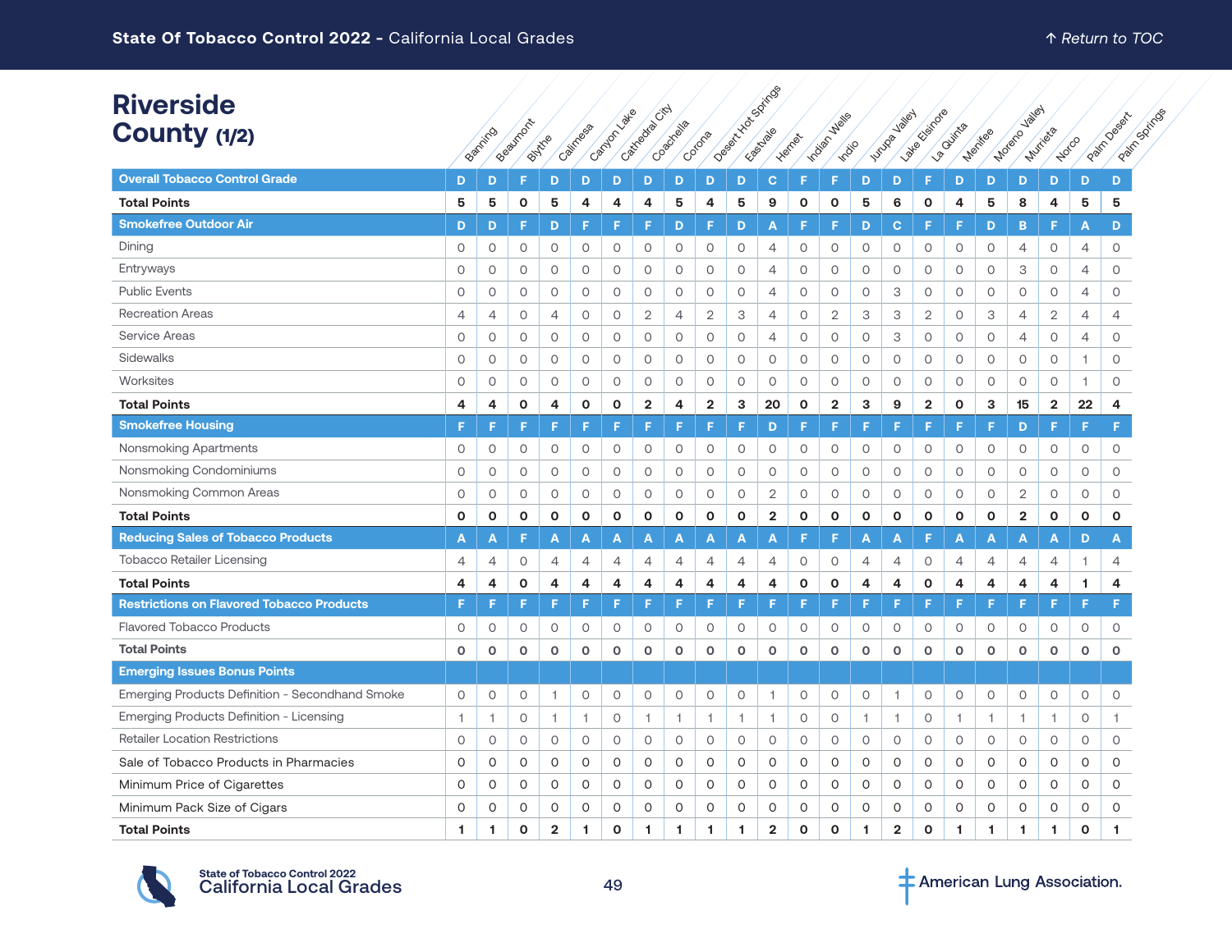| <b>Riverside</b><br>County (1/2)                 |                | Banning        | Beaumont     | Buytre         | Califress    | Cantly Called  | Castreague Citch | Coachelle      | Corona         |              | Joseph Youngaritide     | Herries      | Wells<br>Indian<br>India |                | Valley<br><b>Lutuga</b> | late stations           | La Quintila    | Menties        | <b>Jailey</b><br>Moterc | Murica         | Notco          | Patrickings<br>Patrickeesex |
|--------------------------------------------------|----------------|----------------|--------------|----------------|--------------|----------------|------------------|----------------|----------------|--------------|-------------------------|--------------|--------------------------|----------------|-------------------------|-------------------------|----------------|----------------|-------------------------|----------------|----------------|-----------------------------|
| <b>Overall Tobacco Control Grade</b>             | D              | D              | F            | D              | D            | D              | D                | D              | D              | D            | $\mathbf{C}$            |              | F                        | D              | D                       | F                       | D              | D              | D                       | D              | D              | D                           |
| <b>Total Points</b>                              | 5              | 5              | O            | 5              | 4            | 4              | 4                | 5              | 4              | 5            | 9                       | $\mathbf{o}$ | O                        | 5              | 6                       | O                       | 4              | 5              | 8                       | 4              | 5              | 5                           |
| <b>Smokefree Outdoor Air</b>                     | D              | D              | F            | D              | F            | F              | F                | D              | F              | D            | A                       | F            | F                        | D              | C                       | F                       | F              | D              | B                       | F              | A              | D                           |
| Dining                                           | $\circ$        | $\circ$        | 0            | 0              | $\circ$      | $\circ$        | $\circ$          | 0              | $\circ$        | $\circ$      | 4                       | 0            | 0                        | $\circ$        | 0                       | $\circ$                 | 0              | $\circ$        | 4                       | $\circ$        | 4              | 0                           |
| Entryways                                        | $\circ$        | 0              | 0            | 0              | $\circ$      | $\circ$        | 0                | 0              | $\circ$        | $\circ$      | 4                       | 0            | 0                        | 0              | 0                       | $\circ$                 | 0              | $\circ$        | 3                       | 0              | 4              | 0                           |
| <b>Public Events</b>                             | $\circ$        | 0              | $\circ$      | 0              | $\circ$      | $\circ$        | O                | $\circ$        | $\circ$        | $\circ$      | $\overline{4}$          | $\circ$      | 0                        | $\circ$        | 3                       | $\circ$                 | $\circ$        | $\circ$        | $\circ$                 | $\circ$        | $\overline{4}$ | $\circ$                     |
| <b>Recreation Areas</b>                          | $\overline{4}$ | $\overline{4}$ | $\circ$      | $\overline{4}$ | $\circ$      | $\circ$        | $\overline{2}$   | $\overline{4}$ | $\mathbf{2}$   | 3            | $\overline{4}$          | $\circ$      | $\overline{2}$           | 3              | 3                       | $\overline{2}$          | $\circ$        | 3              | $\overline{4}$          | $\mathbf{2}$   | 4              | $\overline{4}$              |
| Service Areas                                    | $\circ$        | 0              | $\circ$      | 0              | $\circ$      | $\circ$        | 0                | $\circ$        | $\circ$        | 0            | $\overline{4}$          | $\circ$      | 0                        | $\circ$        | 3                       | $\circ$                 | $\circ$        | $\circ$        | $\overline{4}$          | 0              | 4              | 0                           |
| Sidewalks                                        | $\circ$        | 0              | $\circ$      | 0              | $\circ$      | $\circ$        | 0                | $\circ$        | $\circ$        | 0            | $\circ$                 | 0            | 0                        | $\circ$        | 0                       | $\circ$                 | 0              | $\circ$        | $\circ$                 | 0              | 1              | 0                           |
| Worksites                                        | $\circ$        | 0              | 0            | 0              | $\circ$      | $\circ$        | 0                | 0              | $\circ$        | 0            | $\circ$                 | 0            | 0                        | $\circ$        | 0                       | $\circ$                 | 0              | $\circ$        | 0                       | 0              | 1              | 0                           |
| <b>Total Points</b>                              | $\overline{a}$ | 4              | $\mathbf{o}$ | 4              | $\mathbf 0$  | $\mathbf{o}$   | $\mathbf{2}$     | 4              | $\overline{2}$ | 3            | 20                      | $\mathbf{o}$ | $\mathbf{2}$             | 3              | 9                       | $\overline{\mathbf{2}}$ | $\mathbf{o}$   | 3              | 15                      | $\mathbf 2$    | 22             | 4                           |
| <b>Smokefree Housing</b>                         | F              |                | F            | F              | F            | F              |                  | F              | F              | F            | D                       |              | F                        | Е              | F                       | F                       | F              | F              | D                       | F              | F              | F                           |
| Nonsmoking Apartments                            | $\circ$        | 0              | $\circ$      | $\circ$        | $\circ$      | $\circ$        | $\circ$          | $\circ$        | $\circ$        | $\circ$      | $\circ$                 | $\circ$      | $\circ$                  | $\circ$        | $\circ$                 | $\circ$                 | $\circ$        | $\circ$        | $\circ$                 | $\circ$        | $\circ$        | $\circ$                     |
| Nonsmoking Condominiums                          | $\circ$        | 0              | 0            | $\circ$        | $\circ$      | $\circ$        | 0                | 0              | $\circ$        | 0            | 0                       | 0            | 0                        | $\circ$        | 0                       | $\circ$                 | 0              | $\circ$        | 0                       | 0              | 0              | 0                           |
| Nonsmoking Common Areas                          | $\circ$        | 0              | $\circ$      | 0              | $\circ$      | $\circ$        | 0                | 0              | $\circ$        | 0            | $\mathbf{2}$            | 0            | $\circ$                  | $\circ$        | 0                       | $\circ$                 | 0              | $\circ$        | $\overline{2}$          | 0              | $\circ$        | 0                           |
| <b>Total Points</b>                              | $\mathbf{o}$   | O              | $\mathbf{o}$ | $\mathbf{o}$   | O            | $\mathbf 0$    | $\mathbf{o}$     | $\mathbf{o}$   | $\mathbf{o}$   | $\mathbf{o}$ | $\overline{\mathbf{2}}$ | $\mathbf{o}$ | O                        | $\mathbf{o}$   | $\mathbf{o}$            | $\mathbf{o}$            | $\mathbf{o}$   | $\mathbf{o}$   | $\mathbf{2}$            | O              | $\mathbf{o}$   | $\mathbf{o}$                |
| <b>Reducing Sales of Tobacco Products</b>        | A              | A              | F            | Α              | Α            | A              | Α                | A              | A              | A            | A                       |              | F                        | A              | А                       | F                       | A              | A              | A                       | A              | D              | A                           |
| <b>Tobacco Retailer Licensing</b>                | $\overline{4}$ | $\overline{4}$ | $\circ$      | $\overline{4}$ | 4            | $\overline{4}$ | $\overline{4}$   | $\overline{4}$ | $\overline{4}$ | 4            | $\overline{4}$          | $\circ$      | 0                        | $\overline{4}$ | $\overline{4}$          | $\circ$                 | $\overline{4}$ | $\overline{4}$ | $\overline{4}$          | $\overline{4}$ | 1              | 4                           |
| <b>Total Points</b>                              | 4              | 4              | $\mathbf{o}$ | 4              | 4            | 4              | 4                | 4              | 4              | 4            | 4                       | $\mathbf 0$  | $\mathbf{o}$             | 4              | 4                       | $\mathbf 0$             | 4              | 4              | 4                       | 4              | 1.             | 4                           |
| <b>Restrictions on Flavored Tobacco Products</b> | F              |                | F            | F              | F            | F              | F                | F              | F              | F            | F                       |              | E                        | F              | F                       | E                       | F              | F              | F                       | F              | F              | F                           |
| <b>Flavored Tobacco Products</b>                 | 0              | 0              | 0            | 0              | 0            | 0              | 0                | 0              | 0              | 0            | 0                       | 0            | 0                        | 0              | 0                       | 0                       | 0              | 0              | 0                       | 0              | 0              | 0                           |
| <b>Total Points</b>                              | $\mathbf 0$    | 0              | $\mathbf 0$  | $\mathbf{o}$   | $\mathbf{o}$ | $\circ$        | $\mathbf 0$      | $\mathbf 0$    | $\mathbf 0$    | $\mathbf 0$  | $\circ$                 | $\mathbf 0$  | $\mathbf o$              | $\mathbf 0$    | $\mathbf 0$             | $\mathbf{o}$            | $\mathbf 0$    | $\mathbf 0$    | $\mathbf 0$             | $\mathbf 0$    | O              | $\mathbf{o}$                |
| <b>Emerging Issues Bonus Points</b>              |                |                |              |                |              |                |                  |                |                |              |                         |              |                          |                |                         |                         |                |                |                         |                |                |                             |
| Emerging Products Definition - Secondhand Smoke  | 0              | $\circ$        | 0            | 1              | $\circ$      | $\circ$        | 0                | 0              | $\circ$        | $\circ$      | 1                       | $\circ$      | 0                        | $\circ$        | -1                      | 0                       | 0              | $\circ$        | $\circ$                 | $\circ$        | $\circ$        | 0                           |
| Emerging Products Definition - Licensing         | 1              | -1.            | 0            | 1              | $\mathbf{1}$ | $\circ$        | $\overline{1}$   | $\mathbf{1}$   | $\mathbf{1}$   | $\mathbf{1}$ | $\overline{1}$          | $\circ$      | 0                        | $\mathbf{1}$   | 1.                      | $\circ$                 | $\overline{1}$ | $\mathbf{1}$   | $\overline{1}$          | -1.            | $\circ$        | 1.                          |
| <b>Retailer Location Restrictions</b>            | $\circ$        | 0              | $\circ$      | 0              | $\circ$      | $\circ$        | 0                | 0              | $\circ$        | 0            | $\circ$                 | 0            | 0                        | $\circ$        | 0                       | $\circ$                 | 0              | $\circ$        | 0                       | 0              | 0              | 0                           |
| Sale of Tobacco Products in Pharmacies           | 0              | 0              | 0            | 0              | 0            | 0              | 0                | 0              | 0              | 0            | 0                       | 0            | 0                        | 0              | 0                       | 0                       | 0              | 0              | 0                       | 0              | 0              | 0                           |
| Minimum Price of Cigarettes                      | 0              | 0              | 0            | 0              | $\circ$      | 0              | 0                | 0              | 0              | 0            | $\circ$                 | 0            | 0                        | 0              | 0                       | 0                       | 0              | 0              | 0                       | 0              | 0              | 0                           |
| Minimum Pack Size of Cigars                      | 0              | O              | $\circ$      | 0              | 0            | $\circ$        | 0                | O              | O              | 0            | 0                       | 0            | $\circ$                  | O              | $\circ$                 | 0                       | 0              | 0              | 0                       | O              | $\Omega$       | 0                           |
| <b>Total Points</b>                              | -1             | 1              | $\Omega$     | $\overline{2}$ | 1            | $\Omega$       | 1.               | 1.             | 1              | 1            | $\overline{2}$          | $\Omega$     | $\Omega$                 | 1              | $\overline{2}$          | $\Omega$                | -1             | 1              | -1                      | 1              | $\Omega$       | 1                           |

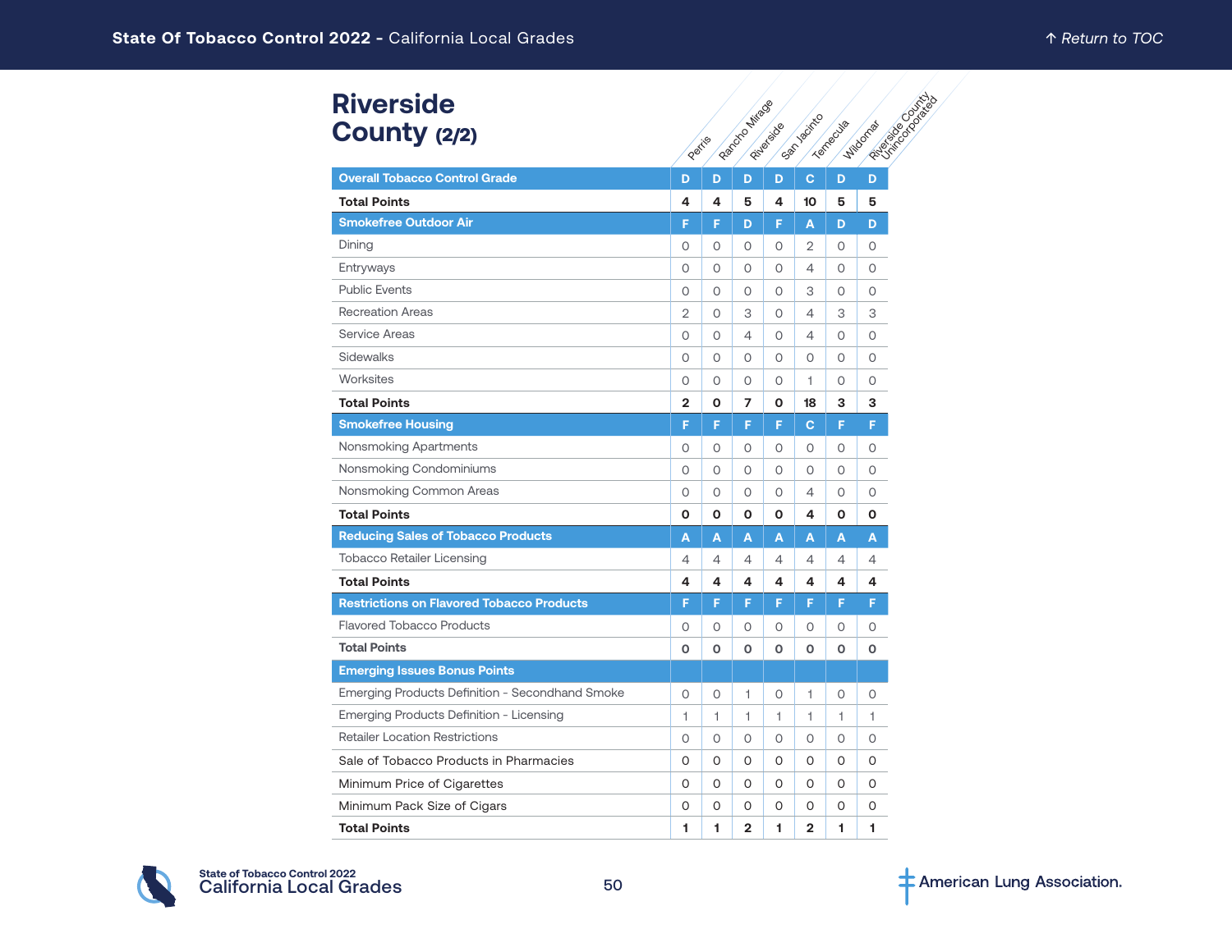# **Riverside** County (2/2)

| <b>Riverside</b>                                 |                |         |                |            |                |           |                                         |
|--------------------------------------------------|----------------|---------|----------------|------------|----------------|-----------|-----------------------------------------|
| County (2/2)                                     | Peritia        |         | Randone Mirag  | Pituleidoe | San Acitico    | Tempechia | <b>Particular Districts</b><br>Wildomar |
| <b>Overall Tobacco Control Grade</b>             | D              | D       | D              | D          | $\mathbf{C}$   | D         | D                                       |
| <b>Total Points</b>                              | 4              | 4       | 5              | 4          | 10             | 5         | 5                                       |
| <b>Smokefree Outdoor Air</b>                     | F              | F       | D              | F          | A              | D         | D                                       |
| Dining                                           | 0              | $\circ$ | $\circ$        | 0          | $\overline{2}$ | 0         | 0                                       |
| Entryways                                        | 0              | 0       | 0              | 0          | 4              | 0         | 0                                       |
| <b>Public Events</b>                             | $\circ$        | $\circ$ | $\circ$        | $\circ$    | 3              | O         | $\Omega$                                |
| <b>Recreation Areas</b>                          | 2              | 0       | 3              | $\Omega$   | 4              | З         | 3                                       |
| <b>Service Areas</b>                             | O              | $\circ$ | $\overline{4}$ | $\circ$    | 4              | O         | $\circ$                                 |
| Sidewalks                                        | $\circ$        | 0       | 0              | 0          | 0              | 0         | 0                                       |
| Worksites                                        | $\circ$        | $\circ$ | $\circ$        | $\circ$    | 1.             | O         | $\overline{O}$                          |
| <b>Total Points</b>                              | $\overline{2}$ | O       | 7              | 0          | 18             | 3         | 3                                       |
| <b>Smokefree Housing</b>                         | F              | F       | F              | F          | $\mathbf{C}$   | F.        | F                                       |
| Nonsmoking Apartments                            | 0              | 0       | 0              | $\Omega$   | 0              | 0         | 0                                       |
| Nonsmoking Condominiums                          | $\circ$        | $\circ$ | $\circ$        | $\circ$    | O              | O         | 0                                       |
| Nonsmoking Common Areas                          | $\circ$        | $\circ$ | $\circ$        | $\circ$    | 4              | 0         | $\circ$                                 |
| <b>Total Points</b>                              | O              | O       | O              | O          | 4              | 0         | О                                       |
| <b>Reducing Sales of Tobacco Products</b>        | A              | A       | A              | A          | A              | A         | A                                       |
| <b>Tobacco Retailer Licensing</b>                | 4              | 4       | $\overline{4}$ | 4          | 4              | 4         | 4                                       |
| <b>Total Points</b>                              | 4              | 4       | 4              | 4          | 4              | 4         | 4                                       |
| <b>Restrictions on Flavored Tobacco Products</b> | F              | F       | F              | F          | F              | F         | F                                       |
| <b>Flavored Tobacco Products</b>                 | $\circ$        | $\circ$ | $\circ$        | $\circ$    | O              | 0         | $\circ$                                 |
| <b>Total Points</b>                              | O              | O       | 0              | O          | O              | 0         | 0                                       |
| <b>Emerging Issues Bonus Points</b>              |                |         |                |            |                |           |                                         |
| Emerging Products Definition - Secondhand Smoke  | 0              | 0       | 1              | $\circ$    | 1              | 0         | 0                                       |
| Emerging Products Definition - Licensing         | 1              | 1       | 1              | 1          | 1              | 1.        | 1                                       |
| <b>Retailer Location Restrictions</b>            | O              | 0       | $\circ$        | $\circ$    | O              | O         | 0                                       |
| Sale of Tobacco Products in Pharmacies           | 0              | $\circ$ | 0              | 0          | 0              | 0         | O                                       |
| Minimum Price of Cigarettes                      | O              | O       | 0              | 0          | 0              | 0         | 0                                       |
| Minimum Pack Size of Cigars                      | 0              | 0       | 0              | 0          | 0              | 0         | 0                                       |
| <b>Total Points</b>                              | 1              | 1       | $\overline{2}$ | 1          | 2              | 1.        | 1                                       |

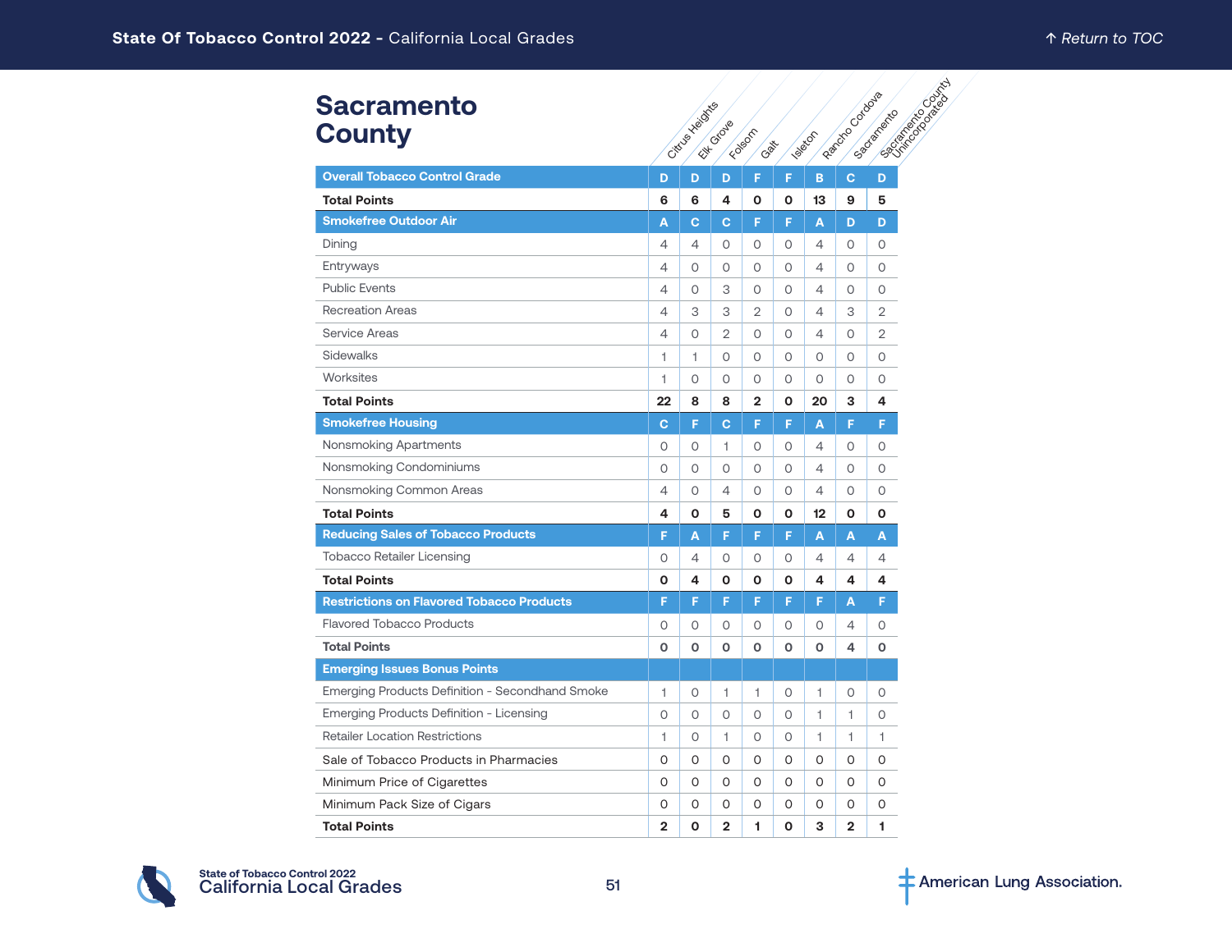| <b>Sacramento</b><br><b>County</b>               | Cittys Heights | <b>Islands</b> | <b>BOOKING COOKING</b><br>Reprocting Codows<br>Sacramento |                |          |                 |                |                |
|--------------------------------------------------|----------------|----------------|-----------------------------------------------------------|----------------|----------|-----------------|----------------|----------------|
| <b>Overall Tobacco Control Grade</b>             | D              | D              | Elizabeto<br>D                                            | F              | F        | B               | c              | D              |
| <b>Total Points</b>                              | 6              | 6              | 4                                                         | O              | O        | 13              | 9              | 5              |
| <b>Smokefree Outdoor Air</b>                     | A              | C.             | C                                                         | F              | F        | A               | D              | D              |
| Dining                                           | 4              | 4              | $\Omega$                                                  | $\Omega$       | $\Omega$ | $\overline{4}$  | $\Omega$       | 0              |
| Entryways                                        | 4              | $\Omega$       | 0                                                         | 0              | $\Omega$ | 4               | 0              | 0              |
| <b>Public Events</b>                             | 4              | $\Omega$       | 3                                                         | $\Omega$       | $\Omega$ | $\overline{4}$  | $\Omega$       | $\circ$        |
| <b>Recreation Areas</b>                          | $\overline{4}$ | 3              | 3                                                         | $\overline{2}$ | $\Omega$ | 4               | З              | $\overline{2}$ |
| <b>Service Areas</b>                             | 4              | $\Omega$       | 2                                                         | $\Omega$       | $\Omega$ | 4               | $\Omega$       | 2              |
| Sidewalks                                        | 1              | 1              | 0                                                         | $\Omega$       | $\Omega$ | $\Omega$        | $\Omega$       | 0              |
| Worksites                                        | $\mathbf{1}$   | $\Omega$       | $\Omega$                                                  | 0              | $\Omega$ | $\Omega$        | $\Omega$       | $\circ$        |
| <b>Total Points</b>                              | 22             | 8              | 8                                                         | $\overline{2}$ | O        | 20              | 3              | 4              |
| <b>Smokefree Housing</b>                         | $\mathbf{C}$   | F              | C                                                         | F              | F        | A               | F              | F.             |
| Nonsmoking Apartments                            | $\circ$        | 0              | 1                                                         | $\Omega$       | $\Omega$ | 4               | 0              | $\circ$        |
| Nonsmoking Condominiums                          | $\circ$        | $\circ$        | 0                                                         | $\circ$        | $\circ$  | $\overline{4}$  | 0              | 0              |
| Nonsmoking Common Areas                          | $\overline{4}$ | $\circ$        | $\overline{4}$                                            | 0              | $\circ$  | $\overline{4}$  | 0              | $\circ$        |
| <b>Total Points</b>                              | 4              | 0              | 5                                                         | O              | O        | 12 <sub>2</sub> | O              | O              |
| <b>Reducing Sales of Tobacco Products</b>        | F              | A              | F                                                         | F              | F        | Α               | A              | A              |
| <b>Tobacco Retailer Licensing</b>                | $\circ$        | 4              | $\circ$                                                   | 0              | $\circ$  | 4               | 4              | 4              |
| <b>Total Points</b>                              | O              | 4              | O                                                         | 0              | O        | 4               | 4              | 4              |
| <b>Restrictions on Flavored Tobacco Products</b> | F              | F              | F                                                         | F              | F        | F               | A              | F.             |
| <b>Flavored Tobacco Products</b>                 | 0              | 0              | 0                                                         | 0              | 0        | $\circ$         | 4              | 0              |
| <b>Total Points</b>                              | $\mathbf 0$    | O              | O                                                         | 0              | O        | $\mathbf 0$     | 4              | O              |
| <b>Emerging Issues Bonus Points</b>              |                |                |                                                           |                |          |                 |                |                |
| Emerging Products Definition - Secondhand Smoke  | 1              | 0              | 1                                                         | 1              | 0        | 1               | 0              | 0              |
| Emerging Products Definition - Licensing         | $\circ$        | $\circ$        | $\circ$                                                   | $\circ$        | $\circ$  | 1               | 1              | $\circ$        |
| <b>Retailer Location Restrictions</b>            | 1              | 0              | 1                                                         | 0              | $\circ$  | 1.              | 1.             | 1              |
| Sale of Tobacco Products in Pharmacies           | O              | 0              | 0                                                         | 0              | 0        | 0               | 0              | 0              |
| Minimum Price of Cigarettes                      | 0              | 0              | 0                                                         | 0              | 0        | 0               | 0              | 0              |
| Minimum Pack Size of Cigars                      | 0              | 0              | 0                                                         | 0              | 0        | O               | 0              | 0              |
| <b>Total Points</b>                              | $\overline{2}$ | O              | $\overline{2}$                                            | 1              | O        | 3               | $\overline{2}$ | 1              |

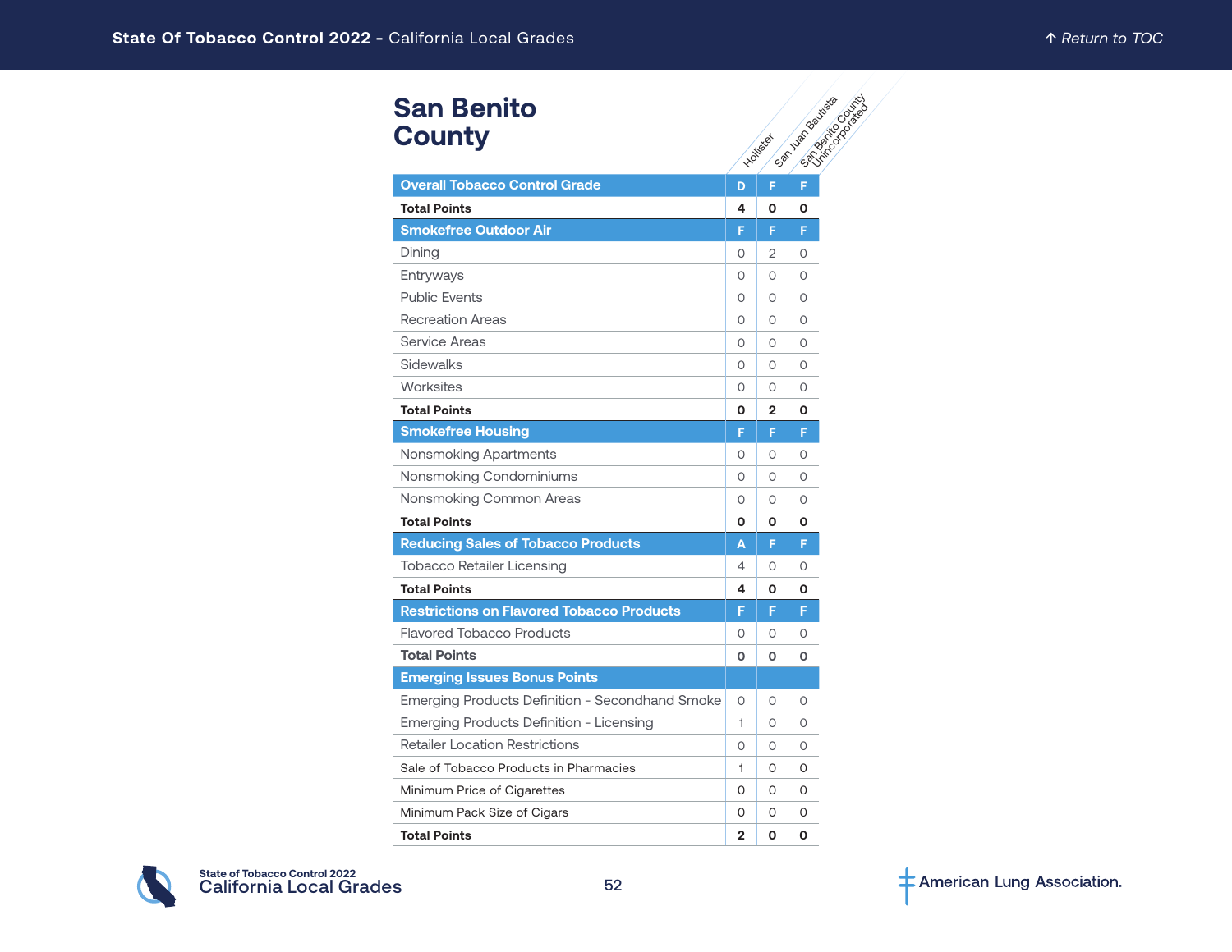# **San Benito County**

| <b>San Benito</b><br><b>County</b>               |              | Hollister      | <b>San Yangoo</b> Backsoo<br><b>PSTRATEGISTS</b> |
|--------------------------------------------------|--------------|----------------|--------------------------------------------------|
|                                                  |              |                |                                                  |
| <b>Overall Tobacco Control Grade</b>             | D            | F              | F                                                |
| <b>Total Points</b>                              | 4            | O              | Ο                                                |
| <b>Smokefree Outdoor Air</b>                     | F            | F              | F                                                |
| Dining                                           | 0            | 2              | O                                                |
| Entryways                                        | 0            | 0              | O                                                |
| <b>Public Events</b>                             | 0            | O              | 0                                                |
| <b>Recreation Areas</b>                          | 0            | 0              | O                                                |
| <b>Service Areas</b>                             | $\Omega$     | $\Omega$       | 0                                                |
| <b>Sidewalks</b>                                 | 0            | 0              | O                                                |
| Worksites                                        | $\Omega$     | $\Omega$       | $\Omega$                                         |
| <b>Total Points</b>                              | O            | $\overline{2}$ | O                                                |
| <b>Smokefree Housing</b>                         | F            | F.             | F                                                |
| Nonsmoking Apartments                            | 0            | 0              | O                                                |
| Nonsmoking Condominiums                          | 0            | 0              | 0                                                |
| Nonsmoking Common Areas                          | $\circ$      | $\circ$        | O                                                |
| <b>Total Points</b>                              | O            | O              | О                                                |
| <b>Reducing Sales of Tobacco Products</b>        | A            | F.             | F                                                |
| Tobacco Retailer Licensing                       | 4            | 0              | O                                                |
| <b>Total Points</b>                              | 4            | O              | Ο                                                |
| <b>Restrictions on Flavored Tobacco Products</b> | F            | F              | F                                                |
| <b>Flavored Tobacco Products</b>                 | 0            | O              | 0                                                |
| <b>Total Points</b>                              | O            | O              | О                                                |
| <b>Emerging Issues Bonus Points</b>              |              |                |                                                  |
| Emerging Products Definition - Secondhand Smoke  | 0            | 0              | O                                                |
| Emerging Products Definition - Licensing         | 1            | $\Omega$       | 0                                                |
| <b>Retailer Location Restrictions</b>            | 0            | 0              | O                                                |
| Sale of Tobacco Products in Pharmacies           | 1.           | 0              | 0                                                |
| Minimum Price of Cigarettes                      | 0            | 0              | 0                                                |
| Minimum Pack Size of Cigars                      | 0            | 0              | 0                                                |
| <b>Total Points</b>                              | $\mathbf{2}$ | O              | O                                                |

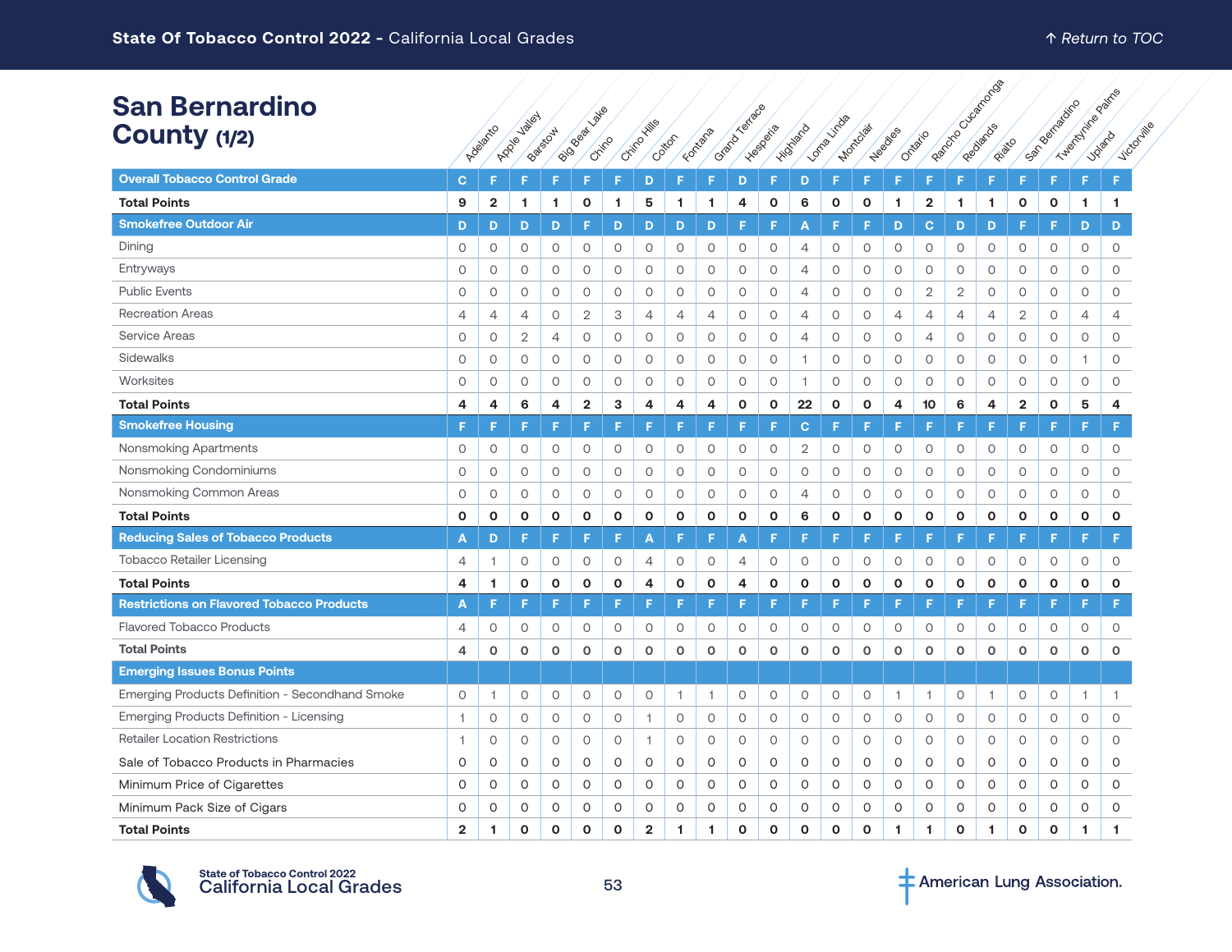| <b>San Bernardino</b> |  |
|-----------------------|--|
| County (1/2)          |  |

| <b>San Bernardino</b>                            |                |                | <b>Jailey</b> |                |                |              |                |         |              |                |              |                 |              |                |                |                |                            |              |                         |               |                 |              |
|--------------------------------------------------|----------------|----------------|---------------|----------------|----------------|--------------|----------------|---------|--------------|----------------|--------------|-----------------|--------------|----------------|----------------|----------------|----------------------------|--------------|-------------------------|---------------|-----------------|--------------|
| County (1/2)                                     |                | Adelantico     | Apple         | Backstow       | ISO BRIDE DE   | Chino        | Critical Hills | Cotton  | Fortafa      | Grand Jarrace  | -ivesperite  | <b>Hildhand</b> | Lomburitos   | Mortclair      | <b>Headles</b> | Ontario        | <b>I Ba</b> Cocco Banca Ba | Rivato       |                         | Someonidation | Tuesday Rolling | Victorille   |
| <b>Overall Tobacco Control Grade</b>             | $\mathbf{C}$   | Е              | ıs            | F              | F              | F            | D              | F       | F            | D              | F            | D               | F            | E              | Е              | F              | F                          | F            | F                       | F             | F               | F            |
| <b>Total Points</b>                              | 9              | $\overline{2}$ |               | 1              | $\mathbf{o}$   | 1            | 5              | 1       | 1            | 4              | $\mathbf{o}$ | 6               | $\mathbf{o}$ | $\mathbf{o}$   | 1              | $\overline{2}$ | 1                          | 1.           | O                       | $\mathbf{o}$  | 1               | $\mathbf{1}$ |
| <b>Smokefree Outdoor Air</b>                     | D              | D              | 1<br>D        | D              | F              | D            |                | D       | D            | F              | F            |                 | E            |                | D              | $\mathbf C$    |                            | D            | F                       | F             | D               |              |
|                                                  |                |                |               |                |                |              | D              |         |              |                |              | A               |              | F              |                |                | D                          |              |                         |               |                 | D            |
| Dining                                           | 0              | $\circ$        | $\circ$       | $\circ$        | 0              | $\circ$      | 0              | 0       | 0            | $\circ$        | $\circ$      | $\overline{4}$  | 0            | 0              | 0              | 0              | $\circ$                    | 0            | $\circ$                 | $\circ$       | 0               | 0            |
| Entryways                                        | $\mathsf O$    | $\circ$        | $\circ$       | 0              | O              | $\circ$      | $\circ$        | $\circ$ | $\circ$      | $\circ$        | $\circ$      | 4               | $\circ$      | $\circ$        | O              | $\circ$        | $\circ$                    | O            | $\circ$                 | $\circ$       | 0               | O            |
| <b>Public Events</b>                             | $\circ$        | $\circ$        | $\circ$       | $\circ$        | $\circ$        | $\circ$      | $\circ$        | 0       | $\circ$      | $\circ$        | $\circ$      | $\overline{4}$  | $\circ$      | $\circ$        | $\circ$        | $\sqrt{2}$     | $\overline{2}$             | $\circ$      | $\circ$                 | $\circ$       | $\circ$         | 0            |
| <b>Recreation Areas</b>                          | $\overline{4}$ | 4              | 4             | 0              | 2              | 3            | 4              | 4       | 4            | $\circ$        | $\circ$      | 4               | 0            | 0              | 4              | 4              | 4                          | 4            | $\mathbf{2}$            | $\circ$       | 4               | 4            |
| <b>Service Areas</b>                             | 0              | $\circ$        | $\mathbf{2}$  | $\overline{4}$ | 0              | $\circ$      | 0              | 0       | 0            | $\circ$        | $\circ$      | 4               | $\circ$      | $\circ$        | 0              | 4              | 0                          | 0            | $\circ$                 | $\circ$       | 0               | 0            |
| Sidewalks                                        | 0              | $\circ$        | $\circ$       | 0              | 0              | $\circ$      | 0              | 0       | 0            | $\circ$        | $\circ$      | 1               | $\circ$      | $\circ$        | 0              | $\circ$        | 0                          | 0            | $\circ$                 | $\circ$       | $\overline{1}$  | 0            |
| Worksites                                        | $\circ$        | $\circ$        | $\circ$       | 0              | 0              | $\circ$      | 0              | 0       | $\circ$      | $\circ$        | $\circ$      | $\overline{1}$  | $\circ$      | $\circ$        | 0              | $\circ$        | $\circ$                    | 0            | $\circ$                 | $\circ$       | 0               | 0            |
| <b>Total Points</b>                              | 4              | $\overline{a}$ | 6             | 4              | $\overline{2}$ | 3            | 4              | 4       | 4            | $\mathbf{o}$   | $\mathbf{o}$ | 22              | $\mathbf{o}$ | $\mathbf{o}$   | 4              | 10             | 6                          | 4            | $\overline{\mathbf{c}}$ | $\mathbf{o}$  | 5               | 4            |
| <b>Smokefree Housing</b>                         | F              | Е              | Е             | F              | F              | F            | F              | F       | F            | F              | F            | $\mathbf C$     |              | F              | F              | F              |                            | F            | F                       | F             | F               | F            |
| Nonsmoking Apartments                            | 0              | $\circ$        | $\circ$       | $\circ$        | $\circ$        | $\circ$      | $\circ$        | 0       | 0            | $\circ$        | $\circ$      | $\mathbf{2}$    | $\circ$      | $\circ$        | $\circ$        | $\circ$        | $\circ$                    | O            | $\circ$                 | $\circ$       | 0               | 0            |
| Nonsmoking Condominiums                          | 0              | $\circ$        | $\circ$       | $\circ$        | $\circ$        | $\circ$      | 0              | 0       | 0            | $\circ$        | $\circ$      | $\circ$         | $\circ$      | $\circ$        | $\circ$        | $\circ$        | 0                          | O            | $\circ$                 | $\circ$       | 0               | O            |
| Nonsmoking Common Areas                          | 0              | $\circ$        | 0             | 0              | $\circ$        | $\circ$      | 0              | 0       | 0            | $\circ$        | $\circ$      | $\overline{4}$  | $\circ$      | 0              | $\circ$        | $\circ$        | 0                          | $\circ$      | $\circ$                 | $\circ$       | 0               | 0            |
| <b>Total Points</b>                              | O              | $\mathbf{o}$   | $\mathbf{o}$  | 0              | $\mathbf{o}$   | $\mathbf{o}$ | $\mathbf{o}$   | O       | $\mathbf{o}$ | $\mathbf{o}$   | $\mathbf{o}$ | 6               | $\mathbf{o}$ | $\mathbf{o}$   | O              | $\mathbf{o}$   | 0                          | $\mathbf{o}$ | $\mathbf{o}$            | $\mathbf{o}$  | O               | $\mathbf{o}$ |
| <b>Reducing Sales of Tobacco Products</b>        | A              | D              | F             | F              | F              | F            | A              | F       | F            | A              | F.           | F               | F            | F              | F              | F              | F                          | F            | F                       | F             | F               | F            |
| <b>Tobacco Retailer Licensing</b>                | 4              | -1.            | $\circ$       | $\circ$        | 0              | $\circ$      | 4              | 0       | 0            | $\overline{4}$ | $\circ$      | $\circ$         | $\circ$      | $\circ$        | $\circ$        | $\circ$        | $\circ$                    | $\circ$      | $\circ$                 | $\circ$       | $\circ$         | $\circ$      |
| <b>Total Points</b>                              | 4              | 1              | $\mathbf{o}$  | 0              | 0              | $\mathbf{o}$ | 4              | O       | $\mathbf{o}$ | 4              | $\mathbf{o}$ | $\mathbf 0$     | $\mathbf{o}$ | $\mathbf{o}$   | $\mathbf 0$    | $\mathbf{o}$   | $\mathbf{o}$               | 0            | $\mathbf{o}$            | $\mathbf{o}$  | 0               | $\mathbf{o}$ |
| <b>Restrictions on Flavored Tobacco Products</b> | A              | F              | F             | F              | F              | F            | F              | F       | F            | F              | F            | F               | F            | F              | F              | F              | F                          | F            | F                       | F             | F               | F            |
| <b>Flavored Tobacco Products</b>                 | 4              | $\circ$        | $\circ$       | 0              | $\circ$        | 0            | 0              | 0       | 0            | $\circ$        | $\circ$      | $\circ$         | 0            | 0              | 0              | 0              | 0                          | 0            | $\circ$                 | $\circ$       | 0               | 0            |
| <b>Total Points</b>                              | 4              | $\mathbf{o}$   | $\mathbf{o}$  | $\mathbf{o}$   | $\mathbf 0$    | $\mathbf 0$  | $\circ$        | O       | $\circ$      | $\circ$        | $\circ$      | $\circ$         | $\circ$      | $\mathsf{o}\,$ | $\mathbf 0$    | $\mathbf 0$    | $\circ$                    | $\mathbf{o}$ | $\mathbf 0$             | $\mathbf 0$   | 0               | $\circ$      |
| <b>Emerging Issues Bonus Points</b>              |                |                |               |                |                |              |                |         |              |                |              |                 |              |                |                |                |                            |              |                         |               |                 |              |
| Emerging Products Definition - Secondhand Smoke  | 0              | $\overline{1}$ | $\circ$       | 0              | $\circ$        | $\circ$      | 0              | 1       | 1            | $\circ$        | $\circ$      | $\circ$         | 0            | 0              | 1              | 1              | $\circ$                    | 1            | $\circ$                 | $\mathsf O$   | $\overline{1}$  | 1.           |
| Emerging Products Definition - Licensing         | $\mathbf{1}$   | $\circ$        | $\circ$       | 0              | 0              | $\circ$      | 1              | 0       | 0            | $\circ$        | $\circ$      | $\circ$         | $\circ$      | $\circ$        | $\circ$        | $\circ$        | $\circ$                    | 0            | $\circ$                 | $\circ$       | $\circ$         | $\circ$      |
| <b>Retailer Location Restrictions</b>            | 1              | $\circ$        | $\circ$       | $\circ$        | 0              | 0            | 1              | 0       | 0            | $\circ$        | $\circ$      | $\circ$         | $\circ$      | $\circ$        | $\circ$        | $\circ$        | $\circ$                    | $\circ$      | $\circ$                 | $\circ$       | 0               | 0            |
| Sale of Tobacco Products in Pharmacies           | 0              | 0              | 0             | 0              | 0              | 0            | 0              | 0       | 0            | $\circ$        | 0            | $\circ$         | 0            | 0              | 0              | 0              | 0                          | 0            | 0                       | O             | 0               | 0            |
| Minimum Price of Cigarettes                      | O              | 0              | $\circ$       | 0              | 0              | $\circ$      | $\circ$        | 0       | 0            | $\circ$        | $\circ$      | $\circ$         | 0            | $\circ$        | 0              | $\circ$        | 0                          | 0            | O                       | $\circ$       | 0               | $\circ$      |
| Minimum Pack Size of Cigars                      | 0              | $\mathbf 0$    | 0             | 0              | O              | 0            | 0              | O       | O            | $\mathsf O$    | 0            | $\circ$         | 0            | 0              | 0              | $\circ$        | 0                          | 0            | $\circ$                 | 0             | 0               | $\circ$      |
| <b>Total Points</b>                              | $\overline{2}$ | 1              | $\mathbf{o}$  | O              | $\mathbf{o}$   | $\mathbf{o}$ | $\overline{2}$ | 1       | 1            | $\mathbf{o}$   | $\mathbf{o}$ | $\mathbf{o}$    | $\mathbf{o}$ | $\mathbf{o}$   | 1              | 1              | $\mathbf{o}$               | 1            | $\mathbf{o}$            | $\mathbf{o}$  | 1               | 1            |



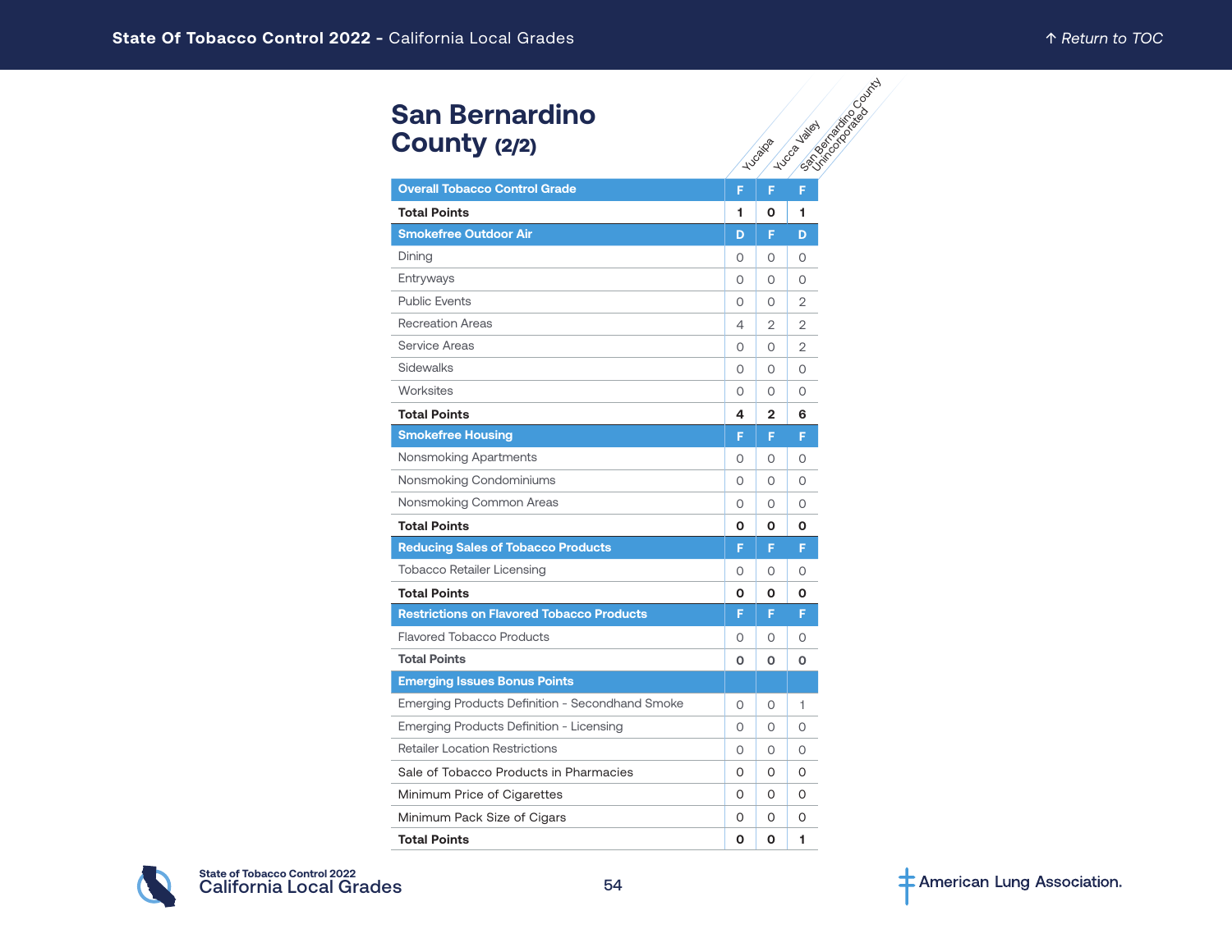# **San Bernardino County** (2/2)

| <b>San Bernardino</b><br>County (2/2)            |          | <b>Calgary River Calgary River</b><br>Yucca Valiat<br><b>Tugalo</b> |                |  |  |  |  |  |  |  |
|--------------------------------------------------|----------|---------------------------------------------------------------------|----------------|--|--|--|--|--|--|--|
| <b>Overall Tobacco Control Grade</b>             | F        | F.                                                                  | F              |  |  |  |  |  |  |  |
| <b>Total Points</b>                              | 1        | 0                                                                   | 1              |  |  |  |  |  |  |  |
| <b>Smokefree Outdoor Air</b>                     | D        | F                                                                   | D              |  |  |  |  |  |  |  |
| Dining                                           | 0        | 0                                                                   | 0              |  |  |  |  |  |  |  |
| Entryways                                        | $\circ$  | $\circ$                                                             | $\circ$        |  |  |  |  |  |  |  |
| <b>Public Events</b>                             | $\Omega$ | $\circ$                                                             | $\overline{2}$ |  |  |  |  |  |  |  |
| <b>Recreation Areas</b>                          | 4        | 2                                                                   | 2              |  |  |  |  |  |  |  |
| <b>Service Areas</b>                             | $\circ$  | 0                                                                   | $\overline{2}$ |  |  |  |  |  |  |  |
| Sidewalks                                        | $\circ$  | $\circ$                                                             | 0              |  |  |  |  |  |  |  |
| Worksites                                        | $\circ$  | 0                                                                   | 0              |  |  |  |  |  |  |  |
| <b>Total Points</b>                              | 4        | $\overline{2}$                                                      | 6              |  |  |  |  |  |  |  |
| <b>Smokefree Housing</b>                         | F        | F.                                                                  | Ē              |  |  |  |  |  |  |  |
| Nonsmoking Apartments                            | $\circ$  | $\circ$                                                             | 0              |  |  |  |  |  |  |  |
| Nonsmoking Condominiums                          | 0        | $\Omega$                                                            | $\Omega$       |  |  |  |  |  |  |  |
| Nonsmoking Common Areas                          | 0        | 0                                                                   | 0              |  |  |  |  |  |  |  |
| <b>Total Points</b>                              | 0        | 0                                                                   | Ο              |  |  |  |  |  |  |  |
| <b>Reducing Sales of Tobacco Products</b>        | F        | F                                                                   | F              |  |  |  |  |  |  |  |
| <b>Tobacco Retailer Licensing</b>                | 0        | 0                                                                   | O              |  |  |  |  |  |  |  |
| <b>Total Points</b>                              | 0        | O                                                                   | О              |  |  |  |  |  |  |  |
| <b>Restrictions on Flavored Tobacco Products</b> | F        | F                                                                   | F              |  |  |  |  |  |  |  |
| <b>Flavored Tobacco Products</b>                 | 0        | $\Omega$                                                            | 0              |  |  |  |  |  |  |  |
| <b>Total Points</b>                              | O        | 0                                                                   | O              |  |  |  |  |  |  |  |
| <b>Emerging Issues Bonus Points</b>              |          |                                                                     |                |  |  |  |  |  |  |  |
| Emerging Products Definition - Secondhand Smoke  | 0        | 0                                                                   | 1              |  |  |  |  |  |  |  |
| Emerging Products Definition - Licensing         | $\Omega$ | $\Omega$                                                            | $\Omega$       |  |  |  |  |  |  |  |
| <b>Retailer Location Restrictions</b>            | 0        | 0                                                                   | 0              |  |  |  |  |  |  |  |
| Sale of Tobacco Products in Pharmacies           | 0        | 0                                                                   | 0              |  |  |  |  |  |  |  |
| Minimum Price of Cigarettes                      | 0        | 0                                                                   | 0              |  |  |  |  |  |  |  |
| Minimum Pack Size of Cigars                      | $\Omega$ | $\Omega$                                                            | O              |  |  |  |  |  |  |  |
| <b>Total Points</b>                              | O        | O                                                                   | 1              |  |  |  |  |  |  |  |

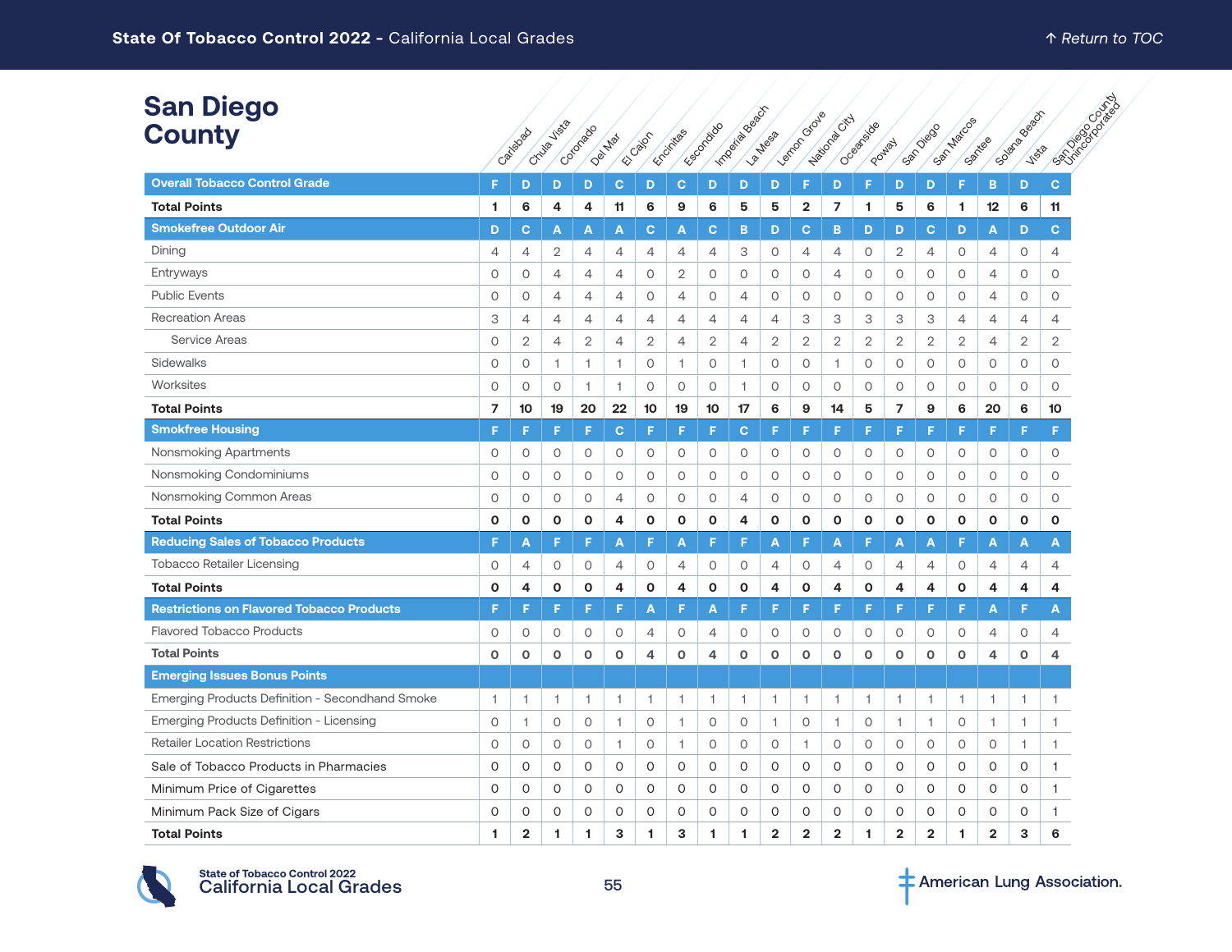| <b>San Diego</b><br><b>County</b>                |         | Catigogo       | <b>Visi</b> a<br>Chuig | Cotorado     | Dei Max        | EC DBOF        | Encirclands    | Escoraido    | Importance of Cr | La Mesa        | Lemondous      | Haitona City   | Oceanicace<br>Poulay |                | San Diego      | San Matos    | Santigo        | Solar Beach<br><b>Vista</b> | <b>PATRICIPAL DESCRIPTION</b> |
|--------------------------------------------------|---------|----------------|------------------------|--------------|----------------|----------------|----------------|--------------|------------------|----------------|----------------|----------------|----------------------|----------------|----------------|--------------|----------------|-----------------------------|-------------------------------|
| <b>Overall Tobacco Control Grade</b>             | F       | D              | D                      | D            | c              | D              | $\mathbf C$    | D            | D                | D              | F              | D              | F                    | D              | D              | F            | B              | D                           | $\mathbf{C}$                  |
| <b>Total Points</b>                              | 1       | 6              | 4                      | 4            | 11             | 6              | 9              | 6            | 5                | 5              | $\mathbf{2}$   | $\overline{7}$ | 1                    | 5              | 6              | 1            | 12             | 6                           | 11                            |
| <b>Smokefree Outdoor Air</b>                     | D       | C              | А                      | A            | A              | C              | A              | С            | B                | D              | C              | $\mathbf B$    | D                    | D              | $\mathbf{C}$   | D            | А              | D                           | $\mathbf{C}$                  |
| Dining                                           | 4       | $\overline{4}$ | $\overline{2}$         | 4            | $\overline{4}$ | 4              | 4              | 4            | 3                | $\circ$        | 4              | 4              | $\circ$              | $\overline{2}$ | $\overline{4}$ | $\circ$      | 4              | 0                           | 4                             |
| Entryways                                        | 0       | $\circ$        | $\overline{4}$         | 4            | $\overline{4}$ | $\circ$        | $\overline{2}$ | $\circ$      | $\circ$          | 0              | $\circ$        | 4              | $\circ$              | 0              | $\circ$        | $\circ$      | 4              | 0                           | 0                             |
| <b>Public Events</b>                             | 0       | $\circ$        | $\overline{4}$         | 4            | $\overline{4}$ | 0              | $\overline{4}$ | $\circ$      | $\overline{4}$   | $\circ$        | $\circ$        | $\circ$        | $\circ$              | $\circ$        | $\circ$        | $\circ$      | 4              | $\circ$                     | $\circ$                       |
| <b>Recreation Areas</b>                          | 3       | $\overline{4}$ | $\overline{4}$         | 4            | $\overline{4}$ | 4              | $\overline{4}$ | 4            | 4                | 4              | 3              | 3              | З                    | З              | 3              | 4            | 4              | $\overline{4}$              | 4                             |
| <b>Service Areas</b>                             | 0       | $\overline{2}$ | $\overline{4}$         | 2            | $\overline{4}$ | $\overline{2}$ | $\overline{4}$ | $\mathbf{2}$ | $\overline{4}$   | $\mathbf{2}$   | $\mathbf{2}$   | $\overline{2}$ | $\overline{2}$       | $\mathbf{2}$   | $\mathbf{2}$   | $\mathbf{2}$ | 4              | $\mathbf{2}$                | $\mathbf{2}$                  |
| Sidewalks                                        | 0       | $\circ$        | 1                      | $\mathbf{1}$ | 1              | $\circ$        | $\mathbf{1}$   | $\circ$      | $\overline{1}$   | 0              | $\circ$        | 1              | $\circ$              | 0              | $\circ$        | $\circ$      | 0              | 0                           | 0                             |
| Worksites                                        | 0       | $\circ$        | $\circ$                | 1.           | 1              | 0              | $\circ$        | $\circ$      | 1                | $\circ$        | $\circ$        | $\circ$        | $\circ$              | 0              | $\circ$        | $\circ$      | 0              | 0                           | $\circ$                       |
| <b>Total Points</b>                              | 7       | 10             | 19                     | 20           | 22             | 10             | 19             | 10           | 17               | 6              | 9              | 14             | 5                    | 7              | 9              | 6            | 20             | 6                           | 10                            |
| <b>Smokfree Housing</b>                          | F       | F              | F                      | F            | $\mathbf{C}$   | F              | F              | F            | $\mathbf{C}$     | F              | F              | F              | F                    | F              | F              | F            | F              | F                           | F                             |
| Nonsmoking Apartments                            | 0       | 0              | 0                      | 0            | 0              | 0              | 0              | 0            | 0                | 0              | 0              | 0              | 0                    | 0              | 0              | 0            | 0              | $\circ$                     | 0                             |
| Nonsmoking Condominiums                          | 0       | $\circ$        | $\circ$                | $\circ$      | 0              | $\circ$        | $\circ$        | 0            | $\circ$          | 0              | $\circ$        | $\circ$        | $\circ$              | $\circ$        | $\circ$        | 0            | 0              | 0                           | $\circ$                       |
| Nonsmoking Common Areas                          | 0       | $\circ$        | 0                      | 0            | $\overline{4}$ | 0              | $\circ$        | $\circ$      | $\overline{4}$   | 0              | $\circ$        | $\circ$        | $\circ$              | 0              | $\circ$        | $\circ$      | 0              | $\circ$                     | 0                             |
| <b>Total Points</b>                              | 0       | $\mathbf 0$    | O                      | $\mathbf{o}$ | 4              | O              | O              | O            | 4                | О              | O              | $\mathbf{o}$   | $\mathbf{o}$         | 0              | $\mathbf{o}$   | O            | $\mathbf 0$    | 0                           | 0                             |
| <b>Reducing Sales of Tobacco Products</b>        | F.      | A              | F                      | F            | A              | F              | A              | F            | F                | A              | F              | A              | F                    | A              | A              | F            | А              | A                           | A                             |
| <b>Tobacco Retailer Licensing</b>                | 0       | 4              | 0                      | 0            | 4              | 0              | 4              | 0            | 0                | 4              | 0              | 4              | 0                    | 4              | 4              | $\circ$      | 4              | 4                           | 4                             |
| <b>Total Points</b>                              | 0       | 4              | O                      | 0            | 4              | O              | 4              | O            | 0                | 4              | O              | 4              | $\mathbf 0$          | 4              | 4              | O            | 4              | 4                           | 4                             |
| <b>Restrictions on Flavored Tobacco Products</b> | F.      | F              | F                      | F            | F              | А              | F              | А            | F                | F              | F.             | F              | F                    | F              | F              | F            | Α              | F                           | A                             |
| <b>Flavored Tobacco Products</b>                 | 0       | $\circ$        | 0                      | 0            | 0              | 4              | $\circ$        | 4            | $\circ$          | 0              | 0              | $\circ$        | $\circ$              | 0              | 0              | 0            | 4              | 0                           | 4                             |
| <b>Total Points</b>                              | $\circ$ | $\circ$        | $\circ$                | O            | $\mathbf 0$    | 4              | $\circ$        | 4            | $\mathbf 0$      | O              | $\circ$        | $\circ$        | $\mathbf{o}$         | 0              | $\circ$        | $\circ$      | 4              | o                           | 4                             |
| <b>Emerging Issues Bonus Points</b>              |         |                |                        |              |                |                |                |              |                  |                |                |                |                      |                |                |              |                |                             |                               |
| Emerging Products Definition - Secondhand Smoke  | 1       | 1              | 1                      | 1            | 1              | 1              | $\overline{1}$ | 1            | $\mathbf{1}$     | 1              | $\overline{1}$ | 1              | $\overline{1}$       | 1              | 1              | 1            | 1.             | $\overline{1}$              | 1                             |
| Emerging Products Definition - Licensing         | 0       | 1              | $\circ$                | $\circ$      | $\mathbf{1}$   | $\circ$        | 1              | $\circ$      | $\circ$          | $\mathbf{1}$   | $\circ$        | 1              | $\circ$              | 1              | 1              | $\circ$      | $\mathbf{1}$   | 1                           | 1                             |
| <b>Retailer Location Restrictions</b>            | 0       | $\circ$        | $\circ$                | 0            | 1              | $\circ$        | $\overline{1}$ | $\circ$      | $\circ$          | 0              | $\overline{1}$ | 0              | $\circ$              | $\circ$        | $\circ$        | 0            | 0              | 1                           | 1                             |
| Sale of Tobacco Products in Pharmacies           | O       | $\Omega$       | $\circ$                | O            | 0              | 0              | $\Omega$       | $\Omega$     | $\circ$          | O              | 0              | 0              | $\Omega$             | 0              | $\circ$        | $\mathsf O$  | 0              | $\circ$                     | 1                             |
| Minimum Price of Cigarettes                      | O       | $\circ$        | $\circ$                | O            | 0              | 0              | O              | 0            | 0                | 0              | 0              | O              | $\circ$              | 0              | $\circ$        | $\mathsf O$  | 0              | $\circ$                     | 1                             |
| Minimum Pack Size of Cigars                      | 0       | 0              | 0                      | O            | 0              | 0              | 0              | 0            | 0                | O              | 0              | 0              | O                    | 0              | 0              | 0            | 0              | 0                           |                               |
| <b>Total Points</b>                              | 1.      | $\overline{2}$ | 1                      | 1.           | 3              | 1              | 3              | 1            | 1.               | $\overline{2}$ | $\overline{2}$ | $\overline{2}$ | 1                    | $\overline{2}$ | $\overline{2}$ | 1            | $\overline{2}$ | 3                           | 6                             |

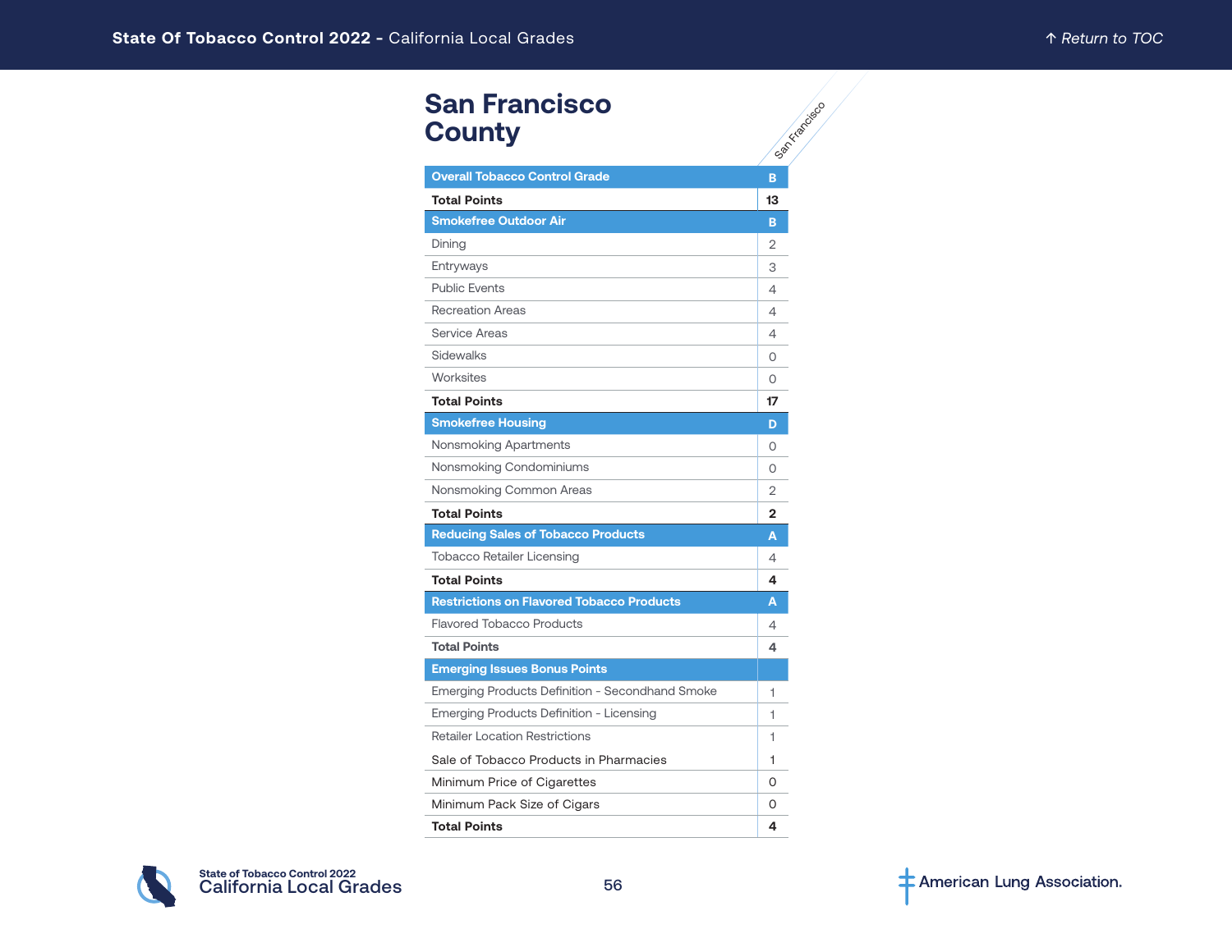# **San Francisco County**

| <b>San Francisco</b><br><b>County</b>            | San Kitapoiso  |
|--------------------------------------------------|----------------|
| <b>Overall Tobacco Control Grade</b>             | B              |
| <b>Total Points</b>                              | 13             |
| <b>Smokefree Outdoor Air</b>                     | B              |
| Dining                                           | 2              |
| Entryways                                        | 3              |
| <b>Public Events</b>                             | 4              |
| <b>Recreation Areas</b>                          | 4              |
| Service Areas                                    | 4              |
| <b>Sidewalks</b>                                 | 0              |
| Worksites                                        | 0              |
| <b>Total Points</b>                              | 17             |
| <b>Smokefree Housing</b>                         | D              |
| Nonsmoking Apartments                            | 0              |
| Nonsmoking Condominiums                          | 0              |
| Nonsmoking Common Areas                          | $\overline{2}$ |
| <b>Total Points</b>                              | $\mathbf{2}$   |
| <b>Reducing Sales of Tobacco Products</b>        | A              |
| <b>Tobacco Retailer Licensing</b>                | 4              |
| <b>Total Points</b>                              | 4              |
| <b>Restrictions on Flavored Tobacco Products</b> | A              |
| <b>Flavored Tobacco Products</b>                 | 4              |
| <b>Total Points</b>                              | 4              |
| <b>Emerging Issues Bonus Points</b>              |                |
| Emerging Products Definition - Secondhand Smoke  | 1              |
| Emerging Products Definition - Licensing         | 1              |
| <b>Retailer Location Restrictions</b>            | 1              |
| Sale of Tobacco Products in Pharmacies           | 1              |
| Minimum Price of Cigarettes                      | 0              |
| Minimum Pack Size of Cigars                      | 0              |
| <b>Total Points</b>                              | 4              |

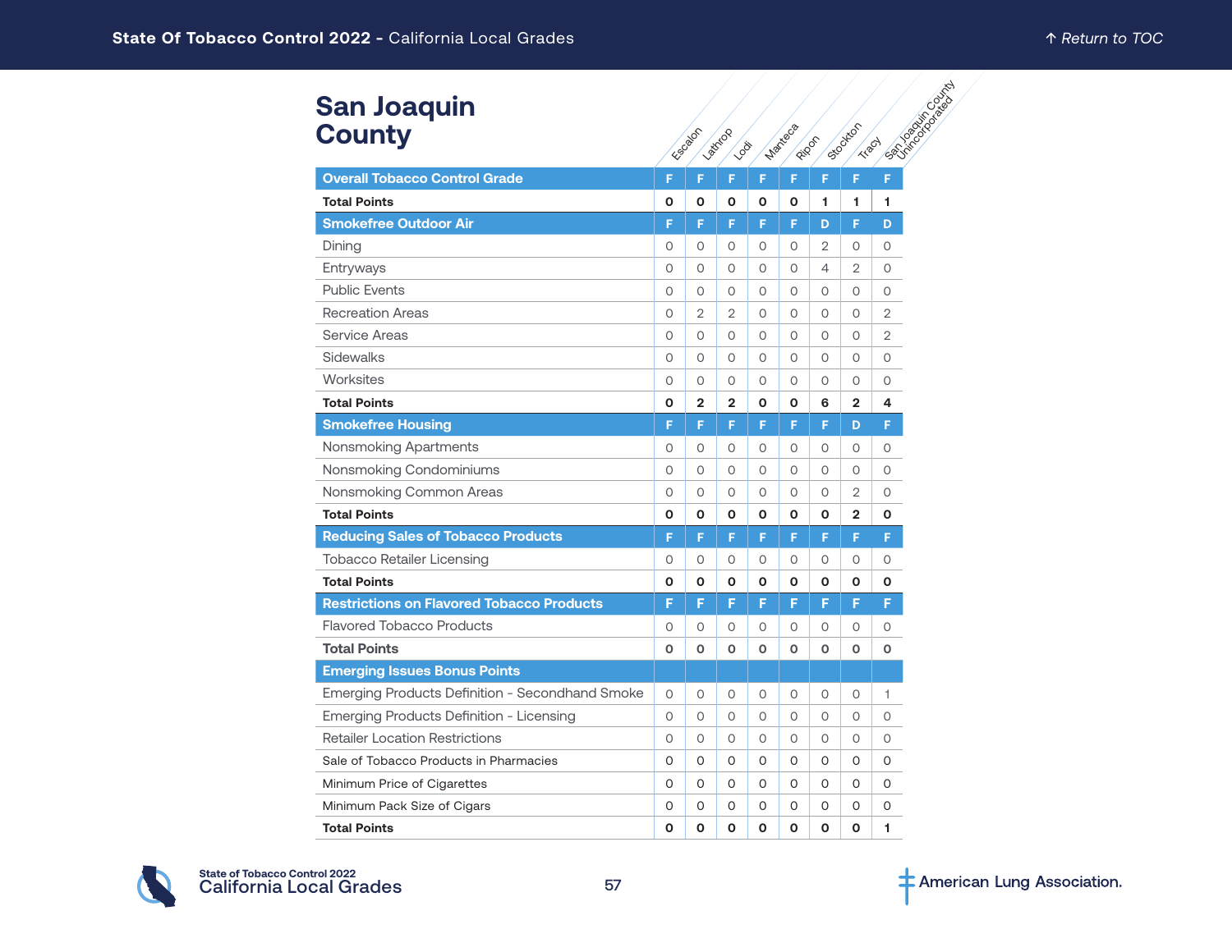#### **San Joaquin County**

| <b>San Joaquin</b>                               |          |                |                  |          |                |          |                          | Extragalactic agests |
|--------------------------------------------------|----------|----------------|------------------|----------|----------------|----------|--------------------------|----------------------|
| <b>County</b>                                    |          | ESSERIEST      | Latitica<br>1008 |          | <b>Marieca</b> | Ripon    | Stockton<br><b>Tract</b> |                      |
| <b>Overall Tobacco Control Grade</b>             | F        | F.             | F                | F        | F              | F        | F.                       | F                    |
| <b>Total Points</b>                              | O        | 0              | 0                | O        | 0              | 1        | 1                        | 1.                   |
| <b>Smokefree Outdoor Air</b>                     | F        | F              | F                | F        | F              | D        | F                        | D                    |
| Dining                                           | 0        | $\circ$        | 0                | $\circ$  | O              | 2        | 0                        | 0                    |
| Entryways                                        | 0        | $\circ$        | 0                | $\circ$  | 0              | 4        | 2                        | 0                    |
| <b>Public Events</b>                             | 0        | $\circ$        | 0                | $\circ$  | $\circ$        | 0        | $\circ$                  | 0                    |
| <b>Recreation Areas</b>                          | 0        | 2              | $\overline{2}$   | $\circ$  | $\circ$        | O        | 0                        | $\overline{2}$       |
| <b>Service Areas</b>                             | 0        | $\circ$        | 0                | $\circ$  | O              | $\Omega$ | 0                        | $\overline{2}$       |
| Sidewalks                                        | 0        | $\circ$        | 0                | $\circ$  | O              | 0        | 0                        | O                    |
| Worksites                                        | $\circ$  | $\circ$        | O                | $\circ$  | 0              | O        | 0                        | $\circ$              |
| <b>Total Points</b>                              | O        | $\overline{2}$ | $\overline{2}$   | O        | $\mathbf{o}$   | 6        | $\overline{2}$           | 4                    |
| <b>Smokefree Housing</b>                         | F        | F.             | F                | F        | F              | F        | D                        | F.                   |
| Nonsmoking Apartments                            | 0        | $\circ$        | 0                | $\Omega$ | 0              | $\Omega$ | $\Omega$                 | O                    |
| Nonsmoking Condominiums                          | $\Omega$ | $\Omega$       | 0                | $\Omega$ | $\Omega$       | $\Omega$ | $\Omega$                 | O                    |
| Nonsmoking Common Areas                          | 0        | $\circ$        | 0                | $\circ$  | 0              | $\circ$  | $\overline{2}$           | 0                    |
| <b>Total Points</b>                              | 0        | $\mathbf{o}$   | 0                | O        | $\mathbf{o}$   | 0        | $\overline{2}$           | O                    |
| <b>Reducing Sales of Tobacco Products</b>        | F        | F              | F                | F        | F              | F        | F                        | F                    |
| <b>Tobacco Retailer Licensing</b>                | 0        | 0              | 0                | $\circ$  | 0              | O        | 0                        | 0                    |
| <b>Total Points</b>                              | О        | 0              | Ο                | O        | 0              | О        | 0                        | О                    |
| <b>Restrictions on Flavored Tobacco Products</b> | F        | F              | G                | F        | F              | F        | F                        | F                    |
| <b>Flavored Tobacco Products</b>                 | 0        | 0              | 0                | $\circ$  | 0              | O        | 0                        | 0                    |
| <b>Total Points</b>                              | O        | O              | O                | O        | O              | O        | O                        | O                    |
| <b>Emerging Issues Bonus Points</b>              |          |                |                  |          |                |          |                          |                      |
| Emerging Products Definition - Secondhand Smoke  | $\circ$  | $\circ$        | 0                | $\circ$  | $\circ$        | 0        | $\circ$                  | 1.                   |
| Emerging Products Definition - Licensing         | 0        | $\circ$        | O                | $\circ$  | $\circ$        | 0        | $\circ$                  | 0                    |
| <b>Retailer Location Restrictions</b>            | 0        | $\circ$        | 0                | $\circ$  | $\Omega$       | O        | $\Omega$                 | $\circ$              |
| Sale of Tobacco Products in Pharmacies           | O        | 0              | 0                | $\Omega$ | 0              | 0        | 0                        | 0                    |
| Minimum Price of Cigarettes                      | 0        | $\Omega$       | 0                | $\Omega$ | 0              | 0        | 0                        | 0                    |
| Minimum Pack Size of Cigars                      | O        | $\circ$        | O                | 0        | 0              | 0        | 0                        | 0                    |
| <b>Total Points</b>                              | O        | $\Omega$       | 0                | $\Omega$ | O              | O        | O                        | 1                    |

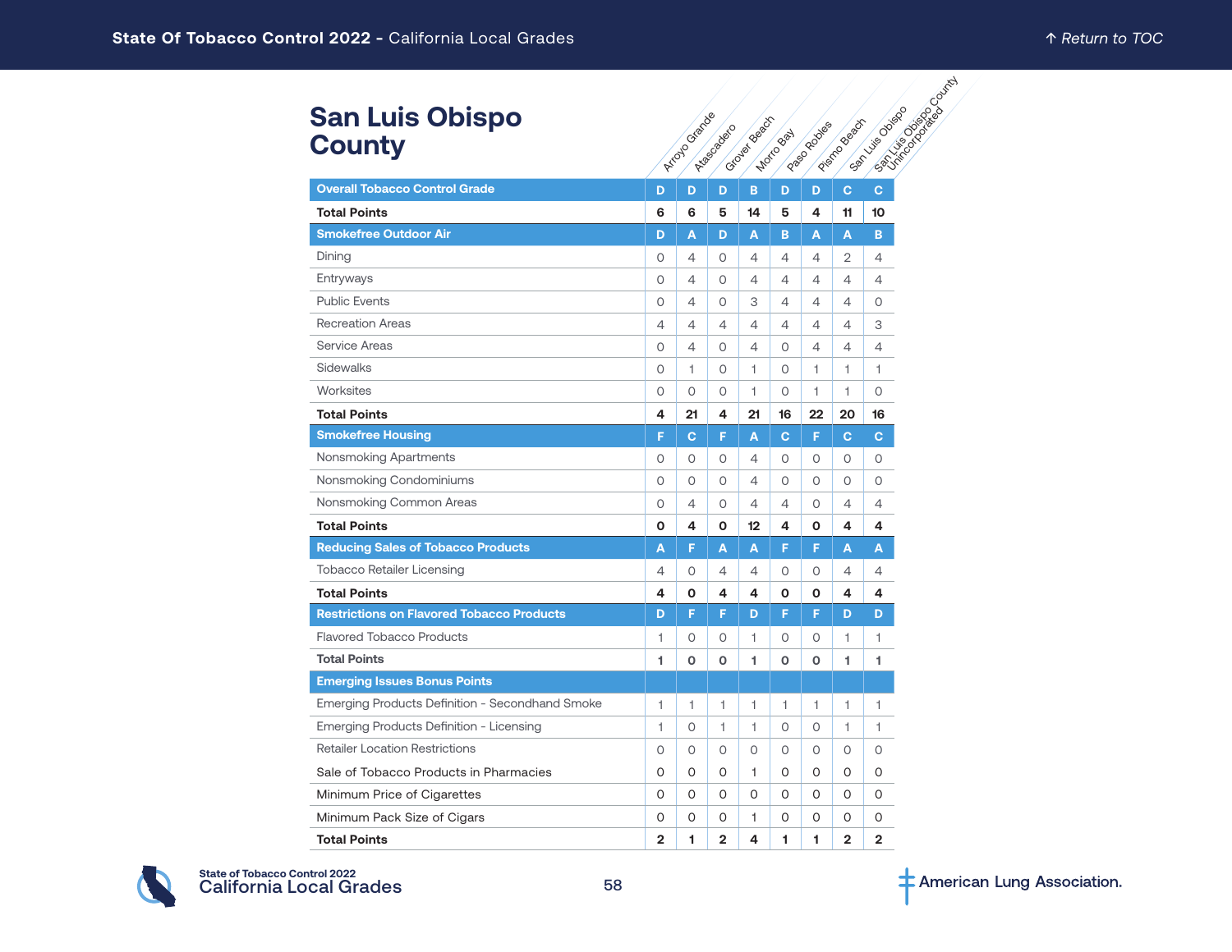### **San Luis Obispo County**

| <b>San Luis Obispo</b>                           |                | Arrayo Grande  |                | <b>Criosles</b> Beech |              | I Paso Robies  | Prisme Beach   | C. All Michael Back of Mich<br><b>Samuel Collage</b> |
|--------------------------------------------------|----------------|----------------|----------------|-----------------------|--------------|----------------|----------------|------------------------------------------------------|
| <b>County</b>                                    |                |                | A-tragogadeco  |                       | Motio Bay    |                |                |                                                      |
| <b>Overall Tobacco Control Grade</b>             | D              | D              | D              | B.                    | D            | D              | $\mathbf{C}$   | $\mathbf{C}$                                         |
| <b>Total Points</b>                              | 6              | 6              | 5              | 14                    | 5            | 4              | 11             | 10                                                   |
| <b>Smokefree Outdoor Air</b>                     | D              | A              | D              | A                     | в            | A              | A              | B                                                    |
| Dining                                           | 0              | $\overline{4}$ | $\circ$        | 4                     | 4            | $\overline{4}$ | 2              | 4                                                    |
| Entryways                                        | O              | $\overline{4}$ | $\circ$        | 4                     | 4            | $\overline{4}$ | 4              | $\overline{4}$                                       |
| <b>Public Events</b>                             | $\circ$        | $\overline{4}$ | $\circ$        | 3                     | 4            | $\overline{4}$ | $\overline{4}$ | $\circ$                                              |
| <b>Recreation Areas</b>                          | 4              | 4              | 4              | 4                     | 4            | 4              | 4              | 3                                                    |
| <b>Service Areas</b>                             | 0              | $\overline{4}$ | $\circ$        | 4                     | O            | $\overline{4}$ | 4              | 4                                                    |
| Sidewalks                                        | 0              | 1              | 0              | 1                     | 0            | $\mathbf{1}$   | 1              | 1                                                    |
| Worksites                                        | 0              | $\circ$        | $\circ$        | 1                     | $\circ$      | 1              | 1.             | $\circ$                                              |
| <b>Total Points</b>                              | 4              | 21             | 4              | 21                    | 16           | 22             | 20             | 16                                                   |
| <b>Smokefree Housing</b>                         | F              | <b>C</b>       | F              | A                     | C            | F              | $\mathbf{C}$   | $\mathbf{C}$                                         |
| Nonsmoking Apartments                            | 0              | 0              | 0              | 4                     | 0            | 0              | $\circ$        | 0                                                    |
| Nonsmoking Condominiums                          | 0              | $\circ$        | $\circ$        | 4                     | 0            | $\circ$        | $\circ$        | 0                                                    |
| Nonsmoking Common Areas                          | 0              | $\overline{4}$ | 0              | 4                     | 4            | 0              | 4              | $\overline{4}$                                       |
| <b>Total Points</b>                              | O              | 4              | O              | 12                    | 4            | O              | 4              | 4                                                    |
| <b>Reducing Sales of Tobacco Products</b>        | A              | F              | A              | A                     | F            | F              | A              | A                                                    |
| <b>Tobacco Retailer Licensing</b>                | 4              | $\circ$        | $\overline{4}$ | 4                     | 0            | $\circ$        | 4              | $\overline{4}$                                       |
| <b>Total Points</b>                              | 4              | 0              | 4              | 4                     | 0            | O              | 4              | 4                                                    |
| <b>Restrictions on Flavored Tobacco Products</b> | D              | F              | F              | D                     | F            | F              | D              | D                                                    |
| <b>Flavored Tobacco Products</b>                 | 1              | 0              | $\circ$        | 1                     | 0            | $\circ$        | 1              | $\mathbf{1}$                                         |
| <b>Total Points</b>                              | 1              | $\mathbf 0$    | o              | 1                     | O            | $\mathbf 0$    | 1              | 1                                                    |
| <b>Emerging Issues Bonus Points</b>              |                |                |                |                       |              |                |                |                                                      |
| Emerging Products Definition - Secondhand Smoke  | 1              | 1              | $\mathbf{1}$   | 1.                    | $\mathbf{1}$ | 1.             | 1.             | 1                                                    |
| Emerging Products Definition - Licensing         | $\mathbf{1}$   | $\circ$        | 1              | 1                     | 0            | 0              | 1              | 1                                                    |
| <b>Retailer Location Restrictions</b>            | $\Omega$       | $\circ$        | $\circ$        | 0                     | $\circ$      | $\circ$        | $\circ$        | 0                                                    |
| Sale of Tobacco Products in Pharmacies           | 0              | 0              | 0              | 1.                    | 0            | $\circ$        | 0              | O                                                    |
| Minimum Price of Cigarettes                      | 0              | 0              | 0              | 0                     | 0            | 0              | 0              | 0                                                    |
| Minimum Pack Size of Cigars                      | O              | 0              | 0              | 1.                    | 0            | 0              | 0              | 0                                                    |
| <b>Total Points</b>                              | $\overline{2}$ | 1              | $\overline{2}$ | 4                     | 1            | 1              | $\overline{2}$ | $\overline{2}$                                       |

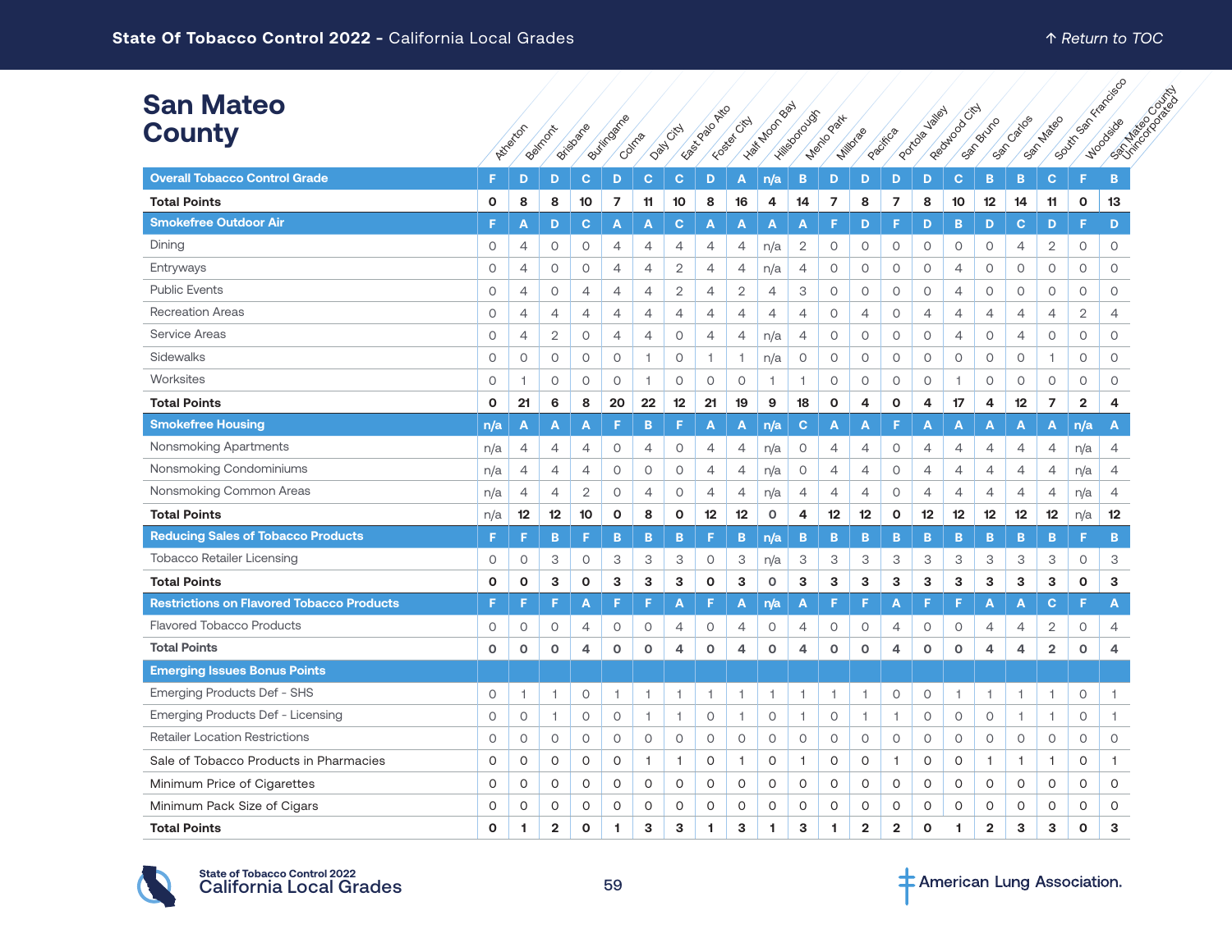| <b>San Mateo</b>                                 |              |                |                |                |                |                |                |                 |                |                |                |                |                |                |                           |                |                |                |                         |                         |                                                 |
|--------------------------------------------------|--------------|----------------|----------------|----------------|----------------|----------------|----------------|-----------------|----------------|----------------|----------------|----------------|----------------|----------------|---------------------------|----------------|----------------|----------------|-------------------------|-------------------------|-------------------------------------------------|
| <b>County</b>                                    |              | Atlanton       | Beimont        | Bridgare       | Buttingarre    | Colma          | Davy Citch     | East 2020 Avril | Fosset City    | - Hat Moon Bay | Hillsborough   | Menio Part     | Millorse       | Procifica      | <b>Jaliet</b><br>Portoler | Regulado City  | Bruno<br>Sacr  | Catios         | San Mateo               |                         | I Boundary River Decision<br>CRITICS CONTRACTOR |
| <b>Overall Tobacco Control Grade</b>             | F            | D              | D              | $\mathbf{C}$   | D              | $\mathbf{C}$   | $\mathbf{C}$   | D               | A              | n/a            | B              | D              | D              | D              | D                         | $\mathbf{C}$   | <b>B</b>       | B              | $\mathbf{C}$            | F                       | B                                               |
| <b>Total Points</b>                              | $\mathbf 0$  | 8              | 8              | 10             | 7              | 11             | 10             | 8               | 16             | 4              | 14             | $\overline{7}$ | 8              | $\overline{7}$ | 8                         | 10             | 12             | 14             | 11                      | $\mathbf 0$             | 13                                              |
| <b>Smokefree Outdoor Air</b>                     | F            | А              | D              | $\mathbf{C}$   | A              | A              | C              | A               | A              | Α              | A              | F              | D              | F              | D                         | B.             | D              | $\mathbf{C}$   | D                       | F                       | D                                               |
| Dining                                           | $\circ$      | 4              | $\circ$        | $\circ$        | $\overline{4}$ | $\overline{4}$ | $\overline{4}$ | $\overline{4}$  | 4              | n/a            | $\overline{2}$ | 0              | $\circ$        | $\circ$        | $\circ$                   | 0              | $\circ$        | 4              | 2                       | $\circ$                 | $\circ$                                         |
| Entryways                                        | $\circ$      | 4              | $\circ$        | $\circ$        | $\overline{4}$ | $\overline{4}$ | $\mathbf{2}$   | $\overline{4}$  | 4              | n/a            | 4              | 0              | $\circ$        | $\circ$        | $\circ$                   | 4              | $\circ$        | $\circ$        | $\circ$                 | $\circ$                 | $\circ$                                         |
| <b>Public Events</b>                             | $\circ$      | $\overline{4}$ | $\circ$        | $\overline{4}$ | $\overline{4}$ | $\overline{4}$ | 2              | $\overline{4}$  | 2              | 4              | 3              | 0              | 0              | $\circ$        | $\circ$                   | 4              | $\circ$        | $\circ$        | $\circ$                 | $\circ$                 | $\circ$                                         |
| <b>Recreation Areas</b>                          | 0            | 4              | 4              | $\overline{4}$ | 4              | 4              | 4              | $\overline{4}$  | 4              | 4              | 4              | 0              | 4              | 0              | 4                         | 4              | 4              | 4              | 4                       | 2                       | 4                                               |
| <b>Service Areas</b>                             | $\circ$      | 4              | 2              | $\circ$        | $\overline{4}$ | 4              | 0              | $\overline{4}$  | 4              | n/a            | 4              | 0              | 0              | $\circ$        | 0                         | 4              | 0              | $\overline{4}$ | $\circ$                 | $\circ$                 | $\circ$                                         |
| Sidewalks                                        | $\circ$      | $\circ$        | $\circ$        | $\circ$        | $\circ$        | 1              | $\circ$        | $\overline{1}$  | $\overline{1}$ | n/a            | 0              | 0              | $\mathsf O$    | 0              | $\mathsf O$               | 0              | $\circ$        | $\circ$        | 1                       | $\circ$                 | $\circ$                                         |
| Worksites                                        | $\circ$      | 1              | $\circ$        | $\circ$        | $\circ$        | 1              | $\circ$        | $\circ$         | $\circ$        | -1             | 1              | $\circ$        | $\circ$        | $\circ$        | $\circ$                   | 1.             | $\circ$        | $\circ$        | $\circ$                 | $\circ$                 | $\circ$                                         |
| <b>Total Points</b>                              | $\mathbf{o}$ | 21             | 6              | 8              | 20             | 22             | 12             | 21              | 19             | 9              | 18             | O              | 4              | $\mathbf{o}$   | 4                         | 17             | 4              | 12             | $\overline{7}$          | $\overline{\mathbf{2}}$ | 4                                               |
| <b>Smokefree Housing</b>                         | n/a          | A              | A              | A              | F              | B              | ıs             | A               | A              | n/a            | C.             | A              | A              | F              | Α                         | Α              | A              | A              | A                       | n/a                     | A                                               |
| Nonsmoking Apartments                            | n/a          | 4              | 4              | 4              | $\circ$        | 4              | 0              | $\overline{4}$  | 4              | n/a            | 0              | 4              | 4              | 0              | 4                         | 4              | 4              | 4              | 4                       | n/a                     | 4                                               |
| Nonsmoking Condominiums                          | n/a          | $\overline{4}$ | $\overline{4}$ | $\overline{4}$ | $\circ$        | $\circ$        | $\circ$        | $\overline{4}$  | 4              | n/a            | $\circ$        | 4              | $\overline{4}$ | 0              | 4                         | 4              | 4              | $\overline{4}$ | $\overline{4}$          | n/a                     | $\overline{4}$                                  |
| Nonsmoking Common Areas                          | n/a          | $\overline{4}$ | $\overline{4}$ | $\mathbf{2}$   | $\circ$        | $\overline{4}$ | $\circ$        | $\overline{4}$  | $\overline{4}$ | n/a            | $\overline{4}$ | $\overline{4}$ | $\overline{4}$ | $\circ$        | $\overline{4}$            | $\overline{4}$ | $\overline{4}$ | $\overline{4}$ | $\overline{4}$          | n/a                     | $\overline{4}$                                  |
| <b>Total Points</b>                              | n/a          | 12             | 12             | 10             | 0              | 8              | 0              | 12              | 12             | $\circ$        | 4              | 12             | 12             | $\mathbf{o}$   | 12                        | 12             | 12             | 12             | 12                      | n/a                     | 12                                              |
| <b>Reducing Sales of Tobacco Products</b>        | F            | F              | B              | F              | B              | B              | B              | F.              | B              | n/a            | B              | B              | B              | B              | B                         | B              | B              | B              | B                       | F                       | B                                               |
| <b>Tobacco Retailer Licensing</b>                | $\circ$      | $\circ$        | З              | $\circ$        | 3              | 3              | 3              | $\circ$         | 3              | n/a            | 3              | 3              | 3              | 3              | 3                         | 3              | 3              | 3              | 3                       | $\circ$                 | 3                                               |
| <b>Total Points</b>                              | $\mathbf 0$  | O              | 3              | $\mathbf 0$    | 3              | 3              | 3              | $\mathbf{o}$    | 3              | $\circ$        | 3              | з              | 3              | 3              | 3                         | 3              | 3              | 3              | 3                       | $\mathbf 0$             | 3                                               |
| <b>Restrictions on Flavored Tobacco Products</b> | F            | F              | F              | A              | F              | F.             | A              | F.              | A              | n/a            | A              | F              | F              | А              | F                         | F              | A              | A              | C                       | F.                      | A                                               |
| <b>Flavored Tobacco Products</b>                 | $\circ$      | 0              | $\circ$        | $\overline{4}$ | $\circ$        | $\circ$        | $\overline{4}$ | $\circ$         | $\overline{4}$ | $\circ$        | 4              | $\circ$        | 0              | 4              | 0                         | 0              | 4              | 4              | 2                       | $\circ$                 | $\overline{4}$                                  |
| <b>Total Points</b>                              | $\mathbf 0$  | $\mathbf 0$    | $\mathbf 0$    | 4              | $\circ$        | $\mathbf 0$    | 4              | $\circ$         | 4              | $\circ$        | 4              | o              | $\circ$        | 4              | О                         | o              | 4              | 4              | $\overline{\mathbf{2}}$ | $\mathbf 0$             | 4                                               |
| <b>Emerging Issues Bonus Points</b>              |              |                |                |                |                |                |                |                 |                |                |                |                |                |                |                           |                |                |                |                         |                         |                                                 |
| Emerging Products Def - SHS                      | $\circ$      | 1              | -1             | $\circ$        | $\overline{1}$ | 1              | -1             | 1               | -1             | 1              | 1              | 1              | 1              | 0              | $\circ$                   | 1              | 1.             | -1             | 1                       | $\circ$                 | 1                                               |
| Emerging Products Def - Licensing                | $\circ$      | $\circ$        | $\mathbf{1}$   | $\circ$        | $\circ$        | $\overline{1}$ | $\overline{1}$ | $\circ$         | $\overline{1}$ | $\circ$        | 1              | 0              | 1              | 1              | $\circ$                   | 0              | $\circ$        | $\mathbf{1}$   | $\overline{1}$          | $\circ$                 | $\mathbf{1}$                                    |
| <b>Retailer Location Restrictions</b>            | $\circ$      | $\circ$        | $\circ$        | $\circ$        | $\circ$        | $\circ$        | $\circ$        | $\circ$         | $\circ$        | $\circ$        | $\circ$        | $\circ$        | $\circ$        | $\circ$        | $\circ$                   | $\circ$        | $\circ$        | $\circ$        | $\circ$                 | $\circ$                 | $\circ$                                         |
| Sale of Tobacco Products in Pharmacies           | $\Omega$     | 0              | 0              | $\circ$        | 0              | $\mathbf{1}$   | $\mathbf{1}$   | 0               | $\overline{1}$ | 0              | 1              | 0              | 0              | 1              | 0                         | 0              | $\mathbf{1}$   | $\mathbf{1}$   | 1                       | 0                       | $\mathbf{1}$                                    |
| Minimum Price of Cigarettes                      | $\Omega$     | 0              | $\circ$        | $\circ$        | $\circ$        | $\circ$        | $\circ$        | $\circ$         | $\circ$        | $\circ$        | O              | O              | $\circ$        | $\circ$        | 0                         | $\circ$        | $\circ$        | $\circ$        | $\circ$                 | 0                       | $\circ$                                         |
| Minimum Pack Size of Cigars                      | $\Omega$     | 0              | 0              | $\circ$        | 0              | $\circ$        | $\circ$        | $\circ$         | 0              | 0              | O              | 0              | 0              | 0              | 0                         | 0              | 0              | 0              | 0                       | $\circ$                 | 0                                               |
| <b>Total Points</b>                              | $\Omega$     | 1              | $\overline{2}$ | $\Omega$       | 1              | 3              | 3              | -1              | 3              | 1              | 3              | 1.             | $\overline{2}$ | $\overline{2}$ | $\Omega$                  | 1              | $\overline{2}$ | 3              | 3                       | $\mathbf 0$             | 3                                               |

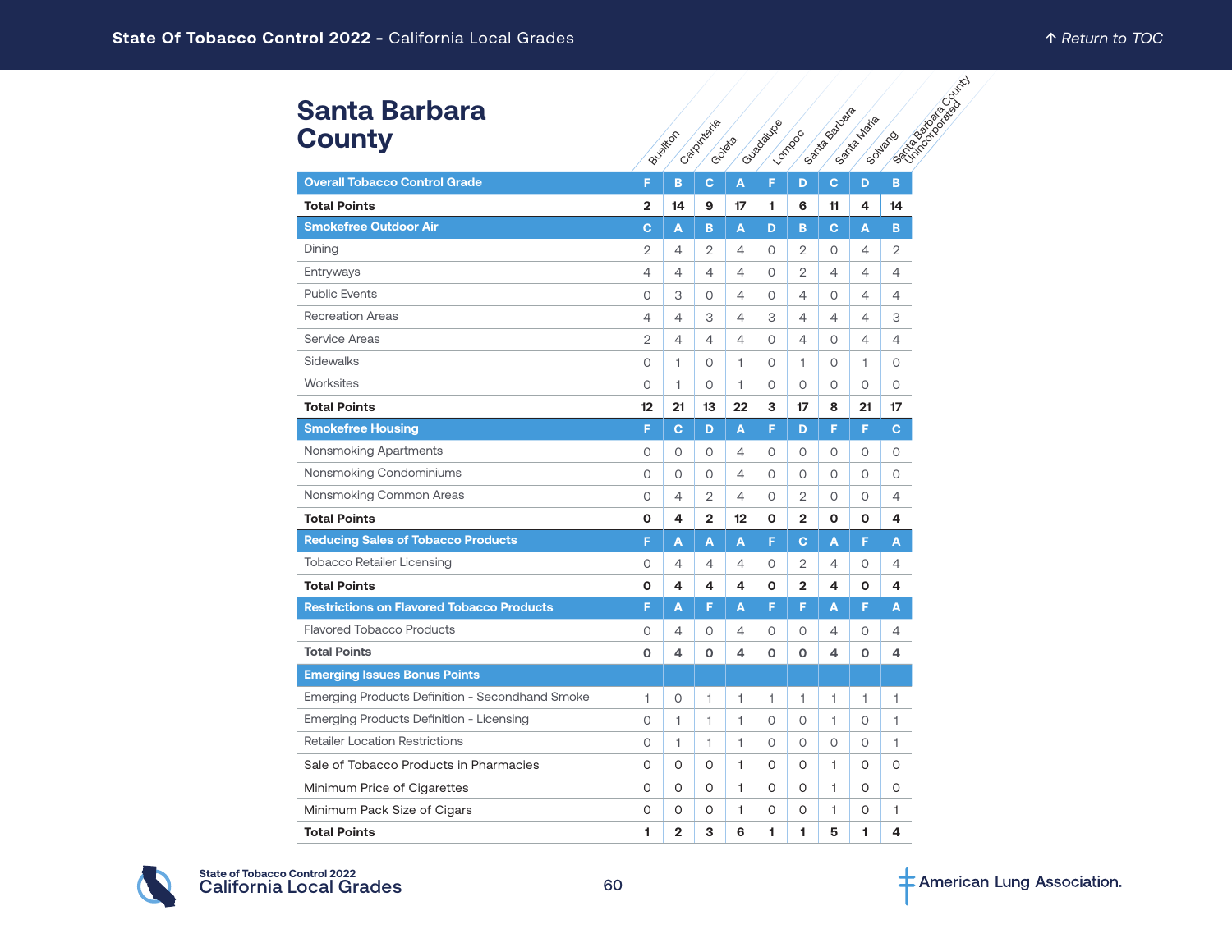#### **Santa Barbara County**

| <b>Santa Barbara</b>                             |                |                |                       |              |              |                | Santa Battata |             |                               |
|--------------------------------------------------|----------------|----------------|-----------------------|--------------|--------------|----------------|---------------|-------------|-------------------------------|
| <b>County</b>                                    |                | Bueitron       | Catolineara<br>Goleon |              | Cusedauxe    | Lomboc         |               | Santa Maila | <b>PRIMER BOOM</b><br>Solvaro |
| <b>Overall Tobacco Control Grade</b>             | F              | B              | $\mathbf{C}$          | A            | F            | D              | C             | D           | B                             |
| <b>Total Points</b>                              | $\overline{2}$ | 14             | 9                     | 17           | 1            | 6              | 11            | 4           | 14                            |
| <b>Smokefree Outdoor Air</b>                     | $\mathbf{C}$   | A              | B                     | A            | D            | B              | $\mathbf{C}$  | A           | B                             |
| Dining                                           | 2              | $\overline{4}$ | $\overline{2}$        | 4            | 0            | 2              | 0             | 4           | 2                             |
| Entryways                                        | 4              | 4              | 4                     | 4            | 0            | 2              | 4             | 4           | 4                             |
| <b>Public Events</b>                             | 0              | 3              | $\Omega$              | 4            | 0            | $\overline{4}$ | $\circ$       | 4           | 4                             |
| <b>Recreation Areas</b>                          | 4              | $\overline{4}$ | 3                     | 4            | 3            | $\overline{4}$ | 4             | 4           | З                             |
| Service Areas                                    | 2              | $\overline{4}$ | 4                     | 4            | 0            | $\overline{4}$ | 0             | 4           | 4                             |
| Sidewalks                                        | $\circ$        | 1              | $\circ$               | 1            | 0            | 1              | $\circ$       | 1           | $\circ$                       |
| Worksites                                        | 0              | 1              | 0                     | 1            | 0            | 0              | 0             | 0           | 0                             |
| <b>Total Points</b>                              | 12             | 21             | 13                    | 22           | 3            | 17             | 8             | 21          | 17                            |
| <b>Smokefree Housing</b>                         | F              | $\mathbf{C}$   | D                     | A            | F            | D              | F             | F           | $\mathbf C$                   |
| Nonsmoking Apartments                            | 0              | 0              | 0                     | 4            | 0            | 0              | 0             | 0           | 0                             |
| Nonsmoking Condominiums                          | $\circ$        | $\circ$        | $\circ$               | 4            | $\circ$      | $\circ$        | $\circ$       | O           | $\circ$                       |
| Nonsmoking Common Areas                          | 0              | 4              | $\overline{2}$        | 4            | 0            | $\overline{2}$ | 0             | 0           | 4                             |
| <b>Total Points</b>                              | O              | 4              | $\overline{2}$        | 12           | O            | $\mathbf{2}$   | O             | 0           | 4                             |
| <b>Reducing Sales of Tobacco Products</b>        | F              | A              | A                     | A            | F            | $\mathbf{C}$   | A             | F           | A                             |
| <b>Tobacco Retailer Licensing</b>                | 0              | 4              | 4                     | 4            | 0            | 2              | 4             | 0           | 4                             |
| <b>Total Points</b>                              | O              | 4              | 4                     | 4            | $\mathbf{o}$ | $\overline{2}$ | 4             | O           | 4                             |
| <b>Restrictions on Flavored Tobacco Products</b> | F              | A              | F                     | A            | F            | F              | A             | F           | A                             |
| <b>Flavored Tobacco Products</b>                 | 0              | 4              | 0                     | 4            | 0            | 0              | 4             | 0           | 4                             |
| <b>Total Points</b>                              | O              | 4              | $\Omega$              | 4            | 0            | $\mathbf 0$    | 4             | 0           | 4                             |
| <b>Emerging Issues Bonus Points</b>              |                |                |                       |              |              |                |               |             |                               |
| Emerging Products Definition - Secondhand Smoke  | 1              | $\circ$        | 1                     | 1            | 1            | 1              | 1             | 1           | 1                             |
| Emerging Products Definition - Licensing         | $\circ$        | 1              | $\mathbf{1}$          | $\mathbf{1}$ | $\circ$      | 0              | 1             | 0           | 1                             |
| <b>Retailer Location Restrictions</b>            | $\circ$        | 1              | 1.                    | 1            | 0            | 0              | 0             | 0           | 1                             |
| Sale of Tobacco Products in Pharmacies           | O              | $\Omega$       | 0                     | 1            | 0            | 0              | 1             | 0           | 0                             |
| Minimum Price of Cigarettes                      | 0              | 0              | 0                     | 1.           | 0            | 0              | 1             | 0           | 0                             |
| Minimum Pack Size of Cigars                      | 0              | 0              | 0                     | 1.           | 0            | 0              | 1             | 0           | 1                             |
| <b>Total Points</b>                              | 1              | $\overline{2}$ | 3                     | 6            | 1            | 1              | 5             | 1           | 4                             |

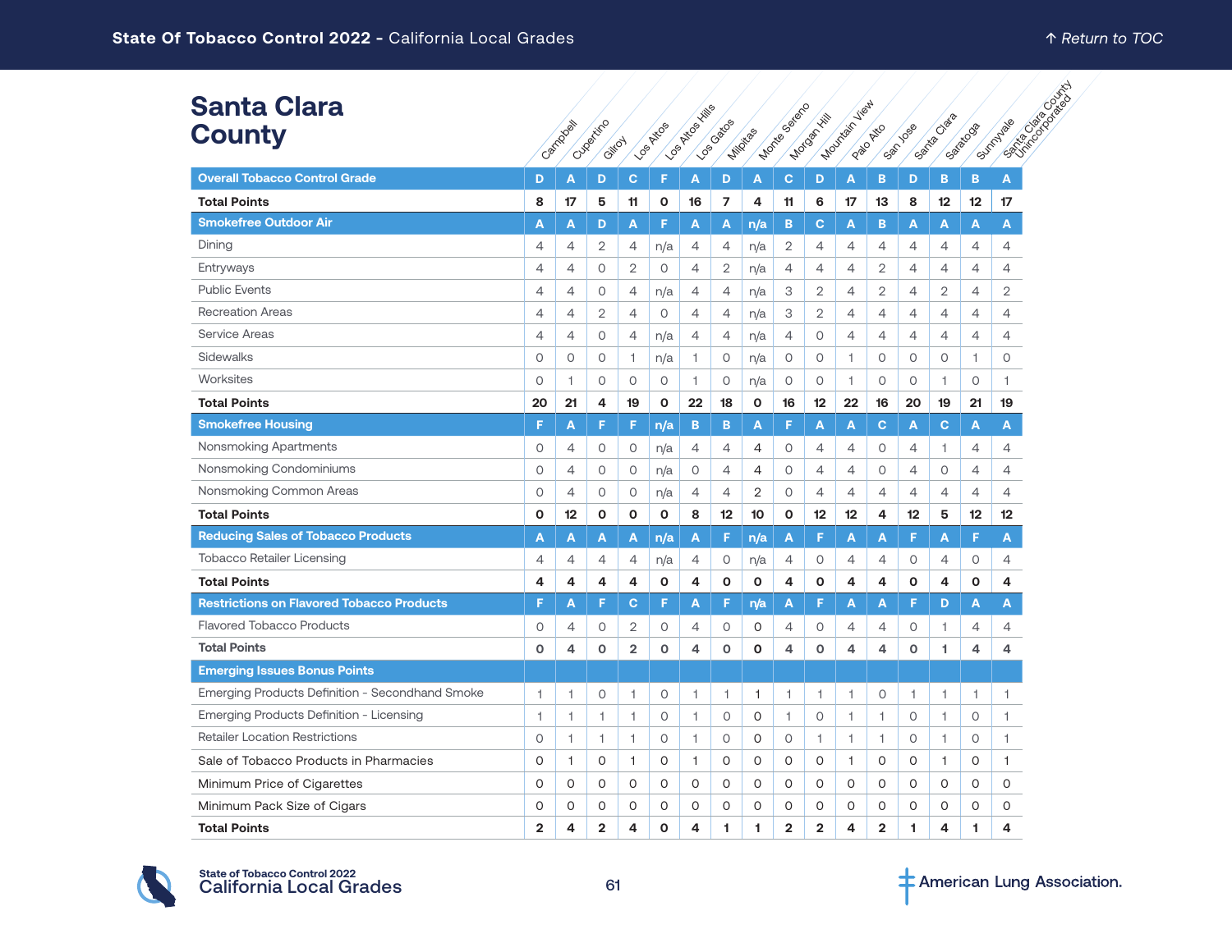**Ranta Clara Cale Clarator Clarator** 

| <b>Santa Clara</b><br><b>County</b>  |   | Carridoel | Cupatific |
|--------------------------------------|---|-----------|-----------|
| <b>Overall Tobacco Control Grade</b> | D | A         | D         |
| <b>Total Points</b>                  | 8 | 17        | 5         |
| <b>Smokefree Outdoor Air</b>         | A | A         | D         |
| Dining                               | 4 | 4         | 2         |
| Entryways                            |   |           | ∩         |

| <b>Santa Clara</b><br><b>County</b>              |                | Campool        | Cuperitino<br>Gilfoy |                         | <b>LOS AKOS</b> | <b>LOS PATROS XING</b>  | I YOS GRÃOS    | Milligias    | Montegaere     | Mocognitis     | Mountain View | Palo Atto      | San Jose       | Santa Clara    | Satatoog       | Sunnyage<br><b>5955</b> |
|--------------------------------------------------|----------------|----------------|----------------------|-------------------------|-----------------|-------------------------|----------------|--------------|----------------|----------------|---------------|----------------|----------------|----------------|----------------|-------------------------|
| <b>Overall Tobacco Control Grade</b>             | D              | A              | D                    | C                       | F               | A                       | D              | A            | $\mathbf C$    | D              | A             | в              | D              | B              | B              | A                       |
| <b>Total Points</b>                              | 8              | 17             | 5                    | 11                      | O               | 16                      | $\overline{7}$ | 4            | 11             | 6              | 17            | 13             | 8              | 12             | 12             | 17                      |
| <b>Smokefree Outdoor Air</b>                     | Α              | A              | D                    | A                       | F               | A                       | A              | n/a          | B              | $\mathbf{C}$   | A             | B              | A              | A              | A              | A                       |
| Dining                                           | 4              | 4              | 2                    | 4                       | n/a             | 4                       | 4              | n/a          | 2              | 4              | 4             | 4              | 4              | $\overline{4}$ | 4              | 4                       |
| Entryways                                        | 4              | 4              | 0                    | 2                       | 0               | $\overline{4}$          | 2              | n/a          | $\overline{4}$ | 4              | 4             | 2              | $\overline{4}$ | $\overline{4}$ | 4              | 4                       |
| <b>Public Events</b>                             | 4              | 4              | 0                    | $\overline{4}$          | n/a             | 4                       | 4              | n/a          | 3              | $\overline{2}$ | 4             | $\overline{2}$ | $\overline{4}$ | $\mathbf{2}$   | 4              | 2                       |
| <b>Recreation Areas</b>                          | 4              | 4              | 2                    | $\overline{4}$          | $\circ$         | $\overline{4}$          | 4              | n/a          | 3              | $\overline{2}$ | 4             | 4              | $\overline{4}$ | $\overline{4}$ | 4              | 4                       |
| <b>Service Areas</b>                             | $\overline{4}$ | $\overline{4}$ | $\circ$              | $\overline{4}$          | n/a             | $\overline{4}$          | $\overline{4}$ | n/a          | $\overline{4}$ | 0              | 4             | 4              | $\overline{4}$ | $\overline{4}$ | $\overline{4}$ | $\overline{4}$          |
| Sidewalks                                        | $\circ$        | 0              | $\circ$              | $\mathbf{1}$            | n/a             | $\mathbf{1}$            | 0              | n/a          | $\circ$        | 0              | $\mathbf{1}$  | 0              | $\circ$        | $\circ$        | 1              | 0                       |
| Worksites                                        | $\circ$        | 1.             | O                    | $\circ$                 | $\circ$         | 1.                      | 0              | n/a          | $\circ$        | $\circ$        | $\mathbf{1}$  | 0              | $\circ$        | 1              | $\circ$        | 1                       |
| <b>Total Points</b>                              | 20             | 21             | 4                    | 19                      | O               | 22                      | 18             | 0            | 16             | 12             | 22            | 16             | 20             | 19             | 21             | 19                      |
| <b>Smokefree Housing</b>                         | F              | A              | F                    | F                       | n/a             | B                       | B              | A            | F              | A              | A             | $\mathbf C$    | A              | c              | A              | A                       |
| Nonsmoking Apartments                            | 0              | 4              | 0                    | 0                       | n/a             | 4                       | 4              | 4            | 0              | 4              | 4             | 0              | $\overline{4}$ | 1              | 4              | 4                       |
| Nonsmoking Condominiums                          | $\circ$        | 4              | 0                    | $\circ$                 | n/a             | $\circ$                 | $\overline{4}$ | 4            | $\circ$        | $\overline{4}$ | 4             | 0              | $\overline{4}$ | $\circ$        | $\overline{4}$ | $\overline{4}$          |
| Nonsmoking Common Areas                          | $\circ$        | 4              | 0                    | $\circ$                 | n/a             | 4                       | 4              | 2            | 0              | 4              | 4             | 4              | $\overline{4}$ | 4              | 4              | 4                       |
| <b>Total Points</b>                              | $\mathbf{o}$   | $12 \,$        | O                    | $\mathbf 0$             | $\mathbf{o}$    | 8                       | 12             | 10           | $\mathbf{o}$   | 12             | 12            | 4              | 12             | 5              | 12             | 12                      |
| <b>Reducing Sales of Tobacco Products</b>        | A              | A              | A                    | A                       | n/a             | A                       | F              | n/a          | A              | F              | A             | A              | F              | A              | F              | A                       |
| <b>Tobacco Retailer Licensing</b>                | 4              | 4              | 4                    | 4                       | n/a             | 4                       | 0              | n/a          | 4              | 0              | 4             | 4              | $\circ$        | $\overline{4}$ | 0              | 4                       |
| <b>Total Points</b>                              | 4              | 4              | 4                    | 4                       | O               | 4                       | 0              | O            | 4              | O              | 4             | 4              | O              | 4              | 0              | 4                       |
| <b>Restrictions on Flavored Tobacco Products</b> | F              | Α              | F                    | c                       | F               | A                       | F              | n/a          | Α              | F              | А             | A              | F              | D              | A              | A                       |
| <b>Flavored Tobacco Products</b>                 | 0              | 4              | 0                    | 2                       | 0               | 4                       | 0              | 0            | $\overline{4}$ | 0              | 4             | 4              | 0              | 1              | $\overline{4}$ | 4                       |
| <b>Total Points</b>                              | $\Omega$       | 4              | O                    | $\overline{\mathbf{2}}$ | $\mathbf 0$     | $\overline{\mathbf{A}}$ | $\mathbf{o}$   | $\mathbf{o}$ | 4              | $\mathbf 0$    | 4             | 4              | $\mathbf 0$    | 1              | 4              | 4                       |
| <b>Emerging Issues Bonus Points</b>              |                |                |                      |                         |                 |                         |                |              |                |                |               |                |                |                |                |                         |
| Emerging Products Definition - Secondhand Smoke  | 1              | 1              | 0                    | 1                       | $\circ$         | 1                       | 1.             | 1            | 1              | 1              | 1             | 0              | $\overline{1}$ | 1              | 1              | 1                       |
| Emerging Products Definition - Licensing         | 1              | 1              | 1                    | 1                       | $\circ$         | $\mathbf{1}$            | $\circ$        | $\circ$      | 1              | 0              | 1             | 1              | $\circ$        | 1              | 0              | 1                       |
| <b>Retailer Location Restrictions</b>            | $\circ$        | 1              | 1                    | 1                       | $\circ$         | $\mathbf{1}$            | $\circ$        | $\Omega$     | $\circ$        | 1              | 1             | 1              | $\circ$        | 1              | $\circ$        | 1                       |
| Sale of Tobacco Products in Pharmacies           | O              | 1              | 0                    | $\mathbf{1}$            | 0               | $\mathbf{1}$            | 0              | 0            | O              | 0              | 1             | 0              | O              | $\mathbf{1}$   | 0              | 1                       |
| Minimum Price of Cigarettes                      | O              | 0              | 0                    | 0                       | O               | 0                       | 0              | 0            | O              | 0              | 0             | 0              | O              | O              | 0              | 0                       |
| Minimum Pack Size of Cigars                      | 0              | 0              | 0                    | 0                       | 0               | 0                       | 0              | 0            | 0              | 0              | 0             | 0              | 0              | 0              | 0              | 0                       |
| <b>Total Points</b>                              | $\overline{2}$ | 4              | $\overline{2}$       | 4                       | 0               | 4                       | 1              | 1            | $\overline{2}$ | $\overline{2}$ | 4             | $\overline{2}$ | 1              | 4              | 1              | 4                       |

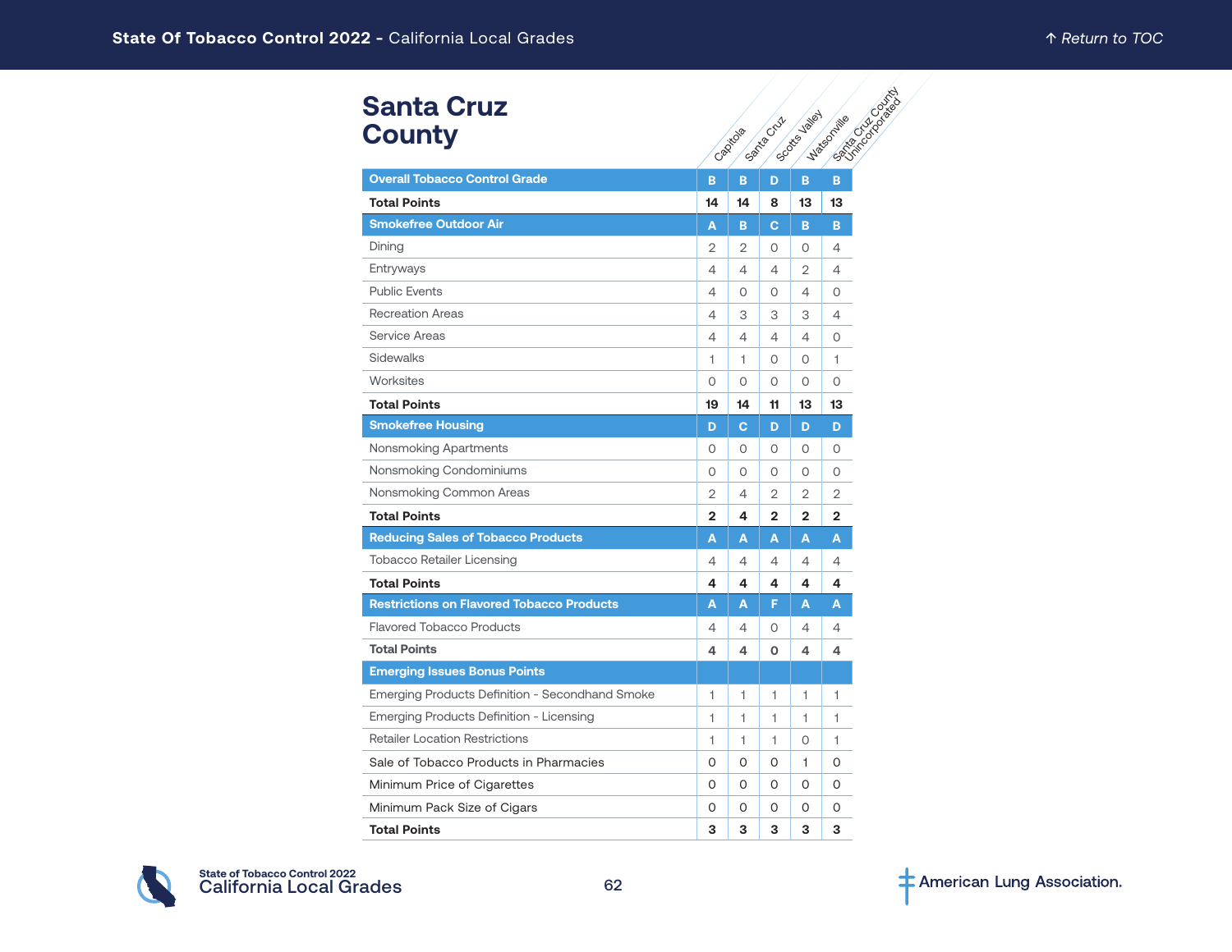# **Santa Cruz County**

| <b>Santa Cruz</b><br><b>County</b>               |                | Capitala    | Santa Cruz     | Society Valley | <b>PATRICIAN DESCRIPTION</b><br>Watsonille |
|--------------------------------------------------|----------------|-------------|----------------|----------------|--------------------------------------------|
| <b>Overall Tobacco Control Grade</b>             | B              | B           | D              | B              | B                                          |
| <b>Total Points</b>                              | 14             | 14          | 8              | 13             | 13                                         |
| <b>Smokefree Outdoor Air</b>                     | Α              | в           | С              | в              | B                                          |
| Dining                                           | $\overline{2}$ | 2           | $\circ$        | $\circ$        | $\overline{4}$                             |
| Entryways                                        | 4              | 4           | 4              | 2              | 4                                          |
| <b>Public Events</b>                             | 4              | 0           | 0              | 4              | O                                          |
| <b>Recreation Areas</b>                          | 4              | 3           | 3              | 3              | $\overline{4}$                             |
| <b>Service Areas</b>                             | 4              | 4           | $\overline{4}$ | 4              | $\circ$                                    |
| Sidewalks                                        | 1              | 1           | 0              | 0              | 1                                          |
| Worksites                                        | $\circ$        | 0           | $\Omega$       | $\Omega$       | $\Omega$                                   |
| <b>Total Points</b>                              | 19             | 14          | 11             | 13             | 13                                         |
| <b>Smokefree Housing</b>                         | D              | $\mathbf C$ | D              | D              | D                                          |
| Nonsmoking Apartments                            | 0              | $\circ$     | $\circ$        | $\circ$        | 0                                          |
| Nonsmoking Condominiums                          | 0              | 0           | $\circ$        | 0              | 0                                          |
| Nonsmoking Common Areas                          | 2              | 4           | 2              | 2              | 2                                          |
| <b>Total Points</b>                              | $\mathbf{2}$   | 4           | $\mathbf{2}$   | $\overline{2}$ | 2                                          |
| <b>Reducing Sales of Tobacco Products</b>        | A              | A           | A              | A              | A                                          |
| Tobacco Retailer Licensing                       | 4              | 4           | 4              | 4              | 4                                          |
| <b>Total Points</b>                              | 4              | 4           | 4              | 4              | 4                                          |
| <b>Restrictions on Flavored Tobacco Products</b> | A              | A           | F              | A              | A                                          |
| <b>Flavored Tobacco Products</b>                 | 4              | 4           | 0              | 4              | 4                                          |
| <b>Total Points</b>                              | 4              | 4           | $\Omega$       | 4              | 4                                          |
| <b>Emerging Issues Bonus Points</b>              |                |             |                |                |                                            |
| Emerging Products Definition - Secondhand Smoke  | 1              | 1           | 1              | 1              | 1                                          |
| Emerging Products Definition - Licensing         | 1              | 1           | 1              | 1.             | 1                                          |
| <b>Retailer Location Restrictions</b>            | 1              | 1           | 1              | 0              | 1                                          |
| Sale of Tobacco Products in Pharmacies           | 0              | 0           | 0              | 1              | 0                                          |
| Minimum Price of Cigarettes                      | 0              | 0           | 0              | 0              | 0                                          |
| Minimum Pack Size of Cigars                      | O              | O           | O              | O              | O                                          |
| <b>Total Points</b>                              | 3              | 3           | 3              | 3              | 3                                          |

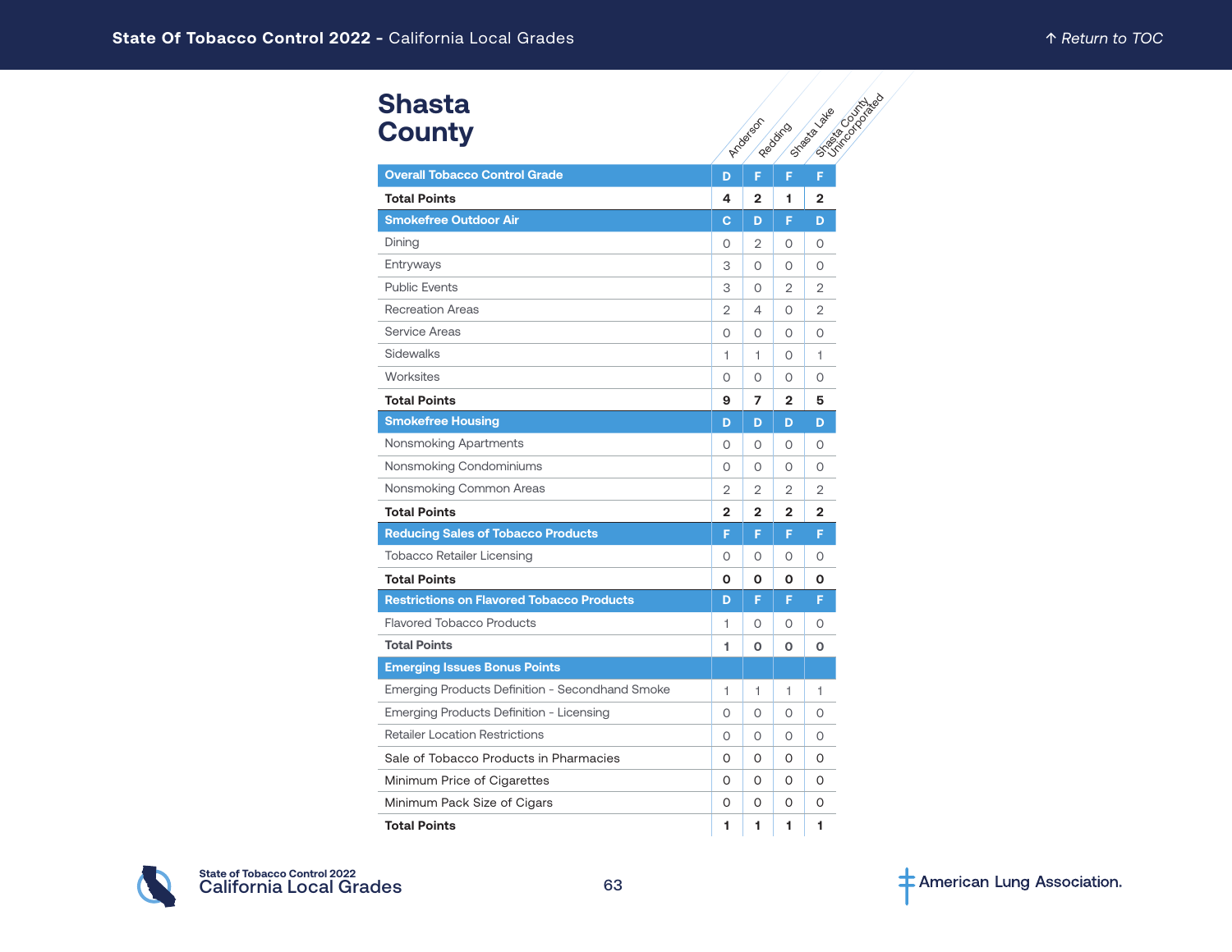| <b>Shasta</b><br><b>County</b>                   | SSRANGO OSTONE<br>Street as a late<br>Arcbergon<br>Regions |                |                |                |  |  |  |  |  |  |
|--------------------------------------------------|------------------------------------------------------------|----------------|----------------|----------------|--|--|--|--|--|--|
| <b>Overall Tobacco Control Grade</b>             | D                                                          | F              | F              | F              |  |  |  |  |  |  |
| <b>Total Points</b>                              | 4                                                          | $\mathbf{2}$   | 1              | $\overline{2}$ |  |  |  |  |  |  |
| <b>Smokefree Outdoor Air</b>                     | С                                                          | D              | F              | D              |  |  |  |  |  |  |
| Dining                                           | 0                                                          | 2              | 0              | $\circ$        |  |  |  |  |  |  |
| Entryways                                        | 3                                                          | 0              | $\Omega$       | $\Omega$       |  |  |  |  |  |  |
| <b>Public Events</b>                             | 3                                                          | 0              | 2              | 2              |  |  |  |  |  |  |
| <b>Recreation Areas</b>                          | 2                                                          | 4              | 0              | 2              |  |  |  |  |  |  |
| Service Areas                                    | 0                                                          | 0              | $\Omega$       | $\Omega$       |  |  |  |  |  |  |
| Sidewalks                                        | 1                                                          | 1.             | 0              | 1              |  |  |  |  |  |  |
| Worksites                                        | 0                                                          | 0              | O              | $\circ$        |  |  |  |  |  |  |
| <b>Total Points</b>                              | 9                                                          | 7              | 2              | 5              |  |  |  |  |  |  |
| <b>Smokefree Housing</b>                         | D                                                          | D              | D              | D              |  |  |  |  |  |  |
| Nonsmoking Apartments                            | 0                                                          | 0              | 0              | $\circ$        |  |  |  |  |  |  |
| Nonsmoking Condominiums                          | 0                                                          | 0              | 0              | $\circ$        |  |  |  |  |  |  |
| Nonsmoking Common Areas                          | 2                                                          | 2              | $\overline{2}$ | 2              |  |  |  |  |  |  |
| <b>Total Points</b>                              | $\mathbf{2}$                                               | $\overline{2}$ | $\mathbf{2}$   | $\mathbf{2}$   |  |  |  |  |  |  |
| <b>Reducing Sales of Tobacco Products</b>        | F                                                          | F              | F              | F              |  |  |  |  |  |  |
| <b>Tobacco Retailer Licensing</b>                | 0                                                          | 0              | O              | $\circ$        |  |  |  |  |  |  |
| <b>Total Points</b>                              | Ο                                                          | 0              | O              | O              |  |  |  |  |  |  |
| <b>Restrictions on Flavored Tobacco Products</b> | D                                                          | F              | F              | F              |  |  |  |  |  |  |
| <b>Flavored Tobacco Products</b>                 | 1                                                          | 0              | Ω              | O              |  |  |  |  |  |  |
| <b>Total Points</b>                              | 1                                                          | 0              | O              | O              |  |  |  |  |  |  |
| <b>Emerging Issues Bonus Points</b>              |                                                            |                |                |                |  |  |  |  |  |  |
| Emerging Products Definition - Secondhand Smoke  | 1                                                          | 1              | 1              | 1              |  |  |  |  |  |  |
| Emerging Products Definition - Licensing         | 0                                                          | 0              | O              | $\Omega$       |  |  |  |  |  |  |
| <b>Retailer Location Restrictions</b>            | $\circ$                                                    | 0              | 0              | $\circ$        |  |  |  |  |  |  |
| Sale of Tobacco Products in Pharmacies           | 0                                                          | 0              | 0              | $\Omega$       |  |  |  |  |  |  |
| Minimum Price of Cigarettes                      | 0                                                          | 0              | 0              | O              |  |  |  |  |  |  |
| Minimum Pack Size of Cigars                      | $\Omega$                                                   | 0              | O              | $\Omega$       |  |  |  |  |  |  |
| <b>Total Points</b>                              | 1                                                          | 1              | 1              | 1              |  |  |  |  |  |  |

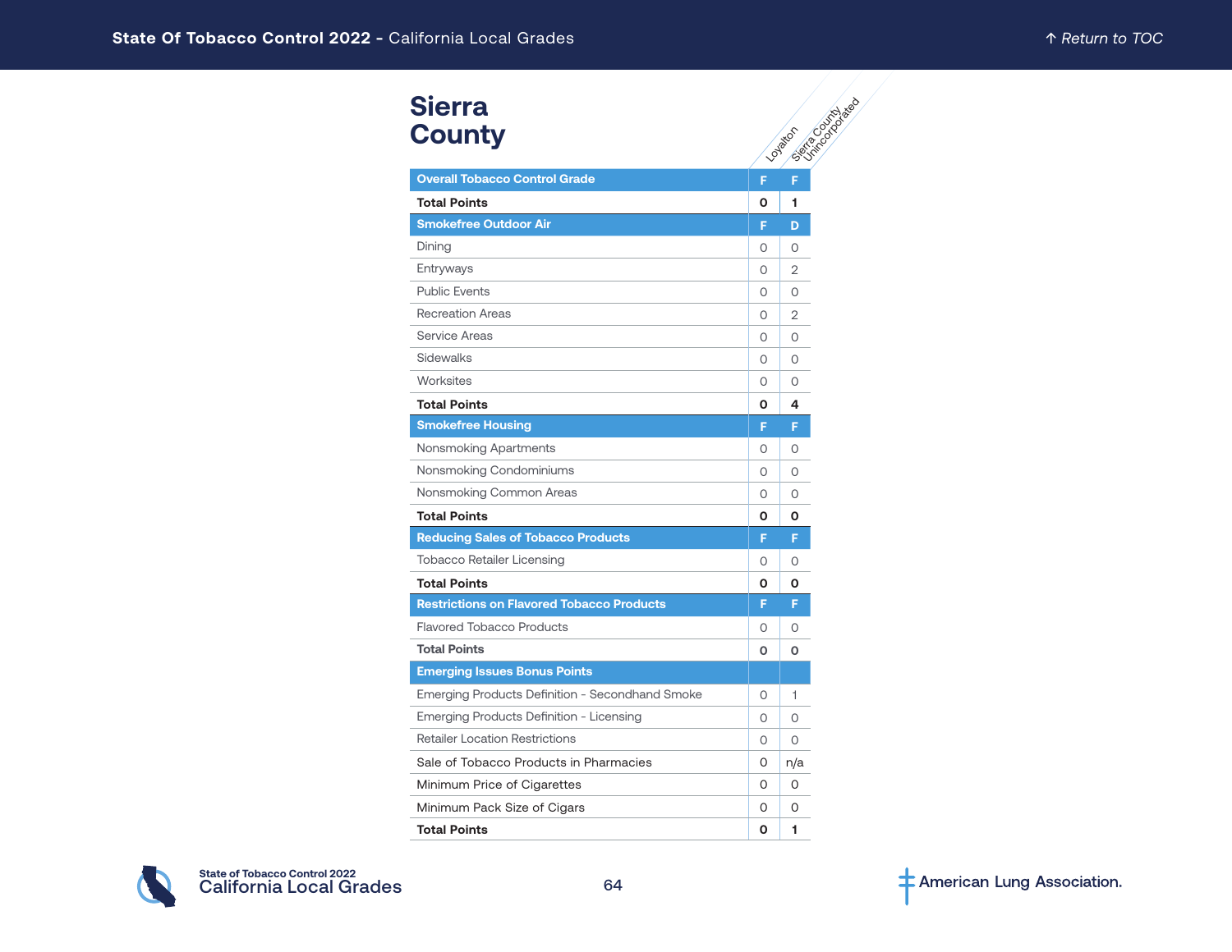| <b>Sierra</b><br><b>County</b>                   |          | Seite Contable Re<br>Loyator |
|--------------------------------------------------|----------|------------------------------|
| <b>Overall Tobacco Control Grade</b>             | F        | F                            |
| <b>Total Points</b>                              | O        | 1                            |
| <b>Smokefree Outdoor Air</b>                     | F        | D                            |
| Dining                                           | 0        | 0                            |
| Entryways                                        | $\Omega$ | $\overline{2}$               |
| <b>Public Events</b>                             | $\Omega$ | $\Omega$                     |
| <b>Recreation Areas</b>                          | 0        | $\overline{2}$               |
| <b>Service Areas</b>                             | 0        | O                            |
| Sidewalks                                        | 0        | O                            |
| Worksites                                        | $\Omega$ | $\Omega$                     |
| <b>Total Points</b>                              | 0        | 4                            |
| <b>Smokefree Housing</b>                         | F        | F                            |
| Nonsmoking Apartments                            | 0        | 0                            |
| Nonsmoking Condominiums                          | $\Omega$ | $\Omega$                     |
| Nonsmoking Common Areas                          | $\circ$  | 0                            |
| <b>Total Points</b>                              | О        | Ο                            |
| <b>Reducing Sales of Tobacco Products</b>        | F        | F                            |
| <b>Tobacco Retailer Licensing</b>                | $\Omega$ | 0                            |
| <b>Total Points</b>                              | 0        | Ο                            |
| <b>Restrictions on Flavored Tobacco Products</b> | F        | F                            |
| <b>Flavored Tobacco Products</b>                 | 0        | 0                            |
| <b>Total Points</b>                              | $\Omega$ | $\Omega$                     |
| <b>Emerging Issues Bonus Points</b>              |          |                              |
| Emerging Products Definition - Secondhand Smoke  | 0        | 1                            |
| Emerging Products Definition - Licensing         | 0        | O                            |
| <b>Retailer Location Restrictions</b>            | $\circ$  | 0                            |
| Sale of Tobacco Products in Pharmacies           | 0        | n/a                          |
| Minimum Price of Cigarettes                      | $\Omega$ | 0                            |
| Minimum Pack Size of Cigars                      | 0        | 0                            |
| <b>Total Points</b>                              | O        | 1                            |

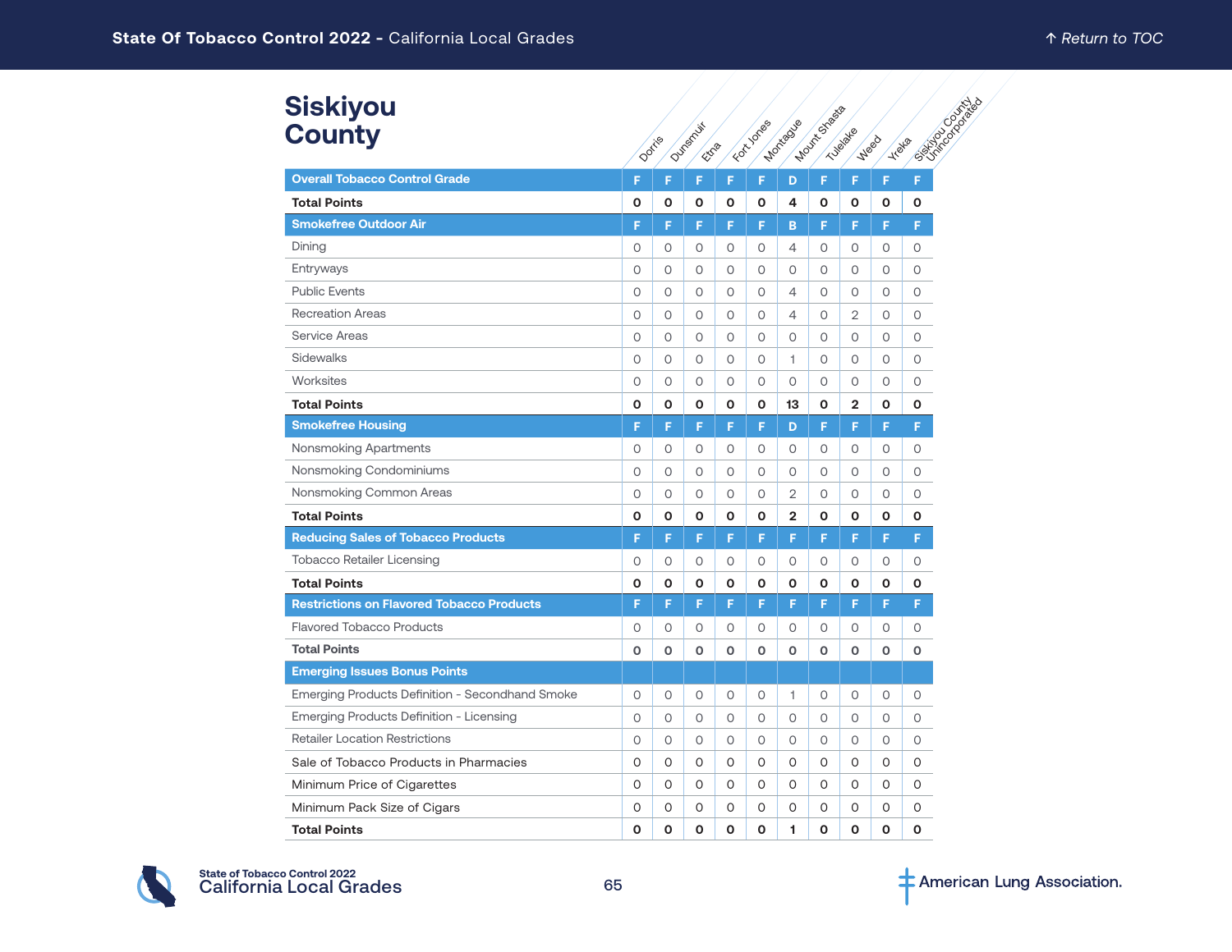# **Siskiyou County**

| Siskiyou<br><b>County</b>                        |         |          |                          |         |              |                | Mount Street |                        |               | California California |
|--------------------------------------------------|---------|----------|--------------------------|---------|--------------|----------------|--------------|------------------------|---------------|-----------------------|
|                                                  | Dorris  |          | Dunsmill<br><b>EXD20</b> |         | For Jones    | Montague       |              | Tubalde<br><b>Weed</b> | <b>Treata</b> |                       |
| <b>Overall Tobacco Control Grade</b>             | F       | F        | F                        | F       | F            | D              | F            | F                      | F             | F                     |
| <b>Total Points</b>                              | O       | О        | 0                        | O       | O            | 4              | O            | O                      | O             | O                     |
| <b>Smokefree Outdoor Air</b>                     | F       | F        | F                        | F       | F            | B              | F            | F                      | F             | F                     |
| Dining                                           | 0       | 0        | 0                        | $\circ$ | 0            | 4              | 0            | 0                      | 0             | 0                     |
| Entryways                                        | $\circ$ | $\circ$  | $\circ$                  | $\circ$ | $\circ$      | 0              | O            | $\circ$                | $\circ$       | $\circ$               |
| <b>Public Events</b>                             | $\circ$ | 0        | $\circ$                  | 0       | $\circ$      | 4              | 0            | 0                      | 0             | 0                     |
| <b>Recreation Areas</b>                          | $\circ$ | $\circ$  | $\circ$                  | $\circ$ | $\circ$      | 4              | $\circ$      | $\overline{2}$         | $\circ$       | $\circ$               |
| <b>Service Areas</b>                             | O       | 0        | 0                        | 0       | 0            | 0              | 0            | 0                      | 0             | $\circ$               |
| Sidewalks                                        | 0       | $\circ$  | $\circ$                  | 0       | $\circ$      | 1              | O            | $\circ$                | $\circ$       | $\circ$               |
| Worksites                                        | 0       | $\circ$  | $\circ$                  | $\circ$ | $\circ$      | $\circ$        | 0            | $\circ$                | 0             | 0                     |
| <b>Total Points</b>                              | O       | О        | O                        | O       | O            | 13             | O            | $\mathbf{2}$           | O             | O                     |
| <b>Smokefree Housing</b>                         | F       | F        | F                        | F       | F            | D              | F            | F                      | F             | F                     |
| <b>Nonsmoking Apartments</b>                     | 0       | $\circ$  | $\circ$                  | $\circ$ | $\circ$      | 0              | 0            | $\circ$                | $\circ$       | $\circ$               |
| Nonsmoking Condominiums                          | 0       | 0        | 0                        | 0       | $\circ$      | 0              | 0            | $\circ$                | 0             | $\circ$               |
| Nonsmoking Common Areas                          | 0       | $\circ$  | $\circ$                  | $\circ$ | $\circ$      | 2              | $\circ$      | $\circ$                | $\circ$       | $\circ$               |
| <b>Total Points</b>                              | O       | O        | $\mathbf{o}$             | O       | O            | $\overline{2}$ | O            | O                      | O             | O                     |
| <b>Reducing Sales of Tobacco Products</b>        | F       | F        | F                        | F       | F            | F              | F            | F                      | F             | F                     |
| <b>Tobacco Retailer Licensing</b>                | 0       | 0        | $\circ$                  | 0       | $\circ$      | $\circ$        | 0            | $\circ$                | $\circ$       | $\circ$               |
| <b>Total Points</b>                              | O       | O        | $\mathbf{o}$             | O       | O            | O              | O            | O                      | O             | O                     |
| <b>Restrictions on Flavored Tobacco Products</b> | F       | F        | F                        | F       | F            | F              | F            | F                      | F             | F                     |
| <b>Flavored Tobacco Products</b>                 | 0       | $\circ$  | $\circ$                  | $\circ$ | $\circ$      | 0              | 0            | $\circ$                | $\circ$       | $\circ$               |
| <b>Total Points</b>                              | O       | 0        | $\mathbf 0$              | o       | $\mathbf 0$  | O              | 0            | O                      | o             | o                     |
| <b>Emerging Issues Bonus Points</b>              |         |          |                          |         |              |                |              |                        |               |                       |
| Emerging Products Definition - Secondhand Smoke  | O       | 0        | 0                        | $\circ$ | $\circ$      | 1              | 0            | Ο                      | 0             | $\circ$               |
| Emerging Products Definition - Licensing         | 0       | $\circ$  | $\circ$                  | $\circ$ | $\circ$      | 0              | 0            | 0                      | $\circ$       | $\circ$               |
| <b>Retailer Location Restrictions</b>            | 0       | 0        | $\circ$                  | $\circ$ | $\circ$      | $\circ$        | $\circ$      | $\circ$                | $\circ$       | $\circ$               |
| Sale of Tobacco Products in Pharmacies           | 0       | $\Omega$ | O                        | 0       | $\Omega$     | 0              | $\Omega$     | 0                      | 0             | O                     |
| Minimum Price of Cigarettes                      | 0       | 0        | O                        | 0       | $\Omega$     | 0              | 0            | O                      | 0             | $\Omega$              |
| Minimum Pack Size of Cigars                      | 0       | 0        | O                        | O       | 0            | 0              | O            | O                      | O             | $\Omega$              |
| <b>Total Points</b>                              | O       | O        | O                        | O       | $\mathbf{o}$ | 1              | O            | O                      | O             | O                     |

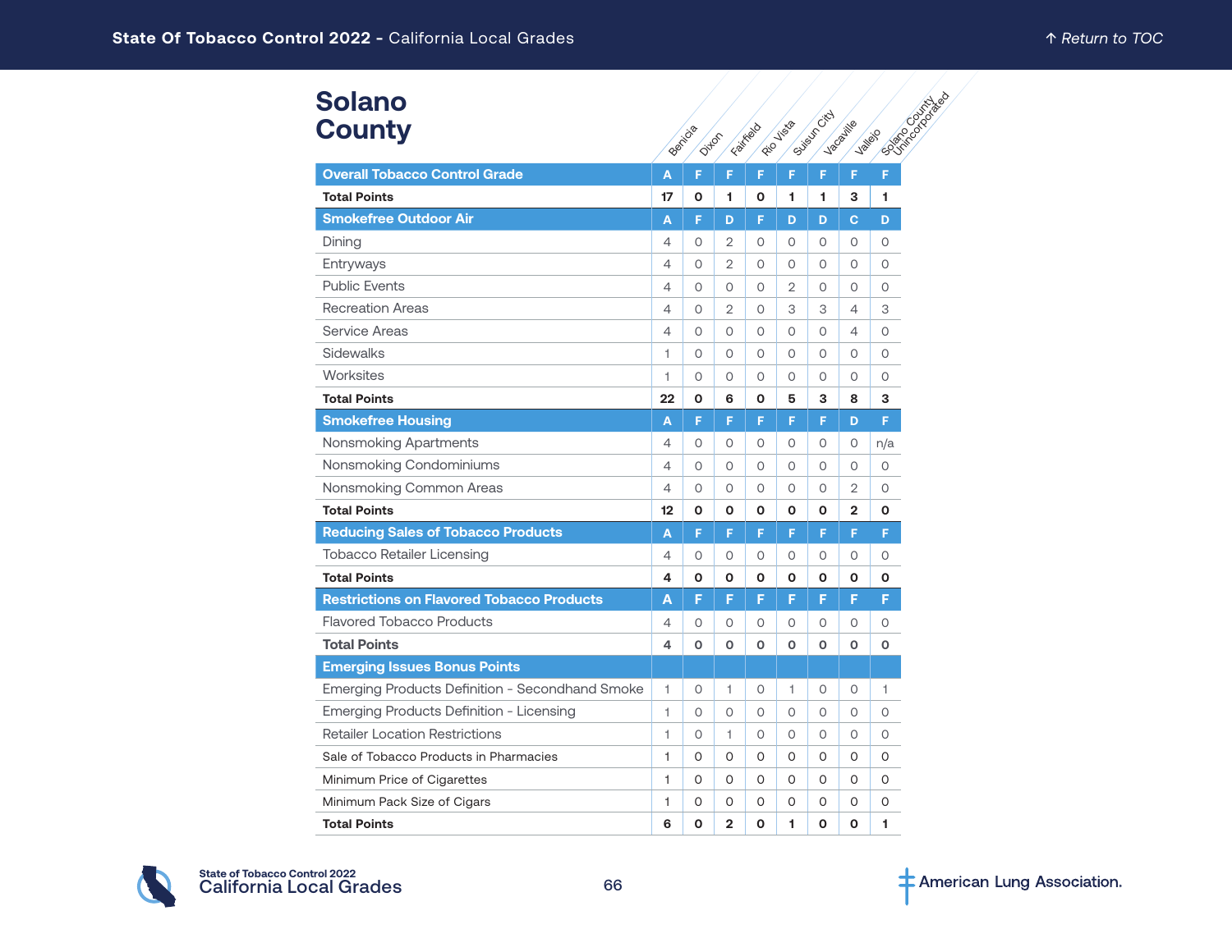| <b>Solano</b><br><b>County</b>                   |                | Benicia<br>Ditfor |                | Fairkado    | Rico Visio     | Suite of City | Vacaville      | <b>Political Contractions</b><br><b>Valley</b> |
|--------------------------------------------------|----------------|-------------------|----------------|-------------|----------------|---------------|----------------|------------------------------------------------|
| <b>Overall Tobacco Control Grade</b>             | A              | F                 | F              | F           | F              | F             | F              | F                                              |
| <b>Total Points</b>                              | 17             | O                 | 1              | O           | 1              | 1             | 3              | 1                                              |
| <b>Smokefree Outdoor Air</b>                     | Α              | F                 | D              | F           | D              | D             | C              | D                                              |
| Dining                                           | $\overline{4}$ | O                 | 2              | $\circ$     | O              | $\circ$       | $\circ$        | $\circ$                                        |
| Entryways                                        | 4              | 0                 | $\overline{2}$ | 0           | 0              | 0             | 0              | $\circ$                                        |
| <b>Public Events</b>                             | 4              | $\Omega$          | 0              | 0           | $\overline{2}$ | 0             | 0              | $\circ$                                        |
| <b>Recreation Areas</b>                          | 4              | O                 | $\overline{2}$ | $\circ$     | 3              | 3             | 4              | 3                                              |
| <b>Service Areas</b>                             | 4              | $\Omega$          | $\Omega$       | $\circ$     | $\Omega$       | $\Omega$      | $\overline{4}$ | $\circ$                                        |
| <b>Sidewalks</b>                                 | 1              | O                 | $\circ$        | $\circ$     | O              | $\circ$       | $\circ$        | $\circ$                                        |
| Worksites                                        | 1              | $\Omega$          | O              | $\circ$     | $\circ$        | 0             | $\Omega$       | $\circ$                                        |
| <b>Total Points</b>                              | 22             | O                 | 6              | O           | 5              | 3             | 8              | 3                                              |
| <b>Smokefree Housing</b>                         | A              | F                 | F              | F           | F              | F             | D              | F                                              |
| Nonsmoking Apartments                            | 4              | 0                 | 0              | 0           | 0              | 0             | 0              | n/a                                            |
| Nonsmoking Condominiums                          | 4              | $\Omega$          | 0              | $\circ$     | $\Omega$       | 0             | $\Omega$       | 0                                              |
| Nonsmoking Common Areas                          | $\overline{4}$ | 0                 | 0              | $\circ$     | O              | O             | $\overline{2}$ | $\circ$                                        |
| <b>Total Points</b>                              | 12             | O                 | O              | O           | O              | O             | $\mathbf{2}$   | $\mathbf o$                                    |
| <b>Reducing Sales of Tobacco Products</b>        | A              | F                 | F              | F           | F              | F             | F              | F                                              |
| <b>Tobacco Retailer Licensing</b>                | 4              | O                 | 0              | 0           | O              | 0             | O              | 0                                              |
| <b>Total Points</b>                              | 4              | O                 | O              | O           | O              | O             | O              | O                                              |
| <b>Restrictions on Flavored Tobacco Products</b> | Α              | F                 | F              | F           | F              | F             | F              | F                                              |
| <b>Flavored Tobacco Products</b>                 | 4              | O                 | $\circ$        | $\circ$     | O              | $\circ$       | $\circ$        | $\circ$                                        |
| <b>Total Points</b>                              | 4              | 0                 | O              | $\mathbf 0$ | O              | O             | $\mathbf 0$    | O                                              |
| <b>Emerging Issues Bonus Points</b>              |                |                   |                |             |                |               |                |                                                |
| Emerging Products Definition - Secondhand Smoke  | 1              | O                 | 1              | $\circ$     | 1              | 0             | $\circ$        | 1                                              |
| Emerging Products Definition - Licensing         | 1              | $\Omega$          | $\Omega$       | $\circ$     | $\Omega$       | $\Omega$      | $\Omega$       | $\circ$                                        |
| <b>Retailer Location Restrictions</b>            | 1              | $\Omega$          | 1.             | $\circ$     | O              | 0             | $\Omega$       | $\circ$                                        |
| Sale of Tobacco Products in Pharmacies           | 1              | $\Omega$          | 0              | 0           | 0              | 0             | $\Omega$       | 0                                              |
| Minimum Price of Cigarettes                      | 1              | 0                 | 0              | 0           | O              | 0             | O              | O                                              |
| Minimum Pack Size of Cigars                      | 1              | 0                 | 0              | 0           | 0              | 0             | 0              | 0                                              |
| <b>Total Points</b>                              | 6              | O                 | $\overline{2}$ | O           | 1.             | O             | O              | 1                                              |

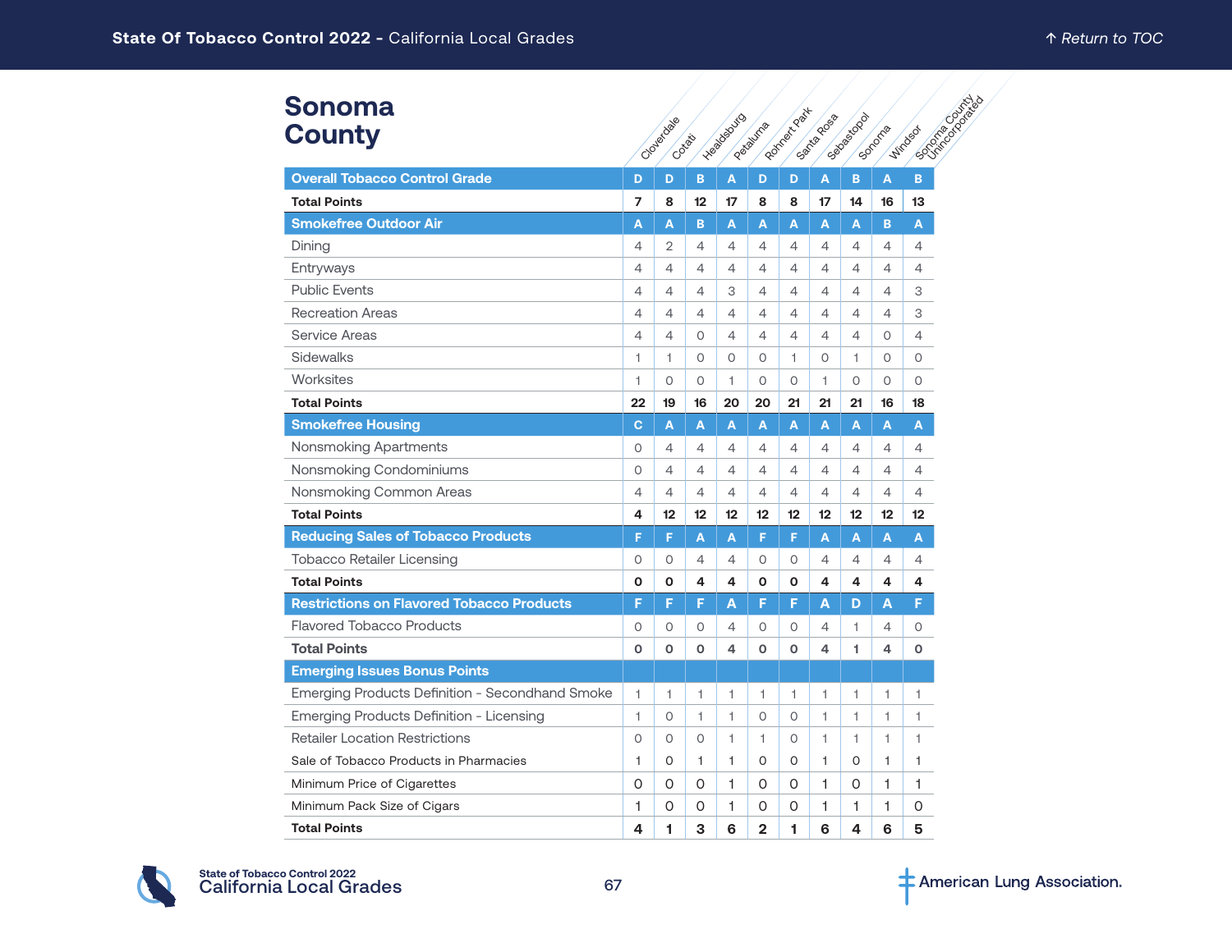#### **Sonoma County**

| <b>Sonoma</b>                                    |                |                     |    |                |              | Ronnee Keat | Santagoos |            |        | Contractor Contractor |  |
|--------------------------------------------------|----------------|---------------------|----|----------------|--------------|-------------|-----------|------------|--------|-----------------------|--|
| <b>County</b>                                    |                | Cloyedage<br>Cotata |    | Healbauto      | Patauma      |             |           | Segendo de | Sonome | <b>Wirdsox</b>        |  |
| <b>Overall Tobacco Control Grade</b>             | D              | D                   | B  | A              | D            | D           | A         | B          | A      | B.                    |  |
| <b>Total Points</b>                              | 7              | 8                   | 12 | 17             | 8            | 8           | 17        | 14         | 16     | 13                    |  |
| <b>Smokefree Outdoor Air</b>                     | A              | A                   | B  | A              | A            | A           | A         | A          | B      | A                     |  |
| Dining                                           | 4              | 2                   | 4  | 4              | 4            | 4           | 4         | 4          | 4      | 4                     |  |
| Entryways                                        | 4              | 4                   | 4  | 4              | 4            | 4           | 4         | 4          | 4      | 4                     |  |
| <b>Public Events</b>                             | 4              | 4                   | 4  | 3              | 4            | 4           | 4         | 4          | 4      | 3                     |  |
| <b>Recreation Areas</b>                          | $\overline{4}$ | 4                   | 4  | 4              | 4            | 4           | 4         | 4          | 4      | 3                     |  |
| Service Areas                                    | 4              | 4                   | 0  | 4              | 4            | 4           | 4         | 4          | 0      | 4                     |  |
| Sidewalks                                        | 1              | 1                   | 0  | $\circ$        | O            | 1           | O         | 1.         | 0      | $\circ$               |  |
| Worksites                                        | 1              | 0                   | 0  | 1              | 0            | 0           | 1         | O          | 0      | 0                     |  |
| <b>Total Points</b>                              | 22             | 19                  | 16 | 20             | 20           | 21          | 21        | 21         | 16     | 18                    |  |
| <b>Smokefree Housing</b>                         | $\mathbf{C}$   | A                   | A  | A              | A            | A           | A         | A          | A      | A                     |  |
| Nonsmoking Apartments                            | $\circ$        | 4                   | 4  | 4              | 4            | 4           | 4         | 4          | 4      | 4                     |  |
| Nonsmoking Condominiums                          | $\circ$        | 4                   | 4  | 4              | 4            | 4           | 4         | 4          | 4      | 4                     |  |
| Nonsmoking Common Areas                          | $\overline{4}$ | 4                   | 4  | $\overline{4}$ | 4            | 4           | 4         | 4          | 4      | 4                     |  |
| <b>Total Points</b>                              | 4              | 12                  | 12 | 12             | 12           | 12          | 12        | 12         | 12     | 12                    |  |
| <b>Reducing Sales of Tobacco Products</b>        | F              | F                   | Α  | A              | F            | F           | A         | A          | A      | A                     |  |
| <b>Tobacco Retailer Licensing</b>                | 0              | 0                   | 4  | 4              | 0            | 0           | 4         | 4          | 4      | 4                     |  |
| <b>Total Points</b>                              | O              | O                   | 4  | 4              | O            | O           | 4         | 4          | 4      | 4                     |  |
| <b>Restrictions on Flavored Tobacco Products</b> | F              | F                   | F  | Α              | F            | F           | Α         | D          | Α      | F                     |  |
| <b>Flavored Tobacco Products</b>                 | $\Omega$       | O                   | 0  | 4              | O            | 0           | 4         | 1          | 4      | 0                     |  |
| <b>Total Points</b>                              | $\mathbf{o}$   | O                   | O  | 4              | O            | O           | 4         | 1.         | 4      | O                     |  |
| <b>Emerging Issues Bonus Points</b>              |                |                     |    |                |              |             |           |            |        |                       |  |
| Emerging Products Definition - Secondhand Smoke  | 1              | 1                   | 1  | 1              | 1            | 1           | 1         | 1          | 1      | 1                     |  |
| Emerging Products Definition - Licensing         | 1              | 0                   | 1  | 1              | 0            | 0           | 1         | 1          | 1      | 1                     |  |
| <b>Retailer Location Restrictions</b>            | $\circ$        | O                   | O  | 1              | 1.           | 0           | 1         | 1.         | 1      | 1                     |  |
| Sale of Tobacco Products in Pharmacies           | 1              | 0                   | 1  | 1              | 0            | 0           | 1         | 0          | 1      | 1                     |  |
| Minimum Price of Cigarettes                      | 0              | 0                   | 0  | 1              | 0            | 0           | 1         | 0          | 1      | 1                     |  |
| Minimum Pack Size of Cigars                      | 1              | 0                   | 0  | 1              | 0            | 0           | 1         | 1          | 1      | 0                     |  |
| <b>Total Points</b>                              | 4              | 1                   | 3  | 6              | $\mathbf{2}$ | 1           | 6         | 4          | 6      | 5                     |  |

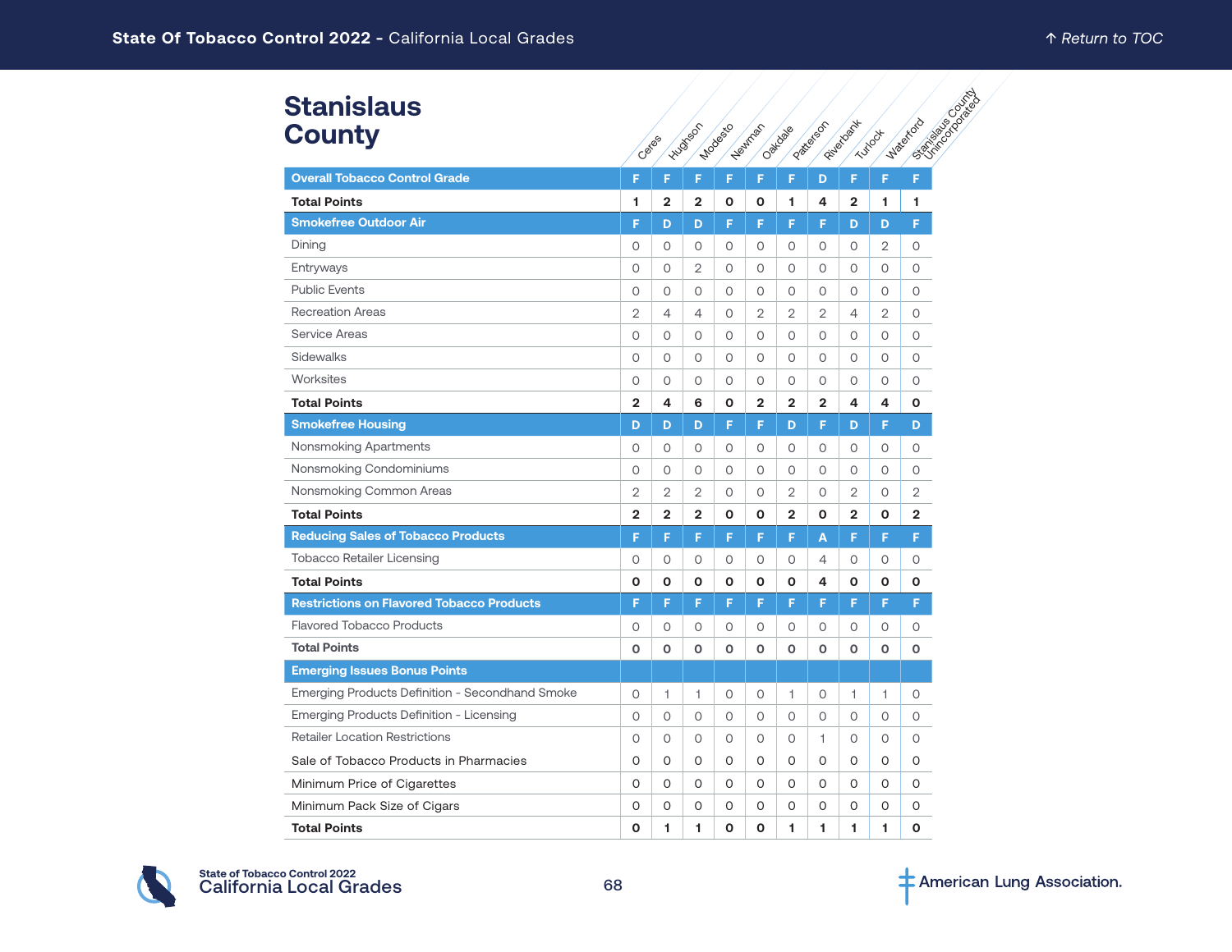#### Ceres **Hughson Modes** Westman Oaklaae Patterson Riverbank Turbock Waterford Strike Stanislaus County **Overall Tobacco Control Grade F F F F F F D F F F Total Points 1 2 2 0 0 1 4 2 1 1 Smokefree Outdoor Air F F D F F F F F D D F** Dining 0 0 0 0 0 0 0 0 0 0 2 0 Entryways 0 0 2 0 0 0 0 0 0 0 Public Events 0 0 0 0 0 0 0 0 0 0 Recreation Areas 2 4 4  $-$  2  $-$  2  $-$  4  $-$  2  $-$  2  $-$  4  $-$  2  $-$  0 Service Areas 0 0 0 0 0 0 0 0 0 0 Sidewalks 0 0 0 0 0 0 0 0 0 0 Worksites 0 0 0 0 0 0 0 0 0 0 **Total Points 2 4 6 0 2 2 2 4 4 0 Smokefree Housing D D D D D D F D F D F D F D** Nonsmoking Apartments 0 0 0 0 0 0 0 0 0 0 Nonsmoking Condominiums 0 0 0 0 0 0 0 0 0 0 Nonsmoking Common Areas 2 2 2 2 0 0 2 0 2 0 2 0 2 **Total Points 2 2 2 0 0 2 0 2 0 2 Reducing Sales of Tobacco Products F F F F F F A F F F** Tobacco Retailer Licensing 0 0 0 0 0 0 4 0 0 0 **Total Points 0 0 0 0 0 0 4 0 0 0 Restrictions on Flavored Tobacco Products F F F F F F F F F F** Flavored Tobacco Products 0 0 0 0 0 0 0 0 0 0 **Total Points 0 0 0 0 0 0 0 0 0 0 Emerging Issues Bonus Points** Emerging Products Definition - Secondhand Smoke 0 1 1 0 0 1 0 1 1 0 Emerging Products Definition - Licensing 0 0 0 0 0 0 0 0 0 0 Retailer Location Restrictions <br>
0 0 0 0 0 0 1 0 0 0 Sale of Tobacco Products in Pharmacies 0 0 0 0 0 0 0 0 0 0 Minimum Price of Cigarettes 0 0 0 0 0 0 0 0 0 0 Minimum Pack Size of Cigars 0 0 0 0 0 0 0 0 0 0 **Total Points 0 1 1 0 0 1 1 1 1 0 Stanislaus County**

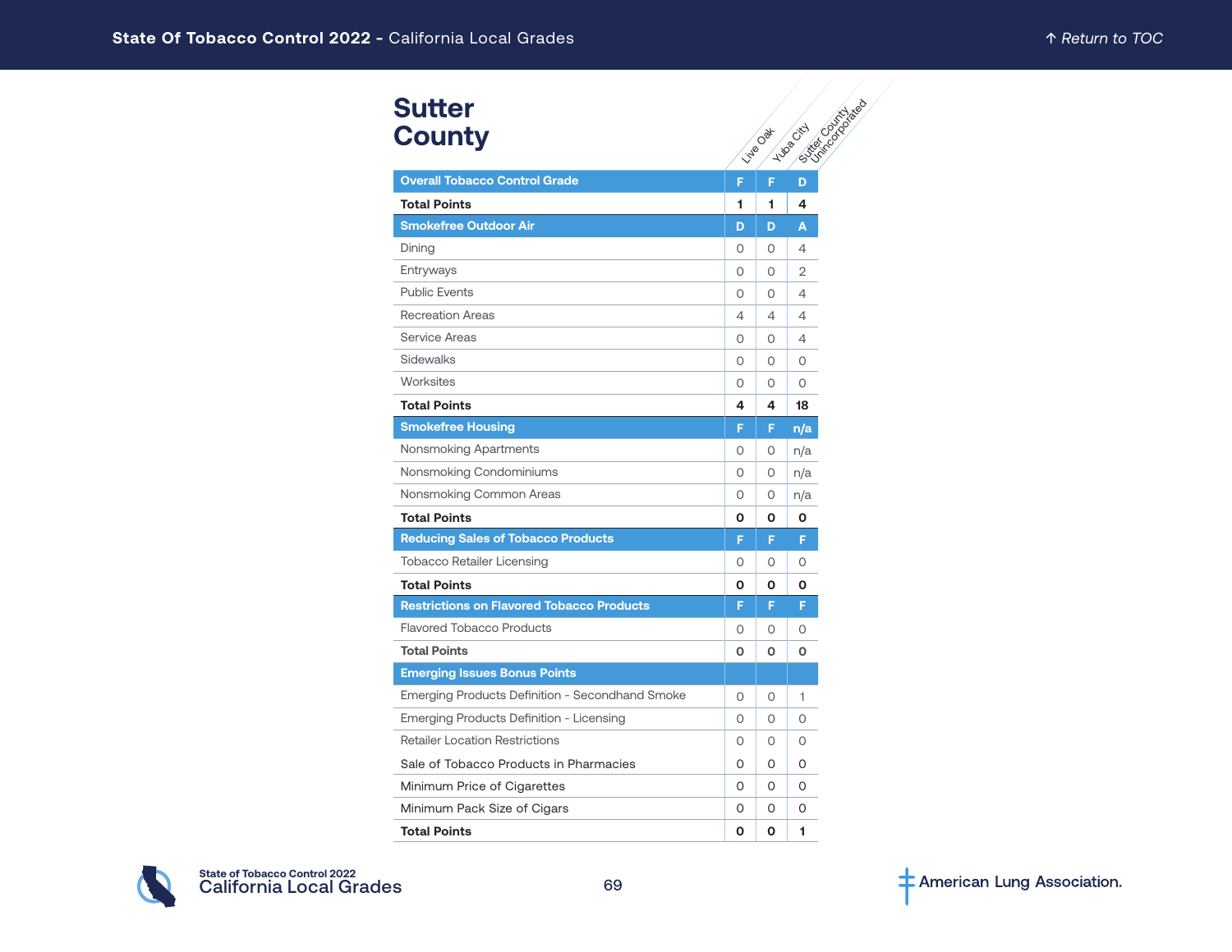#### **Sutter County**

| <b>Sutter</b>                                    |         |                 |                                    |
|--------------------------------------------------|---------|-----------------|------------------------------------|
| <b>County</b>                                    |         | <b>Vive Oat</b> | D Mariage River<br><b>Hugostal</b> |
|                                                  |         |                 |                                    |
| <b>Overall Tobacco Control Grade</b>             | F       | F.              | D                                  |
| <b>Total Points</b>                              | 1       | 1               | 4                                  |
| <b>Smokefree Outdoor Air</b>                     | D       | D               | A                                  |
| Dining                                           | 0       | 0               | 4                                  |
| Entryways                                        | 0       | 0               | 2                                  |
| <b>Public Events</b>                             | 0       | 0               | 4                                  |
| <b>Recreation Areas</b>                          | 4       | 4               | 4                                  |
| <b>Service Areas</b>                             | $\circ$ | 0               | 4                                  |
| Sidewalks                                        | 0       | 0               | 0                                  |
| Worksites                                        | $\circ$ | O               | $\circ$                            |
| <b>Total Points</b>                              | 4       | 4               | 18                                 |
| <b>Smokefree Housing</b>                         | F       | F.              | n/a                                |
| Nonsmoking Apartments                            | 0       | 0               | n/a                                |
| Nonsmoking Condominiums                          | 0       | 0               | n/a                                |
| Nonsmoking Common Areas                          | 0       | 0               | n/a                                |
| <b>Total Points</b>                              | O       | О               | 0                                  |
| <b>Reducing Sales of Tobacco Products</b>        | F       | F               | F                                  |
| <b>Tobacco Retailer Licensing</b>                | 0       | 0               | 0                                  |
| <b>Total Points</b>                              | O       | О               | Ο                                  |
| <b>Restrictions on Flavored Tobacco Products</b> | F       | F               | F                                  |
| <b>Flavored Tobacco Products</b>                 | 0       | 0               | O                                  |
| <b>Total Points</b>                              | O       | O               | o                                  |
| <b>Emerging Issues Bonus Points</b>              |         |                 |                                    |
| Emerging Products Definition - Secondhand Smoke  | 0       | O               | 1                                  |
| Emerging Products Definition - Licensing         | $\circ$ | 0               | $\Omega$                           |
| <b>Retailer Location Restrictions</b>            | 0       | 0               | O                                  |
| Sale of Tobacco Products in Pharmacies           | 0       | 0               | 0                                  |
| Minimum Price of Cigarettes                      | 0       | 0               | 0                                  |
| Minimum Pack Size of Cigars                      | O       | 0               | 0                                  |
| <b>Total Points</b>                              | O       | O               | 1                                  |

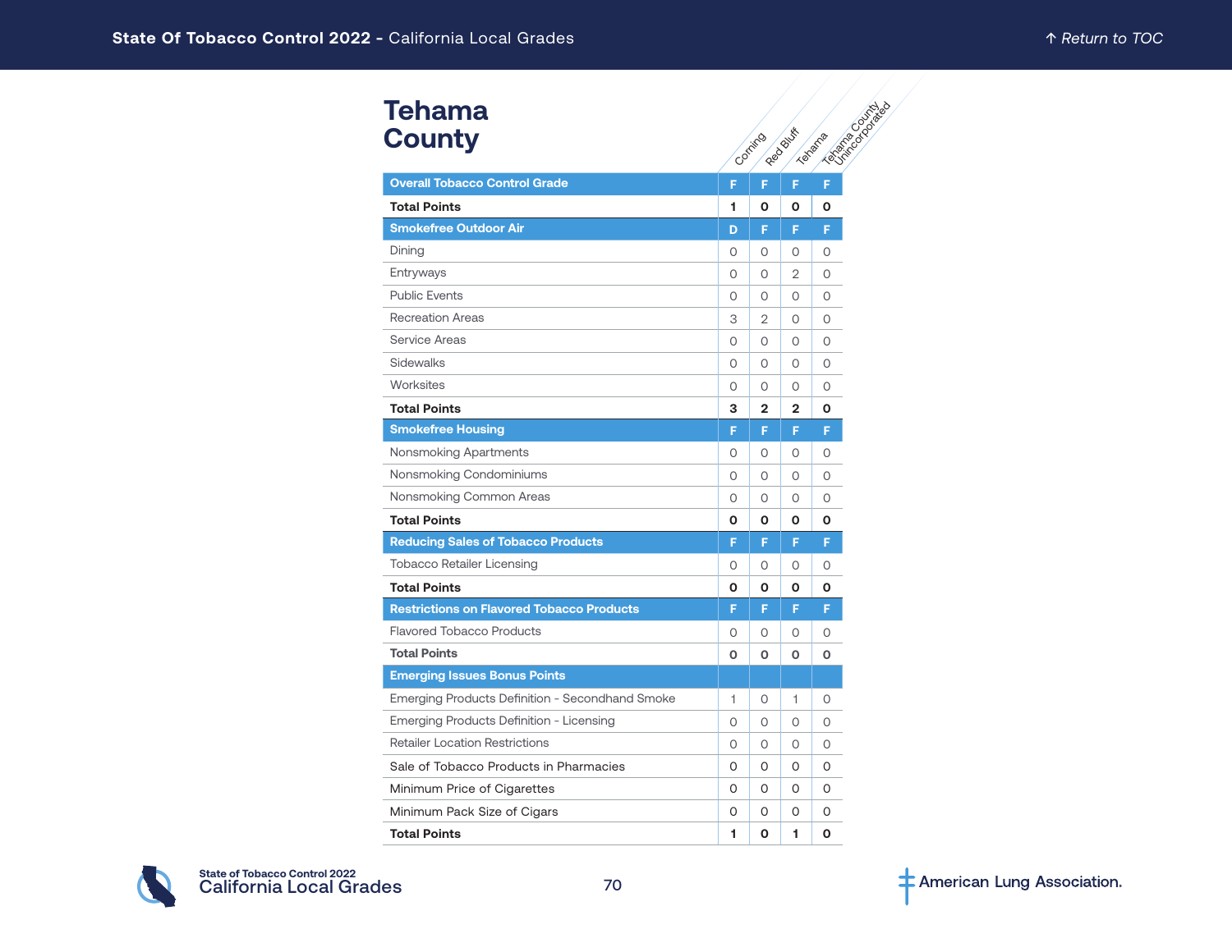#### **Tehama County**

| Tehama                                           |                                                      |              |              |          |  |
|--------------------------------------------------|------------------------------------------------------|--------------|--------------|----------|--|
| <b>County</b>                                    | <b>ASSESSIBLE</b><br>Red Bush<br>Texastra<br>Corring |              |              |          |  |
| <b>Overall Tobacco Control Grade</b>             | F                                                    | F            | F            | F        |  |
| <b>Total Points</b>                              | 1                                                    | O            | O            | O        |  |
| <b>Smokefree Outdoor Air</b>                     | D                                                    | F            | F            | F        |  |
| Dining                                           | 0                                                    | 0            | 0            | 0        |  |
| Entryways                                        | O                                                    | 0            | 2            | 0        |  |
| <b>Public Events</b>                             | O                                                    | 0            | $\circ$      | $\circ$  |  |
| <b>Recreation Areas</b>                          | 3                                                    | 2            | $\circ$      | $\circ$  |  |
| Service Areas                                    | $\Omega$                                             | $\circ$      | $\Omega$     | $\Omega$ |  |
| Sidewalks                                        | 0                                                    | 0            | 0            | 0        |  |
| Worksites                                        | 0                                                    | 0            | 0            | 0        |  |
| <b>Total Points</b>                              | з                                                    | $\mathbf{2}$ | $\mathbf{2}$ | O        |  |
| <b>Smokefree Housing</b>                         | F                                                    | F            | F            | F        |  |
| Nonsmoking Apartments                            | O                                                    | 0            | 0            | $\circ$  |  |
| Nonsmoking Condominiums                          | 0                                                    | $\circ$      | $\circ$      | $\circ$  |  |
| Nonsmoking Common Areas                          | 0                                                    | 0            | $\Omega$     | $\Omega$ |  |
| <b>Total Points</b>                              | О                                                    | O            | 0            | O        |  |
| <b>Reducing Sales of Tobacco Products</b>        | F                                                    | F            | F            | F        |  |
| <b>Tobacco Retailer Licensing</b>                | 0                                                    | $\circ$      | $\circ$      | $\circ$  |  |
| <b>Total Points</b>                              | 0                                                    | 0            | O            | O        |  |
| <b>Restrictions on Flavored Tobacco Products</b> | F                                                    | F            | F            | F        |  |
| <b>Flavored Tobacco Products</b>                 | 0                                                    | 0            | 0            | O        |  |
| <b>Total Points</b>                              | O                                                    | $\mathbf 0$  | O            | O        |  |
| <b>Emerging Issues Bonus Points</b>              |                                                      |              |              |          |  |
| Emerging Products Definition - Secondhand Smoke  | 1                                                    | O            | 1            | 0        |  |
| Emerging Products Definition - Licensing         | 0                                                    | 0            | $\circ$      | $\Omega$ |  |
| <b>Retailer Location Restrictions</b>            | 0                                                    | 0            | 0            | 0        |  |
| Sale of Tobacco Products in Pharmacies           | O                                                    | $\Omega$     | $\Omega$     | $\Omega$ |  |
| Minimum Price of Cigarettes                      | 0                                                    | 0            | 0            | 0        |  |
| Minimum Pack Size of Cigars                      | 0                                                    | 0            | 0            | 0        |  |
| <b>Total Points</b>                              | 1                                                    | O            | 1            | O        |  |

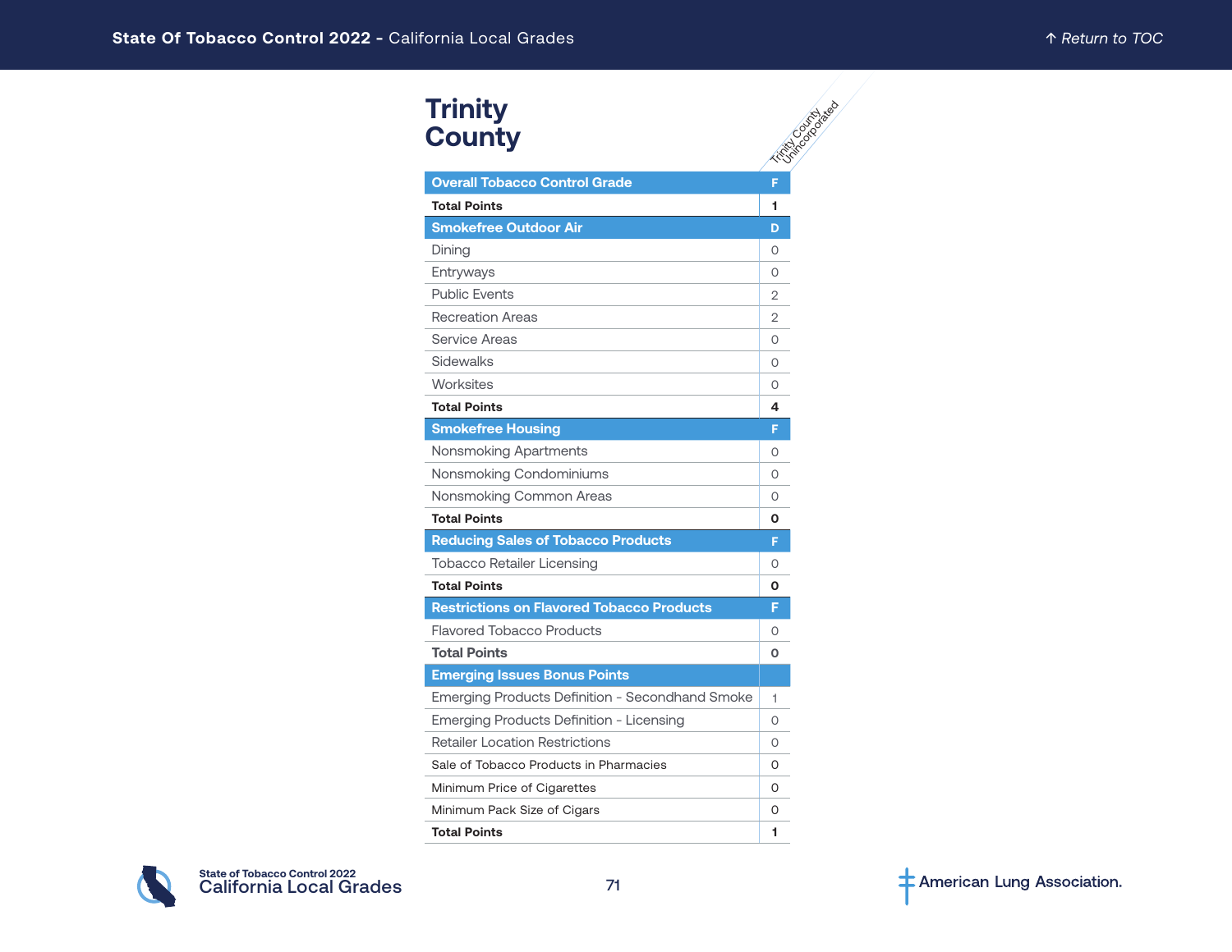#### **Overall Tobacco Control Grade F Total Points 1 Smokefree Outdoor Air D D** Dining 0 Entryways and the control of the control of the control of the control of the control of the control of the control of the control of the control of the control of the control of the control of the control of the control o Public Events 2 Recreation Areas 2 Service Areas 0 Sidewalks and the state of the state of the state of the state of the state of the state of the state of the state of the state of the state of the state of the state of the state of the state of the state of the state of Worksites and the contract of the contract of the contract of the contract of the contract of the contract of the contract of the contract of the contract of the contract of the contract of the contract of the contract of **Total Points 4 Smokefree Housing F** Nonsmoking Apartments **1986 1986 1986 1986 1986 1986 1986 1986 1986 1986 1986 1986 1986 1986 1986 1986 1986 1986 1986 1986 1986 1986 1986 1986 1986 1986 1986 1986 198** Nonsmoking Condominiums **Disk Condominiums** 0 Nonsmoking Common Areas **0** 0 **Total Points 0 Reducing Sales of Tobacco Products F** Tobacco Retailer Licensing **1996** and 1997 **0 Total Points 0 Restrictions on Flavored Tobacco Products F** Flavored Tobacco Products **Contains the Contract Oriental** O **Total Points 0 Emerging Issues Bonus Points** Emerging Products Definition - Secondhand Smoke | 1 Emerging Products Definition - Licensing 2008 **Trinity County**

**Trinity County** United asea

Retailer Location Restrictions **COVID-10** 0 Sale of Tobacco Products in Pharmacies 0 Minimum Price of Cigarettes **0 and 10 and 10 and 10 and 10 and 10 and 10 and 10 and 10 and 10 and 10 and 10 and 10 and 10 and 10 and 10 and 10 and 10 and 10 and 10 and 10 and 10 and 10 and 10 and 10 and 10 and 10 and 10 an** Minimum Pack Size of Cigars **0 and 10 and 10 and 10 and 10 and 10 and 10 and 10 and 10 and 10 and 10 and 10 and 10 and 10 and 10 and 10 and 10 and 10 and 10 and 10 and 10 and 10 and 10 and 10 and 10 and 10 and 10 and 10 an Total Points 1**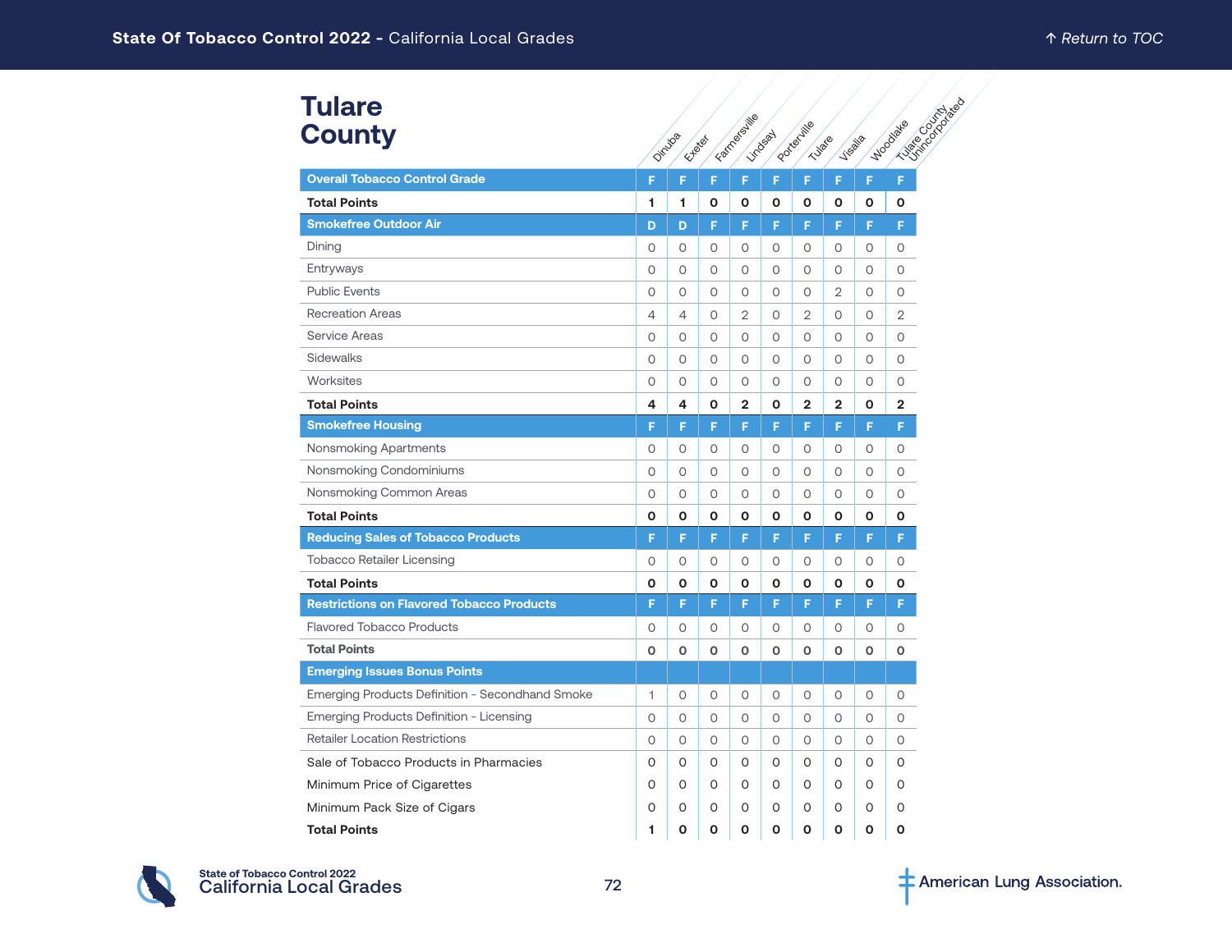#### Dinuba Experience Farmersville Lindsay Porterville Tulare **Visalia** Noodlace County deep **Overall Tobacco Control Grade F F F F F F F F F Total Points 1 1 0 0 0 0 0 0 0 Smokefree Outdoor Air D D F F F F F F F** Dining 0 0 0 0 0 0 0 0 0 Entryways 0 0 0 0 0 0 0 0 0 Public Events 0 0 0 0 0 0 2 0 0 Recreation Areas 4 4 0 2 0 2 0 0 2 Service Areas 0 0 0 0 0 0 0 0 0 Sidewalks 0 0 0 0 0 0 0 0 0 Worksites 0 0 0 0 0 0 0 0 0 **Total Points 4 4 0 2 0 2 2 0 2 Smokefree Housing F F F F F F F F F** Nonsmoking Apartments 0 0 0 0 0 0 0 0 0 Nonsmoking Condominiums 0 0 0 0 0 0 0 0 0 Nonsmoking Common Areas 0 0 0 0 0 0 0 0 0 **Total Points 0 0 0 0 0 0 0 0 0 Reducing Sales of Tobacco Products F F F F F F F F F** Tobacco Retailer Licensing 0 0 0 0 0 0 0 0 0 **Total Points 0 0 0 0 0 0 0 0 0 Restrictions on Flavored Tobacco Products Fight F F F F F F F F F F F F F F F** Flavored Tobacco Products 0 0 0 0 0 0 0 0 0 **Total Points 0 0 0 0 0 0 0 0 0 Emerging Issues Bonus Points** Emerging Products Definition - Secondhand Smoke 1 0 0 0 0 0 0 0 0 Emerging Products Definition - Licensing 0 0 0 0 0 0 0 0 0 Retailer Location Restrictions 0 0 0 0 0 0 0 0 0 Sale of Tobacco Products in Pharmacies 0 0 0 0 0 0 0 0 0 Minimum Price of Cigarettes 0 0 0 0 0 0 0 0 0 Minimum Pack Size of Cigars 0 0 0 0 0 0 0 0 0 **Total Points 1 0 0 0 0 0 0 0 0 Tulare County**

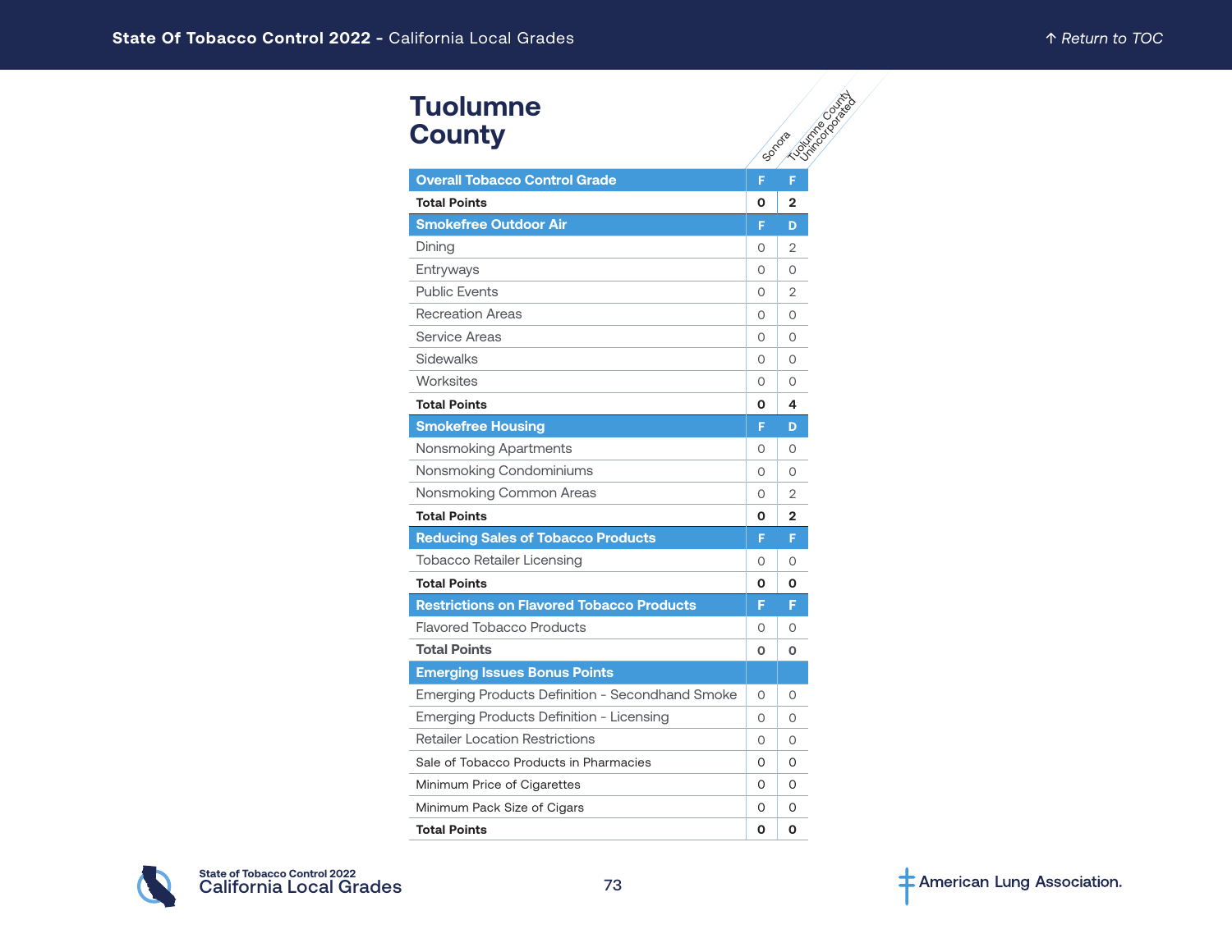# **Tuolumne County**

| <b>Tuolumne</b>                                  |          |                                      |
|--------------------------------------------------|----------|--------------------------------------|
| <b>County</b>                                    |          | <b>Houston of Division</b><br>Sonota |
| <b>Overall Tobacco Control Grade</b>             | F        | F                                    |
| <b>Total Points</b>                              | O        | 2                                    |
| <b>Smokefree Outdoor Air</b>                     | F        | D                                    |
| Dining                                           | 0        | 2                                    |
| Entryways                                        | O        | 0                                    |
| <b>Public Fvents</b>                             | $\Omega$ | 2                                    |
| <b>Recreation Areas</b>                          | 0        | 0                                    |
| Service Areas                                    | O        | 0                                    |
| <b>Sidewalks</b>                                 | 0        | 0                                    |
| Worksites                                        | $\Omega$ | 0                                    |
| <b>Total Points</b>                              | 0        | 4                                    |
| <b>Smokefree Housing</b>                         | F        | D                                    |
| Nonsmoking Apartments                            | $\Omega$ | $\Omega$                             |
| Nonsmoking Condominiums                          | O        | 0                                    |
| Nonsmoking Common Areas                          | O        | 2                                    |
| <b>Total Points</b>                              | O        | 2                                    |
| <b>Reducing Sales of Tobacco Products</b>        | F        | F                                    |
| <b>Tobacco Retailer Licensing</b>                | $\Omega$ | $\Omega$                             |
| <b>Total Points</b>                              | 0        | О                                    |
| <b>Restrictions on Flavored Tobacco Products</b> | F        | F                                    |
| <b>Flavored Tobacco Products</b>                 | $\Omega$ | $\Omega$                             |
| <b>Total Points</b>                              | O        | O                                    |
| <b>Emerging Issues Bonus Points</b>              |          |                                      |
| Emerging Products Definition - Secondhand Smoke  | $\Omega$ | $\Omega$                             |
| <b>Emerging Products Definition - Licensing</b>  | $\Omega$ | 0                                    |
| <b>Retailer Location Restrictions</b>            | $\Omega$ | $\Omega$                             |
| Sale of Tobacco Products in Pharmacies           | 0        | 0                                    |
| Minimum Price of Cigarettes                      | 0        | O                                    |
| Minimum Pack Size of Cigars                      | 0        | 0                                    |
| <b>Total Points</b>                              | O        | O                                    |

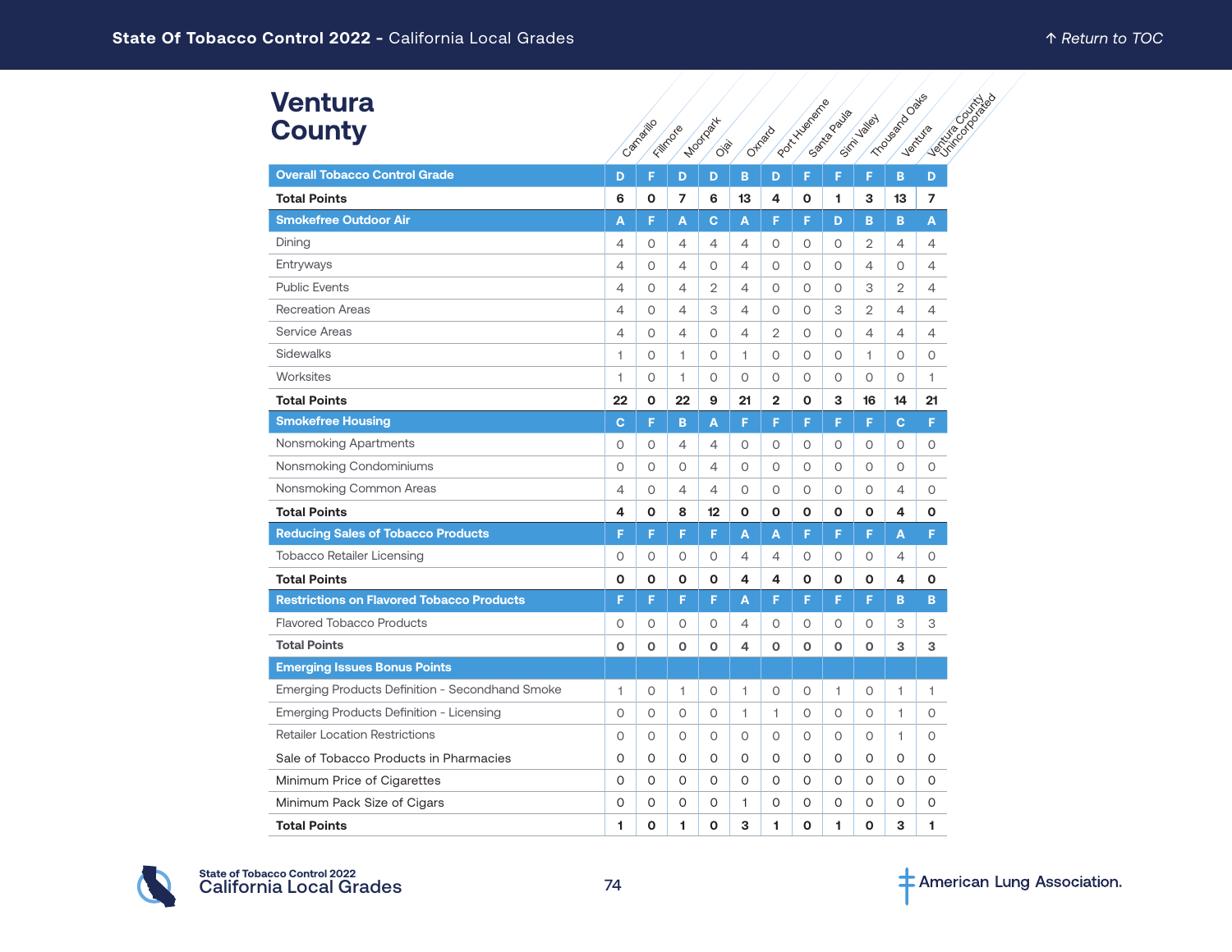| <b>Ventura</b><br><b>County</b>                  |              | Camaritic    | Fillmore       | <b>Moordist</b><br><b>OB</b> |         | Otheric        | Pocktylaneme | Santagoula   | Sirin Jaley    | Triousiado Cales | Vertufa |
|--------------------------------------------------|--------------|--------------|----------------|------------------------------|---------|----------------|--------------|--------------|----------------|------------------|---------|
| <b>Overall Tobacco Control Grade</b>             | D            | F            | D              | D                            | B       | D              | F            | F            | F              | B                | D       |
| <b>Total Points</b>                              | 6            | $\mathbf{o}$ | $\overline{7}$ | 6                            | 13      | 4              | O            | 1            | 3              | 13               | 7       |
| <b>Smokefree Outdoor Air</b>                     | A            | F            | A              | $\mathbf{C}$                 | A       | F              | F            | D            | B              | B                | A       |
| Dining                                           | 4            | $\circ$      | 4              | $\overline{4}$               | 4       | 0              | $\circ$      | $\circ$      | $\overline{2}$ | 4                | 4       |
| Entryways                                        | 4            | 0            | $\overline{4}$ | 0                            | 4       | 0              | 0            | $\circ$      | $\overline{4}$ | 0                | 4       |
| <b>Public Events</b>                             | 4            | 0            | $\overline{4}$ | 2                            | 4       | 0              | 0            | $\circ$      | 3              | 2                | 4       |
| <b>Recreation Areas</b>                          | 4            | 0            | $\overline{4}$ | 3                            | 4       | 0              | 0            | 3            | 2              | $\overline{4}$   | 4       |
| <b>Service Areas</b>                             | 4            | $\circ$      | $\overline{4}$ | $\circ$                      | 4       | $\overline{2}$ | $\circ$      | $\circ$      | $\overline{4}$ | 4                | 4       |
| Sidewalks                                        | 1            | $\circ$      | 1              | $\circ$                      | 1.      | 0              | $\circ$      | $\circ$      | 1              | $\circ$          | 0       |
| Worksites                                        | $\mathbf{1}$ | $\circ$      | 1              | $\circ$                      | O       | 0              | $\circ$      | $\circ$      | $\circ$        | $\circ$          | 1       |
| <b>Total Points</b>                              | 22           | $\mathbf{o}$ | 22             | 9                            | 21      | $\mathbf{2}$   | O            | з            | 16             | 14               | 21      |
| <b>Smokefree Housing</b>                         | C.           | F            | B              | A                            | F       | F              | F            | F            | F              | C.               | F       |
| Nonsmoking Apartments                            | 0            | 0            | 4              | 4                            | 0       | 0              | 0            | 0            | 0              | 0                | 0       |
| Nonsmoking Condominiums                          | O            | $\circ$      | $\circ$        | $\overline{4}$               | 0       | O              | $\circ$      | $\circ$      | $\circ$        | $\circ$          | О       |
| Nonsmoking Common Areas                          | 4            | $\circ$      | $\overline{4}$ | $\overline{4}$               | O       | O              | $\circ$      | $\circ$      | 0              | 4                | 0       |
| <b>Total Points</b>                              | 4            | O            | 8              | 12                           | O       | O              | $\mathbf{o}$ | O            | O              | 4                | O       |
| <b>Reducing Sales of Tobacco Products</b>        | F            | F            | F              | F                            | A       | A              | F            | F            | F              | A                | F       |
| <b>Tobacco Retailer Licensing</b>                | 0            | 0            | 0              | 0                            | 4       | 4              | 0            | $\circ$      | 0              | 4                | 0       |
| <b>Total Points</b>                              | O            | $\mathbf{o}$ | $\mathbf{o}$   | O                            | 4       | 4              | $\mathbf{o}$ | $\mathbf{o}$ | O              | 4                | O       |
| <b>Restrictions on Flavored Tobacco Products</b> | F            | F            | F              | F                            | А       | F              | F            | F            | F              | B                | B       |
| <b>Flavored Tobacco Products</b>                 | $\circ$      | $\circ$      | $\circ$        | $\circ$                      | 4       | 0              | $\circ$      | $\circ$      | $\circ$        | 3                | 3       |
| <b>Total Points</b>                              | O            | O            | $\mathbf 0$    | $\mathbf{o}$                 | 4       | O              | O            | $\mathbf 0$  | $\mathbf 0$    | 3                | 3       |
| <b>Emerging Issues Bonus Points</b>              |              |              |                |                              |         |                |              |              |                |                  |         |
| Emerging Products Definition - Secondhand Smoke  | 1            | 0            | 1              | 0                            | 1       | 0              | 0            | 1            | 0              | $\mathbf{1}$     | 1       |
| Emerging Products Definition - Licensing         | 0            | $\circ$      | $\circ$        | 0                            | 1       | 1              | 0            | $\circ$      | 0              | 1                | 0       |
| <b>Retailer Location Restrictions</b>            | 0            | 0            | $\circ$        | $\circ$                      | O       | 0              | 0            | $\circ$      | 0              | 1                | 0       |
| Sale of Tobacco Products in Pharmacies           | 0            | $\Omega$     | $\Omega$       | $\Omega$                     | 0       | O              | $\Omega$     | $\Omega$     | $\Omega$       | 0                | 0       |
| Minimum Price of Cigarettes                      | 0            | $\Omega$     | $\Omega$       | 0                            | $\circ$ | 0              | $\Omega$     | $\Omega$     | 0              | 0                | 0       |
| Minimum Pack Size of Cigars                      | 0            | 0            | $\Omega$       | $\Omega$                     | 1       | 0              | 0            | $\Omega$     | $\Omega$       | 0                | 0       |
| <b>Total Points</b>                              | 1            | $\mathbf{o}$ | 1              | O                            | 3       | 1              | $\mathbf{o}$ | 1            | O              | 3                | 1       |

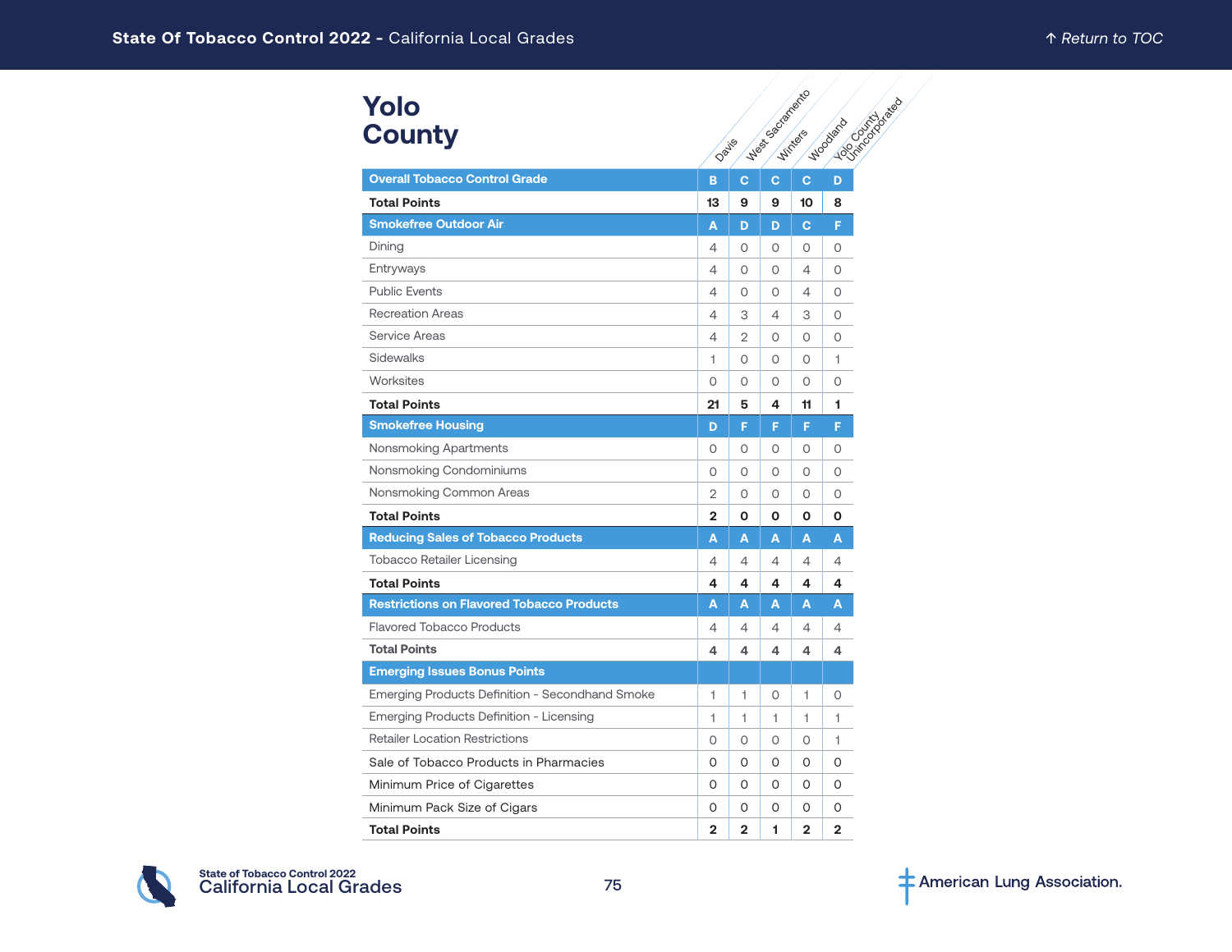# **Yolo County**

| Yolo                                             |       |                |                  |                |                                     |
|--------------------------------------------------|-------|----------------|------------------|----------------|-------------------------------------|
| <b>County</b>                                    | Dayie |                | Wast captacement |                | <b>Locations Report</b><br>Woodsero |
| <b>Overall Tobacco Control Grade</b>             | B     | $\mathbf{C}$   | C                | $\mathbf{C}$   | D                                   |
| <b>Total Points</b>                              | 13    | 9              | 9                | 10             | 8                                   |
| <b>Smokefree Outdoor Air</b>                     | A     | D              | D                | C              | F                                   |
| Dining                                           | 4     | 0              | 0                | 0              | 0                                   |
| Entryways                                        | 4     | $\Omega$       | $\Omega$         | 4              | $\Omega$                            |
| <b>Public Events</b>                             | 4     | Ω              | $\Omega$         | 4              | 0                                   |
| <b>Recreation Areas</b>                          | 4     | 3              | 4                | 3              | 0                                   |
| Service Areas                                    | 4     | $\overline{2}$ | $\Omega$         | $\circ$        | $\Omega$                            |
| Sidewalks                                        | 1     | 0              | 0                | 0              | $\mathbf{1}$                        |
| Worksites                                        | 0     | 0              | 0                | 0              | 0                                   |
| <b>Total Points</b>                              | 21    | 5              | 4                | 11             | 1                                   |
| <b>Smokefree Housing</b>                         | D     | F              | F                | F.             | F                                   |
| Nonsmoking Apartments                            | 0     | 0              | 0                | 0              | 0                                   |
| Nonsmoking Condominiums                          | 0     | $\Omega$       | 0                | $\circ$        | 0                                   |
| Nonsmoking Common Areas                          | 2     | 0              | 0                | 0              | 0                                   |
| <b>Total Points</b>                              | 2     | 0              | О                | О              | О                                   |
| <b>Reducing Sales of Tobacco Products</b>        | A     | A              | A                | A              | A                                   |
| Tobacco Retailer Licensing                       | 4     | 4              | $\overline{4}$   | 4              | 4                                   |
| <b>Total Points</b>                              | 4     | 4              | 4                | 4              | 4                                   |
| <b>Restrictions on Flavored Tobacco Products</b> | A     | A              | A                | A              | A                                   |
| <b>Flavored Tobacco Products</b>                 | 4     | 4              | 4                | 4              | 4                                   |
| <b>Total Points</b>                              | 4     | 4              | 4                | 4              | 4                                   |
| <b>Emerging Issues Bonus Points</b>              |       |                |                  |                |                                     |
| Emerging Products Definition - Secondhand Smoke  | 1     | 1              | 0                | 1              | 0                                   |
| Emerging Products Definition - Licensing         | 1     | 1              | 1                | 1.             | 1                                   |
| <b>Retailer Location Restrictions</b>            | 0     | 0              | $\circ$          | $\circ$        | $\mathbf{1}$                        |
| Sale of Tobacco Products in Pharmacies           | 0     | 0              | 0                | 0              | 0                                   |
| Minimum Price of Cigarettes                      | 0     | $\Omega$       | $\Omega$         | $\Omega$       | O                                   |
| Minimum Pack Size of Cigars                      | 0     | 0              | 0                | 0              | 0                                   |
| <b>Total Points</b>                              | 2     | $\overline{2}$ | 1                | $\overline{2}$ | $\overline{2}$                      |